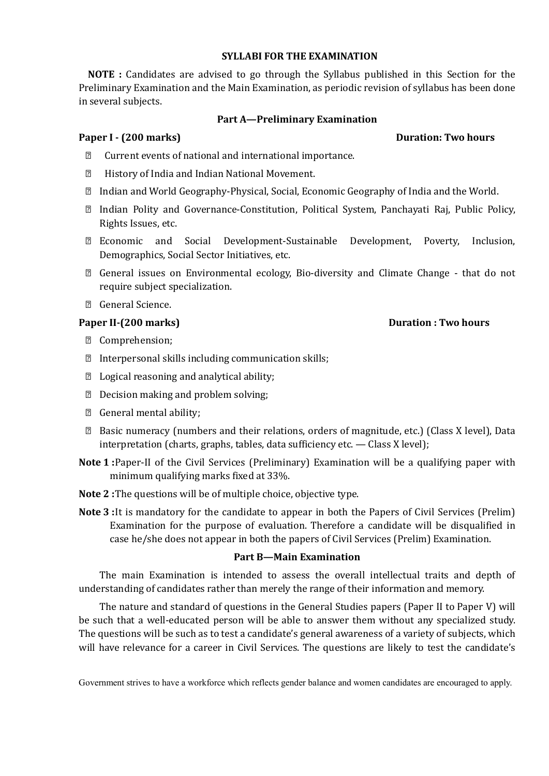#### **SYLLABI FOR THE EXAMINATION**

**NOTE :** Candidates are advised to go through the Syllabus published in this Section for the Preliminary Examination and the Main Examination, as periodic revision of syllabus has been done in several subjects.

#### **Part A—Preliminary Examination**

#### **Paper I - (200 marks) Duration: Two hours**

- Current events of national and international importance.
- History of India and Indian National Movement.
- Indian and World Geography-Physical, Social, Economic Geography of India and the World.
- Indian Polity and Governance-Constitution, Political System, Panchayati Raj, Public Policy, Rights Issues, etc.
- Economic and Social Development-Sustainable Development, Poverty, Inclusion, Demographics, Social Sector Initiatives, etc.
- General issues on Environmental ecology, Bio-diversity and Climate Change that do not require subject specialization.
- General Science.

## **Paper II-(200 marks) Duration : Two hours**

- Comprehension;
- $\mathbb D$  Interpersonal skills including communication skills;
- Logical reasoning and analytical ability;
- Decision making and problem solving;
- General mental ability;
- Basic numeracy (numbers and their relations, orders of magnitude, etc.) (Class X level), Data interpretation (charts, graphs, tables, data sufficiency etc. — Class X level);
- **Note 1 :**Paper-II of the Civil Services (Preliminary) Examination will be a qualifying paper with minimum qualifying marks fixed at 33%.
- **Note 2 :**The questions will be of multiple choice, objective type.
- **Note 3 :**It is mandatory for the candidate to appear in both the Papers of Civil Services (Prelim) Examination for the purpose of evaluation. Therefore a candidate will be disqualified in case he/she does not appear in both the papers of Civil Services (Prelim) Examination.

#### **Part B—Main Examination**

The main Examination is intended to assess the overall intellectual traits and depth of understanding of candidates rather than merely the range of their information and memory.

The nature and standard of questions in the General Studies papers (Paper II to Paper V) will be such that a well-educated person will be able to answer them without any specialized study. The questions will be such as to test a candidate's general awareness of a variety of subjects, which will have relevance for a career in Civil Services. The questions are likely to test the candidate's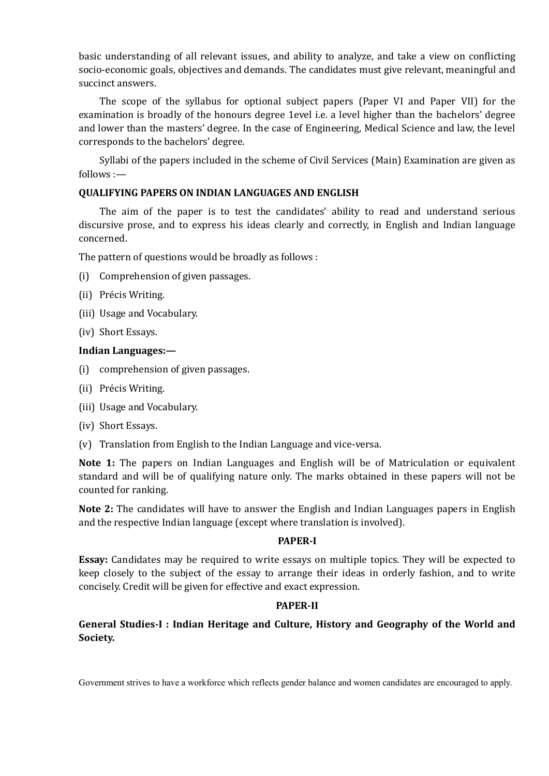basic understanding of all relevant issues, and ability to analyze, and take a view on conflicting socio-economic goals, objectives and demands. The candidates must give relevant, meaningful and succinct answers.

The scope of the syllabus for optional subject papers (Paper VI and Paper VII) for the examination is broadly of the honours degree 1evel i.e. a level higher than the bachelors' degree and lower than the masters' degree. In the case of Engineering, Medical Science and law, the level corresponds to the bachelors' degree.

Syllabi of the papers included in the scheme of Civil Services (Main) Examination are given as follows :—

# **QUALIFYING PAPERS ON INDIAN LANGUAGES AND ENGLISH**

The aim of the paper is to test the candidates' ability to read and understand serious discursive prose, and to express his ideas clearly and correctly, in English and Indian language concerned.

The pattern of questions would be broadly as follows :

- (i) Comprehension of given passages.
- (ii) Précis Writing.
- (iii) Usage and Vocabulary.
- (iv) Short Essays.

#### **Indian Languages:—**

- (i) comprehension of given passages.
- (ii) Précis Writing.
- (iii) Usage and Vocabulary.
- (iv) Short Essays.
- (v) Translation from English to the Indian Language and vice-versa.

**Note 1:** The papers on Indian Languages and English will be of Matriculation or equivalent standard and will be of qualifying nature only. The marks obtained in these papers will not be counted for ranking.

**Note 2:** The candidates will have to answer the English and Indian Languages papers in English and the respective Indian language (except where translation is involved).

#### **PAPER-I**

**Essay:** Candidates may be required to write essays on multiple topics. They will be expected to keep closely to the subject of the essay to arrange their ideas in orderly fashion, and to write concisely. Credit will be given for effective and exact expression.

#### **PAPER-II**

**General Studies-I : Indian Heritage and Culture, History and Geography of the World and Society.**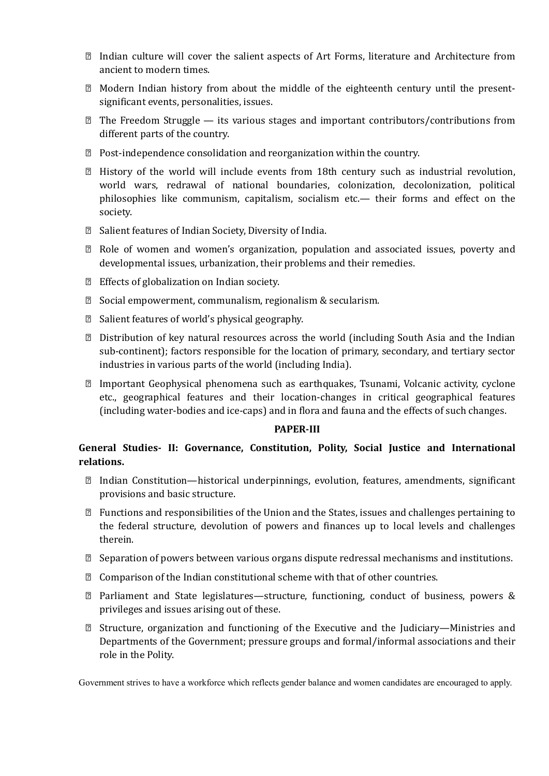- Indian culture will cover the salient aspects of Art Forms, literature and Architecture from ancient to modern times.
- Modern Indian history from about the middle of the eighteenth century until the presentsignificant events, personalities, issues.
- $\mathbb{Z}$  The Freedom Struggle its various stages and important contributors/contributions from different parts of the country.
- Post-independence consolidation and reorganization within the country.
- History of the world will include events from 18th century such as industrial revolution, world wars, redrawal of national boundaries, colonization, decolonization, political philosophies like communism, capitalism, socialism etc.— their forms and effect on the society.
- Salient features of Indian Society, Diversity of India.
- Role of women and women's organization, population and associated issues, poverty and developmental issues, urbanization, their problems and their remedies.
- Effects of globalization on Indian society.
- Social empowerment, communalism, regionalism & secularism.
- Salient features of world's physical geography.
- Distribution of key natural resources across the world (including South Asia and the Indian sub-continent); factors responsible for the location of primary, secondary, and tertiary sector industries in various parts of the world (including India).
- Important Geophysical phenomena such as earthquakes, Tsunami, Volcanic activity, cyclone etc., geographical features and their location-changes in critical geographical features (including water-bodies and ice-caps) and in flora and fauna and the effects of such changes.

## **PAPER-III**

# **General Studies- II: Governance, Constitution, Polity, Social Justice and International relations.**

- $\mathbb D$  Indian Constitution—historical underpinnings, evolution, features, amendments, significant provisions and basic structure.
- $\mathbb D$  Functions and responsibilities of the Union and the States, issues and challenges pertaining to the federal structure, devolution of powers and finances up to local levels and challenges therein.
- Separation of powers between various organs dispute redressal mechanisms and institutions.
- $\mathbb D$  Comparison of the Indian constitutional scheme with that of other countries.
- Parliament and State legislatures—structure, functioning, conduct of business, powers & privileges and issues arising out of these.
- Structure, organization and functioning of the Executive and the Judiciary—Ministries and Departments of the Government; pressure groups and formal/informal associations and their role in the Polity.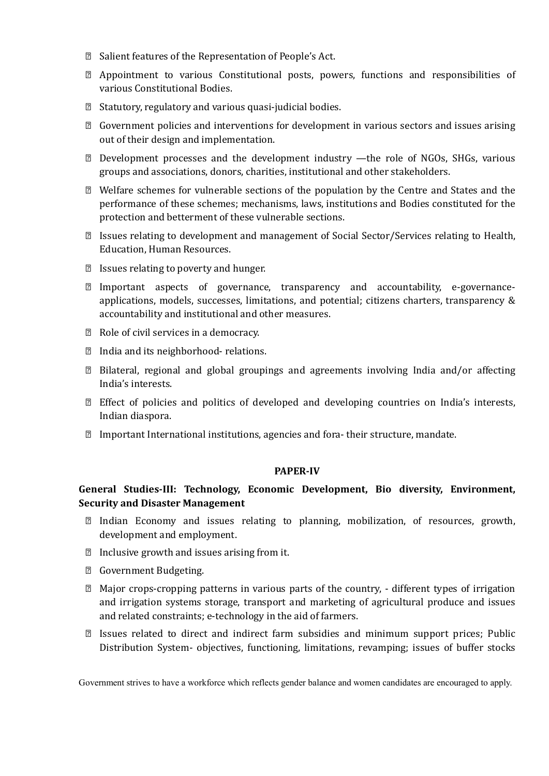- Salient features of the Representation of People's Act.
- Appointment to various Constitutional posts, powers, functions and responsibilities of various Constitutional Bodies.
- Statutory, regulatory and various quasi-judicial bodies.
- Government policies and interventions for development in various sectors and issues arising out of their design and implementation.
- Development processes and the development industry —the role of NGOs, SHGs, various groups and associations, donors, charities, institutional and other stakeholders.
- Welfare schemes for vulnerable sections of the population by the Centre and States and the performance of these schemes; mechanisms, laws, institutions and Bodies constituted for the protection and betterment of these vulnerable sections.
- Issues relating to development and management of Social Sector/Services relating to Health, Education, Human Resources.
- Issues relating to poverty and hunger.
- Important aspects of governance, transparency and accountability, e-governanceapplications, models, successes, limitations, and potential; citizens charters, transparency & accountability and institutional and other measures.
- Role of civil services in a democracy.
- India and its neighborhood- relations.
- Bilateral, regional and global groupings and agreements involving India and/or affecting India's interests.
- Effect of policies and politics of developed and developing countries on India's interests, Indian diaspora.
- $\mathbb D$  Important International institutions, agencies and fora- their structure, mandate.

#### **PAPER-IV**

# **General Studies-III: Technology, Economic Development, Bio diversity, Environment, Security and Disaster Management**

- Indian Economy and issues relating to planning, mobilization, of resources, growth, development and employment.
- Inclusive growth and issues arising from it.
- Government Budgeting.
- Major crops-cropping patterns in various parts of the country, different types of irrigation and irrigation systems storage, transport and marketing of agricultural produce and issues and related constraints; e-technology in the aid of farmers.
- Issues related to direct and indirect farm subsidies and minimum support prices; Public Distribution System- objectives, functioning, limitations, revamping; issues of buffer stocks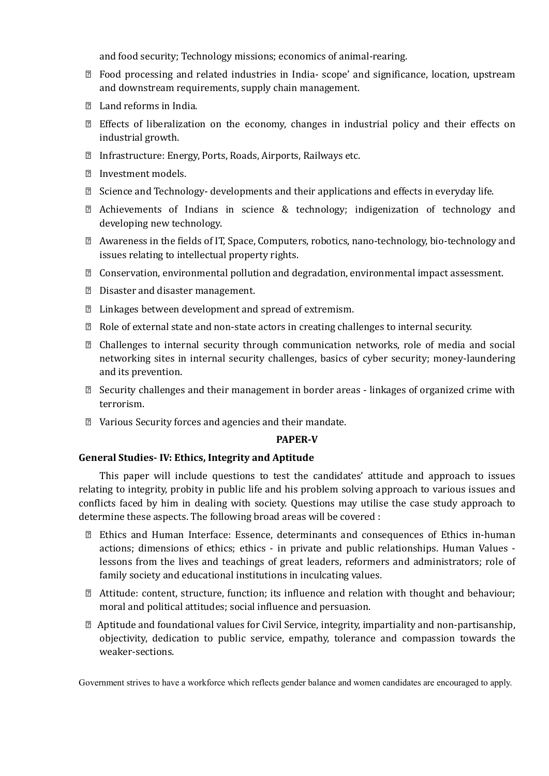and food security; Technology missions; economics of animal-rearing.

- Food processing and related industries in India- scope' and significance, location, upstream and downstream requirements, supply chain management.
- Land reforms in India.
- Effects of liberalization on the economy, changes in industrial policy and their effects on industrial growth.
- Infrastructure: Energy, Ports, Roads, Airports, Railways etc.
- Investment models.
- $\boxtimes$  Science and Technology- developments and their applications and effects in everyday life.
- Achievements of Indians in science & technology; indigenization of technology and developing new technology.
- Awareness in the fields of IT, Space, Computers, robotics, nano-technology, bio-technology and issues relating to intellectual property rights.
- Conservation, environmental pollution and degradation, environmental impact assessment.
- Disaster and disaster management.
- Linkages between development and spread of extremism.
- Role of external state and non-state actors in creating challenges to internal security.
- Challenges to internal security through communication networks, role of media and social networking sites in internal security challenges, basics of cyber security; money-laundering and its prevention.
- $\mathbb D$  Security challenges and their management in border areas linkages of organized crime with terrorism.
- Various Security forces and agencies and their mandate.

#### **PAPER-V**

#### **General Studies- IV: Ethics, Integrity and Aptitude**

This paper will include questions to test the candidates' attitude and approach to issues relating to integrity, probity in public life and his problem solving approach to various issues and conflicts faced by him in dealing with society. Questions may utilise the case study approach to determine these aspects. The following broad areas will be covered :

- Ethics and Human Interface: Essence, determinants and consequences of Ethics in-human actions; dimensions of ethics; ethics - in private and public relationships. Human Values lessons from the lives and teachings of great leaders, reformers and administrators; role of family society and educational institutions in inculcating values.
- Attitude: content, structure, function; its influence and relation with thought and behaviour; moral and political attitudes; social influence and persuasion.
- $\mathbb D$  Aptitude and foundational values for Civil Service, integrity, impartiality and non-partisanship, objectivity, dedication to public service, empathy, tolerance and compassion towards the weaker-sections.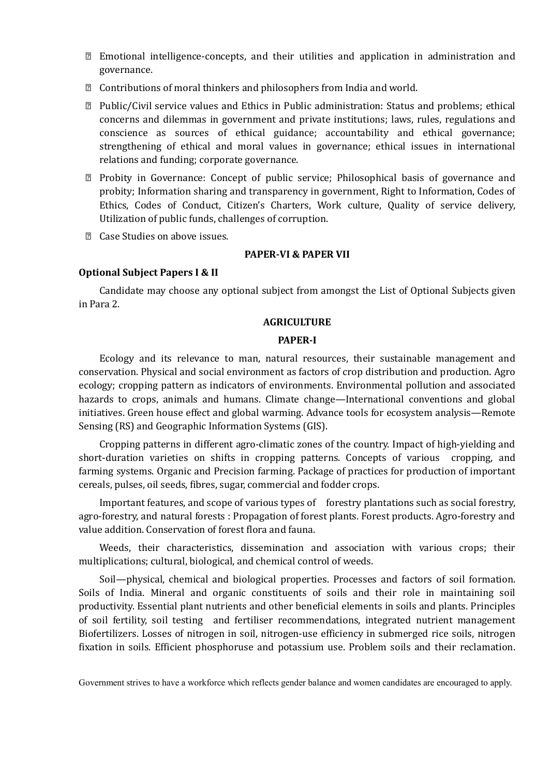- Emotional intelligence-concepts, and their utilities and application in administration and governance.
- Contributions of moral thinkers and philosophers from India and world.
- Public/Civil service values and Ethics in Public administration: Status and problems; ethical concerns and dilemmas in government and private institutions; laws, rules, regulations and conscience as sources of ethical guidance; accountability and ethical governance; strengthening of ethical and moral values in governance; ethical issues in international relations and funding; corporate governance.
- Probity in Governance: Concept of public service; Philosophical basis of governance and probity; Information sharing and transparency in government, Right to Information, Codes of Ethics, Codes of Conduct, Citizen's Charters, Work culture, Quality of service delivery, Utilization of public funds, challenges of corruption.
- **Z** Case Studies on above issues.

#### **PAPER-VI & PAPER VII**

#### **Optional Subject Papers I & II**

Candidate may choose any optional subject from amongst the List of Optional Subjects given in Para 2.

#### **AGRICULTURE**

#### **PAPER-I**

Ecology and its relevance to man, natural resources, their sustainable management and conservation. Physical and social environment as factors of crop distribution and production. Agro ecology; cropping pattern as indicators of environments. Environmental pollution and associated hazards to crops, animals and humans. Climate change—International conventions and global initiatives. Green house effect and global warming. Advance tools for ecosystem analysis—Remote Sensing (RS) and Geographic Information Systems (GIS).

Cropping patterns in different agro-climatic zones of the country. Impact of high-yielding and short-duration varieties on shifts in cropping patterns. Concepts of various cropping, and farming systems. Organic and Precision farming. Package of practices for production of important cereals, pulses, oil seeds, fibres, sugar, commercial and fodder crops.

Important features, and scope of various types of forestry plantations such as social forestry, agro-forestry, and natural forests : Propagation of forest plants. Forest products. Agro-forestry and value addition. Conservation of forest flora and fauna.

Weeds, their characteristics, dissemination and association with various crops; their multiplications; cultural, biological, and chemical control of weeds.

Soil—physical, chemical and biological properties. Processes and factors of soil formation. Soils of India. Mineral and organic constituents of soils and their role in maintaining soil productivity. Essential plant nutrients and other beneficial elements in soils and plants. Principles of soil fertility, soil testing and fertiliser recommendations, integrated nutrient management Biofertilizers. Losses of nitrogen in soil, nitrogen-use efficiency in submerged rice soils, nitrogen fixation in soils. Efficient phosphoruse and potassium use. Problem soils and their reclamation.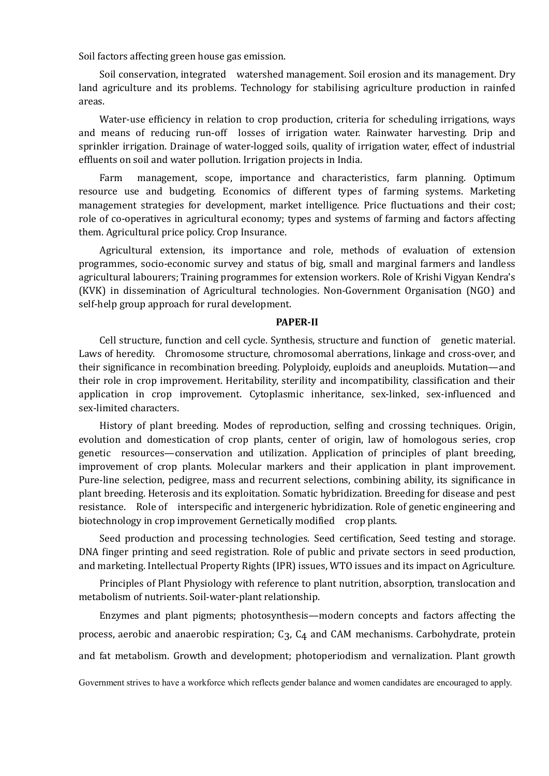Soil factors affecting green house gas emission.

Soil conservation, integrated watershed management. Soil erosion and its management. Dry land agriculture and its problems. Technology for stabilising agriculture production in rainfed areas.

Water-use efficiency in relation to crop production, criteria for scheduling irrigations, ways and means of reducing run-off losses of irrigation water. Rainwater harvesting. Drip and sprinkler irrigation. Drainage of water-logged soils, quality of irrigation water, effect of industrial effluents on soil and water pollution. Irrigation projects in India.

Farm management, scope, importance and characteristics, farm planning. Optimum resource use and budgeting. Economics of different types of farming systems. Marketing management strategies for development, market intelligence. Price fluctuations and their cost; role of co-operatives in agricultural economy; types and systems of farming and factors affecting them. Agricultural price policy. Crop Insurance.

Agricultural extension, its importance and role, methods of evaluation of extension programmes, socio-economic survey and status of big, small and marginal farmers and landless agricultural labourers; Training programmes for extension workers. Role of Krishi Vigyan Kendra's (KVK) in dissemination of Agricultural technologies. Non-Government Organisation (NGO) and self-help group approach for rural development.

#### **PAPER-II**

Cell structure, function and cell cycle. Synthesis, structure and function of genetic material. Laws of heredity. Chromosome structure, chromosomal aberrations, linkage and cross-over, and their significance in recombination breeding. Polyploidy, euploids and aneuploids. Mutation—and their role in crop improvement. Heritability, sterility and incompatibility, classification and their application in crop improvement. Cytoplasmic inheritance, sex-linked, sex-influenced and sex-limited characters.

History of plant breeding. Modes of reproduction, selfing and crossing techniques. Origin, evolution and domestication of crop plants, center of origin, law of homologous series, crop genetic resources—conservation and utilization. Application of principles of plant breeding, improvement of crop plants. Molecular markers and their application in plant improvement. Pure-line selection, pedigree, mass and recurrent selections, combining ability, its significance in plant breeding. Heterosis and its exploitation. Somatic hybridization. Breeding for disease and pest resistance. Role of interspecific and intergeneric hybridization. Role of genetic engineering and biotechnology in crop improvement Gernetically modified crop plants.

Seed production and processing technologies. Seed certification, Seed testing and storage. DNA finger printing and seed registration. Role of public and private sectors in seed production, and marketing. Intellectual Property Rights (IPR) issues, WTO issues and its impact on Agriculture.

Principles of Plant Physiology with reference to plant nutrition, absorption, translocation and metabolism of nutrients. Soil-water-plant relationship.

Enzymes and plant pigments; photosynthesis—modern concepts and factors affecting the process, aerobic and anaerobic respiration; C3, C4 and CAM mechanisms. Carbohydrate, protein and fat metabolism. Growth and development; photoperiodism and vernalization. Plant growth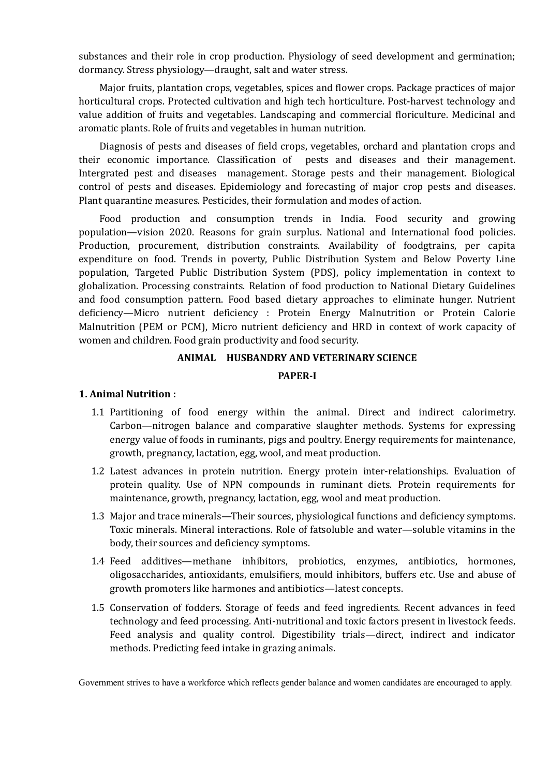substances and their role in crop production. Physiology of seed development and germination; dormancy. Stress physiology—draught, salt and water stress.

Major fruits, plantation crops, vegetables, spices and flower crops. Package practices of major horticultural crops. Protected cultivation and high tech horticulture. Post-harvest technology and value addition of fruits and vegetables. Landscaping and commercial floriculture. Medicinal and aromatic plants. Role of fruits and vegetables in human nutrition.

Diagnosis of pests and diseases of field crops, vegetables, orchard and plantation crops and their economic importance. Classification of pests and diseases and their management. Intergrated pest and diseases management. Storage pests and their management. Biological control of pests and diseases. Epidemiology and forecasting of major crop pests and diseases. Plant quarantine measures. Pesticides, their formulation and modes of action.

Food production and consumption trends in India. Food security and growing population—vision 2020. Reasons for grain surplus. National and International food policies. Production, procurement, distribution constraints. Availability of foodgtrains, per capita expenditure on food. Trends in poverty, Public Distribution System and Below Poverty Line population, Targeted Public Distribution System (PDS), policy implementation in context to globalization. Processing constraints. Relation of food production to National Dietary Guidelines and food consumption pattern. Food based dietary approaches to eliminate hunger. Nutrient deficiency—Micro nutrient deficiency : Protein Energy Malnutrition or Protein Calorie Malnutrition (PEM or PCM), Micro nutrient deficiency and HRD in context of work capacity of women and children. Food grain productivity and food security.

## **ANIMAL HUSBANDRY AND VETERINARY SCIENCE**

#### **PAPER-I**

#### **1. Animal Nutrition :**

- 1.1 Partitioning of food energy within the animal. Direct and indirect calorimetry. Carbon—nitrogen balance and comparative slaughter methods. Systems for expressing energy value of foods in ruminants, pigs and poultry. Energy requirements for maintenance, growth, pregnancy, lactation, egg, wool, and meat production.
- 1.2 Latest advances in protein nutrition. Energy protein inter-relationships. Evaluation of protein quality. Use of NPN compounds in ruminant diets. Protein requirements for maintenance, growth, pregnancy, lactation, egg, wool and meat production.
- 1.3 Major and trace minerals—Their sources, physiological functions and deficiency symptoms. Toxic minerals. Mineral interactions. Role of fatsoluble and water—soluble vitamins in the body, their sources and deficiency symptoms.
- 1.4 Feed additives—methane inhibitors, probiotics, enzymes, antibiotics, hormones, oligosaccharides, antioxidants, emulsifiers, mould inhibitors, buffers etc. Use and abuse of growth promoters like harmones and antibiotics—latest concepts.
- 1.5 Conservation of fodders. Storage of feeds and feed ingredients. Recent advances in feed technology and feed processing. Anti-nutritional and toxic factors present in livestock feeds. Feed analysis and quality control. Digestibility trials—direct, indirect and indicator methods. Predicting feed intake in grazing animals.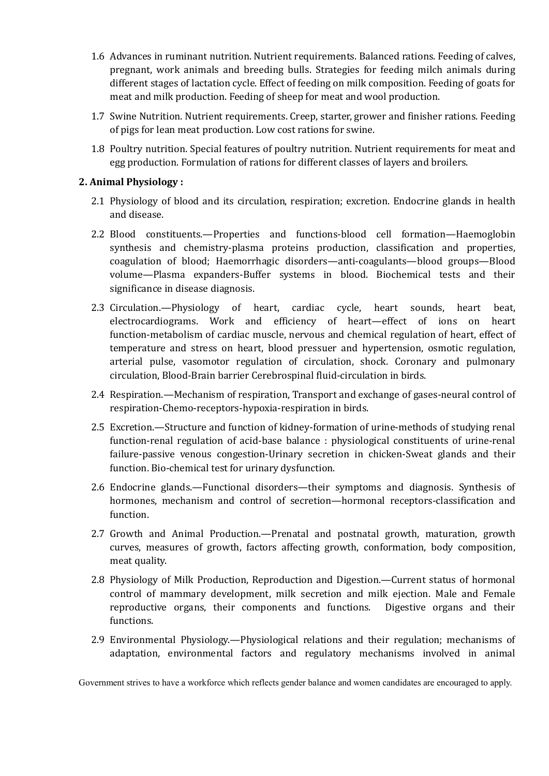- 1.6 Advances in ruminant nutrition. Nutrient requirements. Balanced rations. Feeding of calves, pregnant, work animals and breeding bulls. Strategies for feeding milch animals during different stages of lactation cycle. Effect of feeding on milk composition. Feeding of goats for meat and milk production. Feeding of sheep for meat and wool production.
- 1.7 Swine Nutrition. Nutrient requirements. Creep, starter, grower and finisher rations. Feeding of pigs for lean meat production. Low cost rations for swine.
- 1.8 Poultry nutrition. Special features of poultry nutrition. Nutrient requirements for meat and egg production. Formulation of rations for different classes of layers and broilers.

# **2. Animal Physiology :**

- 2.1 Physiology of blood and its circulation, respiration; excretion. Endocrine glands in health and disease.
- 2.2 Blood constituents.—Properties and functions-blood cell formation—Haemoglobin synthesis and chemistry-plasma proteins production, classification and properties, coagulation of blood; Haemorrhagic disorders—anti-coagulants—blood groups—Blood volume—Plasma expanders-Buffer systems in blood. Biochemical tests and their significance in disease diagnosis.
- 2.3 Circulation.—Physiology of heart, cardiac cycle, heart sounds, heart beat, electrocardiograms. Work and efficiency of heart—effect of ions on heart function-metabolism of cardiac muscle, nervous and chemical regulation of heart, effect of temperature and stress on heart, blood pressuer and hypertension, osmotic regulation, arterial pulse, vasomotor regulation of circulation, shock. Coronary and pulmonary circulation, Blood-Brain barrier Cerebrospinal fluid-circulation in birds.
- 2.4 Respiration.—Mechanism of respiration, Transport and exchange of gases-neural control of respiration-Chemo-receptors-hypoxia-respiration in birds.
- 2.5 Excretion.—Structure and function of kidney-formation of urine-methods of studying renal function-renal regulation of acid-base balance : physiological constituents of urine-renal failure-passive venous congestion-Urinary secretion in chicken-Sweat glands and their function. Bio-chemical test for urinary dysfunction.
- 2.6 Endocrine glands.—Functional disorders—their symptoms and diagnosis. Synthesis of hormones, mechanism and control of secretion—hormonal receptors-classification and function.
- 2.7 Growth and Animal Production.—Prenatal and postnatal growth, maturation, growth curves, measures of growth, factors affecting growth, conformation, body composition, meat quality.
- 2.8 Physiology of Milk Production, Reproduction and Digestion.—Current status of hormonal control of mammary development, milk secretion and milk ejection. Male and Female reproductive organs, their components and functions. Digestive organs and their functions.
- 2.9 Environmental Physiology.—Physiological relations and their regulation; mechanisms of adaptation, environmental factors and regulatory mechanisms involved in animal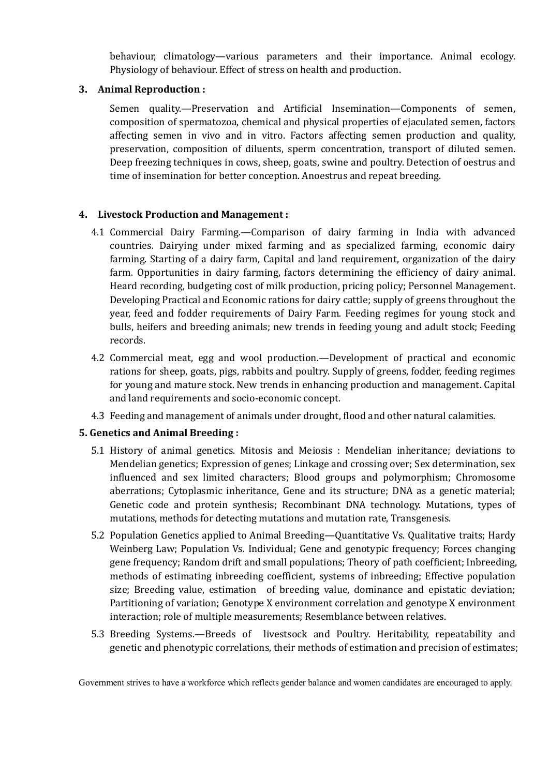behaviour, climatology—various parameters and their importance. Animal ecology. Physiology of behaviour. Effect of stress on health and production.

# **3. Animal Reproduction :**

Semen quality.—Preservation and Artificial Insemination—Components of semen, composition of spermatozoa, chemical and physical properties of ejaculated semen, factors affecting semen in vivo and in vitro. Factors affecting semen production and quality, preservation, composition of diluents, sperm concentration, transport of diluted semen. Deep freezing techniques in cows, sheep, goats, swine and poultry. Detection of oestrus and time of insemination for better conception. Anoestrus and repeat breeding.

# **4. Livestock Production and Management :**

- 4.1 Commercial Dairy Farming.—Comparison of dairy farming in India with advanced countries. Dairying under mixed farming and as specialized farming, economic dairy farming. Starting of a dairy farm, Capital and land requirement, organization of the dairy farm. Opportunities in dairy farming, factors determining the efficiency of dairy animal. Heard recording, budgeting cost of milk production, pricing policy; Personnel Management. Developing Practical and Economic rations for dairy cattle; supply of greens throughout the year, feed and fodder requirements of Dairy Farm. Feeding regimes for young stock and bulls, heifers and breeding animals; new trends in feeding young and adult stock; Feeding records.
- 4.2 Commercial meat, egg and wool production.—Development of practical and economic rations for sheep, goats, pigs, rabbits and poultry. Supply of greens, fodder, feeding regimes for young and mature stock. New trends in enhancing production and management. Capital and land requirements and socio-economic concept.
- 4.3 Feeding and management of animals under drought, flood and other natural calamities.

# **5. Genetics and Animal Breeding :**

- 5.1 History of animal genetics. Mitosis and Meiosis : Mendelian inheritance; deviations to Mendelian genetics; Expression of genes; Linkage and crossing over; Sex determination, sex influenced and sex limited characters; Blood groups and polymorphism; Chromosome aberrations; Cytoplasmic inheritance, Gene and its structure; DNA as a genetic material; Genetic code and protein synthesis; Recombinant DNA technology. Mutations, types of mutations, methods for detecting mutations and mutation rate, Transgenesis.
- 5.2 Population Genetics applied to Animal Breeding—Quantitative Vs. Qualitative traits; Hardy Weinberg Law; Population Vs. Individual; Gene and genotypic frequency; Forces changing gene frequency; Random drift and small populations; Theory of path coefficient; Inbreeding, methods of estimating inbreeding coefficient, systems of inbreeding; Effective population size; Breeding value, estimation of breeding value, dominance and epistatic deviation; Partitioning of variation; Genotype X environment correlation and genotype X environment interaction; role of multiple measurements; Resemblance between relatives.
- 5.3 Breeding Systems.—Breeds of livestsock and Poultry. Heritability, repeatability and genetic and phenotypic correlations, their methods of estimation and precision of estimates;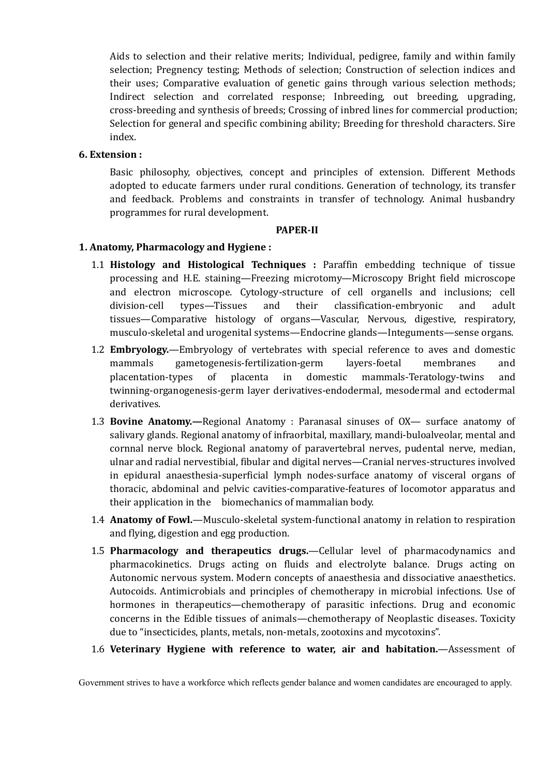Aids to selection and their relative merits; Individual, pedigree, family and within family selection; Pregnency testing; Methods of selection; Construction of selection indices and their uses; Comparative evaluation of genetic gains through various selection methods; Indirect selection and correlated response; Inbreeding, out breeding, upgrading, cross-breeding and synthesis of breeds; Crossing of inbred lines for commercial production; Selection for general and specific combining ability; Breeding for threshold characters. Sire index.

#### **6. Extension :**

Basic philosophy, objectives, concept and principles of extension. Different Methods adopted to educate farmers under rural conditions. Generation of technology, its transfer and feedback. Problems and constraints in transfer of technology. Animal husbandry programmes for rural development.

#### **PAPER-II**

#### **1. Anatomy, Pharmacology and Hygiene :**

- 1.1 **Histology and Histological Techniques :** Paraffin embedding technique of tissue processing and H.E. staining—Freezing microtomy—Microscopy Bright field microscope and electron microscope. Cytology-structure of cell organells and inclusions; cell division-cell types—Tissues and their classification-embryonic and adult tissues—Comparative histology of organs—Vascular, Nervous, digestive, respiratory, musculo-skeletal and urogenital systems—Endocrine glands—Integuments—sense organs.
- 1.2 **Embryology.**—Embryology of vertebrates with special reference to aves and domestic mammals gametogenesis-fertilization-germ layers-foetal membranes and placentation-types of placenta in domestic mammals-Teratology-twins and twinning-organogenesis-germ layer derivatives-endodermal, mesodermal and ectodermal derivatives.
- 1.3 **Bovine Anatomy.—**Regional Anatomy : Paranasal sinuses of OX— surface anatomy of salivary glands. Regional anatomy of infraorbital, maxillary, mandi-buloalveolar, mental and cornnal nerve block. Regional anatomy of paravertebral nerves, pudental nerve, median, ulnar and radial nervestibial, fibular and digital nerves—Cranial nerves-structures involved in epidural anaesthesia-superficial lymph nodes-surface anatomy of visceral organs of thoracic, abdominal and pelvic cavities-comparative-features of locomotor apparatus and their application in the biomechanics of mammalian body.
- 1.4 **Anatomy of Fowl.**—Musculo-skeletal system-functional anatomy in relation to respiration and flying, digestion and egg production.
- 1.5 **Pharmacology and therapeutics drugs.**—Cellular level of pharmacodynamics and pharmacokinetics. Drugs acting on fluids and electrolyte balance. Drugs acting on Autonomic nervous system. Modern concepts of anaesthesia and dissociative anaesthetics. Autocoids. Antimicrobials and principles of chemotherapy in microbial infections. Use of hormones in therapeutics—chemotherapy of parasitic infections. Drug and economic concerns in the Edible tissues of animals—chemotherapy of Neoplastic diseases. Toxicity due to "insecticides, plants, metals, non-metals, zootoxins and mycotoxins".
- 1.6 **Veterinary Hygiene with reference to water, air and habitation.**—Assessment of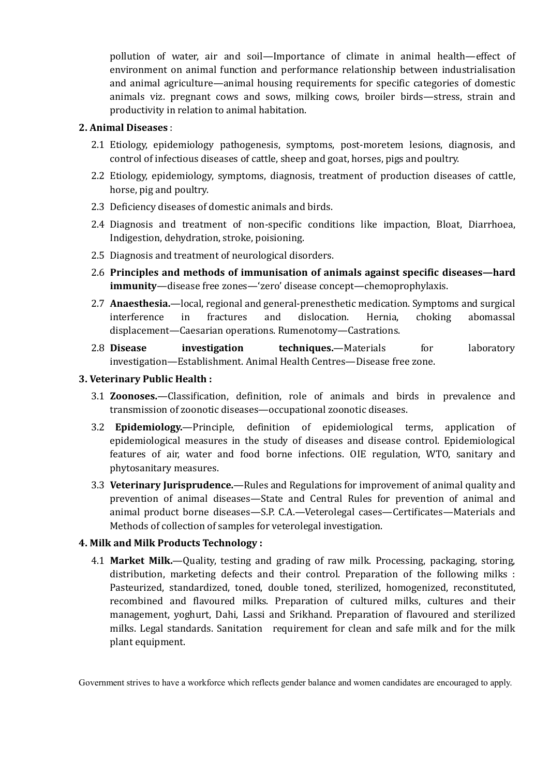pollution of water, air and soil—Importance of climate in animal health—effect of environment on animal function and performance relationship between industrialisation and animal agriculture—animal housing requirements for specific categories of domestic animals viz. pregnant cows and sows, milking cows, broiler birds—stress, strain and productivity in relation to animal habitation.

#### **2. Animal Diseases** :

- 2.1 Etiology, epidemiology pathogenesis, symptoms, post-moretem lesions, diagnosis, and control of infectious diseases of cattle, sheep and goat, horses, pigs and poultry.
- 2.2 Etiology, epidemiology, symptoms, diagnosis, treatment of production diseases of cattle, horse, pig and poultry.
- 2.3 Deficiency diseases of domestic animals and birds.
- 2.4 Diagnosis and treatment of non-specific conditions like impaction, Bloat, Diarrhoea, Indigestion, dehydration, stroke, poisioning.
- 2.5 Diagnosis and treatment of neurological disorders.
- 2.6 **Principles and methods of immunisation of animals against specific diseases—hard immunity**—disease free zones—'zero' disease concept—chemoprophylaxis.
- 2.7 **Anaesthesia.**—local, regional and general-prenesthetic medication. Symptoms and surgical interference in fractures and dislocation. Hernia, choking abomassal displacement—Caesarian operations. Rumenotomy—Castrations.
- 2.8 **Disease investigation techniques.**—Materials for laboratory investigation—Establishment. Animal Health Centres—Disease free zone.

#### **3. Veterinary Public Health :**

- 3.1 **Zoonoses.**—Classification, definition, role of animals and birds in prevalence and transmission of zoonotic diseases—occupational zoonotic diseases.
- 3.2 **Epidemiology.**—Principle, definition of epidemiological terms, application of epidemiological measures in the study of diseases and disease control. Epidemiological features of air, water and food borne infections. OIE regulation, WTO, sanitary and phytosanitary measures.
- 3.3 **Veterinary Jurisprudence.**—Rules and Regulations for improvement of animal quality and prevention of animal diseases—State and Central Rules for prevention of animal and animal product borne diseases—S.P. C.A.—Veterolegal cases—Certificates—Materials and Methods of collection of samples for veterolegal investigation.

## **4. Milk and Milk Products Technology :**

4.1 **Market Milk.**—Quality, testing and grading of raw milk. Processing, packaging, storing, distribution, marketing defects and their control. Preparation of the following milks : Pasteurized, standardized, toned, double toned, sterilized, homogenized, reconstituted, recombined and flavoured milks. Preparation of cultured milks, cultures and their management, yoghurt, Dahi, Lassi and Srikhand. Preparation of flavoured and sterilized milks. Legal standards. Sanitation requirement for clean and safe milk and for the milk plant equipment.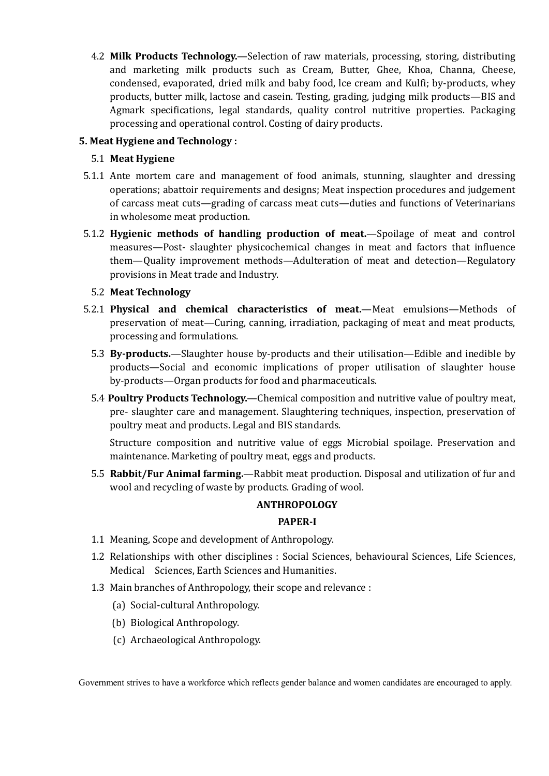4.2 **Milk Products Technology.**—Selection of raw materials, processing, storing, distributing and marketing milk products such as Cream, Butter, Ghee, Khoa, Channa, Cheese, condensed, evaporated, dried milk and baby food, lce cream and Kulfi; by-products, whey products, butter milk, lactose and casein. Testing, grading, judging milk products—BIS and Agmark specifications, legal standards, quality control nutritive properties. Packaging processing and operational control. Costing of dairy products.

# **5. Meat Hygiene and Technology :**

# 5.1 **Meat Hygiene**

- 5.1.1 Ante mortem care and management of food animals, stunning, slaughter and dressing operations; abattoir requirements and designs; Meat inspection procedures and judgement of carcass meat cuts—grading of carcass meat cuts—duties and functions of Veterinarians in wholesome meat production.
- 5.1.2 **Hygienic methods of handling production of meat.**—Spoilage of meat and control measures—Post- slaughter physicochemical changes in meat and factors that influence them—Quality improvement methods—Adulteration of meat and detection—Regulatory provisions in Meat trade and Industry.

# 5.2 **Meat Technology**

- 5.2.1 **Physical and chemical characteristics of meat.**—Meat emulsions—Methods of preservation of meat—Curing, canning, irradiation, packaging of meat and meat products, processing and formulations.
	- 5.3 **By-products.**—Slaughter house by-products and their utilisation—Edible and inedible by products—Social and economic implications of proper utilisation of slaughter house by-products—Organ products for food and pharmaceuticals.
	- 5.4 **Poultry Products Technology.**—Chemical composition and nutritive value of poultry meat, pre- slaughter care and management. Slaughtering techniques, inspection, preservation of poultry meat and products. Legal and BIS standards.

Structure composition and nutritive value of eggs Microbial spoilage. Preservation and maintenance. Marketing of poultry meat, eggs and products.

5.5 **Rabbit/Fur Animal farming.**—Rabbit meat production. Disposal and utilization of fur and wool and recycling of waste by products. Grading of wool.

## **ANTHROPOLOGY**

## **PAPER-I**

- 1.1 Meaning, Scope and development of Anthropology.
- 1.2 Relationships with other disciplines : Social Sciences, behavioural Sciences, Life Sciences, Medical Sciences, Earth Sciences and Humanities.
- 1.3 Main branches of Anthropology, their scope and relevance :
	- (a) Social-cultural Anthropology.
	- (b) Biological Anthropology.
	- (c) Archaeological Anthropology.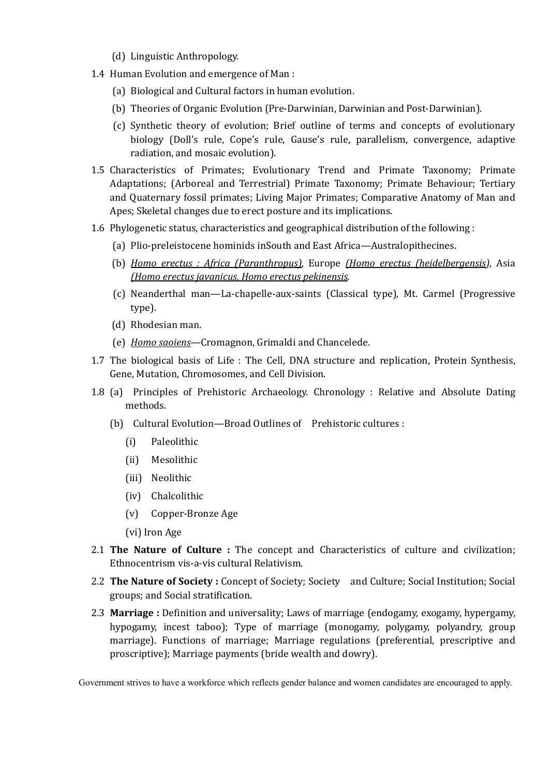- (d) Linguistic Anthropology.
- 1.4 Human Evolution and emergence of Man :
	- (a) Biological and Cultural factors in human evolution.
	- (b) Theories of Organic Evolution (Pre-Darwinian, Darwinian and Post-Darwinian).
	- (c) Synthetic theory of evolution; Brief outline of terms and concepts of evolutionary biology (Doll's rule, Cope's rule, Gause's rule, parallelism, convergence, adaptive radiation, and mosaic evolution).
- 1.5 Characteristics of Primates; Evolutionary Trend and Primate Taxonomy; Primate Adaptations; (Arboreal and Terrestrial) Primate Taxonomy; Primate Behaviour; Tertiary and Quaternary fossil primates; Living Major Primates; Comparative Anatomy of Man and Apes; Skeletal changes due to erect posture and its implications.
- 1.6 Phylogenetic status, characteristics and geographical distribution of the following :
	- (a) Plio-preleistocene hominids inSouth and East Africa—Australopithecines.
	- (b) *Homo erectus : Africa (Paranthropus),* Europe *(Homo erectus (heidelbergensis),* Asia *(Homo erectus javanicus, Homo erectus pekinensis.*
	- (c) Neanderthal man—La-chapelle-aux-saints (Classical type), Mt. Carmel (Progressive type).
	- (d) Rhodesian man.
	- (e) *Homo saoiens*—Cromagnon, Grimaldi and Chancelede.
- 1.7 The biological basis of Life : The Cell, DNA structure and replication, Protein Synthesis, Gene, Mutation, Chromosomes, and Cell Division.
- 1.8 (a) Principles of Prehistoric Archaeology. Chronology : Relative and Absolute Dating methods.
	- (b) Cultural Evolution—Broad Outlines of Prehistoric cultures :
		- (i) Paleolithic
		- (ii) Mesolithic
		- (iii) Neolithic
		- (iv) Chalcolithic
		- (v) Copper-Bronze Age
		- (vi) Iron Age
- 2.1 **The Nature of Culture :** The concept and Characteristics of culture and civilization; Ethnocentrism vis-a-vis cultural Relativism.
- 2.2 **The Nature of Society :** Concept of Society; Society and Culture; Social Institution; Social groups; and Social stratification.
- 2.3 **Marriage :** Definition and universality; Laws of marriage (endogamy, exogamy, hypergamy, hypogamy, incest taboo); Type of marriage (monogamy, polygamy, polyandry, group marriage). Functions of marriage; Marriage regulations (preferential, prescriptive and proscriptive); Marriage payments (bride wealth and dowry).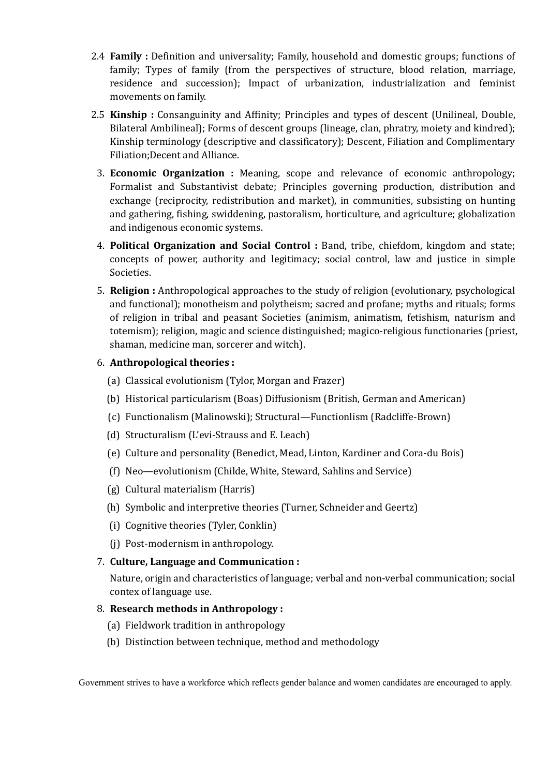- 2.4 **Family :** Definition and universality; Family, household and domestic groups; functions of family; Types of family (from the perspectives of structure, blood relation, marriage, residence and succession); Impact of urbanization, industrialization and feminist movements on family.
- 2.5 **Kinship :** Consanguinity and Affinity; Principles and types of descent (Unilineal, Double, Bilateral Ambilineal); Forms of descent groups (lineage, clan, phratry, moiety and kindred); Kinship terminology (descriptive and classificatory); Descent, Filiation and Complimentary Filiation;Decent and Alliance.
	- 3. **Economic Organization :** Meaning, scope and relevance of economic anthropology; Formalist and Substantivist debate; Principles governing production, distribution and exchange (reciprocity, redistribution and market), in communities, subsisting on hunting and gathering, fishing, swiddening, pastoralism, horticulture, and agriculture; globalization and indigenous economic systems.
	- 4. **Political Organization and Social Control :** Band, tribe, chiefdom, kingdom and state; concepts of power, authority and legitimacy; social control, law and justice in simple Societies.
	- 5. **Religion :** Anthropological approaches to the study of religion (evolutionary, psychological and functional); monotheism and polytheism; sacred and profane; myths and rituals; forms of religion in tribal and peasant Societies (animism, animatism, fetishism, naturism and totemism); religion, magic and science distinguished; magico-religious functionaries (priest, shaman, medicine man, sorcerer and witch).

# 6. **Anthropological theories :**

- (a) Classical evolutionism (Tylor, Morgan and Frazer)
- (b) Historical particularism (Boas) Diffusionism (British, German and American)
- (c) Functionalism (Malinowski); Structural—Functionlism (Radcliffe-Brown)
- (d) Structuralism (L'evi-Strauss and E. Leach)
- (e) Culture and personality (Benedict, Mead, Linton, Kardiner and Cora-du Bois)
- (f) Neo—evolutionism (Childe, White, Steward, Sahlins and Service)
- (g) Cultural materialism (Harris)
- (h) Symbolic and interpretive theories (Turner, Schneider and Geertz)
- (i) Cognitive theories (Tyler, Conklin)
- (j) Post-modernism in anthropology.
- 7. **Culture, Language and Communication :**

Nature, origin and characteristics of language; verbal and non-verbal communication; social contex of language use.

## 8. **Research methods in Anthropology :**

- (a) Fieldwork tradition in anthropology
- (b) Distinction between technique, method and methodology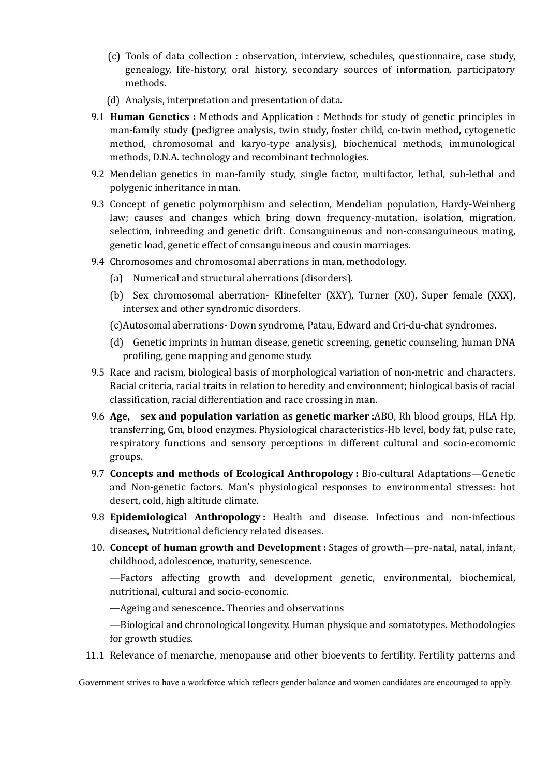- (c) Tools of data collection : observation, interview, schedules, questionnaire, case study, genealogy, life-history, oral history, secondary sources of information, participatory methods.
- (d) Analysis, interpretation and presentation of data.
- 9.1 **Human Genetics :** Methods and Application : Methods for study of genetic principles in man-family study (pedigree analysis, twin study, foster child, co-twin method, cytogenetic method, chromosomal and karyo-type analysis), biochemical methods, immunological methods, D.N.A. technology and recombinant technologies.
- 9.2 Mendelian genetics in man-family study, single factor, multifactor, lethal, sub-lethal and polygenic inheritance in man.
- 9.3 Concept of genetic polymorphism and selection, Mendelian population, Hardy-Weinberg law; causes and changes which bring down frequency-mutation, isolation, migration, selection, inbreeding and genetic drift. Consanguineous and non-consanguineous mating, genetic load, genetic effect of consanguineous and cousin marriages.
- 9.4 Chromosomes and chromosomal aberrations in man, methodology.
	- (a) Numerical and structural aberrations (disorders).
	- (b) Sex chromosomal aberration- Klinefelter (XXY), Turner (XO), Super female (XXX), intersex and other syndromic disorders.
	- (c)Autosomal aberrations- Down syndrome, Patau, Edward and Cri-du-chat syndromes.
	- (d) Genetic imprints in human disease, genetic screening, genetic counseling, human DNA profiling, gene mapping and genome study.
- 9.5 Race and racism, biological basis of morphological variation of non-metric and characters. Racial criteria, racial traits in relation to heredity and environment; biological basis of racial classification, racial differentiation and race crossing in man.
- 9.6 **Age, sex and population variation as genetic marker :**ABO, Rh blood groups, HLA Hp, transferring, Gm, blood enzymes. Physiological characteristics-Hb level, body fat, pulse rate, respiratory functions and sensory perceptions in different cultural and socio-ecomomic groups.
- 9.7 **Concepts and methods of Ecological Anthropology :** Bio-cultural Adaptations—Genetic and Non-genetic factors. Man's physiological responses to environmental stresses: hot desert, cold, high altitude climate.
- 9.8 **Epidemiological Anthropology :** Health and disease. Infectious and non-infectious diseases, Nutritional deficiency related diseases.
- 10. **Concept of human growth and Development :** Stages of growth—pre-natal, natal, infant, childhood, adolescence, maturity, senescence.

—Factors affecting growth and development genetic, environmental, biochemical, nutritional, cultural and socio-economic.

—Ageing and senescence. Theories and observations

—Biological and chronological longevity. Human physique and somatotypes. Methodologies for growth studies.

11.1 Relevance of menarche, menopause and other bioevents to fertility. Fertility patterns and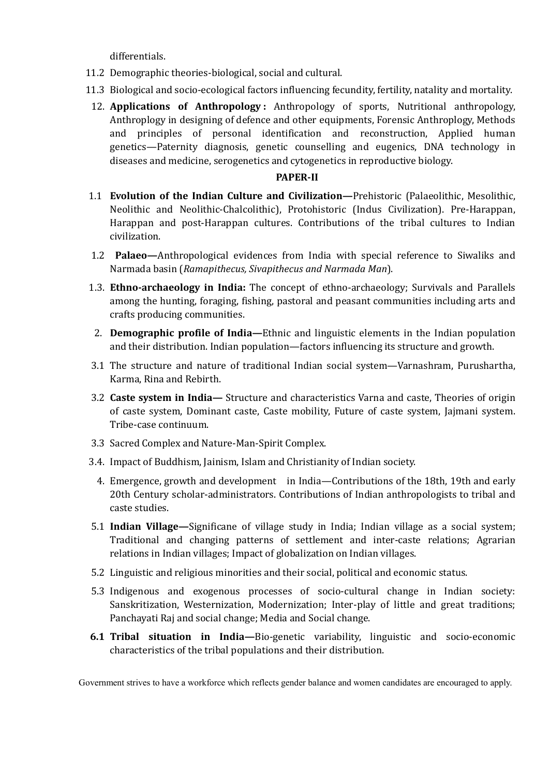differentials.

- 11.2 Demographic theories-biological, social and cultural.
- 11.3 Biological and socio-ecological factors influencing fecundity, fertility, natality and mortality.
- 12. **Applications of Anthropology :** Anthropology of sports, Nutritional anthropology, Anthroplogy in designing of defence and other equipments, Forensic Anthroplogy, Methods and principles of personal identification and reconstruction, Applied human genetics—Paternity diagnosis, genetic counselling and eugenics, DNA technology in diseases and medicine, serogenetics and cytogenetics in reproductive biology.

## **PAPER-II**

- 1.1 **Evolution of the Indian Culture and Civilization—**Prehistoric (Palaeolithic, Mesolithic, Neolithic and Neolithic-Chalcolithic), Protohistoric (Indus Civilization). Pre-Harappan, Harappan and post-Harappan cultures. Contributions of the tribal cultures to Indian civilization.
- 1.2 **Palaeo—**Anthropological evidences from India with special reference to Siwaliks and Narmada basin (*Ramapithecus, Sivapithecus and Narmada Man*).
- 1.3. **Ethno-archaeology in India:** The concept of ethno-archaeology; Survivals and Parallels among the hunting, foraging, fishing, pastoral and peasant communities including arts and crafts producing communities.
- 2. **Demographic profile of India—**Ethnic and linguistic elements in the Indian population and their distribution. Indian population—factors influencing its structure and growth.
- 3.1 The structure and nature of traditional Indian social system—Varnashram, Purushartha, Karma, Rina and Rebirth.
- 3.2 **Caste system in India—** Structure and characteristics Varna and caste, Theories of origin of caste system, Dominant caste, Caste mobility, Future of caste system, Jajmani system. Tribe-case continuum.
- 3.3 Sacred Complex and Nature-Man-Spirit Complex.
- 3.4. Impact of Buddhism, Jainism, Islam and Christianity of Indian society.
- 4. Emergence, growth and development in India—Contributions of the 18th, 19th and early 20th Century scholar-administrators. Contributions of Indian anthropologists to tribal and caste studies.
- 5.1 **Indian Village—**Significane of village study in India; Indian village as a social system; Traditional and changing patterns of settlement and inter-caste relations; Agrarian relations in Indian villages; Impact of globalization on Indian villages.
- 5.2 Linguistic and religious minorities and their social, political and economic status.
- 5.3 Indigenous and exogenous processes of socio-cultural change in Indian society: Sanskritization, Westernization, Modernization; Inter-play of little and great traditions; Panchayati Raj and social change; Media and Social change.
- **6.1 Tribal situation in India—**Bio-genetic variability, linguistic and socio-economic characteristics of the tribal populations and their distribution.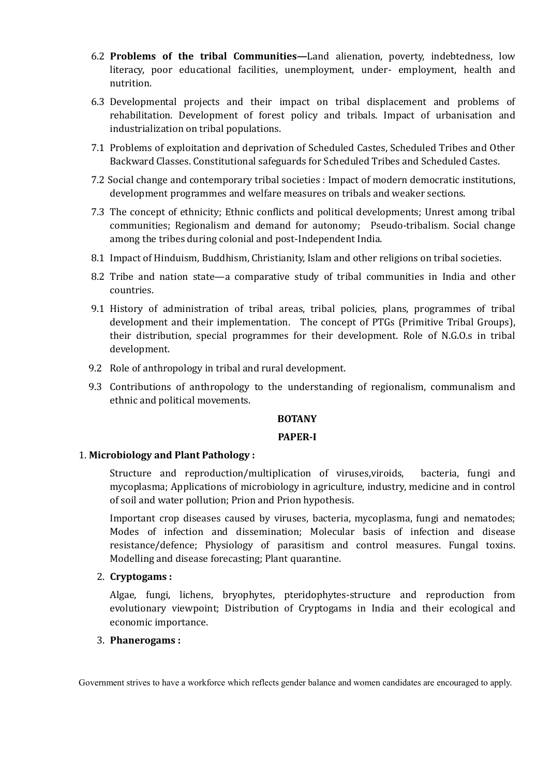- 6.2 **Problems of the tribal Communities—**Land alienation, poverty, indebtedness, low literacy, poor educational facilities, unemployment, under- employment, health and nutrition.
- 6.3 Developmental projects and their impact on tribal displacement and problems of rehabilitation. Development of forest policy and tribals. Impact of urbanisation and industrialization on tribal populations.
- 7.1 Problems of exploitation and deprivation of Scheduled Castes, Scheduled Tribes and Other Backward Classes. Constitutional safeguards for Scheduled Tribes and Scheduled Castes.
- 7.2 Social change and contemporary tribal societies : Impact of modern democratic institutions, development programmes and welfare measures on tribals and weaker sections.
- 7.3 The concept of ethnicity; Ethnic conflicts and political developments; Unrest among tribal communities; Regionalism and demand for autonomy; Pseudo-tribalism. Social change among the tribes during colonial and post-Independent India.
- 8.1 Impact of Hinduism, Buddhism, Christianity, Islam and other religions on tribal societies.
- 8.2 Tribe and nation state—a comparative study of tribal communities in India and other countries.
- 9.1 History of administration of tribal areas, tribal policies, plans, programmes of tribal development and their implementation. The concept of PTGs (Primitive Tribal Groups), their distribution, special programmes for their development. Role of N.G.O.s in tribal development.
- 9.2 Role of anthropology in tribal and rural development.
- 9.3 Contributions of anthropology to the understanding of regionalism, communalism and ethnic and political movements.

## **BOTANY**

#### **PAPER-I**

## 1. **Microbiology and Plant Pathology :**

Structure and reproduction/multiplication of viruses,viroids, bacteria, fungi and mycoplasma; Applications of microbiology in agriculture, industry, medicine and in control of soil and water pollution; Prion and Prion hypothesis.

Important crop diseases caused by viruses, bacteria, mycoplasma, fungi and nematodes; Modes of infection and dissemination; Molecular basis of infection and disease resistance/defence; Physiology of parasitism and control measures. Fungal toxins. Modelling and disease forecasting; Plant quarantine.

## 2. **Cryptogams :**

Algae, fungi, lichens, bryophytes, pteridophytes-structure and reproduction from evolutionary viewpoint; Distribution of Cryptogams in India and their ecological and economic importance.

# 3. **Phanerogams :**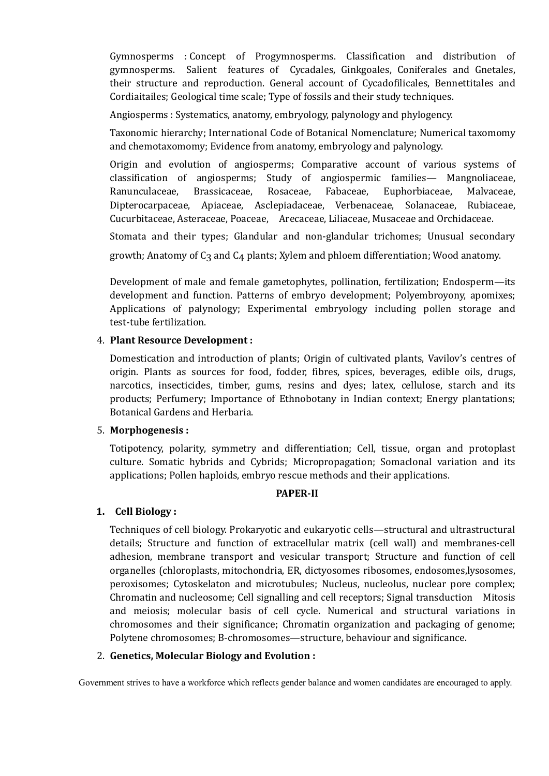Gymnosperms : Concept of Progymnosperms. Classification and distribution of gymnosperms. Salient features of Cycadales, Ginkgoales, Coniferales and Gnetales, their structure and reproduction. General account of Cycadofilicales, Bennettitales and Cordiaitailes; Geological time scale; Type of fossils and their study techniques.

Angiosperms : Systematics, anatomy, embryology, palynology and phylogency.

Taxonomic hierarchy; International Code of Botanical Nomenclature; Numerical taxomomy and chemotaxomomy; Evidence from anatomy, embryology and palynology.

Origin and evolution of angiosperms; Comparative account of various systems of classification of angiosperms; Study of angiospermic families— Mangnoliaceae, Ranunculaceae, Brassicaceae, Rosaceae, Fabaceae, Euphorbiaceae, Malvaceae, Dipterocarpaceae, Apiaceae, Asclepiadaceae, Verbenaceae, Solanaceae, Rubiaceae, Cucurbitaceae, Asteraceae, Poaceae, Arecaceae, Liliaceae, Musaceae and Orchidaceae.

Stomata and their types; Glandular and non-glandular trichomes; Unusual secondary

growth; Anatomy of  $C_3$  and  $C_4$  plants; Xylem and phloem differentiation; Wood anatomy.

Development of male and female gametophytes, pollination, fertilization; Endosperm—its development and function. Patterns of embryo development; Polyembroyony, apomixes; Applications of palynology; Experimental embryology including pollen storage and test-tube fertilization.

# 4. **Plant Resource Development :**

Domestication and introduction of plants; Origin of cultivated plants, Vavilov's centres of origin. Plants as sources for food, fodder, fibres, spices, beverages, edible oils, drugs, narcotics, insecticides, timber, gums, resins and dyes; latex, cellulose, starch and its products; Perfumery; Importance of Ethnobotany in Indian context; Energy plantations; Botanical Gardens and Herbaria.

## 5. **Morphogenesis :**

Totipotency, polarity, symmetry and differentiation; Cell, tissue, organ and protoplast culture. Somatic hybrids and Cybrids; Micropropagation; Somaclonal variation and its applications; Pollen haploids, embryo rescue methods and their applications.

## **PAPER-II**

## **1. Cell Biology :**

Techniques of cell biology. Prokaryotic and eukaryotic cells—structural and ultrastructural details; Structure and function of extracellular matrix (cell wall) and membranes-cell adhesion, membrane transport and vesicular transport; Structure and function of cell organelles (chloroplasts, mitochondria, ER, dictyosomes ribosomes, endosomes,lysosomes, peroxisomes; Cytoskelaton and microtubules; Nucleus, nucleolus, nuclear pore complex; Chromatin and nucleosome; Cell signalling and cell receptors; Signal transduction Mitosis and meiosis; molecular basis of cell cycle. Numerical and structural variations in chromosomes and their significance; Chromatin organization and packaging of genome; Polytene chromosomes; B-chromosomes—structure, behaviour and significance.

## 2. **Genetics, Molecular Biology and Evolution :**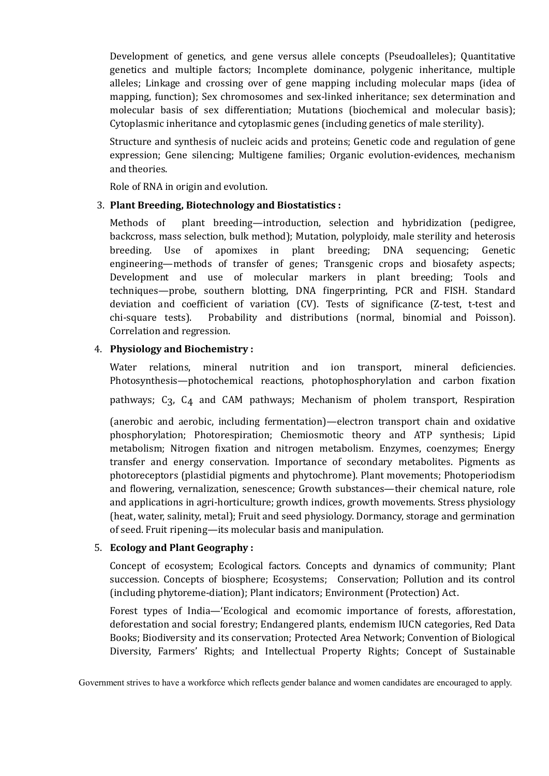Development of genetics, and gene versus allele concepts (Pseudoalleles); Quantitative genetics and multiple factors; Incomplete dominance, polygenic inheritance, multiple alleles; Linkage and crossing over of gene mapping including molecular maps (idea of mapping, function); Sex chromosomes and sex-linked inheritance; sex determination and molecular basis of sex differentiation; Mutations (biochemical and molecular basis); Cytoplasmic inheritance and cytoplasmic genes (including genetics of male sterility).

Structure and synthesis of nucleic acids and proteins; Genetic code and regulation of gene expression; Gene silencing; Multigene families; Organic evolution-evidences, mechanism and theories.

Role of RNA in origin and evolution.

## 3. **Plant Breeding, Biotechnology and Biostatistics :**

Methods of plant breeding—introduction, selection and hybridization (pedigree, backcross, mass selection, bulk method); Mutation, polyploidy, male sterility and heterosis breeding. Use of apomixes in plant breeding; DNA sequencing; Genetic engineering—methods of transfer of genes; Transgenic crops and biosafety aspects; Development and use of molecular markers in plant breeding; Tools and techniques—probe, southern blotting, DNA fingerprinting, PCR and FISH. Standard deviation and coefficient of variation (CV). Tests of significance (Z-test, t-test and chi-square tests). Probability and distributions (normal, binomial and Poisson). Correlation and regression.

# 4. **Physiology and Biochemistry :**

Water relations, mineral nutrition and ion transport, mineral deficiencies. Photosynthesis—photochemical reactions, photophosphorylation and carbon fixation

pathways;  $C_3$ ,  $C_4$  and  $CAM$  pathways; Mechanism of pholem transport, Respiration

(anerobic and aerobic, including fermentation)—electron transport chain and oxidative phosphorylation; Photorespiration; Chemiosmotic theory and ATP synthesis; Lipid metabolism; Nitrogen fixation and nitrogen metabolism. Enzymes, coenzymes; Energy transfer and energy conservation. Importance of secondary metabolites. Pigments as photoreceptors (plastidial pigments and phytochrome). Plant movements; Photoperiodism and flowering, vernalization, senescence; Growth substances—their chemical nature, role and applications in agri-horticulture; growth indices, growth movements. Stress physiology (heat, water, salinity, metal); Fruit and seed physiology. Dormancy, storage and germination of seed. Fruit ripening—its molecular basis and manipulation.

## 5. **Ecology and Plant Geography :**

Concept of ecosystem; Ecological factors. Concepts and dynamics of community; Plant succession. Concepts of biosphere; Ecosystems; Conservation; Pollution and its control (including phytoreme-diation); Plant indicators; Environment (Protection) Act.

Forest types of India—'Ecological and ecomomic importance of forests, afforestation, deforestation and social forestry; Endangered plants, endemism IUCN categories, Red Data Books; Biodiversity and its conservation; Protected Area Network; Convention of Biological Diversity, Farmers' Rights; and Intellectual Property Rights; Concept of Sustainable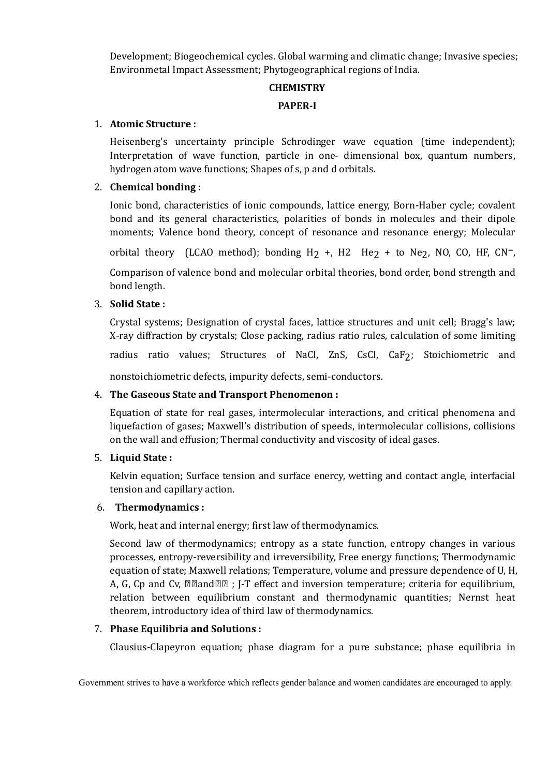Development; Biogeochemical cycles. Global warming and climatic change; Invasive species; Environmetal Impact Assessment; Phytogeographical regions of India.

## **CHEMISTRY**

# **PAPER-I**

## 1. **Atomic Structure :**

Heisenberg's uncertainty principle Schrodinger wave equation (time independent); Interpretation of wave function, particle in one- dimensional box, quantum numbers, hydrogen atom wave functions; Shapes of s, p and d orbitals.

# 2. **Chemical bonding :**

Ionic bond, characteristics of ionic compounds, lattice energy, Born-Haber cycle; covalent bond and its general characteristics, polarities of bonds in molecules and their dipole moments; Valence bond theory, concept of resonance and resonance energy; Molecular

orbital theory (LCAO method); bonding H<sub>2</sub> +, H2 He<sub>2</sub> + to Ne<sub>2</sub>, NO, CO, HF, CN<sup>-</sup>,

Comparison of valence bond and molecular orbital theories, bond order, bond strength and bond length.

# 3. **Solid State :**

Crystal systems; Designation of crystal faces, lattice structures and unit cell; Bragg's law; X-ray diffraction by crystals; Close packing, radius ratio rules, calculation of some limiting

radius ratio values; Structures of NaCl, ZnS, CsCl, CaF<sub>2</sub>; Stoichiometric and

nonstoichiometric defects, impurity defects, semi-conductors.

# 4. **The Gaseous State and Transport Phenomenon :**

Equation of state for real gases, intermolecular interactions, and critical phenomena and liquefaction of gases; Maxwell's distribution of speeds, intermolecular collisions, collisions on the wall and effusion; Thermal conductivity and viscosity of ideal gases.

# 5. **Liquid State :**

Kelvin equation; Surface tension and surface enercy, wetting and contact angle, interfacial tension and capillary action.

## 6. **Thermodynamics :**

Work, heat and internal energy; first law of thermodynamics.

Second law of thermodynamics; entropy as a state function, entropy changes in various processes, entropy-reversibility and irreversibility, Free energy functions; Thermodynamic equation of state; Maxwell relations; Temperature, volume and pressure dependence of U, H, A, G, Cp and Cv,  $\mathbb{Z}$  and  $\mathbb{Z}$  ; J-T effect and inversion temperature; criteria for equilibrium, relation between equilibrium constant and thermodynamic quantities; Nernst heat theorem, introductory idea of third law of thermodynamics.

# 7. **Phase Equilibria and Solutions :**

Clausius-Clapeyron equation; phase diagram for a pure substance; phase equilibria in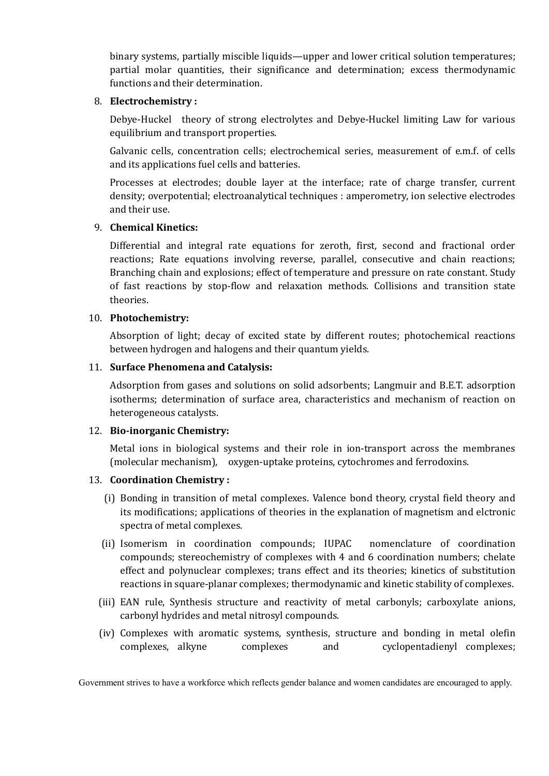binary systems, partially miscible liquids—upper and lower critical solution temperatures; partial molar quantities, their significance and determination; excess thermodynamic functions and their determination.

#### 8. **Electrochemistry :**

Debye-Huckel theory of strong electrolytes and Debye-Huckel limiting Law for various equilibrium and transport properties.

Galvanic cells, concentration cells; electrochemical series, measurement of e.m.f. of cells and its applications fuel cells and batteries.

Processes at electrodes; double layer at the interface; rate of charge transfer, current density; overpotential; electroanalytical techniques : amperometry, ion selective electrodes and their use.

## 9. **Chemical Kinetics:**

Differential and integral rate equations for zeroth, first, second and fractional order reactions; Rate equations involving reverse, parallel, consecutive and chain reactions; Branching chain and explosions; effect of temperature and pressure on rate constant. Study of fast reactions by stop-flow and relaxation methods. Collisions and transition state theories.

#### 10. **Photochemistry:**

Absorption of light; decay of excited state by different routes; photochemical reactions between hydrogen and halogens and their quantum yields.

#### 11. **Surface Phenomena and Catalysis:**

Adsorption from gases and solutions on solid adsorbents; Langmuir and B.E.T. adsorption isotherms; determination of surface area, characteristics and mechanism of reaction on heterogeneous catalysts.

## 12. **Bio-inorganic Chemistry:**

Metal ions in biological systems and their role in ion-transport across the membranes (molecular mechanism), oxygen-uptake proteins, cytochromes and ferrodoxins.

## 13. **Coordination Chemistry :**

- (i) Bonding in transition of metal complexes. Valence bond theory, crystal field theory and its modifications; applications of theories in the explanation of magnetism and elctronic spectra of metal complexes.
- (ii) Isomerism in coordination compounds; IUPAC nomenclature of coordination compounds; stereochemistry of complexes with 4 and 6 coordination numbers; chelate effect and polynuclear complexes; trans effect and its theories; kinetics of substitution reactions in square-planar complexes; thermodynamic and kinetic stability of complexes.
- (iii) EAN rule, Synthesis structure and reactivity of metal carbonyls; carboxylate anions, carbonyl hydrides and metal nitrosyl compounds.
- (iv) Complexes with aromatic systems, synthesis, structure and bonding in metal olefin complexes, alkyne complexes and cyclopentadienyl complexes;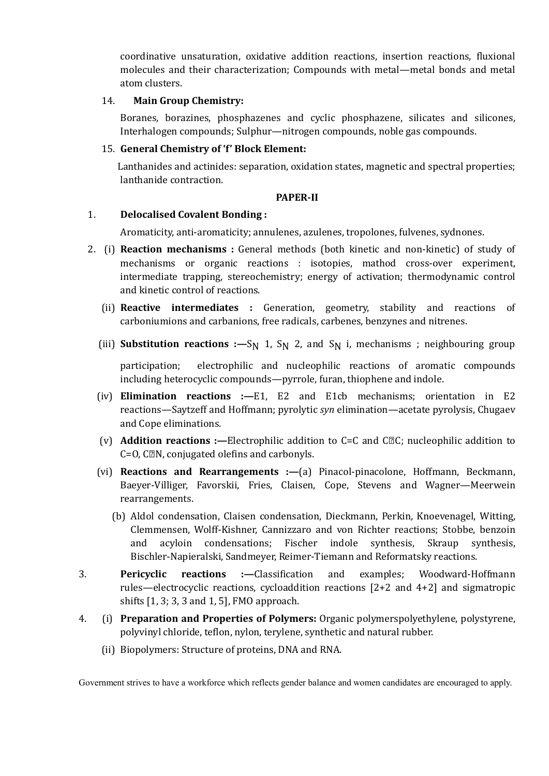coordinative unsaturation, oxidative addition reactions, insertion reactions, fluxional molecules and their characterization; Compounds with metal—metal bonds and metal atom clusters.

#### 14. **Main Group Chemistry:**

Boranes, borazines, phosphazenes and cyclic phosphazene, silicates and silicones, Interhalogen compounds; Sulphur—nitrogen compounds, noble gas compounds.

#### 15. **General Chemistry of 'f' Block Element:**

Lanthanides and actinides: separation, oxidation states, magnetic and spectral properties; lanthanide contraction.

#### **PAPER-II**

#### 1. **Delocalised Covalent Bonding :**

Aromaticity, anti-aromaticity; annulenes, azulenes, tropolones, fulvenes, sydnones.

- 2. (i) **Reaction mechanisms :** General methods (both kinetic and non-kinetic) of study of mechanisms or organic reactions : isotopies, mathod cross-over experiment, intermediate trapping, stereochemistry; energy of activation; thermodynamic control and kinetic control of reactions.
	- (ii) **Reactive intermediates :** Generation, geometry, stability and reactions of carboniumions and carbanions, free radicals, carbenes, benzynes and nitrenes.
	- (iii) **Substitution reactions :**—S<sub>N</sub> 1, S<sub>N</sub> 2, and S<sub>N</sub> i, mechanisms ; neighbouring group

participation; electrophilic and nucleophilic reactions of aromatic compounds including heterocyclic compounds—pyrrole, furan, thiophene and indole.

- (iv) **Elimination reactions :—**E1, E2 and E1cb mechanisms; orientation in E2 reactions—Saytzeff and Hoffmann; pyrolytic *syn* elimination—acetate pyrolysis, Chugaev and Cope eliminations.
- (v) **Addition reactions :—**Electrophilic addition to C=C and CC; nucleophilic addition to  $C=O$ ,  $C\mathbb{R}N$ , conjugated olefins and carbonyls.
- (vi) **Reactions and Rearrangements :—**(a) Pinacol-pinacolone, Hoffmann, Beckmann, Baeyer-Villiger, Favorskii, Fries, Claisen, Cope, Stevens and Wagner—Meerwein rearrangements.
	- (b) Aldol condensation, Claisen condensation, Dieckmann, Perkin, Knoevenagel, Witting, Clemmensen, Wolff-Kishner, Cannizzaro and von Richter reactions; Stobbe, benzoin and acyloin condensations; Fischer indole synthesis, Skraup synthesis, Bischler-Napieralski, Sandmeyer, Reimer-Tiemann and Reformatsky reactions.
- 3. **Pericyclic reactions :—**Classification and examples; Woodward-Hoffmann rules—electrocyclic reactions, cycloaddition reactions  $[2+2]$  and  $4+2]$  and sigmatropic shifts [1, 3; 3, 3 and 1, 5], FMO approach.
- 4. (i) **Preparation and Properties of Polymers:** Organic polymerspolyethylene, polystyrene, polyvinyl chloride, teflon, nylon, terylene, synthetic and natural rubber.
	- (ii) Biopolymers: Structure of proteins, DNA and RNA.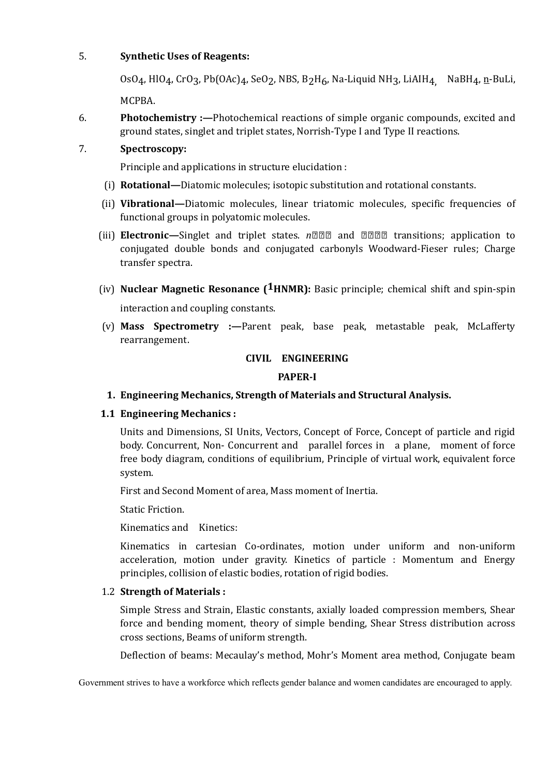# 5. **Synthetic Uses of Reagents:**

OsO<sub>4</sub>, HlO<sub>4</sub>, CrO<sub>3</sub>, Pb(OAc)<sub>4</sub>, SeO<sub>2</sub>, NBS, B<sub>2</sub>H<sub>6</sub>, Na-Liquid NH<sub>3</sub>, LiAIH<sub>4</sub> NaBH<sub>4</sub>, n-BuLi, MCPBA.

6. **Photochemistry :—**Photochemical reactions of simple organic compounds, excited and ground states, singlet and triplet states, Norrish-Type I and Type II reactions.

# 7. **Spectroscopy:**

Principle and applications in structure elucidation :

- (i) **Rotational—**Diatomic molecules; isotopic substitution and rotational constants.
- (ii) **Vibrational—**Diatomic molecules, linear triatomic molecules, specific frequencies of functional groups in polyatomic molecules.
- (iii) **Electronic—**Singlet and triplet states. nan **and <b>nand** transitions; application to conjugated double bonds and conjugated carbonyls Woodward-Fieser rules; Charge transfer spectra.
- (iv) **Nuclear Magnetic Resonance (1HNMR):** Basic principle; chemical shift and spin-spin interaction and coupling constants.
- (v) **Mass Spectrometry :—**Parent peak, base peak, metastable peak, McLafferty rearrangement.

# **CIVIL ENGINEERING**

## **PAPER-I**

**1. Engineering Mechanics, Strength of Materials and Structural Analysis.**

# **1.1 Engineering Mechanics :**

Units and Dimensions, SI Units, Vectors, Concept of Force, Concept of particle and rigid body. Concurrent, Non- Concurrent and parallel forces in a plane, moment of force free body diagram, conditions of equilibrium, Principle of virtual work, equivalent force system.

First and Second Moment of area, Mass moment of Inertia.

Static Friction.

Kinematics and Kinetics:

Kinematics in cartesian Co-ordinates, motion under uniform and non-uniform acceleration, motion under gravity. Kinetics of particle : Momentum and Energy principles, collision of elastic bodies, rotation of rigid bodies.

## 1.2 **Strength of Materials :**

Simple Stress and Strain, Elastic constants, axially loaded compression members, Shear force and bending moment, theory of simple bending, Shear Stress distribution across cross sections, Beams of uniform strength.

Deflection of beams: Mecaulay's method, Mohr's Moment area method, Conjugate beam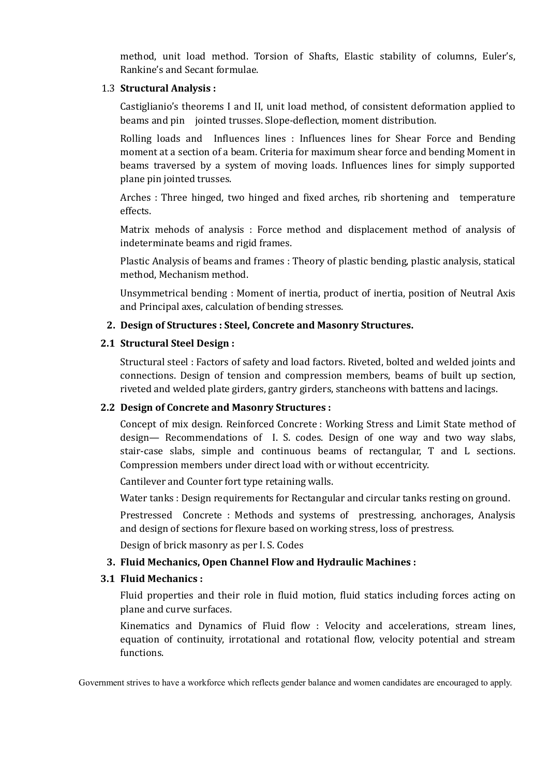method, unit load method. Torsion of Shafts, Elastic stability of columns, Euler's, Rankine's and Secant formulae.

## 1.3 **Structural Analysis :**

Castiglianio's theorems I and II, unit load method, of consistent deformation applied to beams and pin jointed trusses. Slope-deflection, moment distribution.

Rolling loads and Influences lines : Influences lines for Shear Force and Bending moment at a section of a beam. Criteria for maximum shear force and bending Moment in beams traversed by a system of moving loads. Influences lines for simply supported plane pin jointed trusses.

Arches : Three hinged, two hinged and fixed arches, rib shortening and temperature effects.

Matrix mehods of analysis : Force method and displacement method of analysis of indeterminate beams and rigid frames.

Plastic Analysis of beams and frames : Theory of plastic bending, plastic analysis, statical method, Mechanism method.

Unsymmetrical bending : Moment of inertia, product of inertia, position of Neutral Axis and Principal axes, calculation of bending stresses.

## **2. Design of Structures : Steel, Concrete and Masonry Structures.**

#### **2.1 Structural Steel Design :**

Structural steel : Factors of safety and load factors. Riveted, bolted and welded joints and connections. Design of tension and compression members, beams of built up section, riveted and welded plate girders, gantry girders, stancheons with battens and lacings.

## **2.2 Design of Concrete and Masonry Structures :**

Concept of mix design. Reinforced Concrete : Working Stress and Limit State method of design— Recommendations of I. S. codes. Design of one way and two way slabs, stair-case slabs, simple and continuous beams of rectangular, T and L sections. Compression members under direct load with or without eccentricity.

Cantilever and Counter fort type retaining walls.

Water tanks : Design requirements for Rectangular and circular tanks resting on ground.

Prestressed Concrete : Methods and systems of prestressing, anchorages, Analysis and design of sections for flexure based on working stress, loss of prestress.

Design of brick masonry as per I. S. Codes

## **3. Fluid Mechanics, Open Channel Flow and Hydraulic Machines :**

## **3.1 Fluid Mechanics :**

Fluid properties and their role in fluid motion, fluid statics including forces acting on plane and curve surfaces.

Kinematics and Dynamics of Fluid flow : Velocity and accelerations, stream lines, equation of continuity, irrotational and rotational flow, velocity potential and stream functions.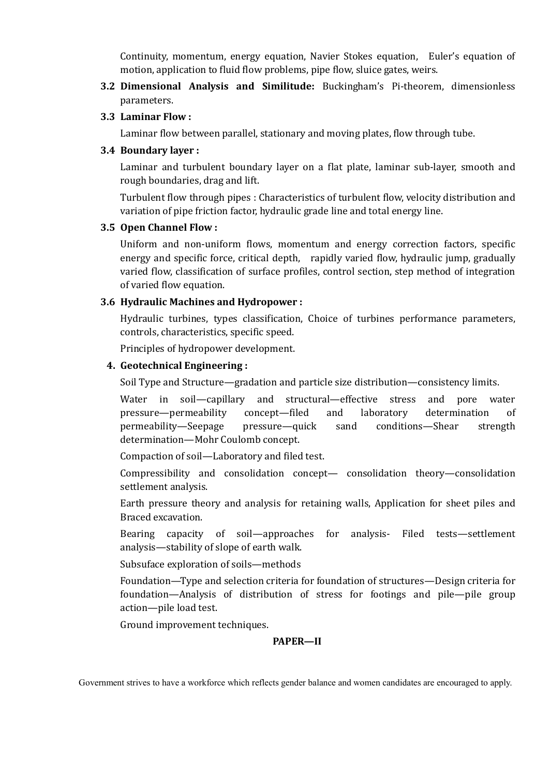Continuity, momentum, energy equation, Navier Stokes equation, Euler's equation of motion, application to fluid flow problems, pipe flow, sluice gates, weirs.

**3.2 Dimensional Analysis and Similitude:** Buckingham's Pi-theorem, dimensionless parameters.

## **3.3 Laminar Flow :**

Laminar flow between parallel, stationary and moving plates, flow through tube.

#### **3.4 Boundary layer :**

Laminar and turbulent boundary layer on a flat plate, laminar sub-layer, smooth and rough boundaries, drag and lift.

Turbulent flow through pipes : Characteristics of turbulent flow, velocity distribution and variation of pipe friction factor, hydraulic grade line and total energy line.

#### **3.5 Open Channel Flow :**

Uniform and non-uniform flows, momentum and energy correction factors, specific energy and specific force, critical depth, rapidly varied flow, hydraulic jump, gradually varied flow, classification of surface profiles, control section, step method of integration of varied flow equation.

## **3.6 Hydraulic Machines and Hydropower :**

Hydraulic turbines, types classification, Choice of turbines performance parameters, controls, characteristics, specific speed.

Principles of hydropower development.

#### **4. Geotechnical Engineering :**

Soil Type and Structure—gradation and particle size distribution—consistency limits.

Water in soil—capillary and structural—effective stress and pore water pressure—permeability concept—filed and laboratory determination of permeability—Seepage pressure—quick sand conditions—Shear strength determination—Mohr Coulomb concept.

Compaction of soil—Laboratory and filed test.

Compressibility and consolidation concept— consolidation theory—consolidation settlement analysis.

Earth pressure theory and analysis for retaining walls, Application for sheet piles and Braced excavation.

Bearing capacity of soil—approaches for analysis- Filed tests—settlement analysis—stability of slope of earth walk.

Subsuface exploration of soils—methods

Foundation—Type and selection criteria for foundation of structures—Design criteria for foundation—Analysis of distribution of stress for footings and pile—pile group action—pile load test.

Ground improvement techniques.

## **PAPER—II**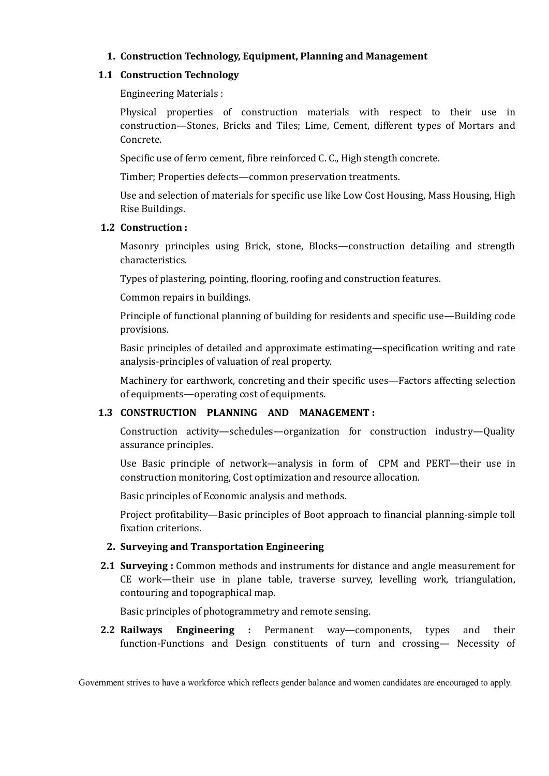# **1. Construction Technology, Equipment, Planning and Management**

## **1.1 Construction Technology**

Engineering Materials :

Physical properties of construction materials with respect to their use in construction—Stones, Bricks and Tiles; Lime, Cement, different types of Mortars and Concrete.

Specific use of ferro cement, fibre reinforced C. C., High stength concrete.

Timber; Properties defects—common preservation treatments.

Use and selection of materials for specific use like Low Cost Housing, Mass Housing, High Rise Buildings.

#### **1.2 Construction :**

Masonry principles using Brick, stone, Blocks—construction detailing and strength characteristics.

Types of plastering, pointing, flooring, roofing and construction features.

Common repairs in buildings.

Principle of functional planning of building for residents and specific use—Building code provisions.

Basic principles of detailed and approximate estimating—specification writing and rate analysis-principles of valuation of real property.

Machinery for earthwork, concreting and their specific uses—Factors affecting selection of equipments—operating cost of equipments.

# **1.3 CONSTRUCTION PLANNING AND MANAGEMENT :**

Construction activity—schedules—organization for construction industry—Quality assurance principles.

Use Basic principle of network—analysis in form of CPM and PERT—their use in construction monitoring, Cost optimization and resource allocation.

Basic principles of Economic analysis and methods.

Project profitability—Basic principles of Boot approach to financial planning-simple toll fixation criterions.

## **2. Surveying and Transportation Engineering**

**2.1 Surveying :** Common methods and instruments for distance and angle measurement for CE work—their use in plane table, traverse survey, levelling work, triangulation, contouring and topographical map.

Basic principles of photogrammetry and remote sensing.

**2.2 Railways Engineering :** Permanent way—components, types and their function-Functions and Design constituents of turn and crossing— Necessity of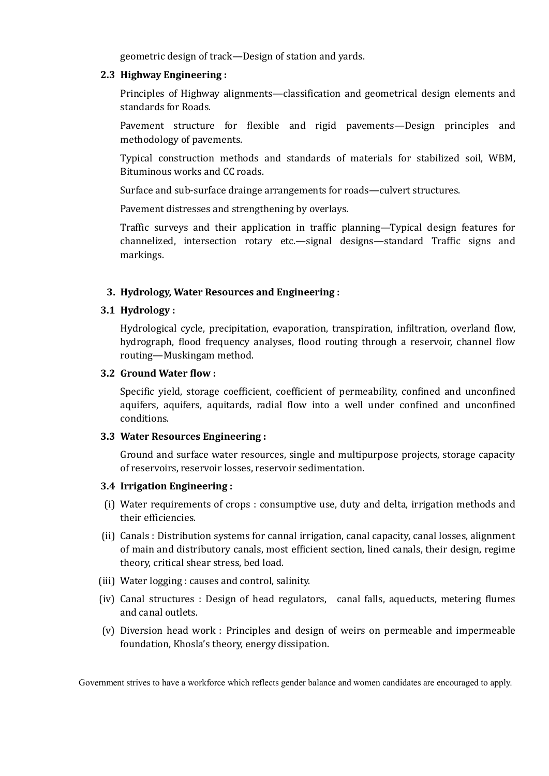geometric design of track—Design of station and yards.

#### **2.3 Highway Engineering :**

Principles of Highway alignments—classification and geometrical design elements and standards for Roads.

Pavement structure for flexible and rigid pavements—Design principles and methodology of pavements.

Typical construction methods and standards of materials for stabilized soil, WBM, Bituminous works and CC roads.

Surface and sub-surface drainge arrangements for roads—culvert structures.

Pavement distresses and strengthening by overlays.

Traffic surveys and their application in traffic planning—Typical design features for channelized, intersection rotary etc.—signal designs—standard Traffic signs and markings.

## **3. Hydrology, Water Resources and Engineering :**

## **3.1 Hydrology :**

Hydrological cycle, precipitation, evaporation, transpiration, infiltration, overland flow, hydrograph, flood frequency analyses, flood routing through a reservoir, channel flow routing—Muskingam method.

#### **3.2 Ground Water flow :**

Specific yield, storage coefficient, coefficient of permeability, confined and unconfined aquifers, aquifers, aquitards, radial flow into a well under confined and unconfined conditions.

#### **3.3 Water Resources Engineering :**

Ground and surface water resources, single and multipurpose projects, storage capacity of reservoirs, reservoir losses, reservoir sedimentation.

#### **3.4 Irrigation Engineering :**

- (i) Water requirements of crops : consumptive use, duty and delta, irrigation methods and their efficiencies.
- (ii) Canals : Distribution systems for cannal irrigation, canal capacity, canal losses, alignment of main and distributory canals, most efficient section, lined canals, their design, regime theory, critical shear stress, bed load.
- (iii) Water logging : causes and control, salinity.
- (iv) Canal structures : Design of head regulators, canal falls, aqueducts, metering flumes and canal outlets.
- (v) Diversion head work : Principles and design of weirs on permeable and impermeable foundation, Khosla's theory, energy dissipation.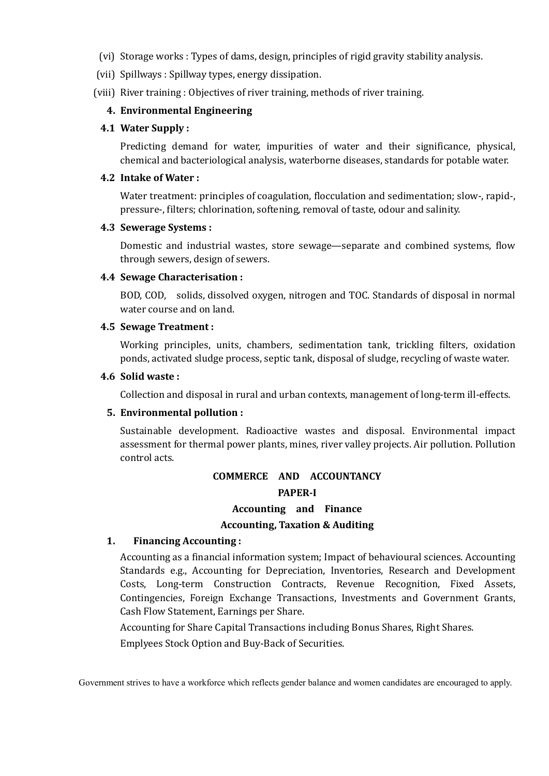- (vi) Storage works : Types of dams, design, principles of rigid gravity stability analysis.
- (vii) Spillways : Spillway types, energy dissipation.
- (viii) River training : Objectives of river training, methods of river training.

#### **4. Environmental Engineering**

#### **4.1 Water Supply :**

Predicting demand for water, impurities of water and their significance, physical, chemical and bacteriological analysis, waterborne diseases, standards for potable water.

#### **4.2 Intake of Water :**

Water treatment: principles of coagulation, flocculation and sedimentation; slow-, rapid-, pressure-, filters; chlorination, softening, removal of taste, odour and salinity.

#### **4.3 Sewerage Systems :**

Domestic and industrial wastes, store sewage—separate and combined systems, flow through sewers, design of sewers.

#### **4.4 Sewage Characterisation :**

BOD, COD, solids, dissolved oxygen, nitrogen and TOC. Standards of disposal in normal water course and on land.

#### **4.5 Sewage Treatment :**

Working principles, units, chambers, sedimentation tank, trickling filters, oxidation ponds, activated sludge process, septic tank, disposal of sludge, recycling of waste water.

#### **4.6 Solid waste :**

Collection and disposal in rural and urban contexts, management of long-term ill-effects.

#### **5. Environmental pollution :**

Sustainable development. Radioactive wastes and disposal. Environmental impact assessment for thermal power plants, mines, river valley projects. Air pollution. Pollution control acts.

# **COMMERCE AND ACCOUNTANCY PAPER-I Accounting and Finance Accounting, Taxation & Auditing**

#### **1. Financing Accounting :**

Accounting as a financial information system; Impact of behavioural sciences. Accounting Standards e.g., Accounting for Depreciation, Inventories, Research and Development Costs, Long-term Construction Contracts, Revenue Recognition, Fixed Assets, Contingencies, Foreign Exchange Transactions, Investments and Government Grants, Cash Flow Statement, Earnings per Share.

Accounting for Share Capital Transactions including Bonus Shares, Right Shares.

Emplyees Stock Option and Buy-Back of Securities.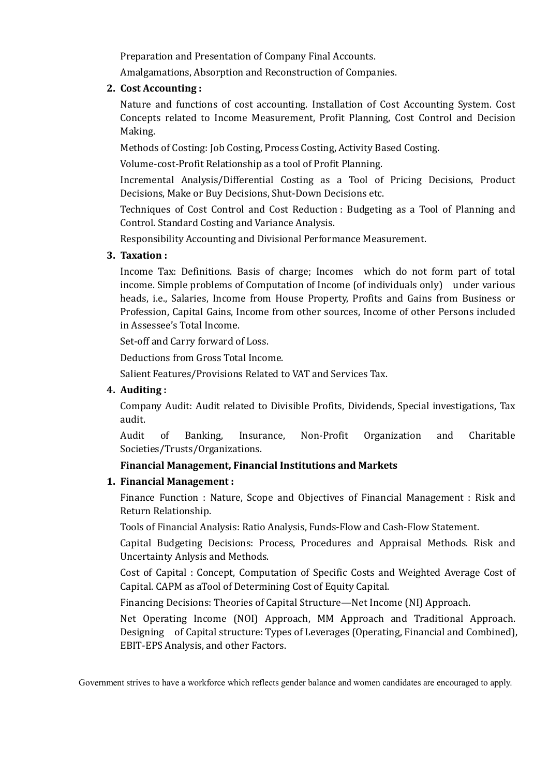Preparation and Presentation of Company Final Accounts.

Amalgamations, Absorption and Reconstruction of Companies.

# **2. Cost Accounting :**

Nature and functions of cost accounting. Installation of Cost Accounting System. Cost Concepts related to Income Measurement, Profit Planning, Cost Control and Decision Making.

Methods of Costing: Job Costing, Process Costing, Activity Based Costing.

Volume-cost-Profit Relationship as a tool of Profit Planning.

Incremental Analysis/Differential Costing as a Tool of Pricing Decisions, Product Decisions, Make or Buy Decisions, Shut-Down Decisions etc.

Techniques of Cost Control and Cost Reduction : Budgeting as a Tool of Planning and Control. Standard Costing and Variance Analysis.

Responsibility Accounting and Divisional Performance Measurement.

# **3. Taxation :**

Income Tax: Definitions. Basis of charge; Incomes which do not form part of total income. Simple problems of Computation of Income (of individuals only) under various heads, i.e., Salaries, Income from House Property, Profits and Gains from Business or Profession, Capital Gains, Income from other sources, Income of other Persons included in Assessee's Total Income.

Set-off and Carry forward of Loss.

Deductions from Gross Total Income.

Salient Features/Provisions Related to VAT and Services Tax.

# **4. Auditing :**

Company Audit: Audit related to Divisible Profits, Dividends, Special investigations, Tax audit.

Audit of Banking, Insurance, Non-Profit Organization and Charitable Societies/Trusts/Organizations.

# **Financial Management, Financial Institutions and Markets**

# **1. Financial Management :**

Finance Function : Nature, Scope and Objectives of Financial Management : Risk and Return Relationship.

Tools of Financial Analysis: Ratio Analysis, Funds-Flow and Cash-Flow Statement.

Capital Budgeting Decisions: Process, Procedures and Appraisal Methods. Risk and Uncertainty Anlysis and Methods.

Cost of Capital : Concept, Computation of Specific Costs and Weighted Average Cost of Capital. CAPM as aTool of Determining Cost of Equity Capital.

Financing Decisions: Theories of Capital Structure—Net Income (NI) Approach.

Net Operating Income (NOI) Approach, MM Approach and Traditional Approach. Designing of Capital structure: Types of Leverages (Operating, Financial and Combined), EBIT-EPS Analysis, and other Factors.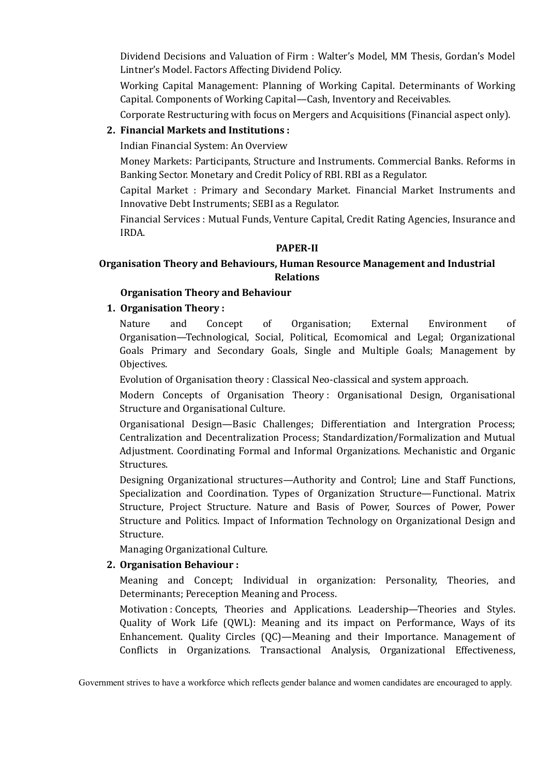Dividend Decisions and Valuation of Firm : Walter's Model, MM Thesis, Gordan's Model Lintner's Model. Factors Affecting Dividend Policy.

Working Capital Management: Planning of Working Capital. Determinants of Working Capital. Components of Working Capital—Cash, Inventory and Receivables.

Corporate Restructuring with focus on Mergers and Acquisitions (Financial aspect only).

## **2. Financial Markets and Institutions :**

Indian Financial System: An Overview

Money Markets: Participants, Structure and Instruments. Commercial Banks. Reforms in Banking Sector. Monetary and Credit Policy of RBI. RBI as a Regulator.

Capital Market : Primary and Secondary Market. Financial Market Instruments and Innovative Debt Instruments; SEBI as a Regulator.

Financial Services : Mutual Funds, Venture Capital, Credit Rating Agencies, Insurance and IRDA.

#### **PAPER-II**

# **Organisation Theory and Behaviours, Human Resource Management and Industrial Relations**

# **Organisation Theory and Behaviour**

# **1. Organisation Theory :**

Nature and Concept of Organisation; External Environment of Organisation—Technological, Social, Political, Ecomomical and Legal; Organizational Goals Primary and Secondary Goals, Single and Multiple Goals; Management by Objectives.

Evolution of Organisation theory : Classical Neo-classical and system approach.

Modern Concepts of Organisation Theory : Organisational Design, Organisational Structure and Organisational Culture.

Organisational Design—Basic Challenges; Differentiation and Intergration Process; Centralization and Decentralization Process; Standardization/Formalization and Mutual Adjustment. Coordinating Formal and Informal Organizations. Mechanistic and Organic Structures.

Designing Organizational structures—Authority and Control; Line and Staff Functions, Specialization and Coordination. Types of Organization Structure—Functional. Matrix Structure, Project Structure. Nature and Basis of Power, Sources of Power, Power Structure and Politics. Impact of Information Technology on Organizational Design and Structure.

Managing Organizational Culture.

## **2. Organisation Behaviour :**

Meaning and Concept; Individual in organization: Personality, Theories, and Determinants; Pereception Meaning and Process.

Motivation : Concepts, Theories and Applications. Leadership—Theories and Styles. Quality of Work Life (QWL): Meaning and its impact on Performance, Ways of its Enhancement. Quality Circles (QC)—Meaning and their Importance. Management of Conflicts in Organizations. Transactional Analysis, Organizational Effectiveness,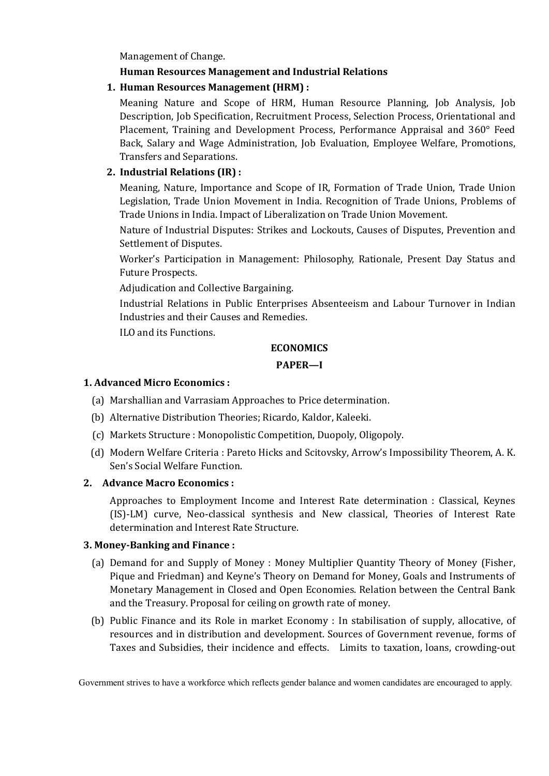Management of Change.

# **Human Resources Management and Industrial Relations**

**1. Human Resources Management (HRM) :**

Meaning Nature and Scope of HRM, Human Resource Planning, Job Analysis, Job Description, Job Specification, Recruitment Process, Selection Process, Orientational and Placement, Training and Development Process, Performance Appraisal and 360° Feed Back, Salary and Wage Administration, Job Evaluation, Employee Welfare, Promotions, Transfers and Separations.

# **2. Industrial Relations (IR) :**

Meaning, Nature, Importance and Scope of IR, Formation of Trade Union, Trade Union Legislation, Trade Union Movement in India. Recognition of Trade Unions, Problems of Trade Unions in India. Impact of Liberalization on Trade Union Movement.

Nature of Industrial Disputes: Strikes and Lockouts, Causes of Disputes, Prevention and Settlement of Disputes.

Worker's Participation in Management: Philosophy, Rationale, Present Day Status and Future Prospects.

Adjudication and Collective Bargaining.

Industrial Relations in Public Enterprises Absenteeism and Labour Turnover in Indian Industries and their Causes and Remedies.

ILO and its Functions.

# **ECONOMICS**

# **PAPER—I**

## **1. Advanced Micro Economics :**

- (a) Marshallian and Varrasiam Approaches to Price determination.
- (b) Alternative Distribution Theories; Ricardo, Kaldor, Kaleeki.
- (c) Markets Structure : Monopolistic Competition, Duopoly, Oligopoly.
- (d) Modern Welfare Criteria : Pareto Hicks and Scitovsky, Arrow's Impossibility Theorem, A. K. Sen's Social Welfare Function.

# **2. Advance Macro Economics :**

Approaches to Employment Income and Interest Rate determination : Classical, Keynes (IS)-LM) curve, Neo-classical synthesis and New classical, Theories of Interest Rate determination and Interest Rate Structure.

## **3. Money-Banking and Finance :**

- (a) Demand for and Supply of Money : Money Multiplier Quantity Theory of Money (Fisher, Pique and Friedman) and Keyne's Theory on Demand for Money, Goals and Instruments of Monetary Management in Closed and Open Economies. Relation between the Central Bank and the Treasury. Proposal for ceiling on growth rate of money.
- (b) Public Finance and its Role in market Economy : In stabilisation of supply, allocative, of resources and in distribution and development. Sources of Government revenue, forms of Taxes and Subsidies, their incidence and effects. Limits to taxation, loans, crowding-out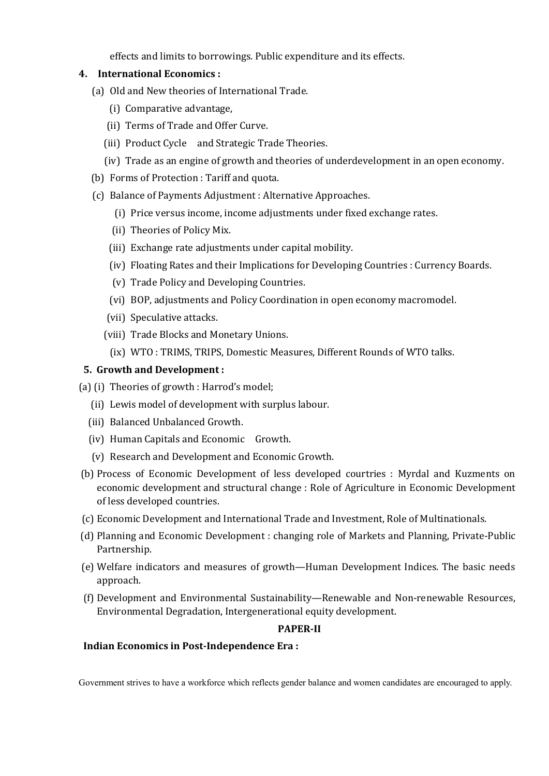effects and limits to borrowings. Public expenditure and its effects.

#### **4. International Economics :**

- (a) Old and New theories of International Trade.
	- (i) Comparative advantage,
	- (ii) Terms of Trade and Offer Curve.
	- (iii) Product Cycle and Strategic Trade Theories.
	- (iv) Trade as an engine of growth and theories of underdevelopment in an open economy.
- (b) Forms of Protection : Tariff and quota.
- (c) Balance of Payments Adjustment : Alternative Approaches.
	- (i) Price versus income, income adjustments under fixed exchange rates.
	- (ii) Theories of Policy Mix.
	- (iii) Exchange rate adjustments under capital mobility.
	- (iv) Floating Rates and their Implications for Developing Countries : Currency Boards.
	- (v) Trade Policy and Developing Countries.
	- (vi) BOP, adjustments and Policy Coordination in open economy macromodel.
	- (vii) Speculative attacks.
	- (viii) Trade Blocks and Monetary Unions.
		- (ix) WTO : TRIMS, TRIPS, Domestic Measures, Different Rounds of WTO talks.

#### **5. Growth and Development :**

- (a) (i) Theories of growth : Harrod's model;
	- (ii) Lewis model of development with surplus labour.
	- (iii) Balanced Unbalanced Growth.
	- (iv) Human Capitals and Economic Growth.
	- (v) Research and Development and Economic Growth.
- (b) Process of Economic Development of less developed courtries : Myrdal and Kuzments on economic development and structural change : Role of Agriculture in Economic Development of less developed countries.
- (c) Economic Development and International Trade and Investment, Role of Multinationals.
- (d) Planning and Economic Development : changing role of Markets and Planning, Private-Public Partnership.
- (e) Welfare indicators and measures of growth—Human Development Indices. The basic needs approach.
- (f) Development and Environmental Sustainability—Renewable and Non-renewable Resources, Environmental Degradation, Intergenerational equity development.

#### **PAPER-II**

#### **Indian Economics in Post-Independence Era :**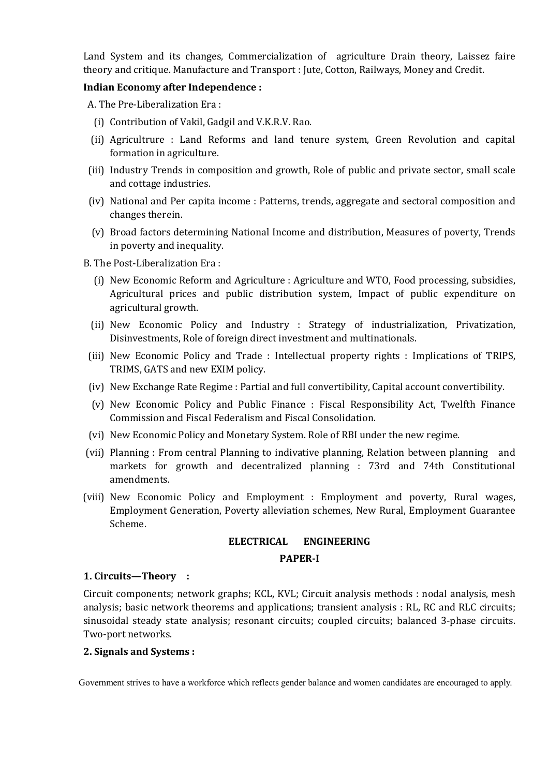Land System and its changes, Commercialization of agriculture Drain theory, Laissez faire theory and critique. Manufacture and Transport : Jute, Cotton, Railways, Money and Credit.

## **Indian Economy after Independence :**

A. The Pre-Liberalization Era :

- (i) Contribution of Vakil, Gadgil and V.K.R.V. Rao.
- (ii) Agricultrure : Land Reforms and land tenure system, Green Revolution and capital formation in agriculture.
- (iii) Industry Trends in composition and growth, Role of public and private sector, small scale and cottage industries.
- (iv) National and Per capita income : Patterns, trends, aggregate and sectoral composition and changes therein.
- (v) Broad factors determining National Income and distribution, Measures of poverty, Trends in poverty and inequality.
- B. The Post-Liberalization Era :
	- (i) New Economic Reform and Agriculture : Agriculture and WTO, Food processing, subsidies, Agricultural prices and public distribution system, Impact of public expenditure on agricultural growth.
	- (ii) New Economic Policy and Industry : Strategy of industrialization, Privatization, Disinvestments, Role of foreign direct investment and multinationals.
- (iii) New Economic Policy and Trade : Intellectual property rights : Implications of TRIPS, TRIMS, GATS and new EXIM policy.
- (iv) New Exchange Rate Regime : Partial and full convertibility, Capital account convertibility.
- (v) New Economic Policy and Public Finance : Fiscal Responsibility Act, Twelfth Finance Commission and Fiscal Federalism and Fiscal Consolidation.
- (vi) New Economic Policy and Monetary System. Role of RBI under the new regime.
- (vii) Planning : From central Planning to indivative planning, Relation between planning and markets for growth and decentralized planning : 73rd and 74th Constitutional amendments.
- (viii) New Economic Policy and Employment : Employment and poverty, Rural wages, Employment Generation, Poverty alleviation schemes, New Rural, Employment Guarantee Scheme.

# **ELECTRICAL ENGINEERING**

## **PAPER-I**

## **1. Circuits—Theory :**

Circuit components; network graphs; KCL, KVL; Circuit analysis methods : nodal analysis, mesh analysis; basic network theorems and applications; transient analysis : RL, RC and RLC circuits; sinusoidal steady state analysis; resonant circuits; coupled circuits; balanced 3-phase circuits. Two-port networks.

## **2. Signals and Systems :**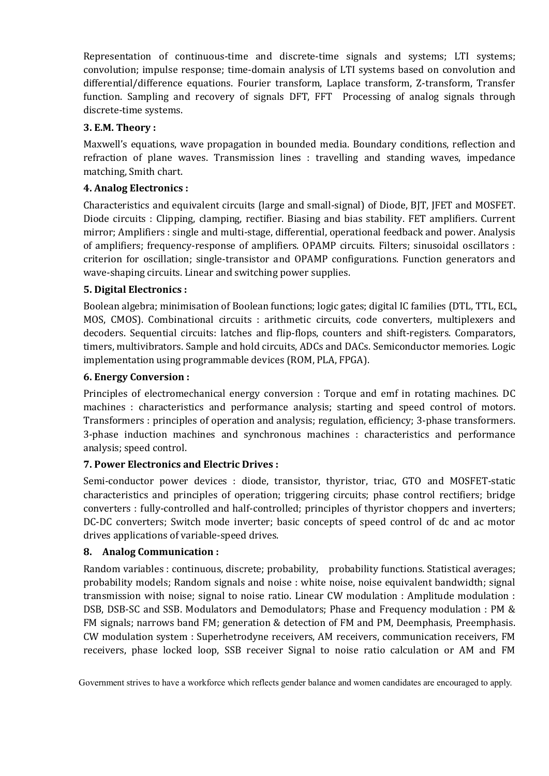Representation of continuous-time and discrete-time signals and systems; LTI systems; convolution; impulse response; time-domain analysis of LTI systems based on convolution and differential/difference equations. Fourier transform, Laplace transform, Z-transform, Transfer function. Sampling and recovery of signals DFT, FFT Processing of analog signals through discrete-time systems.

# **3. E.M. Theory :**

Maxwell's equations, wave propagation in bounded media. Boundary conditions, reflection and refraction of plane waves. Transmission lines : travelling and standing waves, impedance matching, Smith chart.

# **4. Analog Electronics :**

Characteristics and equivalent circuits (large and small-signal) of Diode, BJT, JFET and MOSFET. Diode circuits : Clipping, clamping, rectifier. Biasing and bias stability. FET amplifiers. Current mirror; Amplifiers : single and multi-stage, differential, operational feedback and power. Analysis of amplifiers; frequency-response of amplifiers. OPAMP circuits. Filters; sinusoidal oscillators : criterion for oscillation; single-transistor and OPAMP configurations. Function generators and wave-shaping circuits. Linear and switching power supplies.

# **5. Digital Electronics :**

Boolean algebra; minimisation of Boolean functions; logic gates; digital IC families (DTL, TTL, ECL, MOS, CMOS). Combinational circuits : arithmetic circuits, code converters, multiplexers and decoders. Sequential circuits: latches and flip-flops, counters and shift-registers. Comparators, timers, multivibrators. Sample and hold circuits, ADCs and DACs. Semiconductor memories. Logic implementation using programmable devices (ROM, PLA, FPGA).

# **6. Energy Conversion :**

Principles of electromechanical energy conversion : Torque and emf in rotating machines. DC machines : characteristics and performance analysis; starting and speed control of motors. Transformers : principles of operation and analysis; regulation, efficiency; 3-phase transformers. 3-phase induction machines and synchronous machines : characteristics and performance analysis; speed control.

# **7. Power Electronics and Electric Drives :**

Semi-conductor power devices : diode, transistor, thyristor, triac, GTO and MOSFET-static characteristics and principles of operation; triggering circuits; phase control rectifiers; bridge converters : fully-controlled and half-controlled; principles of thyristor choppers and inverters; DC-DC converters; Switch mode inverter; basic concepts of speed control of dc and ac motor drives applications of variable-speed drives.

## **8. Analog Communication :**

Random variables : continuous, discrete; probability, probability functions. Statistical averages; probability models; Random signals and noise : white noise, noise equivalent bandwidth; signal transmission with noise; signal to noise ratio. Linear CW modulation : Amplitude modulation : DSB, DSB-SC and SSB. Modulators and Demodulators; Phase and Frequency modulation : PM & FM signals; narrows band FM; generation & detection of FM and PM, Deemphasis, Preemphasis. CW modulation system : Superhetrodyne receivers, AM receivers, communication receivers, FM receivers, phase locked loop, SSB receiver Signal to noise ratio calculation or AM and FM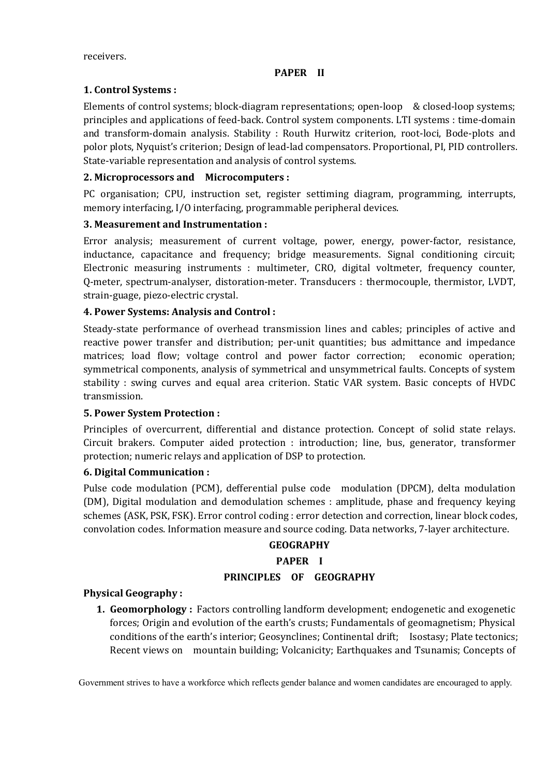#### **PAPER II**

# **1. Control Systems :**

Elements of control systems; block-diagram representations; open-loop & closed-loop systems; principles and applications of feed-back. Control system components. LTI systems : time-domain and transform-domain analysis. Stability : Routh Hurwitz criterion, root-loci, Bode-plots and polor plots, Nyquist's criterion; Design of lead-lad compensators. Proportional, PI, PID controllers. State-variable representation and analysis of control systems.

## **2. Microprocessors and Microcomputers :**

PC organisation; CPU, instruction set, register settiming diagram, programming, interrupts, memory interfacing, I/O interfacing, programmable peripheral devices.

# **3. Measurement and Instrumentation :**

Error analysis; measurement of current voltage, power, energy, power-factor, resistance, inductance, capacitance and frequency; bridge measurements. Signal conditioning circuit; Electronic measuring instruments : multimeter, CRO, digital voltmeter, frequency counter, Q-meter, spectrum-analyser, distoration-meter. Transducers : thermocouple, thermistor, LVDT, strain-guage, piezo-electric crystal.

# **4. Power Systems: Analysis and Control :**

Steady-state performance of overhead transmission lines and cables; principles of active and reactive power transfer and distribution; per-unit quantities; bus admittance and impedance matrices; load flow; voltage control and power factor correction; economic operation; symmetrical components, analysis of symmetrical and unsymmetrical faults. Concepts of system stability : swing curves and equal area criterion. Static VAR system. Basic concepts of HVDC transmission.

## **5. Power System Protection :**

Principles of overcurrent, differential and distance protection. Concept of solid state relays. Circuit brakers. Computer aided protection : introduction; line, bus, generator, transformer protection; numeric relays and application of DSP to protection.

## **6. Digital Communication :**

Pulse code modulation (PCM), defferential pulse code modulation (DPCM), delta modulation (DM), Digital modulation and demodulation schemes : amplitude, phase and frequency keying schemes (ASK, PSK, FSK). Error control coding : error detection and correction, linear block codes, convolation codes. Information measure and source coding. Data networks, 7-layer architecture.

# **GEOGRAPHY**

# **PAPER I**

## **PRINCIPLES OF GEOGRAPHY**

## **Physical Geography :**

**1. Geomorphology :** Factors controlling landform development; endogenetic and exogenetic forces; Origin and evolution of the earth's crusts; Fundamentals of geomagnetism; Physical conditions of the earth's interior; Geosynclines; Continental drift; Isostasy; Plate tectonics; Recent views on mountain building; Volcanicity; Earthquakes and Tsunamis; Concepts of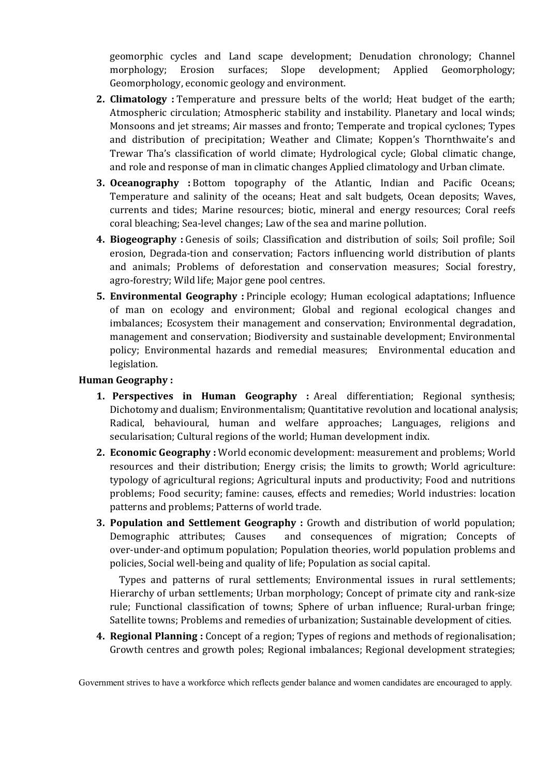geomorphic cycles and Land scape development; Denudation chronology; Channel morphology; Erosion surfaces; Slope development; Applied Geomorphology; Geomorphology, economic geology and environment.

- **2. Climatology :** Temperature and pressure belts of the world; Heat budget of the earth; Atmospheric circulation; Atmospheric stability and instability. Planetary and local winds; Monsoons and jet streams; Air masses and fronto; Temperate and tropical cyclones; Types and distribution of precipitation; Weather and Climate; Koppen's Thornthwaite's and Trewar Tha's classification of world climate; Hydrological cycle; Global climatic change, and role and response of man in climatic changes Applied climatology and Urban climate.
- **3. Oceanography :** Bottom topography of the Atlantic, Indian and Pacific Oceans; Temperature and salinity of the oceans; Heat and salt budgets, Ocean deposits; Waves, currents and tides; Marine resources; biotic, mineral and energy resources; Coral reefs coral bleaching; Sea-level changes; Law of the sea and marine pollution.
- **4. Biogeography :** Genesis of soils; Classification and distribution of soils; Soil profile; Soil erosion, Degrada-tion and conservation; Factors influencing world distribution of plants and animals; Problems of deforestation and conservation measures; Social forestry, agro-forestry; Wild life; Major gene pool centres.
- **5. Environmental Geography :** Principle ecology; Human ecological adaptations; Influence of man on ecology and environment; Global and regional ecological changes and imbalances; Ecosystem their management and conservation; Environmental degradation, management and conservation; Biodiversity and sustainable development; Environmental policy; Environmental hazards and remedial measures; Environmental education and legislation.

### **Human Geography :**

- **1. Perspectives in Human Geography :** Areal differentiation; Regional synthesis; Dichotomy and dualism; Environmentalism; Quantitative revolution and locational analysis; Radical, behavioural, human and welfare approaches; Languages, religions and secularisation; Cultural regions of the world; Human development indix.
- **2. Economic Geography :** World economic development: measurement and problems; World resources and their distribution; Energy crisis; the limits to growth; World agriculture: typology of agricultural regions; Agricultural inputs and productivity; Food and nutritions problems; Food security; famine: causes, effects and remedies; World industries: location patterns and problems; Patterns of world trade.
- **3. Population and Settlement Geography :** Growth and distribution of world population; Demographic attributes; Causes and consequences of migration; Concepts of over-under-and optimum population; Population theories, world population problems and policies, Social well-being and quality of life; Population as social capital.

Types and patterns of rural settlements; Environmental issues in rural settlements; Hierarchy of urban settlements; Urban morphology; Concept of primate city and rank-size rule; Functional classification of towns; Sphere of urban influence; Rural-urban fringe; Satellite towns; Problems and remedies of urbanization; Sustainable development of cities.

**4. Regional Planning :** Concept of a region; Types of regions and methods of regionalisation; Growth centres and growth poles; Regional imbalances; Regional development strategies;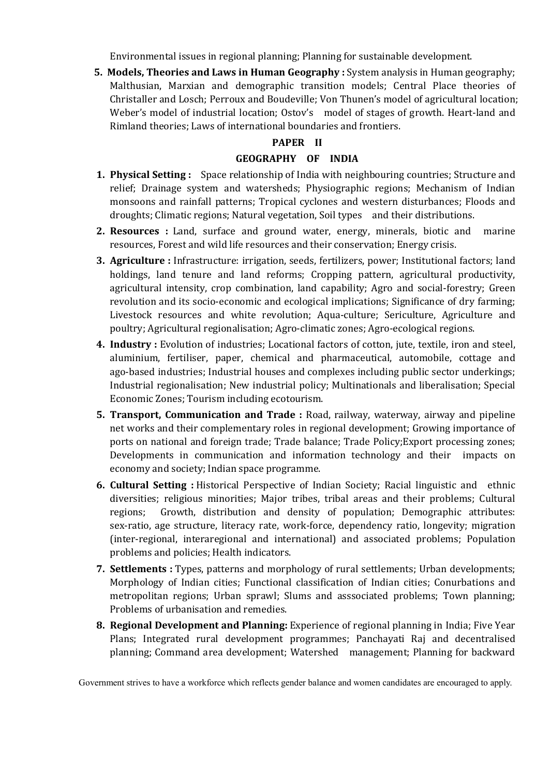Environmental issues in regional planning; Planning for sustainable development.

**5. Models, Theories and Laws in Human Geography :** System analysis in Human geography; Malthusian, Marxian and demographic transition models; Central Place theories of Christaller and Losch; Perroux and Boudeville; Von Thunen's model of agricultural location; Weber's model of industrial location; Ostov's model of stages of growth. Heart-land and Rimland theories; Laws of international boundaries and frontiers.

# **PAPER II**

### **GEOGRAPHY OF INDIA**

- **1. Physical Setting :** Space relationship of India with neighbouring countries; Structure and relief; Drainage system and watersheds; Physiographic regions; Mechanism of Indian monsoons and rainfall patterns; Tropical cyclones and western disturbances; Floods and droughts; Climatic regions; Natural vegetation, Soil types and their distributions.
- **2. Resources :** Land, surface and ground water, energy, minerals, biotic and marine resources, Forest and wild life resources and their conservation; Energy crisis.
- **3. Agriculture :** Infrastructure: irrigation, seeds, fertilizers, power; Institutional factors; land holdings, land tenure and land reforms; Cropping pattern, agricultural productivity, agricultural intensity, crop combination, land capability; Agro and social-forestry; Green revolution and its socio-economic and ecological implications; Significance of dry farming; Livestock resources and white revolution; Aqua-culture; Sericulture, Agriculture and poultry; Agricultural regionalisation; Agro-climatic zones; Agro-ecological regions.
- **4. Industry :** Evolution of industries; Locational factors of cotton, jute, textile, iron and steel, aluminium, fertiliser, paper, chemical and pharmaceutical, automobile, cottage and ago-based industries; Industrial houses and complexes including public sector underkings; Industrial regionalisation; New industrial policy; Multinationals and liberalisation; Special Economic Zones; Tourism including ecotourism.
- **5. Transport, Communication and Trade :** Road, railway, waterway, airway and pipeline net works and their complementary roles in regional development; Growing importance of ports on national and foreign trade; Trade balance; Trade Policy;Export processing zones; Developments in communication and information technology and their impacts on economy and society; Indian space programme.
- **6. Cultural Setting :** Historical Perspective of Indian Society; Racial linguistic and ethnic diversities; religious minorities; Major tribes, tribal areas and their problems; Cultural regions; Growth, distribution and density of population; Demographic attributes: sex-ratio, age structure, literacy rate, work-force, dependency ratio, longevity; migration (inter-regional, interaregional and international) and associated problems; Population problems and policies; Health indicators.
- **7. Settlements :** Types, patterns and morphology of rural settlements; Urban developments; Morphology of Indian cities; Functional classification of Indian cities; Conurbations and metropolitan regions; Urban sprawl; Slums and asssociated problems; Town planning; Problems of urbanisation and remedies.
- **8. Regional Development and Planning:** Experience of regional planning in India; Five Year Plans; Integrated rural development programmes; Panchayati Raj and decentralised planning; Command area development; Watershed management; Planning for backward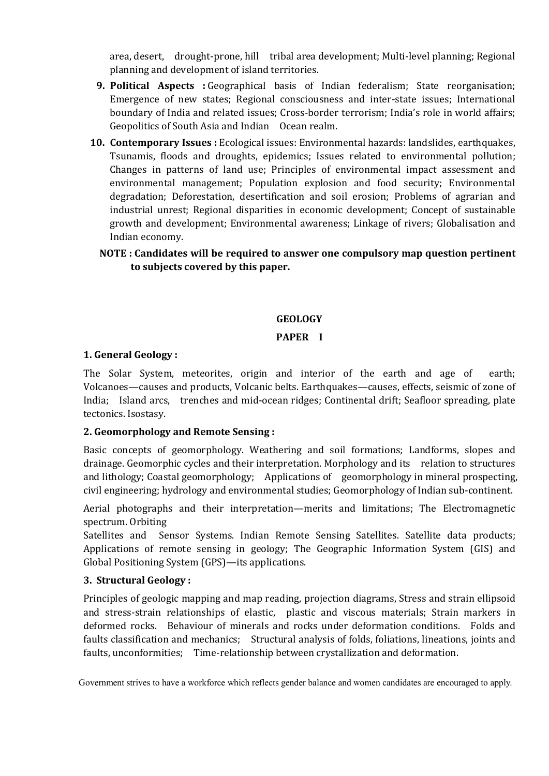area, desert, drought-prone, hill tribal area development; Multi-level planning; Regional planning and development of island territories.

- **9. Political Aspects :** Geographical basis of Indian federalism; State reorganisation; Emergence of new states; Regional consciousness and inter-state issues; International boundary of India and related issues; Cross-border terrorism; India's role in world affairs; Geopolitics of South Asia and Indian Ocean realm.
- **10. Contemporary Issues :** Ecological issues: Environmental hazards: landslides, earthquakes, Tsunamis, floods and droughts, epidemics; Issues related to environmental pollution; Changes in patterns of land use; Principles of environmental impact assessment and environmental management; Population explosion and food security; Environmental degradation; Deforestation, desertification and soil erosion; Problems of agrarian and industrial unrest; Regional disparities in economic development; Concept of sustainable growth and development; Environmental awareness; Linkage of rivers; Globalisation and Indian economy.

# **NOTE : Candidates will be required to answer one compulsory map question pertinent to subjects covered by this paper.**

# **GEOLOGY**

### **PAPER I**

### **1. General Geology :**

The Solar System, meteorites, origin and interior of the earth and age of earth; Volcanoes—causes and products, Volcanic belts. Earthquakes—causes, effects, seismic of zone of India; Island arcs, trenches and mid-ocean ridges; Continental drift; Seafloor spreading, plate tectonics. Isostasy.

# **2. Geomorphology and Remote Sensing :**

Basic concepts of geomorphology. Weathering and soil formations; Landforms, slopes and drainage. Geomorphic cycles and their interpretation. Morphology and its relation to structures and lithology; Coastal geomorphology; Applications of geomorphology in mineral prospecting, civil engineering; hydrology and environmental studies; Geomorphology of Indian sub-continent.

Aerial photographs and their interpretation—merits and limitations; The Electromagnetic spectrum. Orbiting

Satellites and Sensor Systems. Indian Remote Sensing Satellites. Satellite data products; Applications of remote sensing in geology; The Geographic Information System (GIS) and Global Positioning System (GPS)—its applications.

### **3. Structural Geology :**

Principles of geologic mapping and map reading, projection diagrams, Stress and strain ellipsoid and stress-strain relationships of elastic, plastic and viscous materials; Strain markers in deformed rocks. Behaviour of minerals and rocks under deformation conditions. Folds and faults classification and mechanics; Structural analysis of folds, foliations, lineations, joints and faults, unconformities; Time-relationship between crystallization and deformation.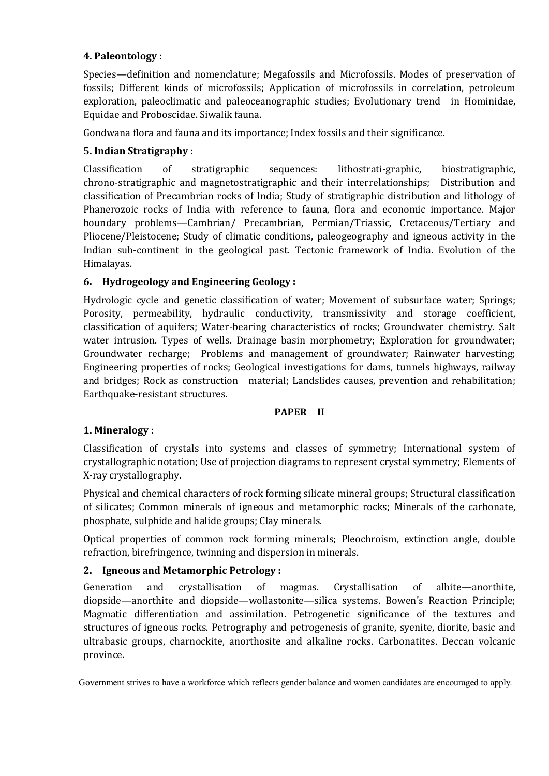# **4. Paleontology :**

Species—definition and nomenclature; Megafossils and Microfossils. Modes of preservation of fossils; Different kinds of microfossils; Application of microfossils in correlation, petroleum exploration, paleoclimatic and paleoceanographic studies; Evolutionary trend in Hominidae, Equidae and Proboscidae. Siwalik fauna.

Gondwana flora and fauna and its importance; Index fossils and their significance.

# **5. Indian Stratigraphy :**

Classification of stratigraphic sequences: lithostrati-graphic, biostratigraphic, chrono-stratigraphic and magnetostratigraphic and their interrelationships; Distribution and classification of Precambrian rocks of India; Study of stratigraphic distribution and lithology of Phanerozoic rocks of India with reference to fauna, flora and economic importance. Major boundary problems—Cambrian/ Precambrian, Permian/Triassic, Cretaceous/Tertiary and Pliocene/Pleistocene; Study of climatic conditions, paleogeography and igneous activity in the Indian sub-continent in the geological past. Tectonic framework of India. Evolution of the Himalayas.

# **6. Hydrogeology and Engineering Geology :**

Hydrologic cycle and genetic classification of water; Movement of subsurface water; Springs; Porosity, permeability, hydraulic conductivity, transmissivity and storage coefficient, classification of aquifers; Water-bearing characteristics of rocks; Groundwater chemistry. Salt water intrusion. Types of wells. Drainage basin morphometry; Exploration for groundwater; Groundwater recharge; Problems and management of groundwater; Rainwater harvesting; Engineering properties of rocks; Geological investigations for dams, tunnels highways, railway and bridges; Rock as construction material; Landslides causes, prevention and rehabilitation; Earthquake-resistant structures.

### **PAPER II**

# **1. Mineralogy :**

Classification of crystals into systems and classes of symmetry; International system of crystallographic notation; Use of projection diagrams to represent crystal symmetry; Elements of X-ray crystallography.

Physical and chemical characters of rock forming silicate mineral groups; Structural classification of silicates; Common minerals of igneous and metamorphic rocks; Minerals of the carbonate, phosphate, sulphide and halide groups; Clay minerals.

Optical properties of common rock forming minerals; Pleochroism, extinction angle, double refraction, birefringence, twinning and dispersion in minerals.

# **2. Igneous and Metamorphic Petrology :**

Generation and crystallisation of magmas. Crystallisation of albite—anorthite, diopside—anorthite and diopside—wollastonite—silica systems. Bowen's Reaction Principle; Magmatic differentiation and assimilation. Petrogenetic significance of the textures and structures of igneous rocks. Petrography and petrogenesis of granite, syenite, diorite, basic and ultrabasic groups, charnockite, anorthosite and alkaline rocks. Carbonatites. Deccan volcanic province.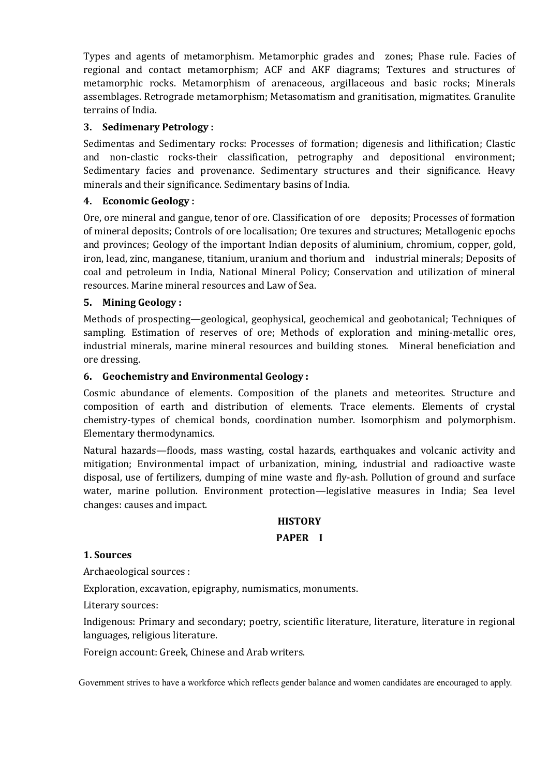Types and agents of metamorphism. Metamorphic grades and zones; Phase rule. Facies of regional and contact metamorphism; ACF and AKF diagrams; Textures and structures of metamorphic rocks. Metamorphism of arenaceous, argillaceous and basic rocks; Minerals assemblages. Retrograde metamorphism; Metasomatism and granitisation, migmatites. Granulite terrains of India.

### **3. Sedimenary Petrology :**

Sedimentas and Sedimentary rocks: Processes of formation; digenesis and lithification; Clastic and non-clastic rocks-their classification, petrography and depositional environment; Sedimentary facies and provenance. Sedimentary structures and their significance. Heavy minerals and their significance. Sedimentary basins of India.

### **4. Economic Geology :**

Ore, ore mineral and gangue, tenor of ore. Classification of ore deposits; Processes of formation of mineral deposits; Controls of ore localisation; Ore texures and structures; Metallogenic epochs and provinces; Geology of the important Indian deposits of aluminium, chromium, copper, gold, iron, lead, zinc, manganese, titanium, uranium and thorium and industrial minerals; Deposits of coal and petroleum in India, National Mineral Policy; Conservation and utilization of mineral resources. Marine mineral resources and Law of Sea.

### **5. Mining Geology :**

Methods of prospecting—geological, geophysical, geochemical and geobotanical; Techniques of sampling. Estimation of reserves of ore; Methods of exploration and mining-metallic ores, industrial minerals, marine mineral resources and building stones. Mineral beneficiation and ore dressing.

### **6. Geochemistry and Environmental Geology :**

Cosmic abundance of elements. Composition of the planets and meteorites. Structure and composition of earth and distribution of elements. Trace elements. Elements of crystal chemistry-types of chemical bonds, coordination number. Isomorphism and polymorphism. Elementary thermodynamics.

Natural hazards—floods, mass wasting, costal hazards, earthquakes and volcanic activity and mitigation; Environmental impact of urbanization, mining, industrial and radioactive waste disposal, use of fertilizers, dumping of mine waste and fly-ash. Pollution of ground and surface water, marine pollution. Environment protection—legislative measures in India; Sea level changes: causes and impact.

### **HISTORY**

### **PAPER I**

### **1. Sources**

Archaeological sources :

Exploration, excavation, epigraphy, numismatics, monuments.

Literary sources:

Indigenous: Primary and secondary; poetry, scientific literature, literature, literature in regional languages, religious literature.

Foreign account: Greek, Chinese and Arab writers.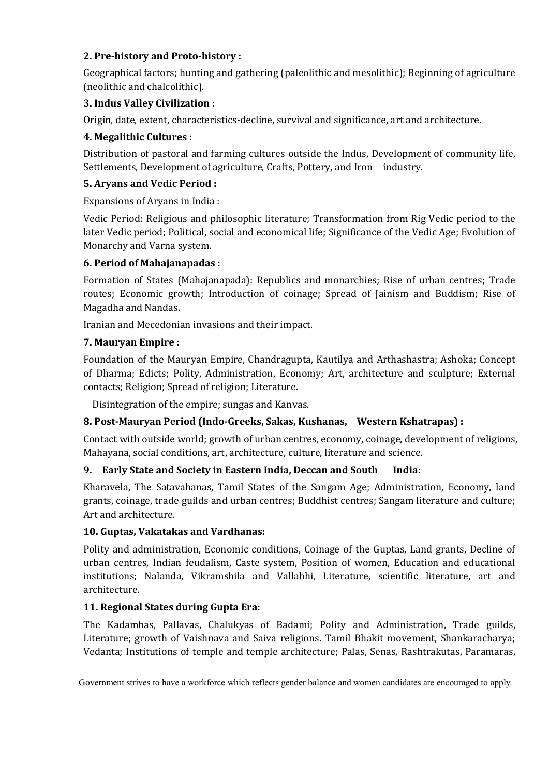# **2. Pre-history and Proto-history :**

Geographical factors; hunting and gathering (paleolithic and mesolithic); Beginning of agriculture (neolithic and chalcolithic).

# **3. Indus Valley Civilization :**

Origin, date, extent, characteristics-decline, survival and significance, art and architecture.

# **4. Megalithic Cultures :**

Distribution of pastoral and farming cultures outside the Indus, Development of community life, Settlements, Development of agriculture, Crafts, Pottery, and Iron industry.

# **5. Aryans and Vedic Period :**

Expansions of Aryans in India :

Vedic Period: Religious and philosophic literature; Transformation from Rig Vedic period to the later Vedic period; Political, social and economical life; Significance of the Vedic Age; Evolution of Monarchy and Varna system.

# **6. Period of Mahajanapadas :**

Formation of States (Mahajanapada): Republics and monarchies; Rise of urban centres; Trade routes; Economic growth; Introduction of coinage; Spread of Jainism and Buddism; Rise of Magadha and Nandas.

Iranian and Mecedonian invasions and their impact.

# **7. Mauryan Empire :**

Foundation of the Mauryan Empire, Chandragupta, Kautilya and Arthashastra; Ashoka; Concept of Dharma; Edicts; Polity, Administration, Economy; Art, architecture and sculpture; External contacts; Religion; Spread of religion; Literature.

Disintegration of the empire; sungas and Kanvas.

# **8. Post-Mauryan Period (Indo-Greeks, Sakas, Kushanas, Western Kshatrapas) :**

Contact with outside world; growth of urban centres, economy, coinage, development of religions, Mahayana, social conditions, art, architecture, culture, literature and science.

# **9. Early State and Society in Eastern India, Deccan and South India:**

Kharavela, The Satavahanas, Tamil States of the Sangam Age; Administration, Economy, land grants, coinage, trade guilds and urban centres; Buddhist centres; Sangam literature and culture; Art and architecture.

# **10. Guptas, Vakatakas and Vardhanas:**

Polity and administration, Economic conditions, Coinage of the Guptas, Land grants, Decline of urban centres, Indian feudalism, Caste system, Position of women, Education and educational institutions; Nalanda, Vikramshila and Vallabhi, Literature, scientific literature, art and architecture.

# **11. Regional States during Gupta Era:**

The Kadambas, Pallavas, Chalukyas of Badami; Polity and Administration, Trade guilds, Literature; growth of Vaishnava and Saiva religions. Tamil Bhakit movement, Shankaracharya; Vedanta; Institutions of temple and temple architecture; Palas, Senas, Rashtrakutas, Paramaras,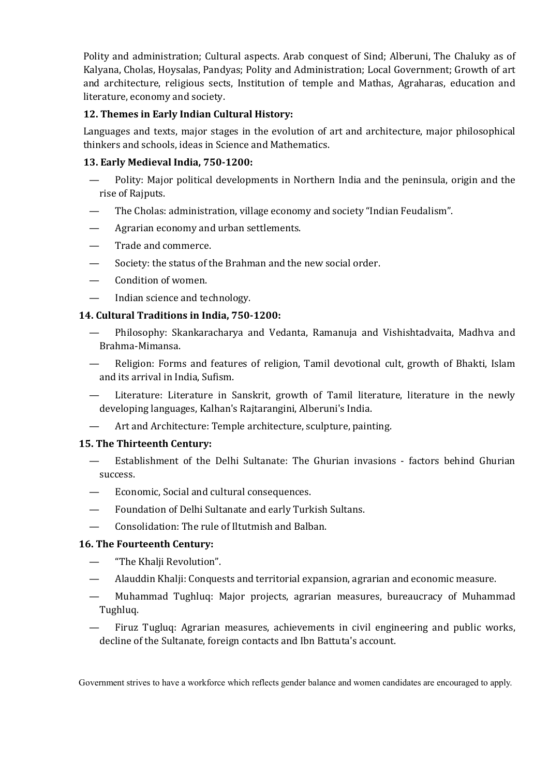Polity and administration; Cultural aspects. Arab conquest of Sind; Alberuni, The Chaluky as of Kalyana, Cholas, Hoysalas, Pandyas; Polity and Administration; Local Government; Growth of art and architecture, religious sects, Institution of temple and Mathas, Agraharas, education and literature, economy and society.

# **12. Themes in Early Indian Cultural History:**

Languages and texts, major stages in the evolution of art and architecture, major philosophical thinkers and schools, ideas in Science and Mathematics.

# **13. Early Medieval India, 750-1200:**

- Polity: Major political developments in Northern India and the peninsula, origin and the rise of Rajputs.
- The Cholas: administration, village economy and society "Indian Feudalism".
- Agrarian economy and urban settlements.
- Trade and commerce.
- Society: the status of the Brahman and the new social order.
- Condition of women.
- Indian science and technology.

# **14. Cultural Traditions in India, 750-1200:**

- Philosophy: Skankaracharya and Vedanta, Ramanuja and Vishishtadvaita, Madhva and Brahma-Mimansa.
- Religion: Forms and features of religion, Tamil devotional cult, growth of Bhakti, Islam and its arrival in India, Sufism.
- Literature: Literature in Sanskrit, growth of Tamil literature, literature in the newly developing languages, Kalhan's Rajtarangini, Alberuni's India.
- Art and Architecture: Temple architecture, sculpture, painting.

# **15. The Thirteenth Century:**

- Establishment of the Delhi Sultanate: The Ghurian invasions factors behind Ghurian success.
- Economic, Social and cultural consequences.
- Foundation of Delhi Sultanate and early Turkish Sultans.
- Consolidation: The rule of Iltutmish and Balban.

# **16. The Fourteenth Century:**

- "The Khalji Revolution".
- Alauddin Khalji: Conquests and territorial expansion, agrarian and economic measure.
- Muhammad Tughluq: Major projects, agrarian measures, bureaucracy of Muhammad Tughluq.
- Firuz Tugluq: Agrarian measures, achievements in civil engineering and public works, decline of the Sultanate, foreign contacts and Ibn Battuta's account.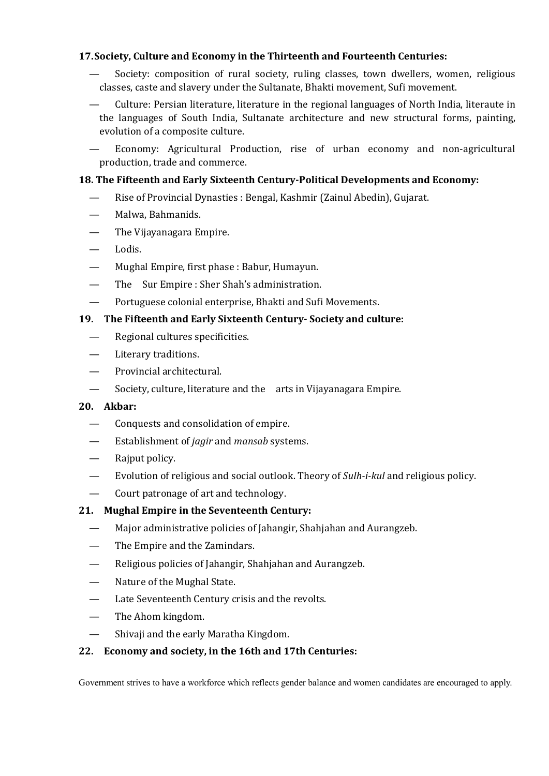### **17.Society, Culture and Economy in the Thirteenth and Fourteenth Centuries:**

- Society: composition of rural society, ruling classes, town dwellers, women, religious classes, caste and slavery under the Sultanate, Bhakti movement, Sufi movement.
- Culture: Persian literature, literature in the regional languages of North India, literaute in the languages of South India, Sultanate architecture and new structural forms, painting, evolution of a composite culture.

— Economy: Agricultural Production, rise of urban economy and non-agricultural production, trade and commerce.

### **18. The Fifteenth and Early Sixteenth Century-Political Developments and Economy:**

- Rise of Provincial Dynasties : Bengal, Kashmir (Zainul Abedin), Gujarat.
- Malwa, Bahmanids.
- The Vijayanagara Empire.
- Lodis.
- Mughal Empire, first phase : Babur, Humayun.
- The Sur Empire : Sher Shah's administration.
- Portuguese colonial enterprise, Bhakti and Sufi Movements.

### **19. The Fifteenth and Early Sixteenth Century- Society and culture:**

- Regional cultures specificities.
- Literary traditions.
- Provincial architectural.
- Society, culture, literature and the arts in Vijayanagara Empire.

### **20. Akbar:**

- Conquests and consolidation of empire.
- Establishment of *jagir* and *mansab* systems.
- Rajput policy.
- Evolution of religious and social outlook. Theory of *Sulh-i-kul* and religious policy.
- Court patronage of art and technology.

# **21. Mughal Empire in the Seventeenth Century:**

- Major administrative policies of Jahangir, Shahjahan and Aurangzeb.
- The Empire and the Zamindars.
- Religious policies of Jahangir, Shahjahan and Aurangzeb.
- Nature of the Mughal State.
- Late Seventeenth Century crisis and the revolts.
- The Ahom kingdom.
- Shivaji and the early Maratha Kingdom.

### **22. Economy and society, in the 16th and 17th Centuries:**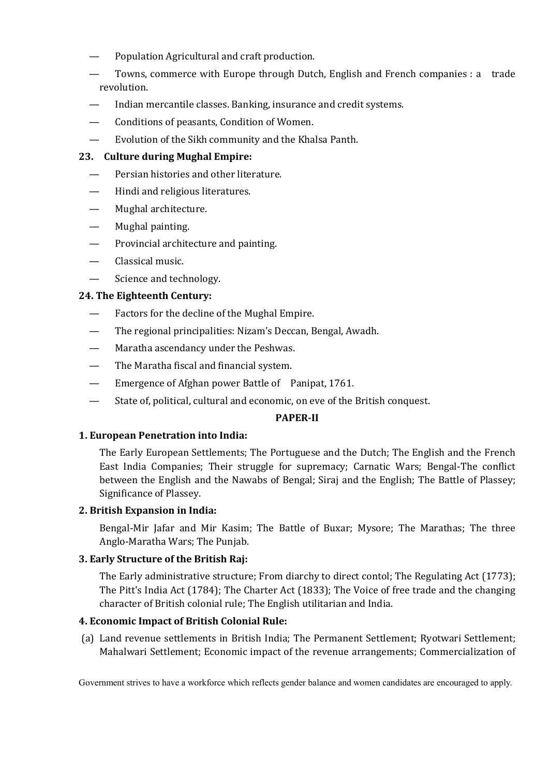- Population Agricultural and craft production.
- Towns, commerce with Europe through Dutch, English and French companies : a trade revolution.
- Indian mercantile classes. Banking, insurance and credit systems.
- Conditions of peasants, Condition of Women.
- Evolution of the Sikh community and the Khalsa Panth.

### **23. Culture during Mughal Empire:**

- Persian histories and other literature.
- Hindi and religious literatures.
- Mughal architecture.
- Mughal painting.
- Provincial architecture and painting.
- Classical music.
- Science and technology.

### **24. The Eighteenth Century:**

- Factors for the decline of the Mughal Empire.
- The regional principalities: Nizam's Deccan, Bengal, Awadh.
- Maratha ascendancy under the Peshwas.
- The Maratha fiscal and financial system.
- Emergence of Afghan power Battle of Panipat, 1761.
- State of, political, cultural and economic, on eve of the British conquest.

### **PAPER-II**

### **1. European Penetration into India:**

The Early European Settlements; The Portuguese and the Dutch; The English and the French East India Companies; Their struggle for supremacy; Carnatic Wars; Bengal-The conflict between the English and the Nawabs of Bengal; Siraj and the English; The Battle of Plassey; Significance of Plassey.

### **2. British Expansion in India:**

Bengal-Mir Jafar and Mir Kasim; The Battle of Buxar; Mysore; The Marathas; The three Anglo-Maratha Wars; The Punjab.

### **3. Early Structure of the British Raj:**

The Early administrative structure; From diarchy to direct contol; The Regulating Act (1773); The Pitt's India Act (1784); The Charter Act (1833); The Voice of free trade and the changing character of British colonial rule; The English utilitarian and India.

### **4. Economic Impact of British Colonial Rule:**

(a) Land revenue settlements in British India; The Permanent Settlement; Ryotwari Settlement; Mahalwari Settlement; Economic impact of the revenue arrangements; Commercialization of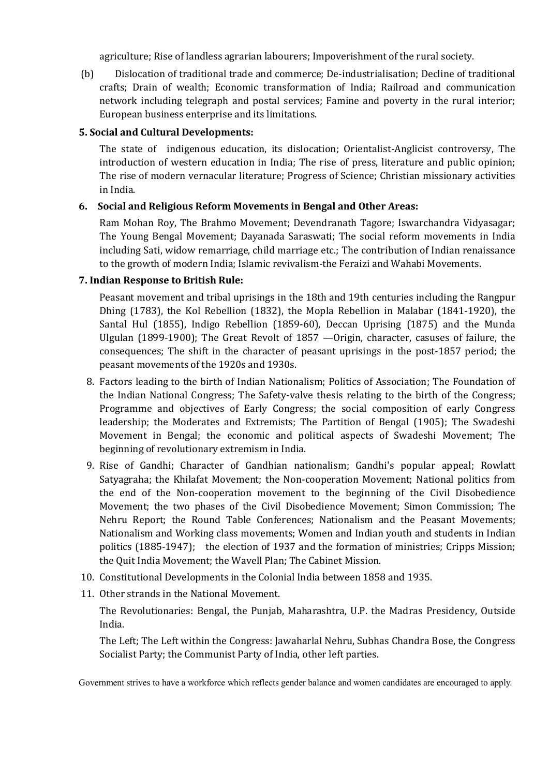agriculture; Rise of landless agrarian labourers; Impoverishment of the rural society.

(b) Dislocation of traditional trade and commerce; De-industrialisation; Decline of traditional crafts; Drain of wealth; Economic transformation of India; Railroad and communication network including telegraph and postal services; Famine and poverty in the rural interior; European business enterprise and its limitations.

### **5. Social and Cultural Developments:**

The state of indigenous education, its dislocation; Orientalist-Anglicist controversy, The introduction of western education in India; The rise of press, literature and public opinion; The rise of modern vernacular literature; Progress of Science; Christian missionary activities in India.

### **6. Social and Religious Reform Movements in Bengal and Other Areas:**

Ram Mohan Roy, The Brahmo Movement; Devendranath Tagore; Iswarchandra Vidyasagar; The Young Bengal Movement; Dayanada Saraswati; The social reform movements in India including Sati, widow remarriage, child marriage etc.; The contribution of Indian renaissance to the growth of modern India; Islamic revivalism-the Feraizi and Wahabi Movements.

### **7. Indian Response to British Rule:**

Peasant movement and tribal uprisings in the 18th and 19th centuries including the Rangpur Dhing (1783), the Kol Rebellion (1832), the Mopla Rebellion in Malabar (1841-1920), the Santal Hul (1855), Indigo Rebellion (1859-60), Deccan Uprising (1875) and the Munda Ulgulan (1899-1900); The Great Revolt of 1857 —Origin, character, casuses of failure, the consequences; The shift in the character of peasant uprisings in the post-1857 period; the peasant movements of the 1920s and 1930s.

- 8. Factors leading to the birth of Indian Nationalism; Politics of Association; The Foundation of the Indian National Congress; The Safety-valve thesis relating to the birth of the Congress; Programme and objectives of Early Congress; the social composition of early Congress leadership; the Moderates and Extremists; The Partition of Bengal (1905); The Swadeshi Movement in Bengal; the economic and political aspects of Swadeshi Movement; The beginning of revolutionary extremism in India.
- 9. Rise of Gandhi; Character of Gandhian nationalism; Gandhi's popular appeal; Rowlatt Satyagraha; the Khilafat Movement; the Non-cooperation Movement; National politics from the end of the Non-cooperation movement to the beginning of the Civil Disobedience Movement; the two phases of the Civil Disobedience Movement; Simon Commission; The Nehru Report; the Round Table Conferences; Nationalism and the Peasant Movements; Nationalism and Working class movements; Women and Indian youth and students in Indian politics (1885-1947); the election of 1937 and the formation of ministries; Cripps Mission; the Quit India Movement; the Wavell Plan; The Cabinet Mission.
- 10. Constitutional Developments in the Colonial India between 1858 and 1935.
- 11. Other strands in the National Movement.

The Revolutionaries: Bengal, the Punjab, Maharashtra, U.P. the Madras Presidency, Outside India.

The Left; The Left within the Congress: Jawaharlal Nehru, Subhas Chandra Bose, the Congress Socialist Party; the Communist Party of India, other left parties.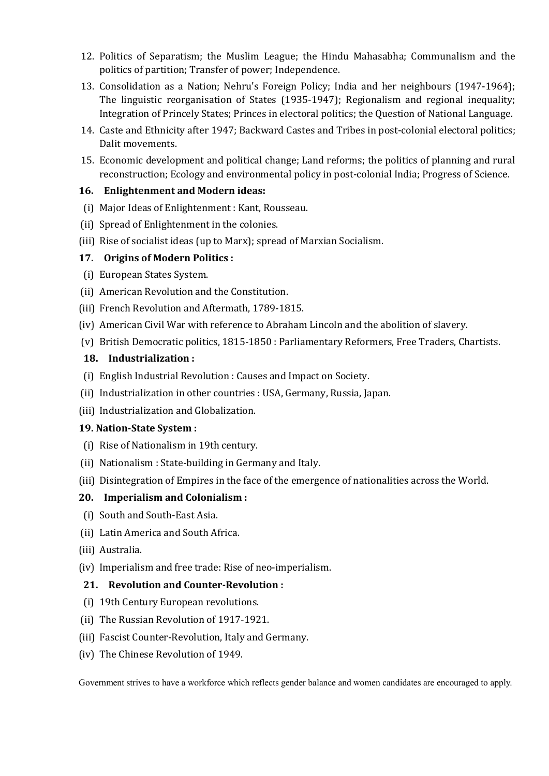- 12. Politics of Separatism; the Muslim League; the Hindu Mahasabha; Communalism and the politics of partition; Transfer of power; Independence.
- 13. Consolidation as a Nation; Nehru's Foreign Policy; India and her neighbours (1947-1964); The linguistic reorganisation of States (1935-1947); Regionalism and regional inequality; Integration of Princely States; Princes in electoral politics; the Question of National Language.
- 14. Caste and Ethnicity after 1947; Backward Castes and Tribes in post-colonial electoral politics; Dalit movements.
- 15. Economic development and political change; Land reforms; the politics of planning and rural reconstruction; Ecology and environmental policy in post-colonial India; Progress of Science.

### **16. Enlightenment and Modern ideas:**

- (i) Major Ideas of Enlightenment : Kant, Rousseau.
- (ii) Spread of Enlightenment in the colonies.
- (iii) Rise of socialist ideas (up to Marx); spread of Marxian Socialism.

### **17. Origins of Modern Politics :**

- (i) European States System.
- (ii) American Revolution and the Constitution.
- (iii) French Revolution and Aftermath, 1789-1815.
- (iv) American Civil War with reference to Abraham Lincoln and the abolition of slavery.
- (v) British Democratic politics, 1815-1850 : Parliamentary Reformers, Free Traders, Chartists.

### **18. Industrialization :**

- (i) English Industrial Revolution : Causes and Impact on Society.
- (ii) Industrialization in other countries : USA, Germany, Russia, Japan.
- (iii) Industrialization and Globalization.

### **19. Nation-State System :**

- (i) Rise of Nationalism in 19th century.
- (ii) Nationalism : State-building in Germany and Italy.
- (iii) Disintegration of Empires in the face of the emergence of nationalities across the World.

# **20. Imperialism and Colonialism :**

- (i) South and South-East Asia.
- (ii) Latin America and South Africa.
- (iii) Australia.
- (iv) Imperialism and free trade: Rise of neo-imperialism.

### **21. Revolution and Counter-Revolution :**

- (i) 19th Century European revolutions.
- (ii) The Russian Revolution of 1917-1921.
- (iii) Fascist Counter-Revolution, Italy and Germany.
- (iv) The Chinese Revolution of 1949.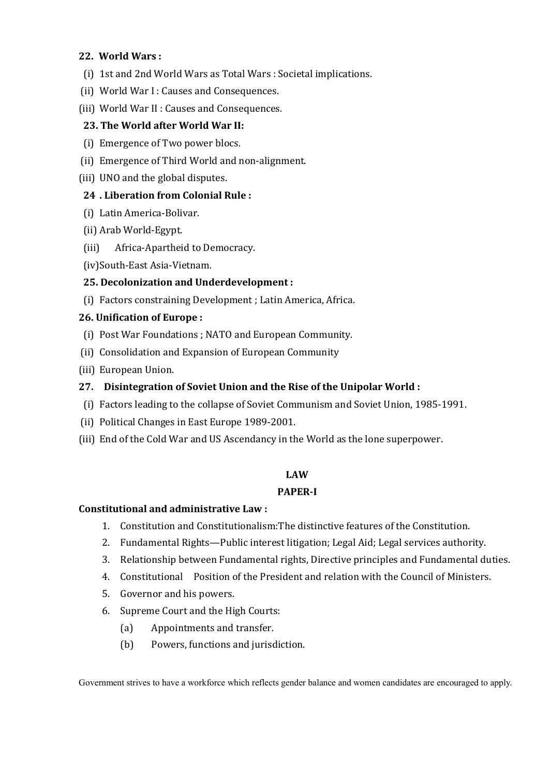### **22. World Wars :**

- (i) 1st and 2nd World Wars as Total Wars : Societal implications.
- (ii) World War I : Causes and Consequences.
- (iii) World War II : Causes and Consequences.

### **23. The World after World War II:**

- (i) Emergence of Two power blocs.
- (ii) Emergence of Third World and non-alignment.
- (iii) UNO and the global disputes.

### **24 . Liberation from Colonial Rule :**

- (i) Latin America-Bolivar.
- (ii) Arab World-Egypt.
- (iii) Africa-Apartheid to Democracy.
- (iv)South-East Asia-Vietnam.

# **25. Decolonization and Underdevelopment :**

(i) Factors constraining Development ; Latin America, Africa.

### **26. Unification of Europe :**

- (i) Post War Foundations ; NATO and European Community.
- (ii) Consolidation and Expansion of European Community
- (iii) European Union.

### **27. Disintegration of Soviet Union and the Rise of the Unipolar World :**

- (i) Factors leading to the collapse of Soviet Communism and Soviet Union, 1985-1991.
- (ii) Political Changes in East Europe 1989-2001.
- (iii) End of the Cold War and US Ascendancy in the World as the lone superpower.

### **LAW**

### **PAPER-I**

### **Constitutional and administrative Law :**

- 1. Constitution and Constitutionalism:The distinctive features of the Constitution.
- 2. Fundamental Rights—Public interest litigation; Legal Aid; Legal services authority.
- 3. Relationship between Fundamental rights, Directive principles and Fundamental duties.
- 4. Constitutional Position of the President and relation with the Council of Ministers.
- 5. Governor and his powers.
- 6. Supreme Court and the High Courts:
	- (a) Appointments and transfer.
	- (b) Powers, functions and jurisdiction.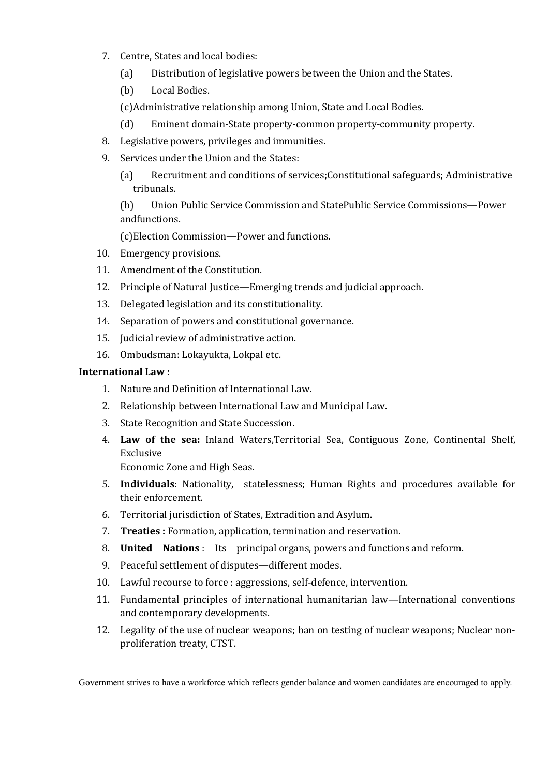- 7. Centre, States and local bodies:
	- (a) Distribution of legislative powers between the Union and the States.
	- (b) Local Bodies.
	- (c)Administrative relationship among Union, State and Local Bodies.
	- (d) Eminent domain-State property-common property-community property.
- 8. Legislative powers, privileges and immunities.
- 9. Services under the Union and the States:
	- (a) Recruitment and conditions of services;Constitutional safeguards; Administrative tribunals.

(b) Union Public Service Commission and StatePublic Service Commissions—Power andfunctions.

(c)Election Commission—Power and functions.

- 10. Emergency provisions.
- 11. Amendment of the Constitution.
- 12. Principle of Natural Justice—Emerging trends and judicial approach.
- 13. Delegated legislation and its constitutionality.
- 14. Separation of powers and constitutional governance.
- 15. Judicial review of administrative action.
- 16. Ombudsman: Lokayukta, Lokpal etc.

### **International Law :**

- 1. Nature and Definition of International Law.
- 2. Relationship between International Law and Municipal Law.
- 3. State Recognition and State Succession.
- 4. **Law of the sea:** Inland Waters,Territorial Sea, Contiguous Zone, Continental Shelf, Exclusive

Economic Zone and High Seas.

- 5. **Individuals**: Nationality, statelessness; Human Rights and procedures available for their enforcement.
- 6. Territorial jurisdiction of States, Extradition and Asylum.
- 7. **Treaties :** Formation, application, termination and reservation.
- 8. **United Nations** : Its principal organs, powers and functions and reform.
- 9. Peaceful settlement of disputes—different modes.
- 10. Lawful recourse to force : aggressions, self-defence, intervention.
- 11. Fundamental principles of international humanitarian law—International conventions and contemporary developments.
- 12. Legality of the use of nuclear weapons; ban on testing of nuclear weapons; Nuclear nonproliferation treaty, CTST.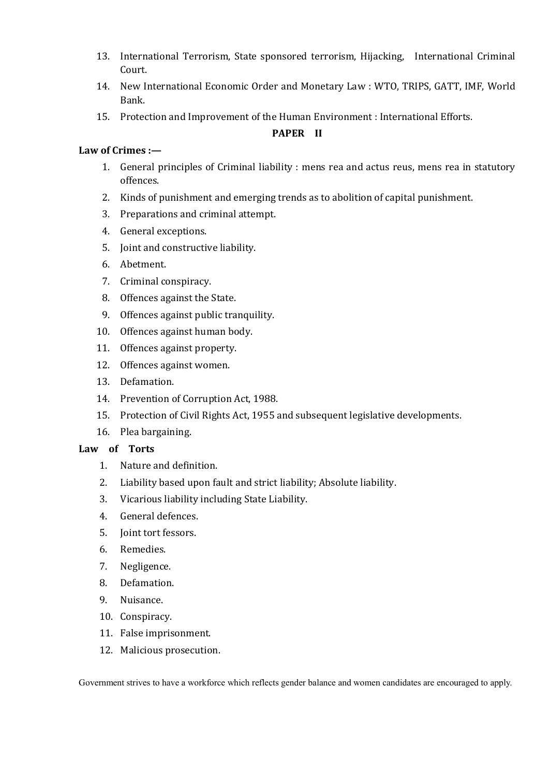- 13. International Terrorism, State sponsored terrorism, Hijacking, International Criminal Court.
- 14. New International Economic Order and Monetary Law : WTO, TRIPS, GATT, IMF, World Bank.
- 15. Protection and Improvement of the Human Environment : International Efforts.

### **PAPER II**

### **Law of Crimes :—**

- 1. General principles of Criminal liability : mens rea and actus reus, mens rea in statutory offences.
- 2. Kinds of punishment and emerging trends as to abolition of capital punishment.
- 3. Preparations and criminal attempt.
- 4. General exceptions.
- 5. Joint and constructive liability.
- 6. Abetment.
- 7. Criminal conspiracy.
- 8. Offences against the State.
- 9. Offences against public tranquility.
- 10. Offences against human body.
- 11. Offences against property.
- 12. Offences against women.
- 13. Defamation.
- 14. Prevention of Corruption Act, 1988.
- 15. Protection of Civil Rights Act, 1955 and subsequent legislative developments.
- 16. Plea bargaining.

# **Law of Torts**

- 1. Nature and definition.
- 2. Liability based upon fault and strict liability; Absolute liability.
- 3. Vicarious liability including State Liability.
- 4. General defences.
- 5. Joint tort fessors.
- 6. Remedies.
- 7. Negligence.
- 8. Defamation.
- 9. Nuisance.
- 10. Conspiracy.
- 11. False imprisonment.
- 12. Malicious prosecution.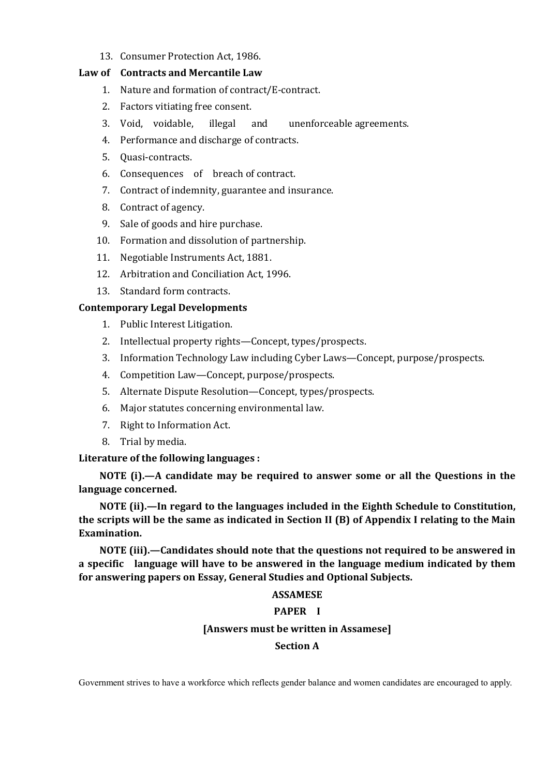13. Consumer Protection Act, 1986.

#### **Law of Contracts and Mercantile Law**

- 1. Nature and formation of contract/E-contract.
- 2. Factors vitiating free consent.
- 3. Void, voidable, illegal and unenforceable agreements.
- 4. Performance and discharge of contracts.
- 5. Quasi-contracts.
- 6. Consequences of breach of contract.
- 7. Contract of indemnity, guarantee and insurance.
- 8. Contract of agency.
- 9. Sale of goods and hire purchase.
- 10. Formation and dissolution of partnership.
- 11. Negotiable Instruments Act, 1881.
- 12. Arbitration and Conciliation Act, 1996.
- 13. Standard form contracts.

### **Contemporary Legal Developments**

- 1. Public Interest Litigation.
- 2. Intellectual property rights—Concept, types/prospects.
- 3. Information Technology Law including Cyber Laws—Concept, purpose/prospects.
- 4. Competition Law—Concept, purpose/prospects.
- 5. Alternate Dispute Resolution—Concept, types/prospects.
- 6. Major statutes concerning environmental law.
- 7. Right to Information Act.
- 8. Trial by media.

### **Literature of the following languages :**

**NOTE (i).—A candidate may be required to answer some or all the Questions in the language concerned.**

**NOTE (ii).—In regard to the languages included in the Eighth Schedule to Constitution, the scripts will be the same as indicated in Section II (B) of Appendix I relating to the Main Examination.**

**NOTE (iii).—Candidates should note that the questions not required to be answered in a specific language will have to be answered in the language medium indicated by them for answering papers on Essay, General Studies and Optional Subjects.**

### **ASSAMESE**

### **PAPER I**

### **[Answers must be written in Assamese]**

### **Section A**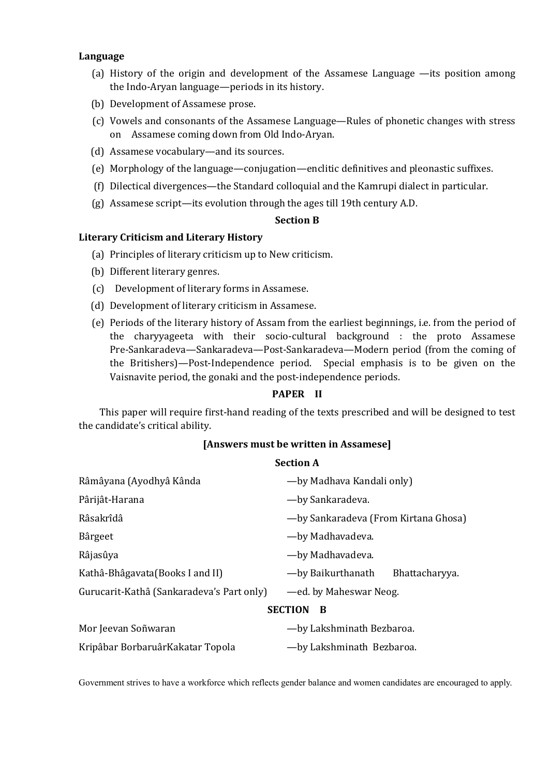#### **Language**

- (a) History of the origin and development of the Assamese Language —its position among the Indo-Aryan language—periods in its history.
- (b) Development of Assamese prose.
- (c) Vowels and consonants of the Assamese Language—Rules of phonetic changes with stress on Assamese coming down from Old Indo-Aryan.
- (d) Assamese vocabulary—and its sources.
- (e) Morphology of the language—conjugation—enclitic definitives and pleonastic suffixes.
- (f) Dilectical divergences—the Standard colloquial and the Kamrupi dialect in particular.
- (g) Assamese script—its evolution through the ages till 19th century A.D.

#### **Section B**

#### **Literary Criticism and Literary History**

- (a) Principles of literary criticism up to New criticism.
- (b) Different literary genres.
- (c) Development of literary forms in Assamese.
- (d) Development of literary criticism in Assamese.
- (e) Periods of the literary history of Assam from the earliest beginnings, i.e. from the period of the charyyageeta with their socio-cultural background : the proto Assamese Pre-Sankaradeva—Sankaradeva—Post-Sankaradeva—Modern period (from the coming of the Britishers)—Post-Independence period. Special emphasis is to be given on the Vaisnavite period, the gonaki and the post-independence periods.

### **PAPER II**

This paper will require first-hand reading of the texts prescribed and will be designed to test the candidate's critical ability.

#### **[Answers must be written in Assamese]**

#### **Section A**

| Râmâyana (Ayodhyâ Kânda                   | —by Madhava Kandali only)             |
|-------------------------------------------|---------------------------------------|
| Pârijât-Harana                            | —by Sankaradeva.                      |
| Râsakrîdâ                                 | - by Sankaradeva (From Kirtana Ghosa) |
| Bârgeet                                   | —by Madhavadeva.                      |
| Râjasûya                                  | —by Madhavadeva.                      |
| Kathâ-Bhâgavata (Books I and II)          | -by Baikurthanath<br>Bhattacharyya.   |
| Gurucarit-Kathâ (Sankaradeva's Part only) | —ed. by Maheswar Neog.                |
| <b>SECTION</b><br>B                       |                                       |
| Mor Jeevan Soñwaran                       | -by Lakshminath Bezbaroa.             |

Kripâbar BorbaruârKakatar Topola — by Lakshminath Bezbaroa.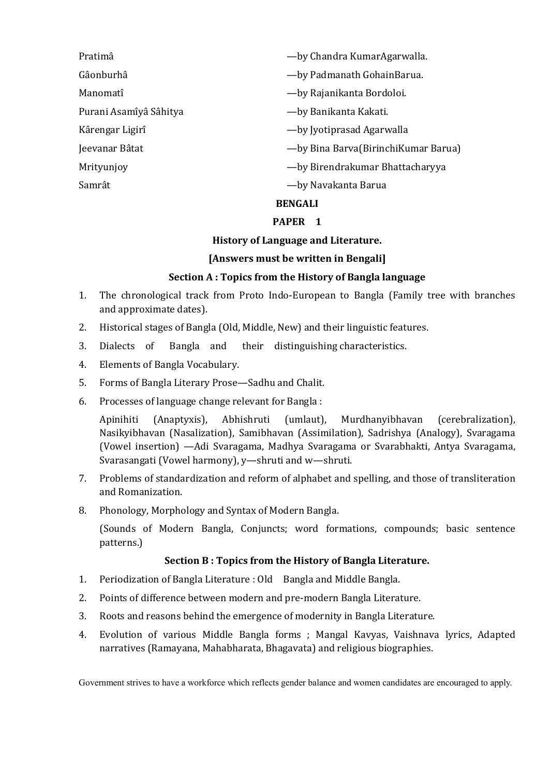| <b>BENGALI</b>         |                                       |
|------------------------|---------------------------------------|
| Samrât                 | -by Navakanta Barua                   |
| Mrityunjoy             | — by Birendrakumar Bhattacharyya      |
| Jeevanar Bâtat         | -by Bina Barva (Birinchi Kumar Barua) |
| Kârengar Ligirî        | -by Jyotiprasad Agarwalla             |
| Purani Asamîyâ Sâhitya | -by Banikanta Kakati.                 |
| Manomatî               | -by Rajanikanta Bordoloi.             |
| Gâonburhâ              | -by Padmanath GohainBarua.            |
| Pratimâ                | —by Chandra KumarAgarwalla.           |

#### **PAPER 1**

#### **History of Language and Literature.**

#### **[Answers must be written in Bengali]**

### **Section A : Topics from the History of Bangla language**

- 1. The chronological track from Proto Indo-European to Bangla (Family tree with branches and approximate dates).
- 2. Historical stages of Bangla (Old, Middle, New) and their linguistic features.
- 3. Dialects of Bangla and their distinguishing characteristics.
- 4. Elements of Bangla Vocabulary.
- 5. Forms of Bangla Literary Prose—Sadhu and Chalit.
- 6. Processes of language change relevant for Bangla :

Apinihiti (Anaptyxis), Abhishruti (umlaut), Murdhanyibhavan (cerebralization), Nasikyibhavan (Nasalization), Samibhavan (Assimilation), Sadrishya (Analogy), Svaragama (Vowel insertion) —Adi Svaragama, Madhya Svaragama or Svarabhakti, Antya Svaragama, Svarasangati (Vowel harmony), y—shruti and w—shruti.

- 7. Problems of standardization and reform of alphabet and spelling, and those of transliteration and Romanization.
- 8. Phonology, Morphology and Syntax of Modern Bangla.

(Sounds of Modern Bangla, Conjuncts; word formations, compounds; basic sentence patterns.)

### **Section B : Topics from the History of Bangla Literature.**

- 1. Periodization of Bangla Literature : Old Bangla and Middle Bangla.
- 2. Points of difference between modern and pre-modern Bangla Literature.
- 3. Roots and reasons behind the emergence of modernity in Bangla Literature.
- 4. Evolution of various Middle Bangla forms ; Mangal Kavyas, Vaishnava lyrics, Adapted narratives (Ramayana, Mahabharata, Bhagavata) and religious biographies.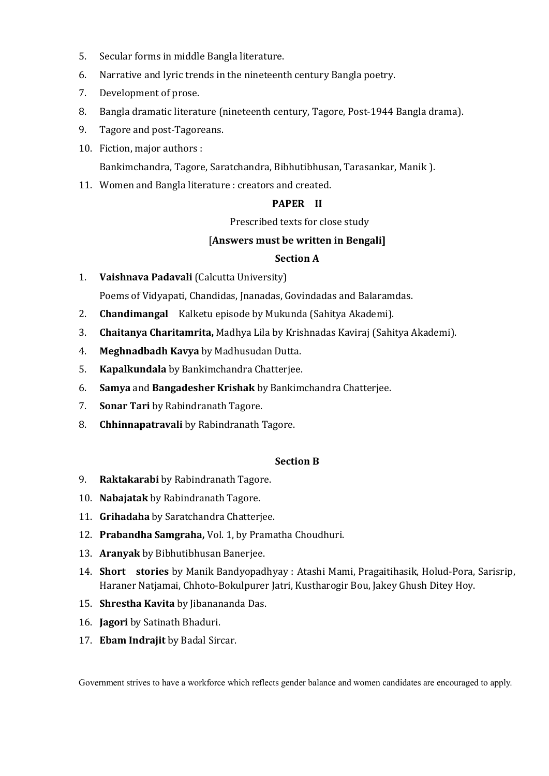- 5. Secular forms in middle Bangla literature.
- 6. Narrative and lyric trends in the nineteenth century Bangla poetry.
- 7. Development of prose.
- 8. Bangla dramatic literature (nineteenth century, Tagore, Post-1944 Bangla drama).
- 9. Tagore and post-Tagoreans.
- 10. Fiction, major authors :

Bankimchandra, Tagore, Saratchandra, Bibhutibhusan, Tarasankar, Manik ).

11. Women and Bangla literature : creators and created.

### **PAPER II**

Prescribed texts for close study

### [**Answers must be written in Bengali]**

#### **Section A**

- 1. **Vaishnava Padavali** (Calcutta University) Poems of Vidyapati, Chandidas, Jnanadas, Govindadas and Balaramdas.
- 2. **Chandimangal** Kalketu episode by Mukunda (Sahitya Akademi).
- 3. **Chaitanya Charitamrita,** Madhya Lila by Krishnadas Kaviraj (Sahitya Akademi).
- 4. **Meghnadbadh Kavya** by Madhusudan Dutta.
- 5. **Kapalkundala** by Bankimchandra Chatterjee.
- 6. **Samya** and **Bangadesher Krishak** by Bankimchandra Chatterjee.
- 7. **Sonar Tari** by Rabindranath Tagore.
- 8. **Chhinnapatravali** by Rabindranath Tagore.

### **Section B**

- 9. **Raktakarabi** by Rabindranath Tagore.
- 10. **Nabajatak** by Rabindranath Tagore.
- 11. **Grihadaha** by Saratchandra Chatterjee.
- 12. **Prabandha Samgraha,** Vol. 1, by Pramatha Choudhuri.
- 13. **Aranyak** by Bibhutibhusan Banerjee.
- 14. **Short stories** by Manik Bandyopadhyay : Atashi Mami, Pragaitihasik, Holud-Pora, Sarisrip, Haraner Natjamai, Chhoto-Bokulpurer Jatri, Kustharogir Bou, Jakey Ghush Ditey Hoy.
- 15. **Shrestha Kavita** by Jibanananda Das.
- 16. **Jagori** by Satinath Bhaduri.
- 17. **Ebam Indrajit** by Badal Sircar.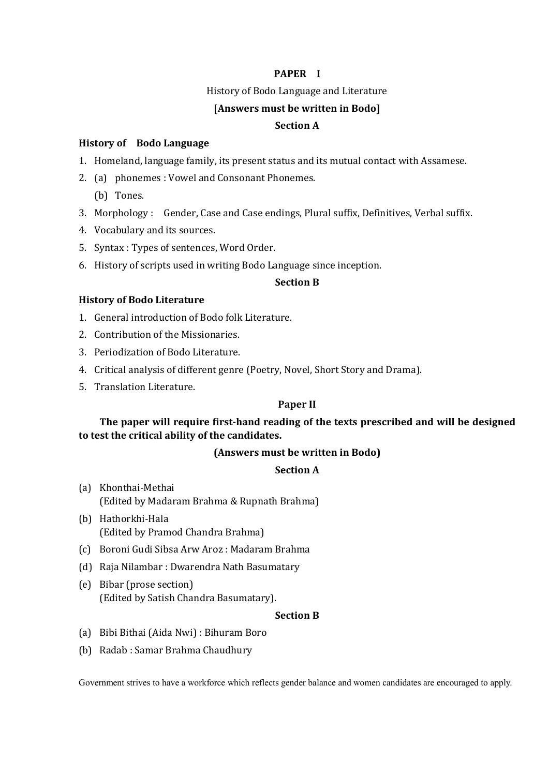#### **PAPER I**

History of Bodo Language and Literature

#### [**Answers must be written in Bodo]**

#### **Section A**

#### **History of Bodo Language**

- 1. Homeland, language family, its present status and its mutual contact with Assamese.
- 2. (a) phonemes : Vowel and Consonant Phonemes.
	- (b) Tones.
- 3. Morphology : Gender, Case and Case endings, Plural suffix, Definitives, Verbal suffix.
- 4. Vocabulary and its sources.
- 5. Syntax : Types of sentences, Word Order.
- 6. History of scripts used in writing Bodo Language since inception.

#### **Section B**

#### **History of Bodo Literature**

- 1. General introduction of Bodo folk Literature.
- 2. Contribution of the Missionaries.
- 3. Periodization of Bodo Literature.
- 4. Critical analysis of different genre (Poetry, Novel, Short Story and Drama).
- 5. Translation Literature.

#### **Paper II**

### **The paper will require first-hand reading of the texts prescribed and will be designed to test the critical ability of the candidates.**

#### **(Answers must be written in Bodo)**

#### **Section A**

- (a) Khonthai-Methai (Edited by Madaram Brahma & Rupnath Brahma)
- (b) Hathorkhi-Hala (Edited by Pramod Chandra Brahma)
- (c) Boroni Gudi Sibsa Arw Aroz : Madaram Brahma
- (d) Raja Nilambar : Dwarendra Nath Basumatary
- (e) Bibar (prose section) (Edited by Satish Chandra Basumatary).

#### **Section B**

- (a) Bibi Bithai (Aida Nwi) : Bihuram Boro
- (b) Radab : Samar Brahma Chaudhury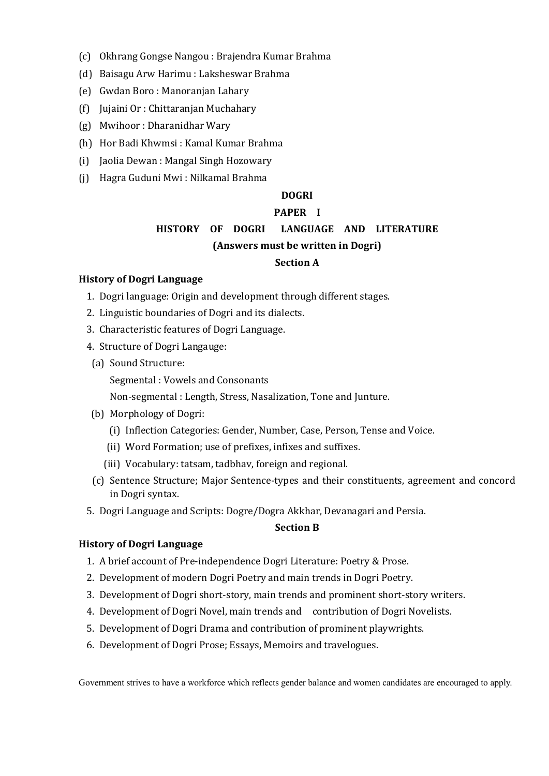- (c) Okhrang Gongse Nangou : Brajendra Kumar Brahma
- (d) Baisagu Arw Harimu : Laksheswar Brahma
- (e) Gwdan Boro : Manoranjan Lahary
- (f) Jujaini Or : Chittaranjan Muchahary
- (g) Mwihoor : Dharanidhar Wary
- (h) Hor Badi Khwmsi : Kamal Kumar Brahma
- (i) Jaolia Dewan : Mangal Singh Hozowary
- (j) Hagra Guduni Mwi : Nilkamal Brahma

### **DOGRI**

### **PAPER I**

# **HISTORY OF DOGRI LANGUAGE AND LITERATURE (Answers must be written in Dogri)**

### **Section A**

#### **History of Dogri Language**

- 1. Dogri language: Origin and development through different stages.
- 2. Linguistic boundaries of Dogri and its dialects.
- 3. Characteristic features of Dogri Language.
- 4. Structure of Dogri Langauge:
	- (a) Sound Structure:
		- Segmental : Vowels and Consonants

Non-segmental : Length, Stress, Nasalization, Tone and Junture.

- (b) Morphology of Dogri:
	- (i) Inflection Categories: Gender, Number, Case, Person, Tense and Voice.
	- (ii) Word Formation; use of prefixes, infixes and suffixes.
	- (iii) Vocabulary: tatsam, tadbhav, foreign and regional.
- (c) Sentence Structure; Major Sentence-types and their constituents, agreement and concord in Dogri syntax.
- 5. Dogri Language and Scripts: Dogre/Dogra Akkhar, Devanagari and Persia.

#### **Section B**

#### **History of Dogri Language**

- 1. A brief account of Pre-independence Dogri Literature: Poetry & Prose.
- 2. Development of modern Dogri Poetry and main trends in Dogri Poetry.
- 3. Development of Dogri short-story, main trends and prominent short-story writers.
- 4. Development of Dogri Novel, main trends and contribution of Dogri Novelists.
- 5. Development of Dogri Drama and contribution of prominent playwrights.
- 6. Development of Dogri Prose; Essays, Memoirs and travelogues.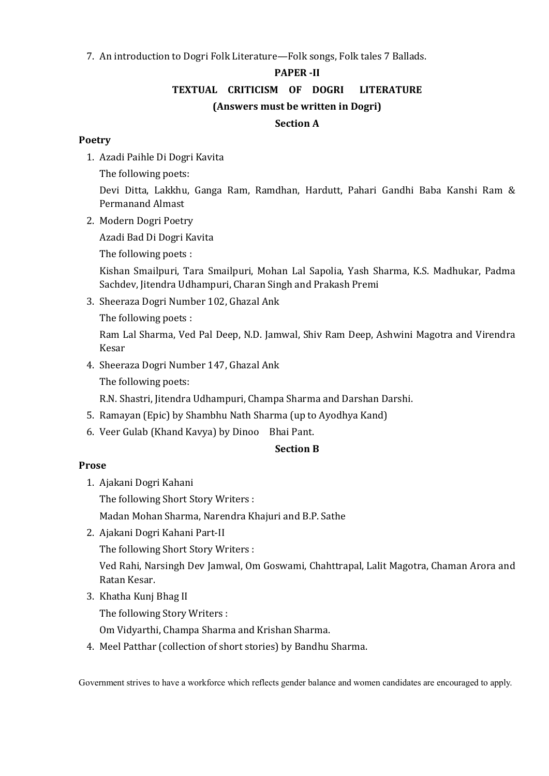7. An introduction to Dogri Folk Literature—Folk songs, Folk tales 7 Ballads.

#### **PAPER -II**

**TEXTUAL CRITICISM OF DOGRI LITERATURE**

### **(Answers must be written in Dogri)**

### **Section A**

### **Poetry**

1. Azadi Paihle Di Dogri Kavita

The following poets:

Devi Ditta, Lakkhu, Ganga Ram, Ramdhan, Hardutt, Pahari Gandhi Baba Kanshi Ram & Permanand Almast

2. Modern Dogri Poetry

Azadi Bad Di Dogri Kavita

The following poets :

Kishan Smailpuri, Tara Smailpuri, Mohan Lal Sapolia, Yash Sharma, K.S. Madhukar, Padma Sachdev, Jitendra Udhampuri, Charan Singh and Prakash Premi

3. Sheeraza Dogri Number 102, Ghazal Ank

The following poets :

Ram Lal Sharma, Ved Pal Deep, N.D. Jamwal, Shiv Ram Deep, Ashwini Magotra and Virendra Kesar

4. Sheeraza Dogri Number 147, Ghazal Ank

The following poets:

R.N. Shastri, Jitendra Udhampuri, Champa Sharma and Darshan Darshi.

- 5. Ramayan (Epic) by Shambhu Nath Sharma (up to Ayodhya Kand)
- 6. Veer Gulab (Khand Kavya) by Dinoo Bhai Pant.

# **Section B**

# **Prose**

1. Ajakani Dogri Kahani

The following Short Story Writers :

Madan Mohan Sharma, Narendra Khajuri and B.P. Sathe

2. Ajakani Dogri Kahani Part-II

The following Short Story Writers :

Ved Rahi, Narsingh Dev Jamwal, Om Goswami, Chahttrapal, Lalit Magotra, Chaman Arora and Ratan Kesar.

3. Khatha Kunj Bhag II

The following Story Writers :

Om Vidyarthi, Champa Sharma and Krishan Sharma.

4. Meel Patthar (collection of short stories) by Bandhu Sharma.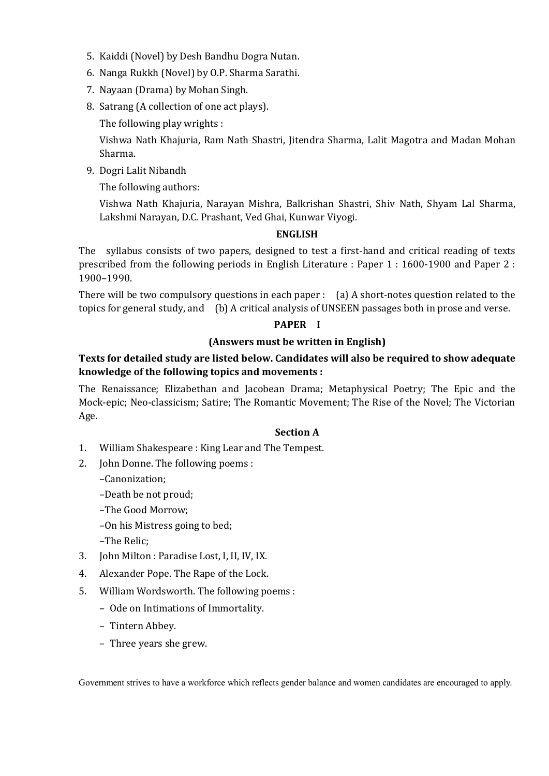- 5. Kaiddi (Novel) by Desh Bandhu Dogra Nutan.
- 6. Nanga Rukkh (Novel) by O.P. Sharma Sarathi.
- 7. Nayaan (Drama) by Mohan Singh.
- 8. Satrang (A collection of one act plays).

The following play wrights :

Vishwa Nath Khajuria, Ram Nath Shastri, Jitendra Sharma, Lalit Magotra and Madan Mohan Sharma.

9. Dogri Lalit Nibandh

The following authors:

Vishwa Nath Khajuria, Narayan Mishra, Balkrishan Shastri, Shiv Nath, Shyam Lal Sharma, Lakshmi Narayan, D.C. Prashant, Ved Ghai, Kunwar Viyogi.

#### **ENGLISH**

The syllabus consists of two papers, designed to test a first-hand and critical reading of texts prescribed from the following periods in English Literature : Paper 1 : 1600-1900 and Paper 2 : 1900–1990.

There will be two compulsory questions in each paper : (a) A short-notes question related to the topics for general study, and (b) A critical analysis of UNSEEN passages both in prose and verse.

#### **PAPER I**

### **(Answers must be written in English)**

# **Texts for detailed study are listed below. Candidates will also be required to show adequate knowledge of the following topics and movements :**

The Renaissance; Elizabethan and Jacobean Drama; Metaphysical Poetry; The Epic and the Mock-epic; Neo-classicism; Satire; The Romantic Movement; The Rise of the Novel; The Victorian Age.

### **Section A**

- 1. William Shakespeare : King Lear and The Tempest.
- 2. John Donne. The following poems :
	- –Canonization;
	- –Death be not proud;
	- –The Good Morrow;
	- –On his Mistress going to bed;
	- –The Relic;
- 3. John Milton : Paradise Lost, I, II, IV, IX.
- 4. Alexander Pope. The Rape of the Lock.
- 5. William Wordsworth. The following poems :
	- Ode on Intimations of Immortality.
	- Tintern Abbey.
	- Three years she grew.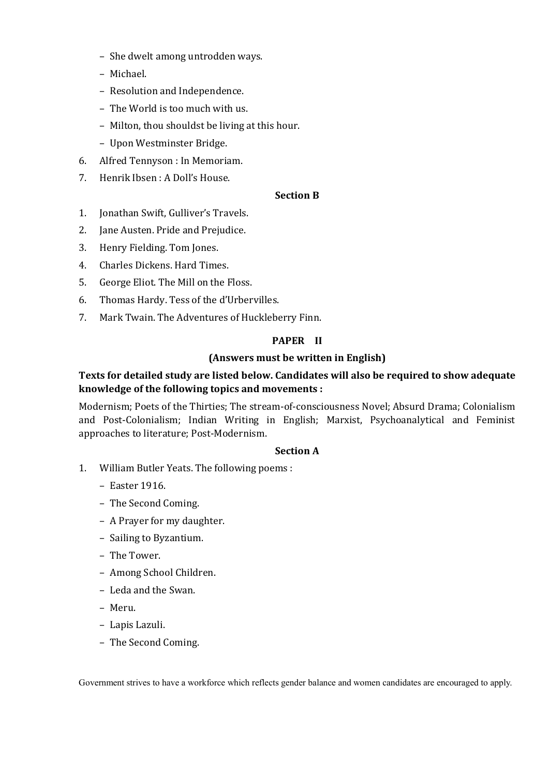- She dwelt among untrodden ways.
- Michael.
- Resolution and Independence.
- The World is too much with us.
- Milton, thou shouldst be living at this hour.
- Upon Westminster Bridge.
- 6. Alfred Tennyson : In Memoriam.
- 7. Henrik Ibsen : A Doll's House.

### **Section B**

- 1. Jonathan Swift, Gulliver's Travels.
- 2. Jane Austen. Pride and Prejudice.
- 3. Henry Fielding. Tom Jones.
- 4. Charles Dickens. Hard Times.
- 5. George Eliot. The Mill on the Floss.
- 6. Thomas Hardy. Tess of the d'Urbervilles.
- 7. Mark Twain. The Adventures of Huckleberry Finn.

# **PAPER II**

# **(Answers must be written in English)**

# **Texts for detailed study are listed below. Candidates will also be required to show adequate knowledge of the following topics and movements :**

Modernism; Poets of the Thirties; The stream-of-consciousness Novel; Absurd Drama; Colonialism and Post-Colonialism; Indian Writing in English; Marxist, Psychoanalytical and Feminist approaches to literature; Post-Modernism.

### **Section A**

- 1. William Butler Yeats. The following poems :
	- Easter 1916.
	- The Second Coming.
	- A Prayer for my daughter.
	- Sailing to Byzantium.
	- The Tower.
	- Among School Children.
	- Leda and the Swan.
	- Meru.
	- Lapis Lazuli.
	- The Second Coming.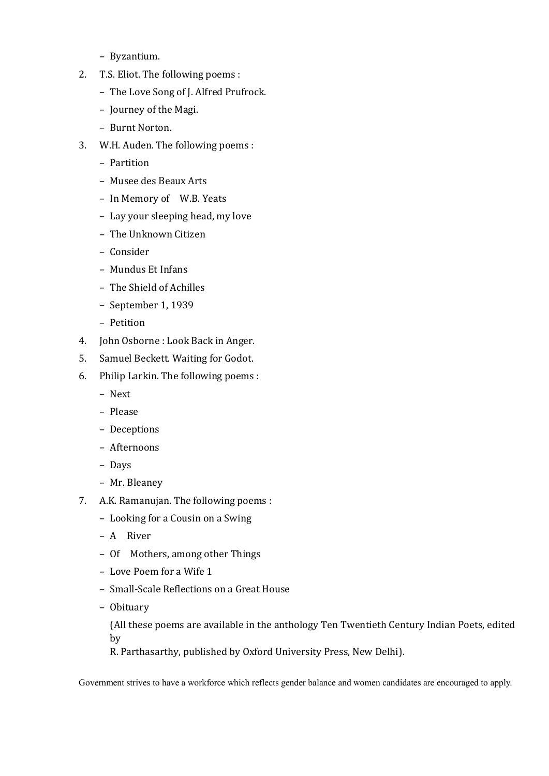- Byzantium.
- 2. T.S. Eliot. The following poems :
	- The Love Song of J. Alfred Prufrock.
	- Journey of the Magi.
	- Burnt Norton.
- 3. W.H. Auden. The following poems :
	- Partition
	- Musee des Beaux Arts
	- In Memory of W.B. Yeats
	- Lay your sleeping head, my love
	- The Unknown Citizen
	- Consider
	- Mundus Et Infans
	- The Shield of Achilles
	- September 1, 1939
	- Petition
- 4. John Osborne : Look Back in Anger.
- 5. Samuel Beckett. Waiting for Godot.
- 6. Philip Larkin. The following poems :
	- Next
	- Please
	- Deceptions
	- Afternoons
	- Days
	- Mr. Bleaney
- 7. A.K. Ramanujan. The following poems :
	- Looking for a Cousin on a Swing
	- A River
	- Of Mothers, among other Things
	- Love Poem for a Wife 1
	- Small-Scale Reflections on a Great House
	- Obituary

(All these poems are available in the anthology Ten Twentieth Century Indian Poets, edited by

R. Parthasarthy, published by Oxford University Press, New Delhi).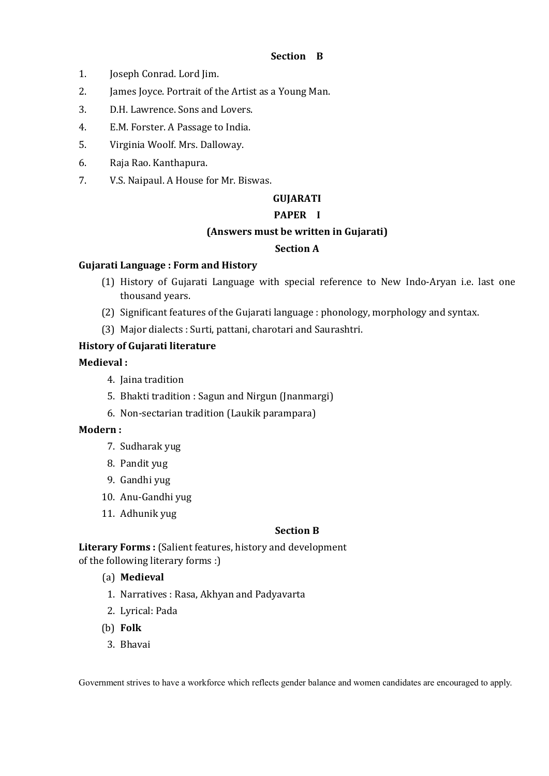### **Section B**

- 1. Joseph Conrad. Lord Jim.
- 2. James Joyce. Portrait of the Artist as a Young Man.
- 3. D.H. Lawrence. Sons and Lovers.
- 4. E.M. Forster. A Passage to India.
- 5. Virginia Woolf. Mrs. Dalloway.
- 6. Raja Rao. Kanthapura.
- 7. V.S. Naipaul. A House for Mr. Biswas.

### **GUJARATI**

### **PAPER I**

#### **(Answers must be written in Gujarati)**

### **Section A**

### **Gujarati Language : Form and History**

- (1) History of Gujarati Language with special reference to New Indo-Aryan i.e. last one thousand years.
- (2) Significant features of the Gujarati language : phonology, morphology and syntax.
- (3) Major dialects : Surti, pattani, charotari and Saurashtri.

### **History of Gujarati literature**

### **Medieval :**

- 4. Jaina tradition
- 5. Bhakti tradition : Sagun and Nirgun (Jnanmargi)
- 6. Non-sectarian tradition (Laukik parampara)

### **Modern :**

- 7. Sudharak yug
- 8. Pandit yug
- 9. Gandhi yug
- 10. Anu-Gandhi yug
- 11. Adhunik yug

### **Section B**

Literary Forms : (Salient features, history and development of the following literary forms :)

### (a) **Medieval**

- 1. Narratives : Rasa, Akhyan and Padyavarta
- 2. Lyrical: Pada
- (b) **Folk**
- 3. Bhavai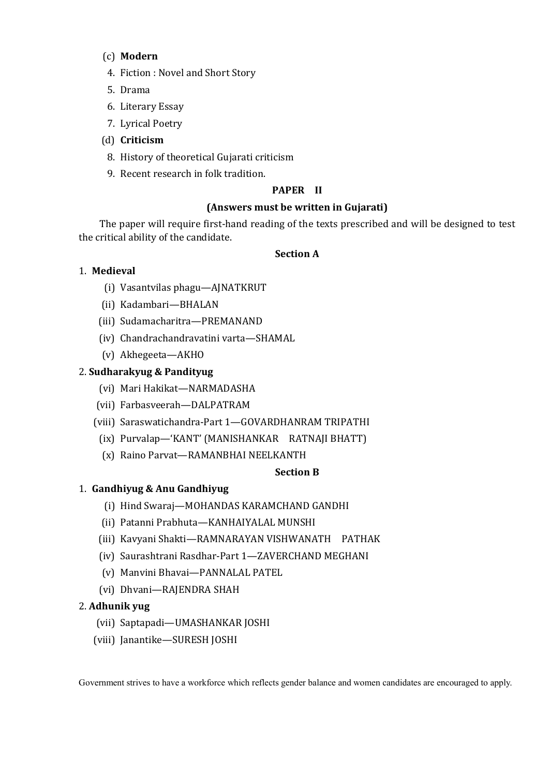### (c) **Modern**

- 4. Fiction : Novel and Short Story
- 5. Drama
- 6. Literary Essay
- 7. Lyrical Poetry
- (d) **Criticism**
- 8. History of theoretical Gujarati criticism
- 9. Recent research in folk tradition.

### **PAPER II**

### **(Answers must be written in Gujarati)**

The paper will require first-hand reading of the texts prescribed and will be designed to test the critical ability of the candidate.

### **Section A**

### 1. **Medieval**

- (i) Vasantvilas phagu—AJNATKRUT
- (ii) Kadambari—BHALAN
- (iii) Sudamacharitra—PREMANAND
- (iv) Chandrachandravatini varta—SHAMAL
- (v) Akhegeeta—AKHO

### 2. **Sudharakyug & Pandityug**

- (vi) Mari Hakikat—NARMADASHA
- (vii) Farbasveerah—DALPATRAM
- (viii) Saraswatichandra-Part 1—GOVARDHANRAM TRIPATHI
	- (ix) Purvalap—'KANT' (MANISHANKAR RATNAJI BHATT)
	- (x) Raino Parvat—RAMANBHAI NEELKANTH

### **Section B**

# 1. **Gandhiyug & Anu Gandhiyug**

- (i) Hind Swaraj—MOHANDAS KARAMCHAND GANDHI
- (ii) Patanni Prabhuta—KANHAIYALAL MUNSHI
- (iii) Kavyani Shakti—RAMNARAYAN VISHWANATH PATHAK
- (iv) Saurashtrani Rasdhar-Part 1—ZAVERCHAND MEGHANI
- (v) Manvini Bhavai—PANNALAL PATEL
- (vi) Dhvani—RAJENDRA SHAH

### 2. **Adhunik yug**

- (vii) Saptapadi—UMASHANKAR JOSHI
- (viii) Janantike—SURESH JOSHI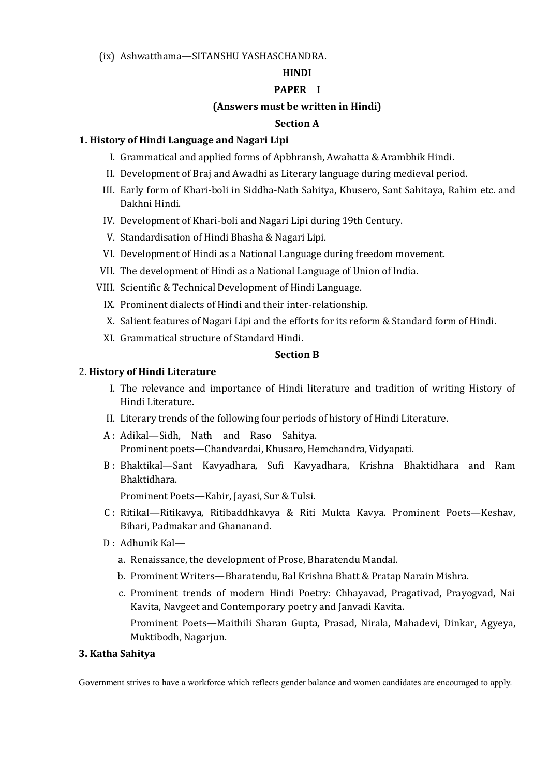(ix) Ashwatthama—SITANSHU YASHASCHANDRA.

### **HINDI**

### **PAPER I**

### **(Answers must be written in Hindi)**

### **Section A**

### **1. History of Hindi Language and Nagari Lipi**

- I. Grammatical and applied forms of Apbhransh, Awahatta & Arambhik Hindi.
- II. Development of Braj and Awadhi as Literary language during medieval period.
- III. Early form of Khari-boli in Siddha-Nath Sahitya, Khusero, Sant Sahitaya, Rahim etc. and Dakhni Hindi.
- IV. Development of Khari-boli and Nagari Lipi during 19th Century.
- V. Standardisation of Hindi Bhasha & Nagari Lipi.
- VI. Development of Hindi as a National Language during freedom movement.
- VII. The development of Hindi as a National Language of Union of India.
- VIII. Scientific & Technical Development of Hindi Language.
	- IX. Prominent dialects of Hindi and their inter-relationship.
	- X. Salient features of Nagari Lipi and the efforts for its reform & Standard form of Hindi.
	- XI. Grammatical structure of Standard Hindi.

### **Section B**

### 2. **History of Hindi Literature**

- I. The relevance and importance of Hindi literature and tradition of writing History of Hindi Literature.
- II. Literary trends of the following four periods of history of Hindi Literature.
- A : Adikal—Sidh, Nath and Raso Sahitya. Prominent poets—Chandvardai, Khusaro, Hemchandra, Vidyapati.
- B : Bhaktikal—Sant Kavyadhara, Sufi Kavyadhara, Krishna Bhaktidhara and Ram Bhaktidhara.

Prominent Poets—Kabir, Jayasi, Sur & Tulsi.

- C : Ritikal—Ritikavya, Ritibaddhkavya & Riti Mukta Kavya. Prominent Poets—Keshav, Bihari, Padmakar and Ghananand.
- D : Adhunik Kal
	- a. Renaissance, the development of Prose, Bharatendu Mandal.
	- b. Prominent Writers—Bharatendu, Bal Krishna Bhatt & Pratap Narain Mishra.
	- c. Prominent trends of modern Hindi Poetry: Chhayavad, Pragativad, Prayogvad, Nai Kavita, Navgeet and Contemporary poetry and Janvadi Kavita. Prominent Poets—Maithili Sharan Gupta, Prasad, Nirala, Mahadevi, Dinkar, Agyeya, Muktibodh, Nagarjun.

### **3. Katha Sahitya**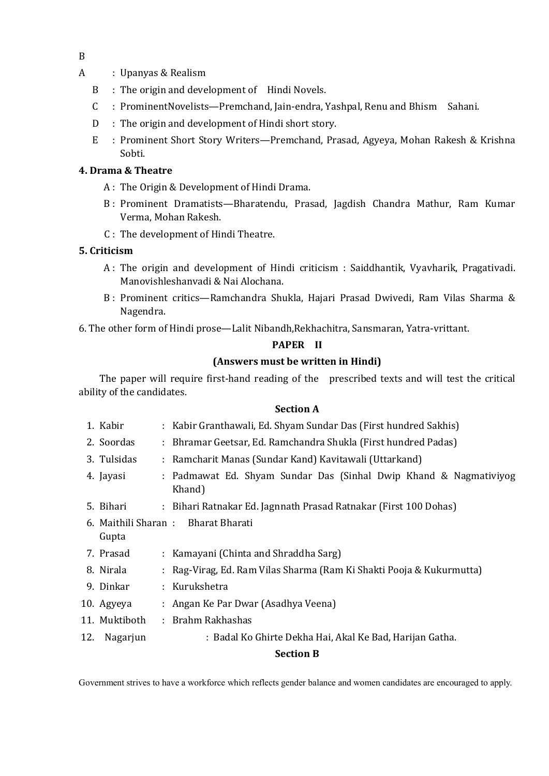- A : Upanyas & Realism
	- B : The origin and development of Hindi Novels.
	- C : ProminentNovelists—Premchand, Jain-endra, Yashpal, Renu and Bhism Sahani.
	- D : The origin and development of Hindi short story.
	- E : Prominent Short Story Writers—Premchand, Prasad, Agyeya, Mohan Rakesh & Krishna Sobti.

### **4. Drama & Theatre**

- A : The Origin & Development of Hindi Drama.
- B : Prominent Dramatists—Bharatendu, Prasad, Jagdish Chandra Mathur, Ram Kumar Verma, Mohan Rakesh.
- C : The development of Hindi Theatre.

### **5. Criticism**

- A : The origin and development of Hindi criticism : Saiddhantik, Vyavharik, Pragativadi. Manovishleshanvadi & Nai Alochana.
- B : Prominent critics—Ramchandra Shukla, Hajari Prasad Dwivedi, Ram Vilas Sharma & Nagendra.

6. The other form of Hindi prose—Lalit Nibandh,Rekhachitra, Sansmaran, Yatra-vrittant.

### **PAPER II**

### **(Answers must be written in Hindi)**

The paper will require first-hand reading of the prescribed texts and will test the critical ability of the candidates.

### **Section A**

- 1. Kabir : Kabir Granthawali, Ed. Shyam Sundar Das (First hundred Sakhis)
- 2. Soordas : Bhramar Geetsar, Ed. Ramchandra Shukla (First hundred Padas)
- 3. Tulsidas : Ramcharit Manas (Sundar Kand) Kavitawali (Uttarkand)
- 4. Jayasi : Padmawat Ed. Shyam Sundar Das (Sinhal Dwip Khand & Nagmativiyog Khand)
- 5. Bihari : Bihari Ratnakar Ed. Jagnnath Prasad Ratnakar (First 100 Dohas)
- 6. Maithili Sharan : Bharat Bharati Gupta
- 7. Prasad : Kamayani (Chinta and Shraddha Sarg)
- 8. Nirala : Rag-Virag, Ed. Ram Vilas Sharma (Ram Ki Shakti Pooja & Kukurmutta)
- 9. Dinkar : Kurukshetra
- 10. Agyeya : Angan Ke Par Dwar (Asadhya Veena)
- 11. Muktiboth : Brahm Rakhashas
- 12. Nagarjun : Badal Ko Ghirte Dekha Hai, Akal Ke Bad, Harijan Gatha.

### **Section B**

Government strives to have a workforce which reflects gender balance and women candidates are encouraged to apply.

B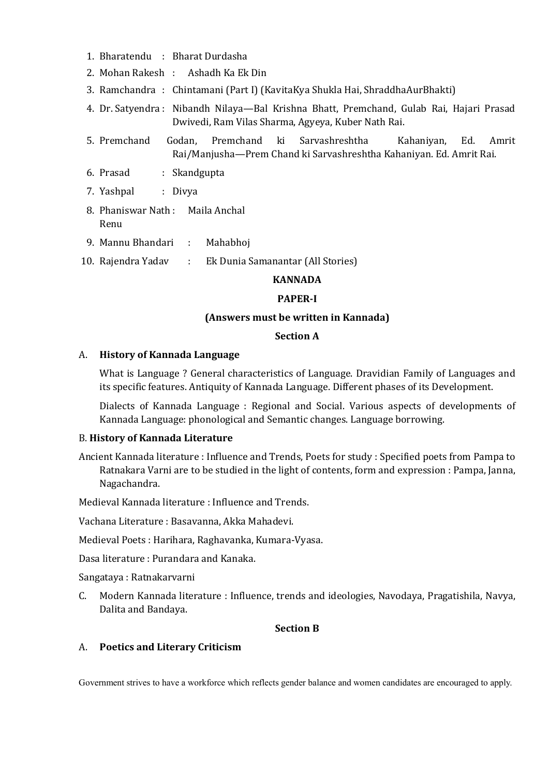- 1. Bharatendu : Bharat Durdasha
- 2. Mohan Rakesh : Ashadh Ka Ek Din
- 3. Ramchandra : Chintamani (Part I) (KavitaKya Shukla Hai, ShraddhaAurBhakti)
- 4. Dr. Satyendra : Nibandh Nilaya—Bal Krishna Bhatt, Premchand, Gulab Rai, Hajari Prasad Dwivedi, Ram Vilas Sharma, Agyeya, Kuber Nath Rai.
- 5. Premchand Godan, Premchand ki Sarvashreshtha Kahaniyan, Ed. Amrit Rai/Manjusha—Prem Chand ki Sarvashreshtha Kahaniyan. Ed. Amrit Rai.
- 6. Prasad : Skandgupta
- 7. Yashpal : Divya
- 8. Phaniswar Nath : Maila Anchal Renu
- 9. Mannu Bhandari : Mahabhoj
- 10. Rajendra Yadav : Ek Dunia Samanantar (All Stories)

### **KANNADA**

#### **PAPER-I**

#### **(Answers must be written in Kannada)**

#### **Section A**

#### A. **History of Kannada Language**

What is Language ? General characteristics of Language. Dravidian Family of Languages and its specific features. Antiquity of Kannada Language. Different phases of its Development.

 Dialects of Kannada Language : Regional and Social. Various aspects of developments of Kannada Language: phonological and Semantic changes. Language borrowing.

#### B. **History of Kannada Literature**

Ancient Kannada literature : Influence and Trends, Poets for study : Specified poets from Pampa to Ratnakara Varni are to be studied in the light of contents, form and expression : Pampa, Janna, Nagachandra.

Medieval Kannada literature : Influence and Trends.

Vachana Literature : Basavanna, Akka Mahadevi.

Medieval Poets : Harihara, Raghavanka, Kumara-Vyasa.

Dasa literature : Purandara and Kanaka.

Sangataya : Ratnakarvarni

C. Modern Kannada literature : Influence, trends and ideologies, Navodaya, Pragatishila, Navya, Dalita and Bandaya.

#### **Section B**

#### A. **Poetics and Literary Criticism**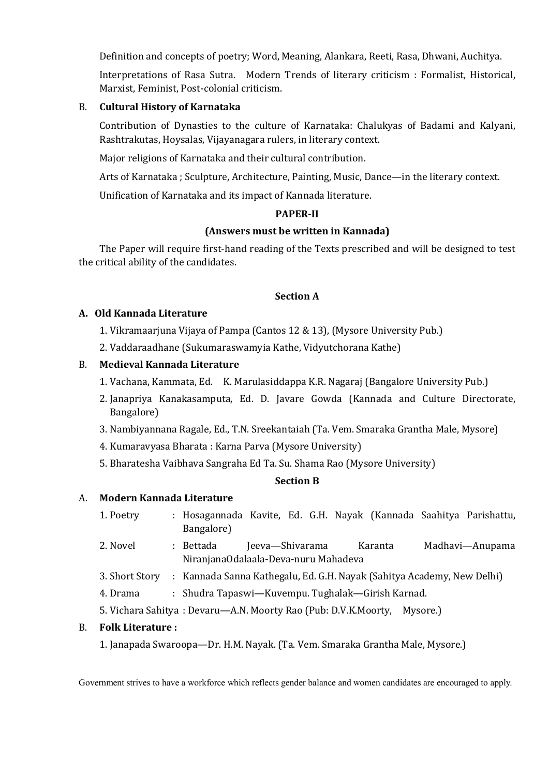Definition and concepts of poetry; Word, Meaning, Alankara, Reeti, Rasa, Dhwani, Auchitya.

Interpretations of Rasa Sutra. Modern Trends of literary criticism : Formalist, Historical, Marxist, Feminist, Post-colonial criticism.

### B. **Cultural History of Karnataka**

Contribution of Dynasties to the culture of Karnataka: Chalukyas of Badami and Kalyani, Rashtrakutas, Hoysalas, Vijayanagara rulers, in literary context.

Major religions of Karnataka and their cultural contribution.

Arts of Karnataka ; Sculpture, Architecture, Painting, Music, Dance—in the literary context.

Unification of Karnataka and its impact of Kannada literature.

#### **PAPER-II**

#### **(Answers must be written in Kannada)**

The Paper will require first-hand reading of the Texts prescribed and will be designed to test the critical ability of the candidates.

#### **Section A**

#### **A. Old Kannada Literature**

- 1. Vikramaarjuna Vijaya of Pampa (Cantos 12 & 13), (Mysore University Pub.)
- 2. Vaddaraadhane (Sukumaraswamyia Kathe, Vidyutchorana Kathe)

### B. **Medieval Kannada Literature**

- 1. Vachana, Kammata, Ed. K. Marulasiddappa K.R. Nagaraj (Bangalore University Pub.)
- 2. Janapriya Kanakasamputa, Ed. D. Javare Gowda (Kannada and Culture Directorate, Bangalore)
- 3. Nambiyannana Ragale, Ed., T.N. Sreekantaiah (Ta. Vem. Smaraka Grantha Male, Mysore)
- 4. Kumaravyasa Bharata : Karna Parva (Mysore University)
- 5. Bharatesha Vaibhava Sangraha Ed Ta. Su. Shama Rao (Mysore University)

#### **Section B**

#### A. **Modern Kannada Literature**

- 1. Poetry : Hosagannada Kavite, Ed. G.H. Nayak (Kannada Saahitya Parishattu, Bangalore)
- 2. Novel : Bettada Jeeva—Shivarama Karanta Madhavi—Anupama NiranjanaOdalaala-Deva-nuru Mahadeva
- 3. Short Story : Kannada Sanna Kathegalu, Ed. G.H. Nayak (Sahitya Academy, New Delhi)
- 4. Drama : Shudra Tapaswi—Kuvempu. Tughalak—Girish Karnad.
- 5. Vichara Sahitya : Devaru—A.N. Moorty Rao (Pub: D.V.K.Moorty, Mysore.)

#### B. **Folk Literature :**

1. Janapada Swaroopa—Dr. H.M. Nayak. (Ta. Vem. Smaraka Grantha Male, Mysore.)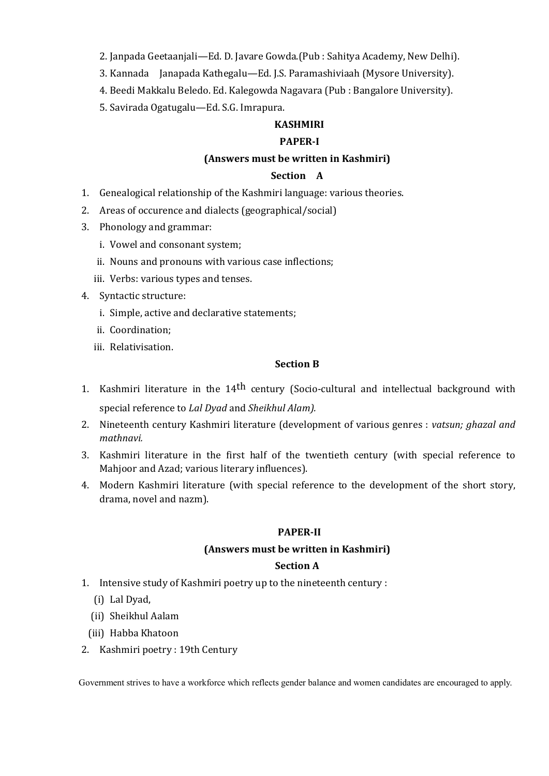2. Janpada Geetaanjali—Ed. D. Javare Gowda.(Pub : Sahitya Academy, New Delhi).

- 3. Kannada Janapada Kathegalu—Ed. J.S. Paramashiviaah (Mysore University).
- 4. Beedi Makkalu Beledo. Ed. Kalegowda Nagavara (Pub : Bangalore University).
- 5. Savirada Ogatugalu—Ed. S.G. Imrapura.

### **KASHMIRI**

### **PAPER-I**

### **(Answers must be written in Kashmiri)**

#### **Section A**

- 1. Genealogical relationship of the Kashmiri language: various theories.
- 2. Areas of occurence and dialects (geographical/social)
- 3. Phonology and grammar:
	- i. Vowel and consonant system;
	- ii. Nouns and pronouns with various case inflections;
	- iii. Verbs: various types and tenses.
- 4. Syntactic structure:
	- i. Simple, active and declarative statements;
	- ii. Coordination;
	- iii. Relativisation.

#### **Section B**

- 1. Kashmiri literature in the 14<sup>th</sup> century (Socio-cultural and intellectual background with special reference to *Lal Dyad* and *Sheikhul Alam).*
- 2. Nineteenth century Kashmiri literature (development of various genres : *vatsun; ghazal and mathnavi.*
- 3. Kashmiri literature in the first half of the twentieth century (with special reference to Mahjoor and Azad; various literary influences).
- 4. Modern Kashmiri literature (with special reference to the development of the short story, drama, novel and nazm).

### **PAPER-II**

#### **(Answers must be written in Kashmiri)**

#### **Section A**

- 1. Intensive study of Kashmiri poetry up to the nineteenth century :
	- (i) Lal Dyad,
	- (ii) Sheikhul Aalam
	- (iii) Habba Khatoon
- 2. Kashmiri poetry : 19th Century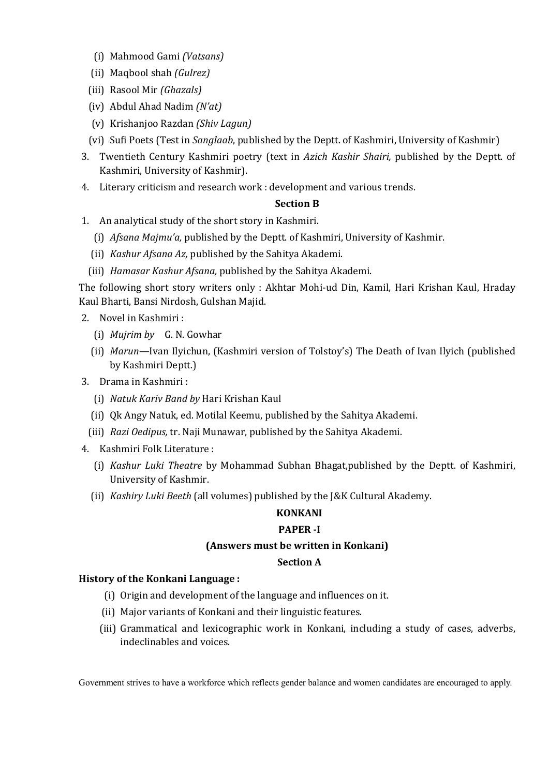- (i) Mahmood Gami *(Vatsans)*
- (ii) Maqbool shah *(Gulrez)*
- (iii) Rasool Mir *(Ghazals)*
- (iv) Abdul Ahad Nadim *(N'at)*
- (v) Krishanjoo Razdan *(Shiv Lagun)*
- (vi) Sufi Poets (Test in *Sanglaab*, published by the Deptt. of Kashmiri, University of Kashmir)
- 3. Twentieth Century Kashmiri poetry (text in *Azich Kashir Shairi,* published by the Deptt. of Kashmiri, University of Kashmir).
- 4. Literary criticism and research work : development and various trends.

#### **Section B**

- 1. An analytical study of the short story in Kashmiri.
	- (i) *Afsana Majmu'a,* published by the Deptt. of Kashmiri, University of Kashmir.
	- (ii) *Kashur Afsana Az,* published by the Sahitya Akademi.
	- (iii) *Hamasar Kashur Afsana,* published by the Sahitya Akademi.

The following short story writers only : Akhtar Mohi-ud Din, Kamil, Hari Krishan Kaul, Hraday Kaul Bharti, Bansi Nirdosh, Gulshan Majid.

- 2. Novel in Kashmiri :
	- (i) *Mujrim by* G. N. Gowhar
	- (ii) *Marun—*Ivan Ilyichun, (Kashmiri version of Tolstoy's) The Death of Ivan Ilyich (published by Kashmiri Deptt.)
- 3. Drama in Kashmiri :
	- (i) *Natuk Kariv Band by* Hari Krishan Kaul
	- (ii) Qk Angy Natuk, ed. Motilal Keemu, published by the Sahitya Akademi.
	- (iii) *Razi Oedipus,* tr. Naji Munawar, published by the Sahitya Akademi.
- 4. Kashmiri Folk Literature :
	- (i) *Kashur Luki Theatre* by Mohammad Subhan Bhagat,published by the Deptt. of Kashmiri, University of Kashmir.
	- (ii) *Kashiry Luki Beeth* (all volumes) published by the J&K Cultural Akademy.

# **KONKANI**

### **PAPER -I**

### **(Answers must be written in Konkani)**

#### **Section A**

### **History of the Konkani Language :**

- (i) Origin and development of the language and influences on it.
- (ii) Major variants of Konkani and their linguistic features.
- (iii) Grammatical and lexicographic work in Konkani, including a study of cases, adverbs, indeclinables and voices.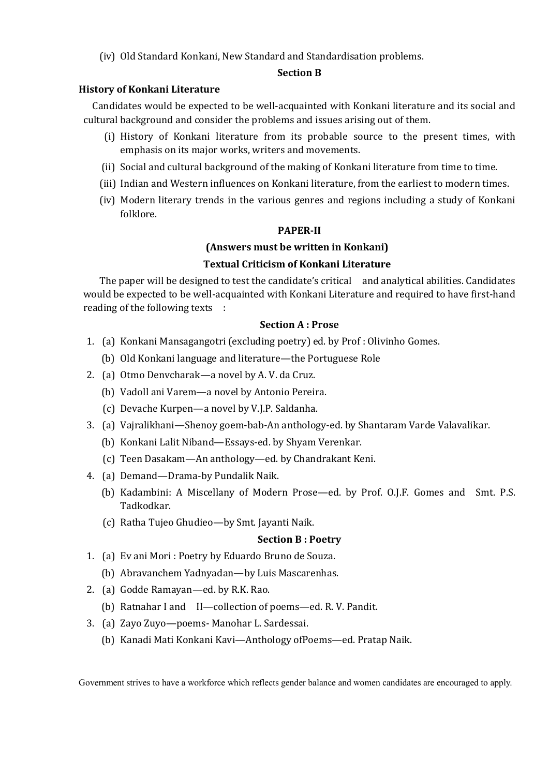(iv) Old Standard Konkani, New Standard and Standardisation problems.

#### **Section B**

### **History of Konkani Literature**

Candidates would be expected to be well-acquainted with Konkani literature and its social and cultural background and consider the problems and issues arising out of them.

- (i) History of Konkani literature from its probable source to the present times, with emphasis on its major works, writers and movements.
- (ii) Social and cultural background of the making of Konkani literature from time to time.
- (iii) Indian and Western influences on Konkani literature, from the earliest to modern times.
- (iv) Modern literary trends in the various genres and regions including a study of Konkani folklore.

#### **PAPER-II**

### **(Answers must be written in Konkani)**

### **Textual Criticism of Konkani Literature**

The paper will be designed to test the candidate's critical and analytical abilities. Candidates would be expected to be well-acquainted with Konkani Literature and required to have first-hand reading of the following texts :

#### **Section A : Prose**

- 1. (a) Konkani Mansagangotri (excluding poetry) ed. by Prof : Olivinho Gomes.
	- (b) Old Konkani language and literature—the Portuguese Role
- 2. (a) Otmo Denvcharak—a novel by A. V. da Cruz.
	- (b) Vadoll ani Varem—a novel by Antonio Pereira.
	- (c) Devache Kurpen—a novel by V.J.P. Saldanha.
- 3. (a) Vajralikhani—Shenoy goem-bab-An anthology-ed. by Shantaram Varde Valavalikar.
	- (b) Konkani Lalit Niband—Essays-ed. by Shyam Verenkar.
	- (c) Teen Dasakam—An anthology—ed. by Chandrakant Keni.
- 4. (a) Demand—Drama-by Pundalik Naik.
	- (b) Kadambini: A Miscellany of Modern Prose—ed. by Prof. O.J.F. Gomes and Smt. P.S. Tadkodkar.
	- (c) Ratha Tujeo Ghudieo—by Smt. Jayanti Naik.

### **Section B : Poetry**

- 1. (a) Ev ani Mori : Poetry by Eduardo Bruno de Souza.
	- (b) Abravanchem Yadnyadan—by Luis Mascarenhas.
- 2. (a) Godde Ramayan—ed. by R.K. Rao.
	- (b) Ratnahar I and II—collection of poems—ed. R. V. Pandit.
- 3. (a) Zayo Zuyo—poems- Manohar L. Sardessai.
	- (b) Kanadi Mati Konkani Kavi—Anthology ofPoems—ed. Pratap Naik.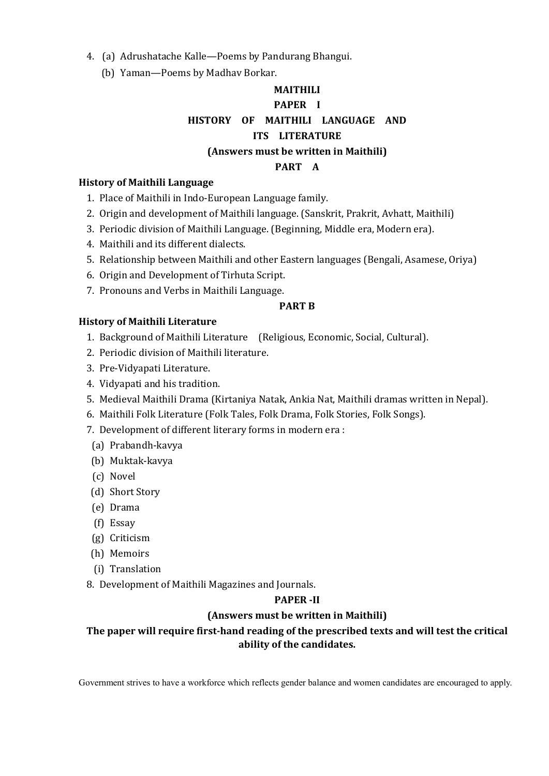4. (a) Adrushatache Kalle—Poems by Pandurang Bhangui.

(b) Yaman—Poems by Madhav Borkar.

# **MAITHILI PAPER I HISTORY OF MAITHILI LANGUAGE AND ITS LITERATURE (Answers must be written in Maithili)**

### **PART A**

### **History of Maithili Language**

- 1. Place of Maithili in Indo-European Language family.
- 2. Origin and development of Maithili language. (Sanskrit, Prakrit, Avhatt, Maithili)
- 3. Periodic division of Maithili Language. (Beginning, Middle era, Modern era).
- 4. Maithili and its different dialects.
- 5. Relationship between Maithili and other Eastern languages (Bengali, Asamese, Oriya)
- 6. Origin and Development of Tirhuta Script.
- 7. Pronouns and Verbs in Maithili Language.

### **PART B**

### **History of Maithili Literature**

- 1. Background of Maithili Literature (Religious, Economic, Social, Cultural).
- 2. Periodic division of Maithili literature.
- 3. Pre-Vidyapati Literature.
- 4. Vidyapati and his tradition.
- 5. Medieval Maithili Drama (Kirtaniya Natak, Ankia Nat, Maithili dramas written in Nepal).
- 6. Maithili Folk Literature (Folk Tales, Folk Drama, Folk Stories, Folk Songs).
- 7. Development of different literary forms in modern era :
- (a) Prabandh-kavya
- (b) Muktak-kavya
- (c) Novel
- (d) Short Story
- (e) Drama
- (f) Essay
- (g) Criticism
- (h) Memoirs
- (i) Translation
- 8. Development of Maithili Magazines and Journals.

### **PAPER -II**

### **(Answers must be written in Maithili)**

# **The paper will require first-hand reading of the prescribed texts and will test the critical ability of the candidates.**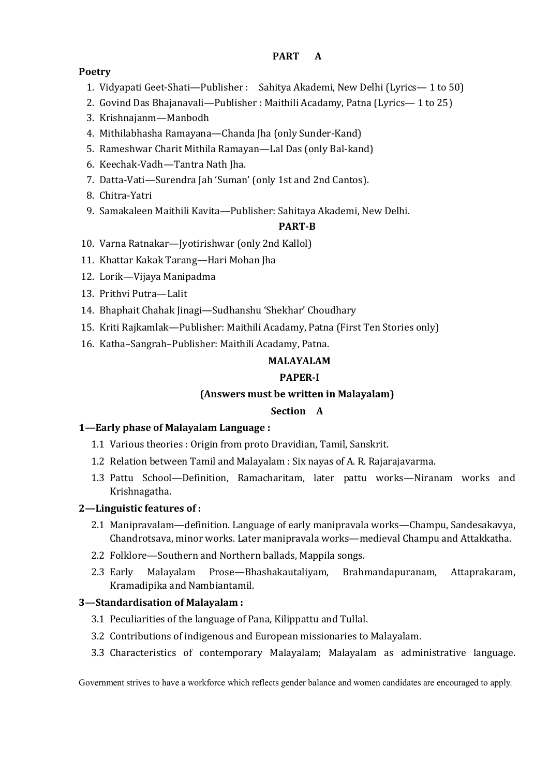### **PART A**

# **Poetry**

- 1. Vidyapati Geet-Shati—Publisher : Sahitya Akademi, New Delhi (Lyrics— 1 to 50)
- 2. Govind Das Bhajanavali—Publisher : Maithili Acadamy, Patna (Lyrics— 1 to 25)
- 3. Krishnajanm—Manbodh
- 4. Mithilabhasha Ramayana—Chanda Jha (only Sunder-Kand)
- 5. Rameshwar Charit Mithila Ramayan—Lal Das (only Bal-kand)
- 6. Keechak-Vadh—Tantra Nath Jha.
- 7. Datta-Vati—Surendra Jah 'Suman' (only 1st and 2nd Cantos).
- 8. Chitra-Yatri
- 9. Samakaleen Maithili Kavita—Publisher: Sahitaya Akademi, New Delhi.

# **PART-B**

- 10. Varna Ratnakar—Jyotirishwar (only 2nd Kallol)
- 11. Khattar Kakak Tarang—Hari Mohan Jha
- 12. Lorik—Vijaya Manipadma
- 13. Prithvi Putra—Lalit
- 14. Bhaphait Chahak Jinagi—Sudhanshu 'Shekhar' Choudhary
- 15. Kriti Rajkamlak—Publisher: Maithili Acadamy, Patna (First Ten Stories only)
- 16. Katha–Sangrah–Publisher: Maithili Acadamy, Patna.

# **MALAYALAM**

# **PAPER-I**

# **(Answers must be written in Malayalam)**

# **Section A**

# **1—Early phase of Malayalam Language :**

- 1.1 Various theories : Origin from proto Dravidian, Tamil, Sanskrit.
- 1.2 Relation between Tamil and Malayalam : Six nayas of A. R. Rajarajavarma.
- 1.3 Pattu School—Definition, Ramacharitam, later pattu works—Niranam works and Krishnagatha.

# **2—Linguistic features of :**

- 2.1 Manipravalam—definition. Language of early manipravala works—Champu, Sandesakavya, Chandrotsava, minor works. Later manipravala works—medieval Champu and Attakkatha.
- 2.2 Folklore—Southern and Northern ballads, Mappila songs.
- 2.3 Early Malayalam Prose—Bhashakautaliyam, Brahmandapuranam, Attaprakaram, Kramadipika and Nambiantamil.

# **3—Standardisation of Malayalam :**

- 3.1 Peculiarities of the language of Pana, Kilippattu and Tullal.
- 3.2 Contributions of indigenous and European missionaries to Malayalam.
- 3.3 Characteristics of contemporary Malayalam; Malayalam as administrative language.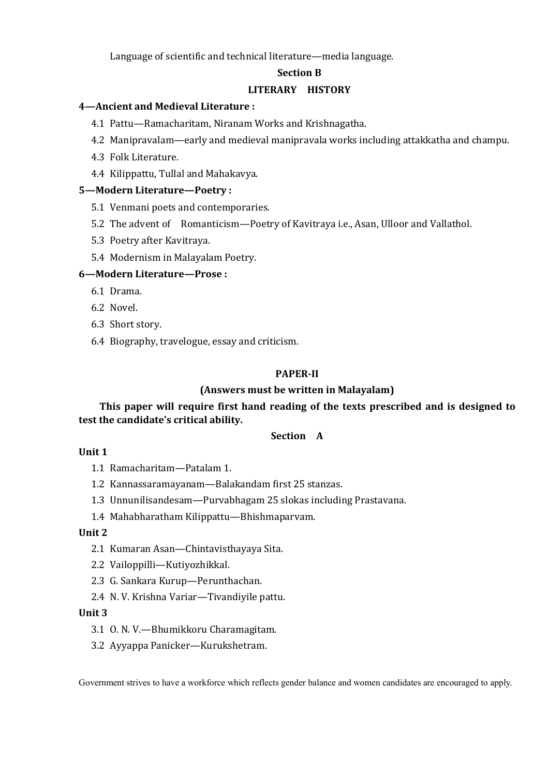Language of scientific and technical literature—media language.

#### **Section B**

#### **LITERARY HISTORY**

#### **4—Ancient and Medieval Literature :**

- 4.1 Pattu—Ramacharitam, Niranam Works and Krishnagatha.
- 4.2 Manipravalam—early and medieval manipravala works including attakkatha and champu.
- 4.3 Folk Literature.
- 4.4 Kilippattu, Tullal and Mahakavya.

#### **5—Modern Literature—Poetry :**

- 5.1 Venmani poets and contemporaries.
- 5.2 The advent of Romanticism—Poetry of Kavitraya i.e., Asan, Ulloor and Vallathol.
- 5.3 Poetry after Kavitraya.
- 5.4 Modernism in Malayalam Poetry.

#### **6—Modern Literature—Prose :**

- 6.1 Drama.
- 6.2 Novel.
- 6.3 Short story.
- 6.4 Biography, travelogue, essay and criticism.

#### **PAPER-II**

### **(Answers must be written in Malayalam)**

**This paper will require first hand reading of the texts prescribed and is designed to test the candidate's critical ability.**

#### **Section A**

#### **Unit 1**

1.1 Ramacharitam—Patalam 1.

- 1.2 Kannassaramayanam—Balakandam first 25 stanzas.
- 1.3 Unnunilisandesam—Purvabhagam 25 slokas including Prastavana.
- 1.4 Mahabharatham Kilippattu—Bhishmaparvam.

#### **Unit 2**

- 2.1 Kumaran Asan—Chintavisthayaya Sita.
- 2.2 Vailoppilli—Kutiyozhikkal.
- 2.3 G. Sankara Kurup—Perunthachan.
- 2.4 N. V. Krishna Variar—Tivandiyile pattu.

#### **Unit 3**

- 3.1 O. N. V.—Bhumikkoru Charamagitam.
- 3.2 Ayyappa Panicker—Kurukshetram.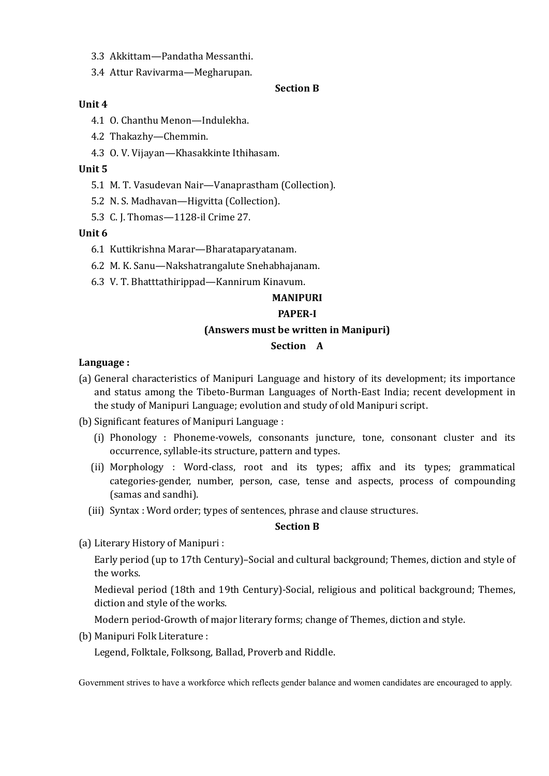- 3.3 Akkittam—Pandatha Messanthi.
- 3.4 Attur Ravivarma—Megharupan.

#### **Section B**

#### **Unit 4**

- 4.1 O. Chanthu Menon—Indulekha.
- 4.2 Thakazhy—Chemmin.
- 4.3 O. V. Vijayan—Khasakkinte Ithihasam.

## **Unit 5**

- 5.1 M. T. Vasudevan Nair—Vanaprastham (Collection).
- 5.2 N. S. Madhavan—Higvitta (Collection).
- 5.3 C. J. Thomas—1128-il Crime 27.

## **Unit 6**

- 6.1 Kuttikrishna Marar—Bharataparyatanam.
- 6.2 M. K. Sanu—Nakshatrangalute Snehabhajanam.
- 6.3 V. T. Bhatttathirippad—Kannirum Kinavum.

# **MANIPURI**

#### **PAPER-I**

#### **(Answers must be written in Manipuri)**

#### **Section A**

## **Language :**

- (a) General characteristics of Manipuri Language and history of its development; its importance and status among the Tibeto-Burman Languages of North-East India; recent development in the study of Manipuri Language; evolution and study of old Manipuri script.
- (b) Significant features of Manipuri Language :
	- (i) Phonology : Phoneme-vowels, consonants juncture, tone, consonant cluster and its occurrence, syllable-its structure, pattern and types.
	- (ii) Morphology : Word-class, root and its types; affix and its types; grammatical categories-gender, number, person, case, tense and aspects, process of compounding (samas and sandhi).
	- (iii) Syntax : Word order; types of sentences, phrase and clause structures.

#### **Section B**

(a) Literary History of Manipuri :

Early period (up to 17th Century)–Social and cultural background; Themes, diction and style of the works.

Medieval period (18th and 19th Century)-Social, religious and political background; Themes, diction and style of the works.

Modern period-Growth of major literary forms; change of Themes, diction and style.

(b) Manipuri Folk Literature :

Legend, Folktale, Folksong, Ballad, Proverb and Riddle.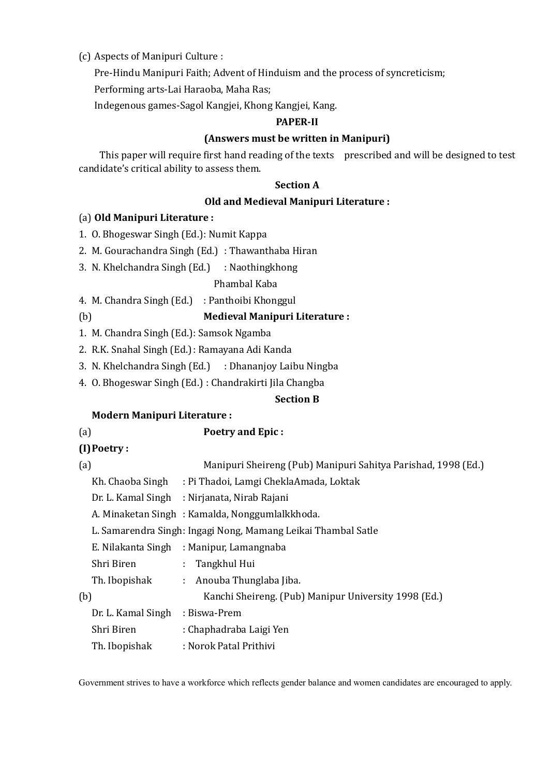# (c) Aspects of Manipuri Culture :

Pre-Hindu Manipuri Faith; Advent of Hinduism and the process of syncreticism;

Performing arts-Lai Haraoba, Maha Ras;

Indegenous games-Sagol Kangjei, Khong Kangjei, Kang.

#### **PAPER-II**

## **(Answers must be written in Manipuri)**

This paper will require first hand reading of the texts prescribed and will be designed to test candidate's critical ability to assess them.

#### **Section A**

## **Old and Medieval Manipuri Literature :**

## (a) **Old Manipuri Literature :**

- 1. O. Bhogeswar Singh (Ed.): Numit Kappa
- 2. M. Gourachandra Singh (Ed.) : Thawanthaba Hiran
- 3. N. Khelchandra Singh (Ed.) : Naothingkhong

Phambal Kaba

4. M. Chandra Singh (Ed.) : Panthoibi Khonggul

# (b) **Medieval Manipuri Literature :**

- 1. M. Chandra Singh (Ed.): Samsok Ngamba
- 2. R.K. Snahal Singh (Ed.): Ramayana Adi Kanda
- 3. N. Khelchandra Singh (Ed.) : Dhananjoy Laibu Ningba
- 4. O. Bhogeswar Singh (Ed.) : Chandrakirti Jila Changba

## **Section B**

## **Modern Manipuri Literature :**

- (a) **Poetry and Epic : (I)Poetry :** (a) Manipuri Sheireng (Pub) Manipuri Sahitya Parishad, 1998 (Ed.) Kh. Chaoba Singh : Pi Thadoi, Lamgi CheklaAmada, Loktak Dr. L. Kamal Singh : Nirjanata, Nirab Rajani A. Minaketan Singh : Kamalda, Nonggumlalkkhoda.
	- L. Samarendra Singh: Ingagi Nong, Mamang Leikai Thambal Satle

E. Nilakanta Singh : Manipur, Lamangnaba

| Shri Biren |  | Tangkhul Hui |
|------------|--|--------------|
|------------|--|--------------|

| Th. Ibopishak                   | : Anouba Thunglaba Jiba.                             |
|---------------------------------|------------------------------------------------------|
| (b)                             | Kanchi Sheireng. (Pub) Manipur University 1998 (Ed.) |
| Dr. L. Kamal Singh : Biswa-Prem |                                                      |
| יתי ומ                          | $\sim$ 1 1 1 $\sim$ $\sim$ $\sim$ $\sim$             |

| Shri Biren | : Chaphadraba Laigi Yen |  |
|------------|-------------------------|--|
|            |                         |  |

Th. Ibopishak : Norok Patal Prithivi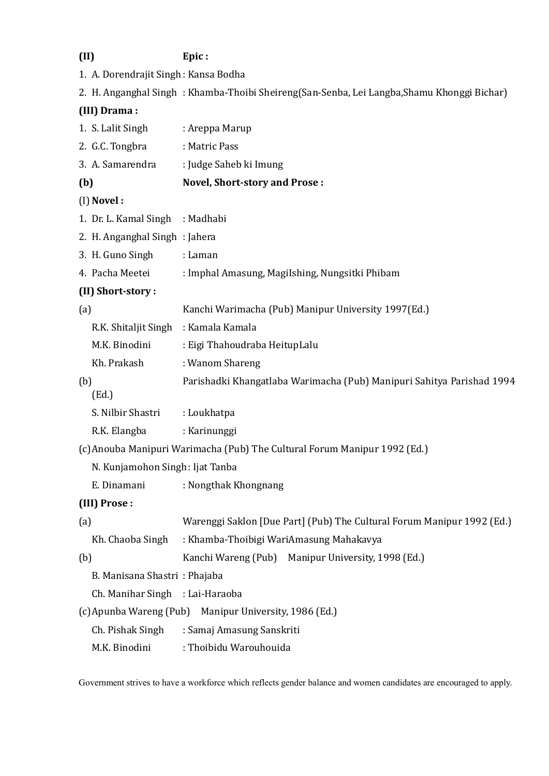# **(II) Epic :**

1. A. Dorendrajit Singh : Kansa Bodha

2. H. Anganghal Singh : Khamba-Thoibi Sheireng(San-Senba, Lei Langba,Shamu Khonggi Bichar)

# **(III) Drama :**

|     | 1. S. Lalit Singh               | : Areppa Marup                                                            |  |  |
|-----|---------------------------------|---------------------------------------------------------------------------|--|--|
|     | 2. G.C. Tongbra                 | : Matric Pass                                                             |  |  |
|     | 3. A. Samarendra                | : Judge Saheb ki Imung                                                    |  |  |
| (b) |                                 | <b>Novel, Short-story and Prose:</b>                                      |  |  |
|     | (I) Novel:                      |                                                                           |  |  |
|     | 1. Dr. L. Kamal Singh           | : Madhabi                                                                 |  |  |
|     | 2. H. Anganghal Singh: Jahera   |                                                                           |  |  |
|     | 3. H. Guno Singh                | : Laman                                                                   |  |  |
|     | 4. Pacha Meetei                 | : Imphal Amasung, MagiIshing, Nungsitki Phibam                            |  |  |
|     | (II) Short-story:               |                                                                           |  |  |
| (a) |                                 | Kanchi Warimacha (Pub) Manipur University 1997(Ed.)                       |  |  |
|     | R.K. Shitaljit Singh            | : Kamala Kamala                                                           |  |  |
|     | M.K. Binodini                   | : Eigi Thahoudraba HeitupLalu                                             |  |  |
|     | Kh. Prakash                     | : Wanom Shareng                                                           |  |  |
| (b) | (Ed.)                           | Parishadki Khangatlaba Warimacha (Pub) Manipuri Sahitya Parishad 1994     |  |  |
|     | S. Nilbir Shastri               | : Loukhatpa                                                               |  |  |
|     | R.K. Elangba                    | : Karinunggi                                                              |  |  |
|     |                                 | (c) Anouba Manipuri Warimacha (Pub) The Cultural Forum Manipur 1992 (Ed.) |  |  |
|     | N. Kunjamohon Singh: Ijat Tanba |                                                                           |  |  |
|     | E. Dinamani                     | : Nongthak Khongnang                                                      |  |  |
|     | (III) Prose:                    |                                                                           |  |  |
| (a) |                                 | Warenggi Saklon [Due Part] (Pub) The Cultural Forum Manipur 1992 (Ed.)    |  |  |
|     | Kh. Chaoba Singh                | : Khamba-Thoibigi WariAmasung Mahakavya                                   |  |  |
| (b) |                                 | Kanchi Wareng (Pub) Manipur University, 1998 (Ed.)                        |  |  |
|     | B. Manisana Shastri: Phajaba    |                                                                           |  |  |
|     | Ch. Manihar Singh : Lai-Haraoba |                                                                           |  |  |
|     |                                 | (c) Apunba Wareng (Pub) Manipur University, 1986 (Ed.)                    |  |  |
|     | Ch. Pishak Singh                | : Samaj Amasung Sanskriti                                                 |  |  |
|     | M.K. Binodini                   | : Thoibidu Warouhouida                                                    |  |  |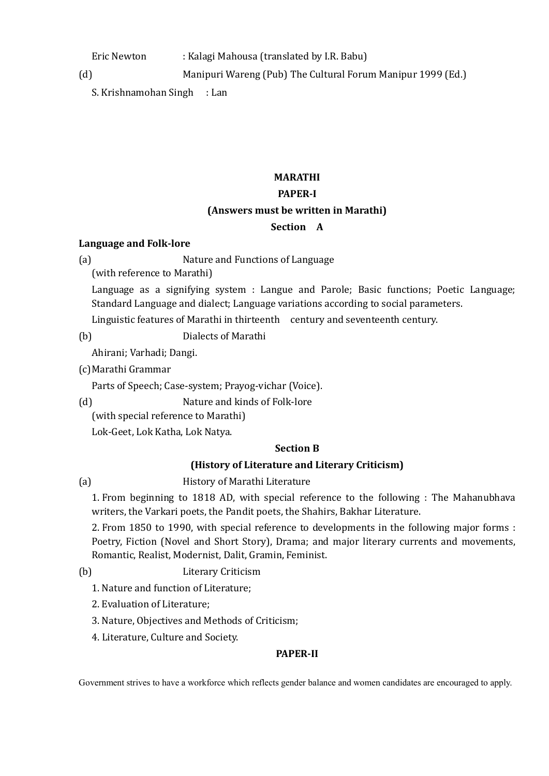Eric Newton : Kalagi Mahousa (translated by I.R. Babu)

(d) Manipuri Wareng (Pub) The Cultural Forum Manipur 1999 (Ed.)

S. Krishnamohan Singh : Lan

# **MARATHI**

# **PAPER-I**

# **(Answers must be written in Marathi)**

# **Section A**

# **Language and Folk-lore**

(a) Nature and Functions of Language

(with reference to Marathi)

Language as a signifying system : Langue and Parole; Basic functions; Poetic Language; Standard Language and dialect; Language variations according to social parameters.

Linguistic features of Marathi in thirteenth century and seventeenth century.

(b) Dialects of Marathi

Ahirani; Varhadi; Dangi.

(c)Marathi Grammar

Parts of Speech; Case-system; Prayog-vichar (Voice).

(d) Nature and kinds of Folk-lore

(with special reference to Marathi)

Lok-Geet, Lok Katha, Lok Natya.

# **Section B**

# **(History of Literature and Literary Criticism)**

(a) History of Marathi Literature

1. From beginning to 1818 AD, with special reference to the following : The Mahanubhava writers, the Varkari poets, the Pandit poets, the Shahirs, Bakhar Literature.

2. From 1850 to 1990, with special reference to developments in the following major forms : Poetry, Fiction (Novel and Short Story), Drama; and major literary currents and movements, Romantic, Realist, Modernist, Dalit, Gramin, Feminist.

(b) Literary Criticism

1. Nature and function of Literature;

- 2. Evaluation of Literature;
- 3. Nature, Objectives and Methods of Criticism;
- 4. Literature, Culture and Society.

# **PAPER-II**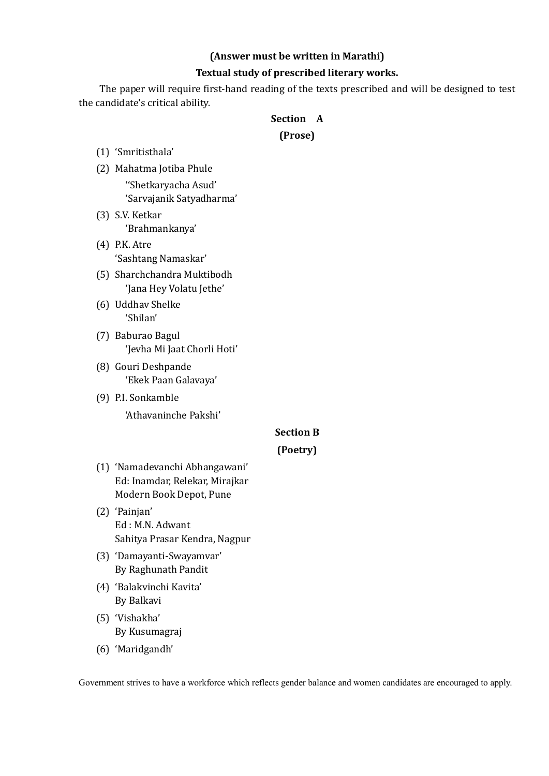## **(Answer must be written in Marathi)**

#### **Textual study of prescribed literary works.**

The paper will require first-hand reading of the texts prescribed and will be designed to test the candidate's critical ability.

#### **Section A**

## **(Prose)**

- (1) 'Smritisthala'
- (2) Mahatma Jotiba Phule ''Shetkaryacha Asud' 'Sarvajanik Satyadharma'
- (3) S.V. Ketkar 'Brahmankanya'
- (4) P.K. Atre 'Sashtang Namaskar'
- (5) Sharchchandra Muktibodh 'Jana Hey Volatu Jethe'
- (6) Uddhav Shelke 'Shilan'
- (7) Baburao Bagul 'Jevha Mi Jaat Chorli Hoti'
- (8) Gouri Deshpande 'Ekek Paan Galavaya'
- (9) P.I. Sonkamble 'Athavaninche Pakshi'

# **Section B**

# **(Poetry)**

- (1) 'Namadevanchi Abhangawani' Ed: Inamdar, Relekar, Mirajkar Modern Book Depot, Pune
- (2) 'Painjan' Ed : M.N. Adwant Sahitya Prasar Kendra, Nagpur
- (3) 'Damayanti-Swayamvar' By Raghunath Pandit
- (4) 'Balakvinchi Kavita' By Balkavi
- (5) 'Vishakha' By Kusumagraj
- (6) 'Maridgandh'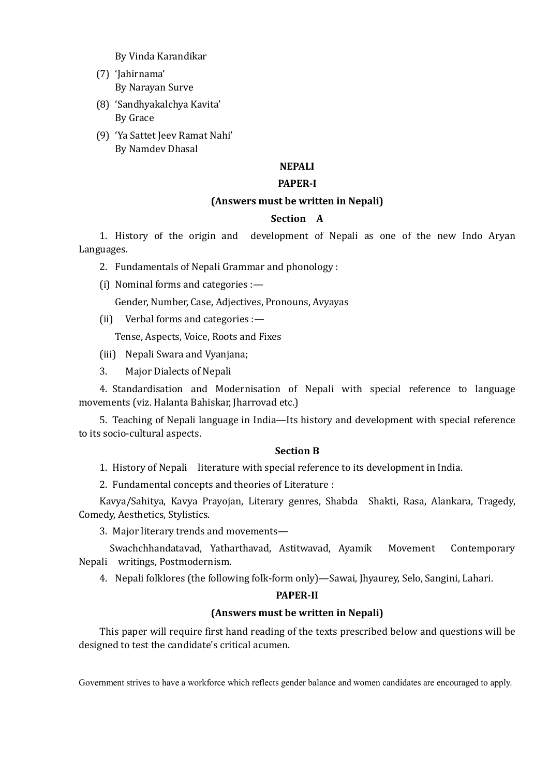By Vinda Karandikar

- (7) 'Jahirnama' By Narayan Surve
- (8) 'Sandhyakalchya Kavita' By Grace
- (9) 'Ya Sattet Jeev Ramat Nahi' By Namdev Dhasal

# **NEPALI**

#### **PAPER-I**

## **(Answers must be written in Nepali)**

## **Section A**

1. History of the origin and development of Nepali as one of the new Indo Aryan Languages.

- 2. Fundamentals of Nepali Grammar and phonology :
- (i) Nominal forms and categories :—

Gender, Number, Case, Adjectives, Pronouns, Avyayas

(ii) Verbal forms and categories :—

Tense, Aspects, Voice, Roots and Fixes

- (iii) Nepali Swara and Vyanjana;
- 3. Major Dialects of Nepali

4. Standardisation and Modernisation of Nepali with special reference to language movements (viz. Halanta Bahiskar, Jharrovad etc.)

5. Teaching of Nepali language in India—Its history and development with special reference to its socio-cultural aspects.

#### **Section B**

1. History of Nepali literature with special reference to its development in India.

2. Fundamental concepts and theories of Literature :

Kavya/Sahitya, Kavya Prayojan, Literary genres, Shabda Shakti, Rasa, Alankara, Tragedy, Comedy, Aesthetics, Stylistics.

3. Major literary trends and movements—

Swachchhandatavad, Yatharthavad, Astitwavad, Ayamik Movement Contemporary Nepali writings, Postmodernism.

4. Nepali folklores (the following folk-form only)—Sawai, Jhyaurey, Selo, Sangini, Lahari.

#### **PAPER-II**

#### **(Answers must be written in Nepali)**

This paper will require first hand reading of the texts prescribed below and questions will be designed to test the candidate's critical acumen.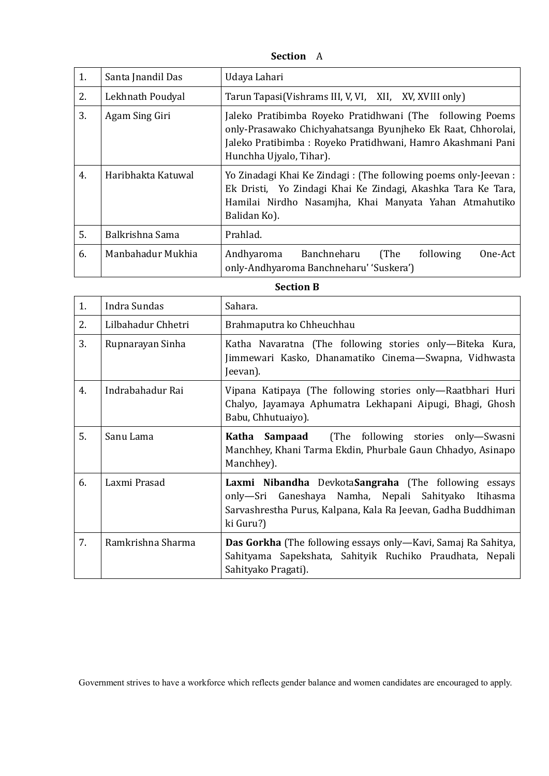**Section** A

| 1. | Santa Jnandil Das  | Udaya Lahari                                                                                                                                                                                                        |  |
|----|--------------------|---------------------------------------------------------------------------------------------------------------------------------------------------------------------------------------------------------------------|--|
| 2. | Lekhnath Poudyal   | Tarun Tapasi (Vishrams III, V, VI, XII, XV, XVIII only)                                                                                                                                                             |  |
| 3. | Agam Sing Giri     | Jaleko Pratibimba Royeko Pratidhwani (The following Poems<br>only-Prasawako Chichyahatsanga Byunjheko Ek Raat, Chhorolai,<br>Jaleko Pratibimba: Royeko Pratidhwani, Hamro Akashmani Pani<br>Hunchha Ujyalo, Tihar). |  |
| 4. | Haribhakta Katuwal | Yo Zinadagi Khai Ke Zindagi: (The following poems only-Jeevan:<br>Ek Dristi, Yo Zindagi Khai Ke Zindagi, Akashka Tara Ke Tara,<br>Hamilai Nirdho Nasamjha, Khai Manyata Yahan Atmahutiko<br>Balidan Ko).            |  |
| 5. | Balkrishna Sama    | Prahlad.                                                                                                                                                                                                            |  |
| 6. | Manbahadur Mukhia  | Banchneharu<br>(The<br>Andhyaroma<br>following<br>One-Act<br>only-Andhyaroma Banchneharu' 'Suskera')                                                                                                                |  |

## **Section B**

| 1. | Indra Sundas       | Sahara.                                                                                                                                                                                   |
|----|--------------------|-------------------------------------------------------------------------------------------------------------------------------------------------------------------------------------------|
| 2. | Lilbahadur Chhetri | Brahmaputra ko Chheuchhau                                                                                                                                                                 |
| 3. | Rupnarayan Sinha   | Katha Navaratna (The following stories only-Biteka Kura,<br>Jimmewari Kasko, Dhanamatiko Cinema—Swapna, Vidhwasta<br>Jeevan).                                                             |
| 4. | Indrabahadur Rai   | Vipana Katipaya (The following stories only—Raatbhari Huri<br>Chalyo, Jayamaya Aphumatra Lekhapani Aipugi, Bhagi, Ghosh<br>Babu, Chhutuaiyo).                                             |
| 5. | Sanu Lama          | Katha Sampaad (The following stories only-Swasni<br>Manchhey, Khani Tarma Ekdin, Phurbale Gaun Chhadyo, Asinapo<br>Manchhey).                                                             |
| 6. | Laxmi Prasad       | Laxmi Nibandha DevkotaSangraha (The following essays<br>only—Sri Ganeshaya Namha, Nepali Sahityako Itihasma<br>Sarvashrestha Purus, Kalpana, Kala Ra Jeevan, Gadha Buddhiman<br>ki Guru?) |
| 7. | Ramkrishna Sharma  | <b>Das Gorkha</b> (The following essays only—Kavi, Samaj Ra Sahitya,<br>Sahityama Sapekshata, Sahityik Ruchiko Praudhata, Nepali<br>Sahityako Pragati).                                   |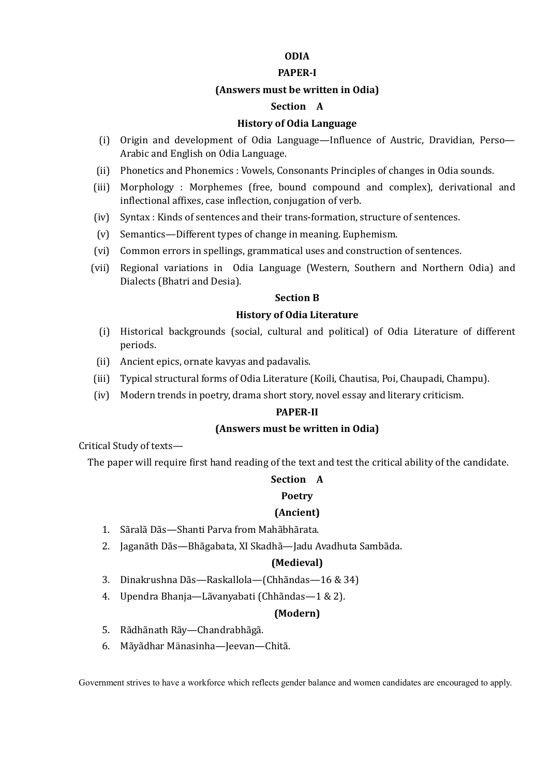## **ODIA**

#### **PAPER-I**

#### **(Answers must be written in Odia)**

# **Section A**

#### **History of Odia Language**

- (i) Origin and development of Odia Language—Influence of Austric, Dravidian, Perso— Arabic and English on Odia Language.
- (ii) Phonetics and Phonemics : Vowels, Consonants Principles of changes in Odia sounds.
- (iii) Morphology : Morphemes (free, bound compound and complex), derivational and inflectional affixes, case inflection, conjugation of verb.
- (iv) Syntax : Kinds of sentences and their trans-formation, structure of sentences.
- (v) Semantics—Different types of change in meaning. Euphemism.
- (vi) Common errors in spellings, grammatical uses and construction of sentences.
- (vii) Regional variations in Odia Language (Western, Southern and Northern Odia) and Dialects (Bhatri and Desia).

#### **Section B**

#### **History of Odia Literature**

- (i) Historical backgrounds (social, cultural and political) of Odia Literature of different periods.
- (ii) Ancient epics, ornate kavyas and padavalis.
- (iii) Typical structural forms of Odia Literature (Koili, Chautisa, Poi, Chaupadi, Champu).
- (iv) Modern trends in poetry, drama short story, novel essay and literary criticism.

#### **PAPER-II**

#### **(Answers must be written in Odia)**

Critical Study of texts—

The paper will require first hand reading of the text and test the critical ability of the candidate.

#### **Section A**

#### **Poetry**

#### **(Ancient)**

- 1. Sãralã Dãs—Shanti Parva from Mahãbhãrata.
- 2. Jaganãth Dãs—Bhãgabata, XI Skadhã—Jadu Avadhuta Sambãda.

#### **(Medieval)**

- 3. Dinakrushna Dãs—Raskallola—(Chhãndas—16 & 34)
- 4. Upendra Bhanja—Lãvanyabati (Chhãndas—1 & 2).

#### **(Modern)**

- 5. Rãdhãnath Rãy—Chandrabhãgã.
- 6. Mãyãdhar Mänasinha—Jeevan—Chitã.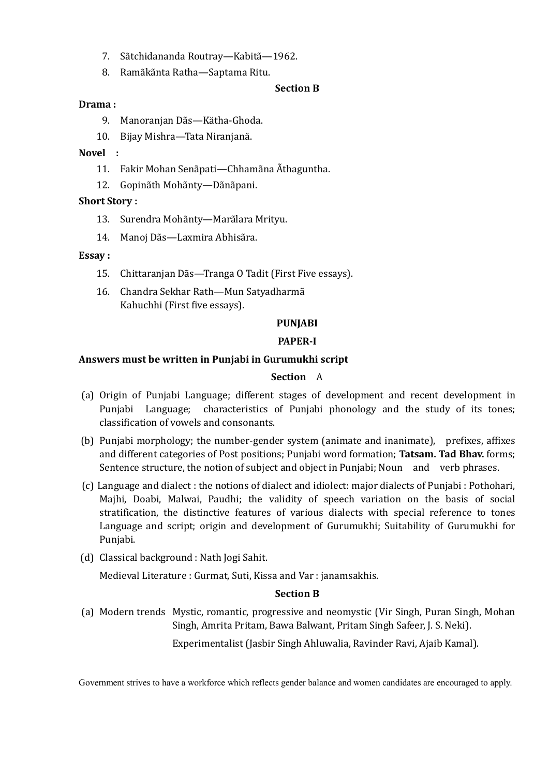- 7. Sãtchidananda Routray—Kabitã—1962.
- 8. Ramãkãnta Ratha—Saptama Ritu.

## **Section B**

## **Drama :**

- 9. Manoranjan Dãs—Kätha-Ghoda.
- 10. Bijay Mishra—Tata Niranjanä.

## **Novel :**

- 11. Fakir Mohan Senãpati—Chhamãna Ãthaguntha.
- 12. Gopinãth Mohãnty—Dãnãpani.

## **Short Story :**

- 13. Surendra Mohãnty—Marãlara Mrityu.
- 14. Manoj Dãs—Laxmira Abhisãra.

## **Essay :**

- 15. Chittaranjan Dãs—Tranga O Tadit (First Five essays).
- 16. Chandra Sekhar Rath—Mun Satyadharmã Kahuchhi (First five essays).

## **PUNJABI**

# **PAPER-I**

## **Answers must be written in Punjabi in Gurumukhi script**

## **Section** A

- (a) Origin of Punjabi Language; different stages of development and recent development in Punjabi Language; characteristics of Punjabi phonology and the study of its tones; classification of vowels and consonants.
- (b) Punjabi morphology; the number-gender system (animate and inanimate), prefixes, affixes and different categories of Post positions; Punjabi word formation; **Tatsam. Tad Bhav.** forms; Sentence structure, the notion of subject and object in Punjabi; Noun and verb phrases.
- (c) Language and dialect : the notions of dialect and idiolect: major dialects of Punjabi : Pothohari, Majhi, Doabi, Malwai, Paudhi; the validity of speech variation on the basis of social stratification, the distinctive features of various dialects with special reference to tones Language and script; origin and development of Gurumukhi; Suitability of Gurumukhi for Punjabi.
- (d) Classical background : Nath Jogi Sahit.

Medieval Literature : Gurmat, Suti, Kissa and Var : janamsakhis.

#### **Section B**

(a) Modern trends Mystic, romantic, progressive and neomystic (Vir Singh, Puran Singh, Mohan Singh, Amrita Pritam, Bawa Balwant, Pritam Singh Safeer, J. S. Neki).

Experimentalist (Jasbir Singh Ahluwalia, Ravinder Ravi, Ajaib Kamal).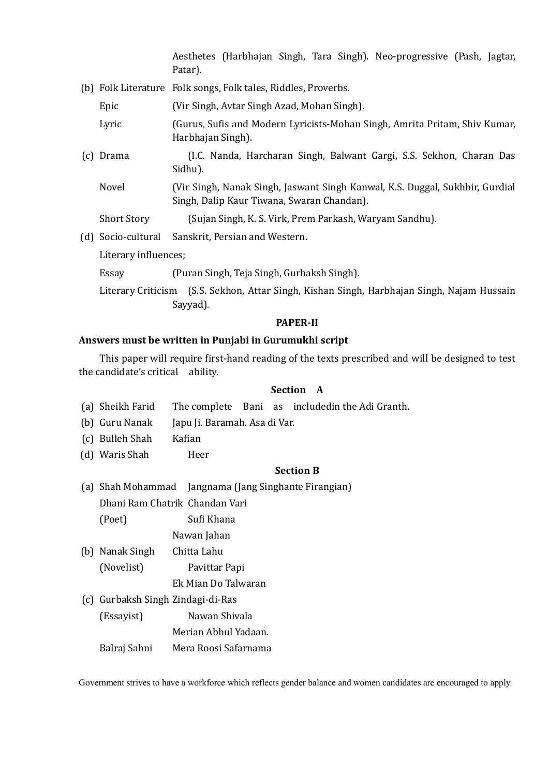Aesthetes (Harbhajan Singh, Tara Singh). Neo-progressive (Pash, Jagtar, Patar).

- (b) Folk Literature Folk songs, Folk tales, Riddles, Proverbs.
	- Epic (Vir Singh, Avtar Singh Azad, Mohan Singh).
	- Lyric (Gurus, Sufis and Modern Lyricists-Mohan Singh, Amrita Pritam, Shiv Kumar, Harbhajan Singh).
- (c) Drama (I.C. Nanda, Harcharan Singh, Balwant Gargi, S.S. Sekhon, Charan Das Sidhu).
	- Novel (Vir Singh, Nanak Singh, Jaswant Singh Kanwal, K.S. Duggal, Sukhbir, Gurdial Singh, Dalip Kaur Tiwana, Swaran Chandan).

Short Story (Sujan Singh, K. S. Virk, Prem Parkash, Waryam Sandhu).

(d) Socio-cultural Sanskrit, Persian and Western.

Literary influences;

- Essay (Puran Singh, Teja Singh, Gurbaksh Singh).
- Literary Criticism (S.S. Sekhon, Attar Singh, Kishan Singh, Harbhajan Singh, Najam Hussain Sayyad).

#### **PAPER-II**

## **Answers must be written in Punjabi in Gurumukhi script**

This paper will require first-hand reading of the texts prescribed and will be designed to test the candidate's critical ability.

## **Section A**

- (a) Sheikh Farid The complete Bani as includedin the Adi Granth.
- (b) Guru Nanak Japu Ji. Baramah. Asa di Var.
- (c) Bulleh Shah Kafian
- (d) Waris Shah Heer

#### **Section B**

(a) Shah Mohammad Jangnama (Jang Singhante Firangian) Dhani Ram Chatrik Chandan Vari (Poet) Sufi Khana

Nawan Jahan

- (b) Nanak Singh Chitta Lahu (Novelist) Pavittar Papi
	- Ek Mian Do Talwaran
- (c) Gurbaksh Singh Zindagi-di-Ras
	- (Essayist) Nawan Shivala

Merian Abhul Yadaan.

Balraj Sahni Mera Roosi Safarnama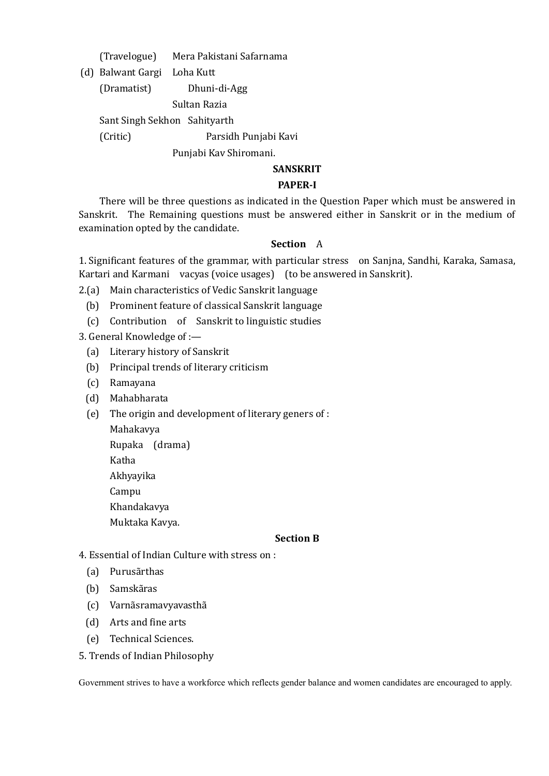(Travelogue) Mera Pakistani Safarnama

(d) Balwant Gargi Loha Kutt

(Dramatist) Dhuni-di-Agg

Sultan Razia

Sant Singh Sekhon Sahityarth

(Critic) Parsidh Punjabi Kavi

Punjabi Kav Shiromani.

# **SANSKRIT**

# **PAPER-I**

There will be three questions as indicated in the Question Paper which must be answered in Sanskrit. The Remaining questions must be answered either in Sanskrit or in the medium of examination opted by the candidate.

# **Section** A

1. Significant features of the grammar, with particular stress on Sanjna, Sandhi, Karaka, Samasa, Kartari and Karmani vacyas (voice usages) (to be answered in Sanskrit).

- 2.(a) Main characteristics of Vedic Sanskrit language
	- (b) Prominent feature of classical Sanskrit language
	- (c) Contribution of Sanskrit to linguistic studies

3. General Knowledge of :—

- (a) Literary history of Sanskrit
- (b) Principal trends of literary criticism
- (c) Ramayana
- (d) Mahabharata
- (e) The origin and development of literary geners of :
	- Mahakavya Rupaka (drama) Katha Akhyayika Campu Khandakavya Muktaka Kavya.

## **Section B**

- 4. Essential of Indian Culture with stress on :
	- (a) Purusãrthas
	- (b) Samskãras
	- (c) Varnãsramavyavasthã
	- (d) Arts and fine arts
	- (e) Technical Sciences.
- 5. Trends of Indian Philosophy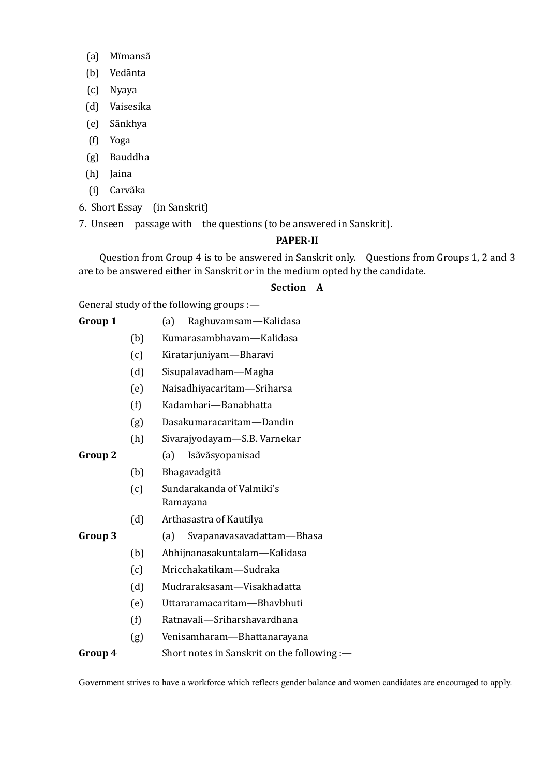- (a) Mïmansã
- (b) Vedãnta
- (c) Nyaya
- (d) Vaisesika
- (e) Sãnkhya
- (f) Yoga
- (g) Bauddha
- (h) Jaina
- (i) Carvãka
- 6. Short Essay (in Sanskrit)
- 7. Unseen passage with the questions (to be answered in Sanskrit).

## **PAPER-II**

Question from Group 4 is to be answered in Sanskrit only. Questions from Groups 1, 2 and 3 are to be answered either in Sanskrit or in the medium opted by the candidate.

# **Section A**

General study of the following groups :—

| Group 1 |  | (a) Raghuvamsam—Kalidasa |  |
|---------|--|--------------------------|--|
|         |  |                          |  |

- (b) Kumarasambhavam—Kalidasa
- (c) Kiratarjuniyam—Bharavi
- (d) Sisupalavadham—Magha
- (e) Naisadhiyacaritam—Sriharsa
- (f) Kadambari—Banabhatta
- (g) Dasakumaracaritam—Dandin
- (h) Sivarajyodayam—S.B. Varnekar
- 
- **Group 2** (a) Isãvãsyopanisad
	- (b) Bhagavadgitã
	- (c) Sundarakanda of Valmiki's Ramayana
	- (d) Arthasastra of Kautilya

- **Group 3** (a) Svapanavasavadattam—Bhasa
	- (b) Abhijnanasakuntalam—Kalidasa
	- (c) Mricchakatikam—Sudraka
	- (d) Mudraraksasam—Visakhadatta
	- (e) Uttararamacaritam—Bhavbhuti
	- (f) Ratnavali—Sriharshavardhana
	- (g) Venisamharam—Bhattanarayana

## **Group 4** Short notes in Sanskrit on the following :—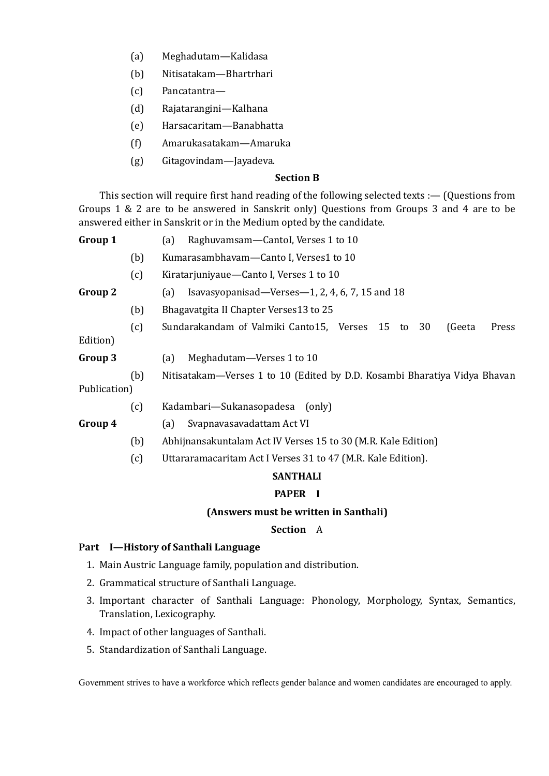- (a) Meghadutam—Kalidasa
- (b) Nitisatakam—Bhartrhari
- (c) Pancatantra—
- (d) Rajatarangini—Kalhana
- (e) Harsacaritam—Banabhatta
- (f) Amarukasatakam—Amaruka
- (g) Gitagovindam—Jayadeva.

## **Section B**

This section will require first hand reading of the following selected texts :— (Questions from Groups 1 & 2 are to be answered in Sanskrit only) Questions from Groups 3 and 4 are to be answered either in Sanskrit or in the Medium opted by the candidate.

| Group 1      |     | Raghuvamsam-Cantol, Verses 1 to 10<br>(a)                                 |  |  |
|--------------|-----|---------------------------------------------------------------------------|--|--|
|              | (b) | Kumarasambhavam-Canto I, Verses1 to 10                                    |  |  |
|              | (c) | Kiratarjuniyaue—Canto I, Verses 1 to 10                                   |  |  |
| Group 2      |     | Isavasyopanisad—Verses—1, 2, 4, 6, 7, 15 and $18$<br>(a)                  |  |  |
|              | (b) | Bhagavatgita II Chapter Verses13 to 25                                    |  |  |
|              | (c) | Sundarakandam of Valmiki Canto15, Verses 15 to 30<br>Press<br>(Geeta      |  |  |
| Edition)     |     |                                                                           |  |  |
| Group 3      |     | Meghadutam-Verses 1 to 10<br>(a)                                          |  |  |
|              | (b) | Nitisatakam—Verses 1 to 10 (Edited by D.D. Kosambi Bharatiya Vidya Bhavan |  |  |
| Publication) |     |                                                                           |  |  |
|              | (c) | Kadambari—Sukanasopadesa<br>(only)                                        |  |  |
| Group 4      |     | Svapnavasavadattam Act VI<br>(a)                                          |  |  |
|              | (b) | Abhijnansakuntalam Act IV Verses 15 to 30 (M.R. Kale Edition)             |  |  |

(c) Uttararamacaritam Act I Verses 31 to 47 (M.R. Kale Edition).

## **SANTHALI**

## **PAPER I**

#### **(Answers must be written in Santhali)**

#### **Section** A

## **Part I—History of Santhali Language**

- 1. Main Austric Language family, population and distribution.
- 2. Grammatical structure of Santhali Language.
- 3. Important character of Santhali Language: Phonology, Morphology, Syntax, Semantics, Translation, Lexicography.
- 4. Impact of other languages of Santhali.
- 5. Standardization of Santhali Language.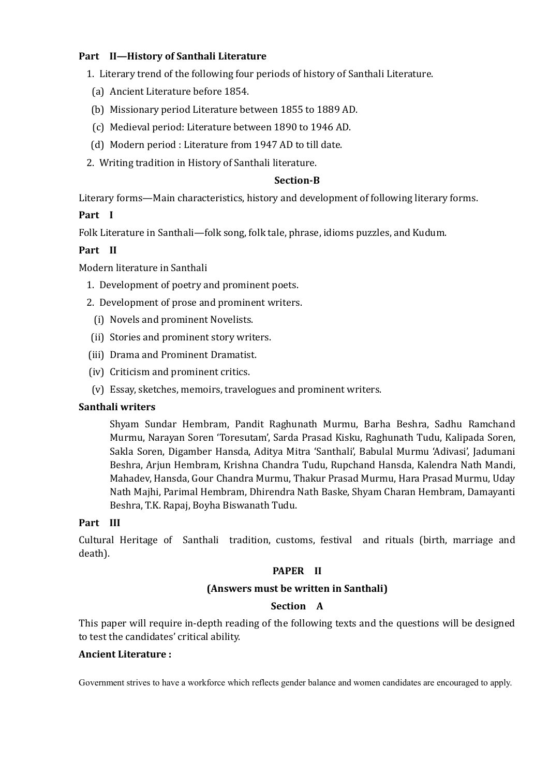# **Part II—History of Santhali Literature**

- 1. Literary trend of the following four periods of history of Santhali Literature.
- (a) Ancient Literature before 1854.
- (b) Missionary period Literature between 1855 to 1889 AD.
- (c) Medieval period: Literature between 1890 to 1946 AD.
- (d) Modern period : Literature from 1947 AD to till date.
- 2. Writing tradition in History of Santhali literature.

#### **Section-B**

Literary forms—Main characteristics, history and development of following literary forms.

## **Part I**

Folk Literature in Santhali—folk song, folk tale, phrase, idioms puzzles, and Kudum.

## **Part II**

Modern literature in Santhali

- 1. Development of poetry and prominent poets.
- 2. Development of prose and prominent writers.
	- (i) Novels and prominent Novelists.
- (ii) Stories and prominent story writers.
- (iii) Drama and Prominent Dramatist.
- (iv) Criticism and prominent critics.
- (v) Essay, sketches, memoirs, travelogues and prominent writers.

## **Santhali writers**

Shyam Sundar Hembram, Pandit Raghunath Murmu, Barha Beshra, Sadhu Ramchand Murmu, Narayan Soren 'Toresutam', Sarda Prasad Kisku, Raghunath Tudu, Kalipada Soren, Sakla Soren, Digamber Hansda, Aditya Mitra 'Santhali', Babulal Murmu 'Adivasi', Jadumani Beshra, Arjun Hembram, Krishna Chandra Tudu, Rupchand Hansda, Kalendra Nath Mandi, Mahadev, Hansda, Gour Chandra Murmu, Thakur Prasad Murmu, Hara Prasad Murmu, Uday Nath Majhi, Parimal Hembram, Dhirendra Nath Baske, Shyam Charan Hembram, Damayanti Beshra, T.K. Rapaj, Boyha Biswanath Tudu.

## **Part III**

Cultural Heritage of Santhali tradition, customs, festival and rituals (birth, marriage and death).

## **PAPER II**

## **(Answers must be written in Santhali)**

## **Section A**

This paper will require in-depth reading of the following texts and the questions will be designed to test the candidates' critical ability.

#### **Ancient Literature :**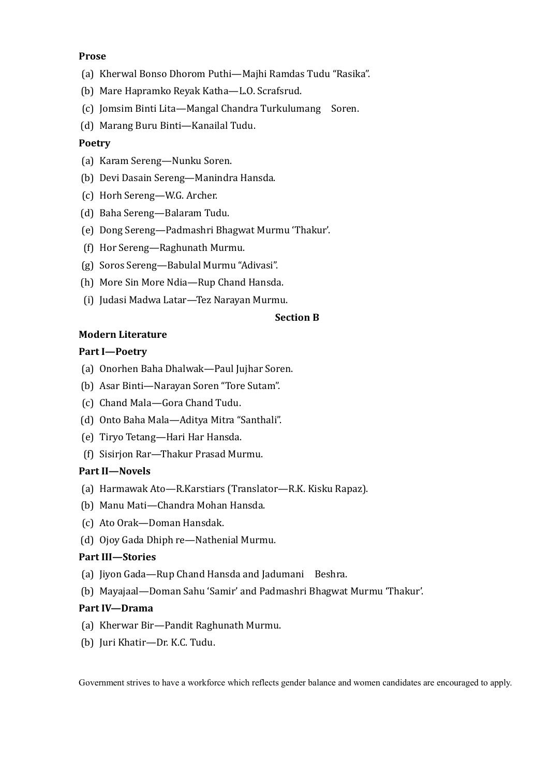## **Prose**

- (a) Kherwal Bonso Dhorom Puthi—Majhi Ramdas Tudu "Rasika".
- (b) Mare Hapramko Reyak Katha—L.O. Scrafsrud.
- (c) Jomsim Binti Lita—Mangal Chandra Turkulumang Soren.
- (d) Marang Buru Binti—Kanailal Tudu.

## **Poetry**

- (a) Karam Sereng—Nunku Soren.
- (b) Devi Dasain Sereng—Manindra Hansda.
- (c) Horh Sereng—W.G. Archer.
- (d) Baha Sereng—Balaram Tudu.
- (e) Dong Sereng—Padmashri Bhagwat Murmu 'Thakur'.
- (f) Hor Sereng—Raghunath Murmu.
- (g) Soros Sereng—Babulal Murmu "Adivasi".
- (h) More Sin More Ndia—Rup Chand Hansda.
- (i) Judasi Madwa Latar—Tez Narayan Murmu.

#### **Section B**

## **Modern Literature**

#### **Part I—Poetry**

- (a) Onorhen Baha Dhalwak—Paul Jujhar Soren.
- (b) Asar Binti—Narayan Soren "Tore Sutam".
- (c) Chand Mala—Gora Chand Tudu.
- (d) Onto Baha Mala—Aditya Mitra "Santhali".
- (e) Tiryo Tetang—Hari Har Hansda.
- (f) Sisirjon Rar—Thakur Prasad Murmu.

## **Part II—Novels**

- (a) Harmawak Ato—R.Karstiars (Translator—R.K. Kisku Rapaz).
- (b) Manu Mati—Chandra Mohan Hansda.
- (c) Ato Orak—Doman Hansdak.
- (d) Ojoy Gada Dhiph re—Nathenial Murmu.

#### **Part III—Stories**

- (a) Jiyon Gada—Rup Chand Hansda and Jadumani Beshra.
- (b) Mayajaal—Doman Sahu 'Samir' and Padmashri Bhagwat Murmu 'Thakur'.

#### **Part IV—Drama**

- (a) Kherwar Bir—Pandit Raghunath Murmu.
- (b) Juri Khatir—Dr. K.C. Tudu.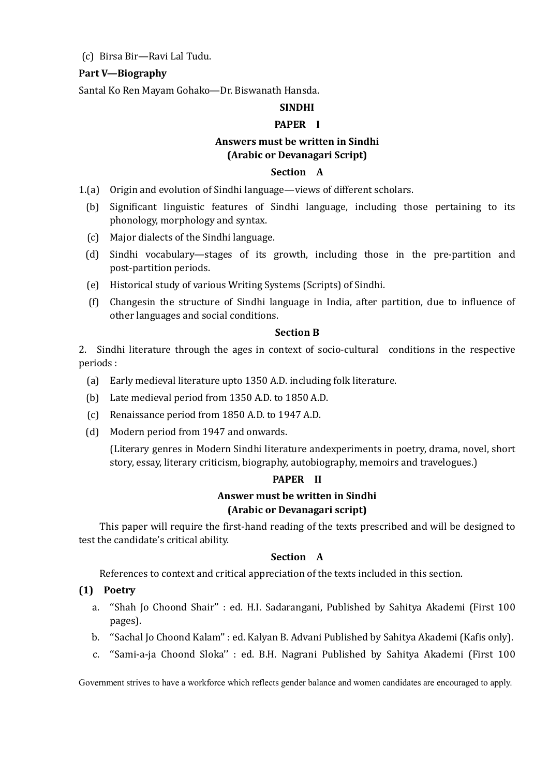## (c) Birsa Bir—Ravi Lal Tudu.

## **Part V—Biography**

Santal Ko Ren Mayam Gohako—Dr. Biswanath Hansda.

## **SINDHI**

## **PAPER I**

# **Answers must be written in Sindhi (Arabic or Devanagari Script)**

## **Section A**

- 1.(a) Origin and evolution of Sindhi language—views of different scholars.
	- (b) Significant linguistic features of Sindhi language, including those pertaining to its phonology, morphology and syntax.
	- (c) Major dialects of the Sindhi language.
	- (d) Sindhi vocabulary—stages of its growth, including those in the pre-partition and post-partition periods.
	- (e) Historical study of various Writing Systems (Scripts) of Sindhi.
	- (f) Changesin the structure of Sindhi language in India, after partition, due to influence of other languages and social conditions.

#### **Section B**

2. Sindhi literature through the ages in context of socio-cultural conditions in the respective periods :

- (a) Early medieval literature upto 1350 A.D. including folk literature.
- (b) Late medieval period from 1350 A.D. to 1850 A.D.
- (c) Renaissance period from 1850 A.D. to 1947 A.D.
- (d) Modern period from 1947 and onwards.

(Literary genres in Modern Sindhi literature andexperiments in poetry, drama, novel, short story, essay, literary criticism, biography, autobiography, memoirs and travelogues.)

#### **PAPER II**

## **Answer must be written in Sindhi (Arabic or Devanagari script)**

This paper will require the first-hand reading of the texts prescribed and will be designed to test the candidate's critical ability.

## **Section A**

References to context and critical appreciation of the texts included in this section.

## **(1) Poetry**

- a. ''Shah Jo Choond Shair'' : ed. H.I. Sadarangani, Published by Sahitya Akademi (First 100 pages).
- b. ''Sachal Jo Choond Kalam'' : ed. Kalyan B. Advani Published by Sahitya Akademi (Kafis only).
- c. ''Sami-a-ja Choond Sloka'' : ed. B.H. Nagrani Published by Sahitya Akademi (First 100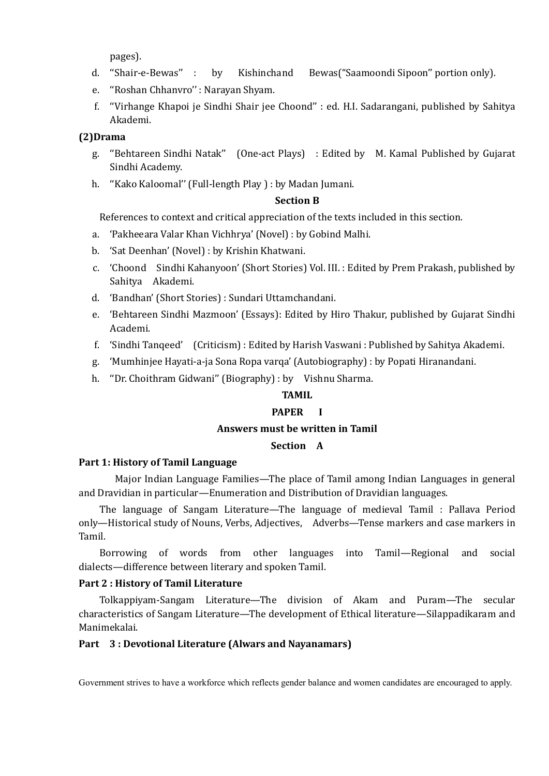pages).

- d. ''Shair-e-Bewas'' : by Kishinchand Bewas("Saamoondi Sipoon'' portion only).
- e. ''Roshan Chhanvro'' : Narayan Shyam.
- f. ''Virhange Khapoi je Sindhi Shair jee Choond'' : ed. H.I. Sadarangani, published by Sahitya Akademi.

## **(2)Drama**

- g. ''Behtareen Sindhi Natak'' (One-act Plays) : Edited by M. Kamal Published by Gujarat Sindhi Academy.
- h. ''Kako Kaloomal'' (Full-length Play ) : by Madan Jumani.

## **Section B**

References to context and critical appreciation of the texts included in this section.

- a. 'Pakheeara Valar Khan Vichhrya' (Novel) : by Gobind Malhi.
- b. 'Sat Deenhan' (Novel) : by Krishin Khatwani.
- c. 'Choond Sindhi Kahanyoon' (Short Stories) Vol. III. : Edited by Prem Prakash, published by Sahitya Akademi.
- d. 'Bandhan' (Short Stories) : Sundari Uttamchandani.
- e. 'Behtareen Sindhi Mazmoon' (Essays): Edited by Hiro Thakur, published by Gujarat Sindhi Academi.
- f. 'Sindhi Tanqeed' (Criticism) : Edited by Harish Vaswani : Published by Sahitya Akademi.
- g. 'Mumhinjee Hayati-a-ja Sona Ropa varqa' (Autobiography) : by Popati Hiranandani.
- h. ''Dr. Choithram Gidwani'' (Biography) : by Vishnu Sharma.

#### **TAMIL**

#### **PAPER I**

#### **Answers must be written in Tamil**

#### **Section A**

#### **Part 1: History of Tamil Language**

Major Indian Language Families—The place of Tamil among Indian Languages in general and Dravidian in particular—Enumeration and Distribution of Dravidian languages.

The language of Sangam Literature—The language of medieval Tamil : Pallava Period only—Historical study of Nouns, Verbs, Adjectives, Adverbs—Tense markers and case markers in Tamil.

Borrowing of words from other languages into Tamil—Regional and social dialects—difference between literary and spoken Tamil.

## **Part 2 : History of Tamil Literature**

Tolkappiyam-Sangam Literature—The division of Akam and Puram—The secular characteristics of Sangam Literature—The development of Ethical literature—Silappadikaram and Manimekalai.

#### **Part 3 : Devotional Literature (Alwars and Nayanamars)**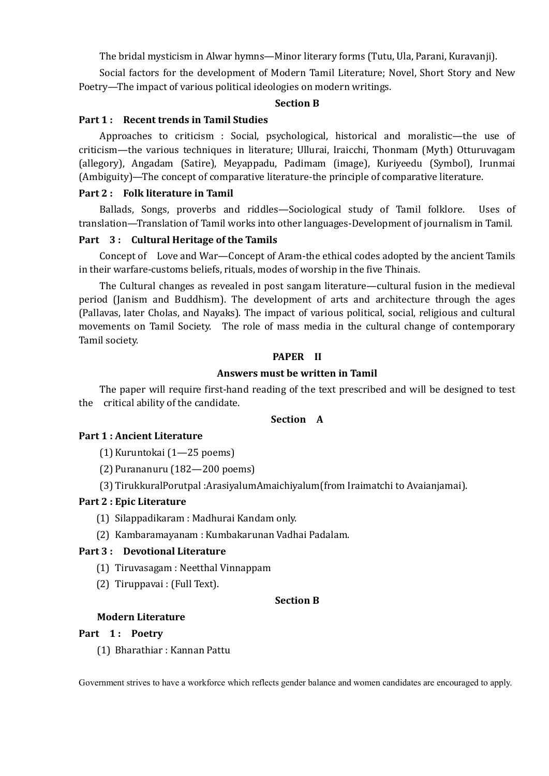The bridal mysticism in Alwar hymns—Minor literary forms (Tutu, Ula, Parani, Kuravanji).

Social factors for the development of Modern Tamil Literature; Novel, Short Story and New Poetry—The impact of various political ideologies on modern writings.

#### **Section B**

#### **Part 1 : Recent trends in Tamil Studies**

Approaches to criticism : Social, psychological, historical and moralistic—the use of criticism—the various techniques in literature; Ullurai, Iraicchi, Thonmam (Myth) Otturuvagam (allegory), Angadam (Satire), Meyappadu, Padimam (image), Kuriyeedu (Symbol), Irunmai (Ambiguity)—The concept of comparative literature-the principle of comparative literature.

#### **Part 2 : Folk literature in Tamil**

Ballads, Songs, proverbs and riddles—Sociological study of Tamil folklore. Uses of translation—Translation of Tamil works into other languages-Development of journalism in Tamil.

#### **Part 3 : Cultural Heritage of the Tamils**

Concept of Love and War—Concept of Aram-the ethical codes adopted by the ancient Tamils in their warfare-customs beliefs, rituals, modes of worship in the five Thinais.

The Cultural changes as revealed in post sangam literature—cultural fusion in the medieval period (Janism and Buddhism). The development of arts and architecture through the ages (Pallavas, later Cholas, and Nayaks). The impact of various political, social, religious and cultural movements on Tamil Society. The role of mass media in the cultural change of contemporary Tamil society.

#### **PAPER II**

#### **Answers must be written in Tamil**

The paper will require first-hand reading of the text prescribed and will be designed to test the critical ability of the candidate.

## **Section A**

#### **Part 1 : Ancient Literature**

(1) Kuruntokai (1—25 poems)

(2) Purananuru (182—200 poems)

(3) TirukkuralPorutpal :ArasiyalumAmaichiyalum(from Iraimatchi to Avaianjamai).

#### **Part 2 : Epic Literature**

- (1) Silappadikaram : Madhurai Kandam only.
- (2) Kambaramayanam : Kumbakarunan Vadhai Padalam.

#### **Part 3 : Devotional Literature**

(1) Tiruvasagam : Neetthal Vinnappam

(2) Tiruppavai : (Full Text).

#### **Section B**

#### **Modern Literature**

#### Part 1: Poetry

(1) Bharathiar : Kannan Pattu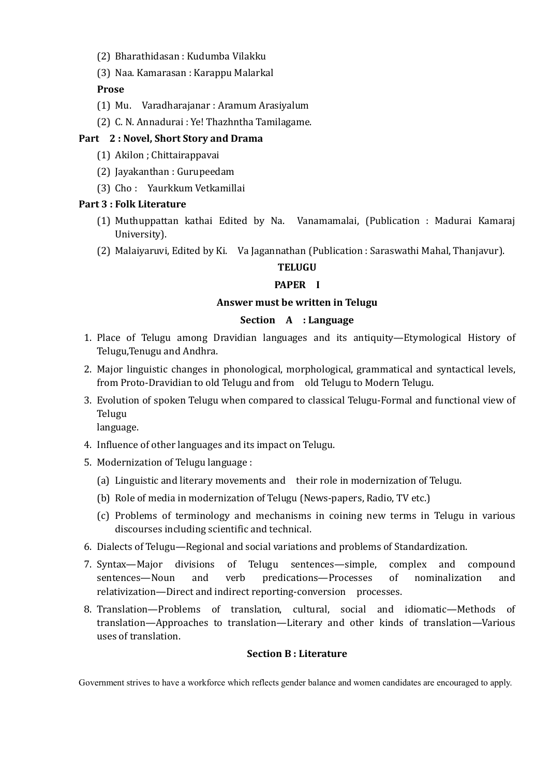- (2) Bharathidasan : Kudumba Vilakku
- (3) Naa. Kamarasan : Karappu Malarkal

## **Prose**

- (1) Mu. Varadharajanar : Aramum Arasiyalum
- (2) C. N. Annadurai : Ye! Thazhntha Tamilagame.

# **Part 2 : Novel, Short Story and Drama**

- (1) Akilon ; Chittairappavai
- (2) Jayakanthan : Gurupeedam
- (3) Cho : Yaurkkum Vetkamillai

## **Part 3 : Folk Literature**

- (1) Muthuppattan kathai Edited by Na. Vanamamalai, (Publication : Madurai Kamaraj University).
- (2) Malaiyaruvi, Edited by Ki. Va Jagannathan (Publication : Saraswathi Mahal, Thanjavur).

# **TELUGU**

# **PAPER I**

## **Answer must be written in Telugu**

## **Section A : Language**

- 1. Place of Telugu among Dravidian languages and its antiquity—Etymological History of Telugu,Tenugu and Andhra.
- 2. Major linguistic changes in phonological, morphological, grammatical and syntactical levels, from Proto-Dravidian to old Telugu and from old Telugu to Modern Telugu.
- 3. Evolution of spoken Telugu when compared to classical Telugu-Formal and functional view of Telugu

language.

- 4. Influence of other languages and its impact on Telugu.
- 5. Modernization of Telugu language :
	- (a) Linguistic and literary movements and their role in modernization of Telugu.
	- (b) Role of media in modernization of Telugu (News-papers, Radio, TV etc.)
	- (c) Problems of terminology and mechanisms in coining new terms in Telugu in various discourses including scientific and technical.
- 6. Dialects of Telugu—Regional and social variations and problems of Standardization.
- 7. Syntax—Major divisions of Telugu sentences—simple, complex and compound sentences—Noun and verb predications—Processes of nominalization and relativization—Direct and indirect reporting-conversion processes.
- 8. Translation—Problems of translation, cultural, social and idiomatic—Methods of translation—Approaches to translation—Literary and other kinds of translation—Various uses of translation.

## **Section B : Literature**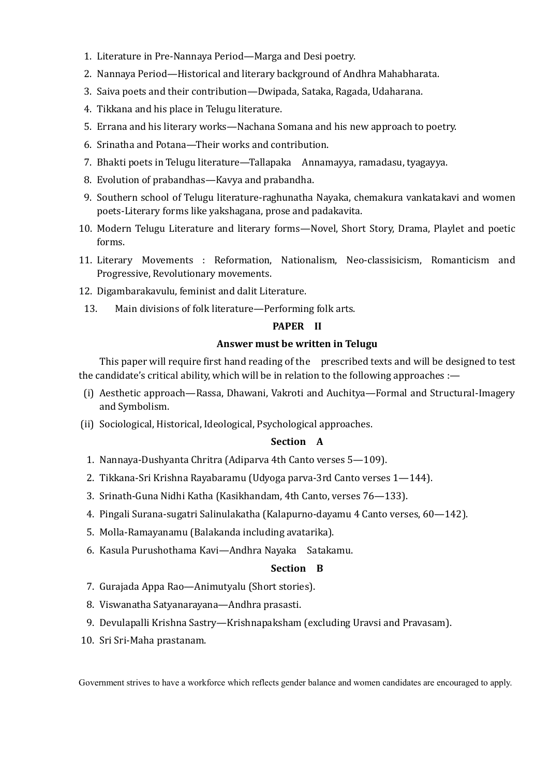- 1. Literature in Pre-Nannaya Period—Marga and Desi poetry.
- 2. Nannaya Period—Historical and literary background of Andhra Mahabharata.
- 3. Saiva poets and their contribution—Dwipada, Sataka, Ragada, Udaharana.
- 4. Tikkana and his place in Telugu literature.
- 5. Errana and his literary works—Nachana Somana and his new approach to poetry.
- 6. Srinatha and Potana—Their works and contribution.
- 7. Bhakti poets in Telugu literature—Tallapaka Annamayya, ramadasu, tyagayya.
- 8. Evolution of prabandhas—Kavya and prabandha.
- 9. Southern school of Telugu literature-raghunatha Nayaka, chemakura vankatakavi and women poets-Literary forms like yakshagana, prose and padakavita.
- 10. Modern Telugu Literature and literary forms—Novel, Short Story, Drama, Playlet and poetic forms.
- 11. Literary Movements : Reformation, Nationalism, Neo-classisicism, Romanticism and Progressive, Revolutionary movements.
- 12. Digambarakavulu, feminist and dalit Literature.
- 13. Main divisions of folk literature—Performing folk arts.

#### **PAPER II**

#### **Answer must be written in Telugu**

This paper will require first hand reading of the prescribed texts and will be designed to test the candidate's critical ability, which will be in relation to the following approaches :—

- (i) Aesthetic approach—Rassa, Dhawani, Vakroti and Auchitya—Formal and Structural-Imagery and Symbolism.
- (ii) Sociological, Historical, Ideological, Psychological approaches.

## **Section A**

- 1. Nannaya-Dushyanta Chritra (Adiparva 4th Canto verses 5—109).
- 2. Tikkana-Sri Krishna Rayabaramu (Udyoga parva-3rd Canto verses 1—144).
- 3. Srinath-Guna Nidhi Katha (Kasikhandam, 4th Canto, verses 76—133).
- 4. Pingali Surana-sugatri Salinulakatha (Kalapurno-dayamu 4 Canto verses, 60—142).
- 5. Molla-Ramayanamu (Balakanda including avatarika).
- 6. Kasula Purushothama Kavi—Andhra Nayaka Satakamu.

#### **Section B**

- 7. Gurajada Appa Rao—Animutyalu (Short stories).
- 8. Viswanatha Satyanarayana—Andhra prasasti.
- 9. Devulapalli Krishna Sastry—Krishnapaksham (excluding Uravsi and Pravasam).
- 10. Sri Sri-Maha prastanam.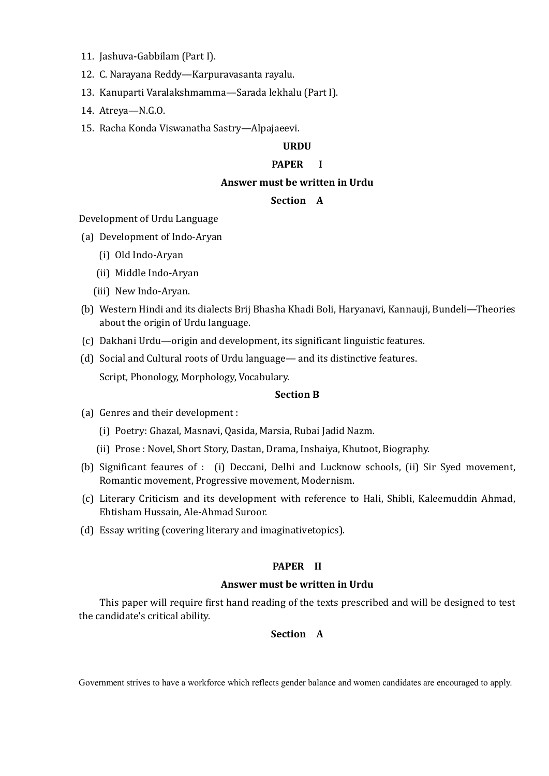- 11. Jashuva-Gabbilam (Part I).
- 12. C. Narayana Reddy—Karpuravasanta rayalu.
- 13. Kanuparti Varalakshmamma—Sarada lekhalu (Part I).
- 14. Atreya—N.G.O.
- 15. Racha Konda Viswanatha Sastry—Alpajaeevi.

# **URDU**

#### **PAPER I**

#### **Answer must be written in Urdu**

#### **Section A**

Development of Urdu Language

- (a) Development of Indo-Aryan
	- (i) Old Indo-Aryan
	- (ii) Middle Indo-Aryan
	- (iii) New Indo-Aryan.
- (b) Western Hindi and its dialects Brij Bhasha Khadi Boli, Haryanavi, Kannauji, Bundeli—Theories about the origin of Urdu language.
- (c) Dakhani Urdu—origin and development, its significant linguistic features.
- (d) Social and Cultural roots of Urdu language— and its distinctive features. Script, Phonology, Morphology, Vocabulary.

#### **Section B**

- (a) Genres and their development :
	- (i) Poetry: Ghazal, Masnavi, Qasida, Marsia, Rubai Jadid Nazm.
	- (ii) Prose : Novel, Short Story, Dastan, Drama, Inshaiya, Khutoot, Biography.
- (b) Significant feaures of : (i) Deccani, Delhi and Lucknow schools, (ii) Sir Syed movement, Romantic movement, Progressive movement, Modernism.
- (c) Literary Criticism and its development with reference to Hali, Shibli, Kaleemuddin Ahmad, Ehtisham Hussain, Ale-Ahmad Suroor.
- (d) Essay writing (covering literary and imaginativetopics).

#### **PAPER II**

#### **Answer must be written in Urdu**

This paper will require first hand reading of the texts prescribed and will be designed to test the candidate's critical ability.

#### **Section A**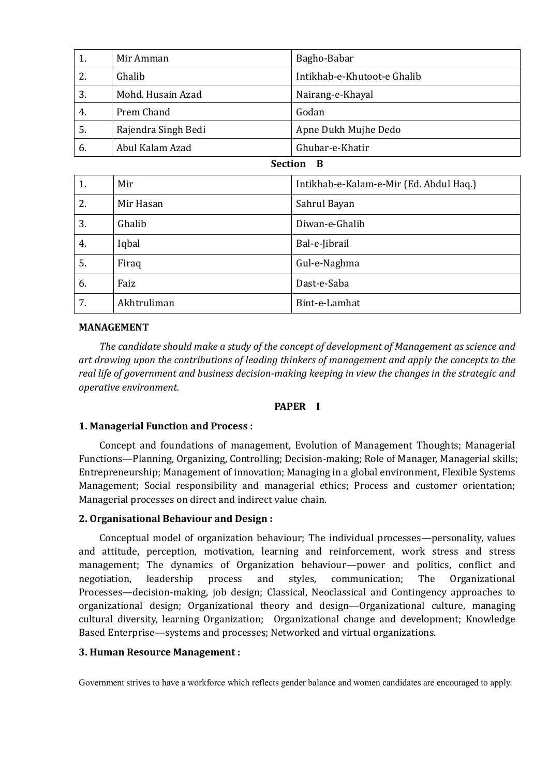| 1. | Mir Amman           | Bagho-Babar                 |
|----|---------------------|-----------------------------|
| 2. | Ghalib              | Intikhab-e-Khutoot-e Ghalib |
| 3. | Mohd. Husain Azad   | Nairang-e-Khayal            |
| 4. | Prem Chand          | Godan                       |
| 5. | Rajendra Singh Bedi | Apne Dukh Mujhe Dedo        |
| 6. | Abul Kalam Azad     | Ghubar-e-Khatir             |

## **Section B**

| 1. | Mir         | Intikhab-e-Kalam-e-Mir (Ed. Abdul Haq.) |
|----|-------------|-----------------------------------------|
| 2. | Mir Hasan   | Sahrul Bayan                            |
| 3. | Ghalib      | Diwan-e-Ghalib                          |
| 4. | Iqbal       | Bal-e-Jibrail                           |
| 5. | Firaq       | Gul-e-Naghma                            |
| 6. | Faiz        | Dast-e-Saba                             |
| 7. | Akhtruliman | Bint-e-Lamhat                           |

## **MANAGEMENT**

*The candidate should make a study of the concept of development of Management as science and art drawing upon the contributions of leading thinkers of management and apply the concepts to the real life of government and business decision-making keeping in view the changes in the strategic and operative environment.* 

#### **PAPER I**

## **1. Managerial Function and Process :**

Concept and foundations of management, Evolution of Management Thoughts; Managerial Functions—Planning, Organizing, Controlling; Decision-making; Role of Manager, Managerial skills; Entrepreneurship; Management of innovation; Managing in a global environment, Flexible Systems Management; Social responsibility and managerial ethics; Process and customer orientation; Managerial processes on direct and indirect value chain.

## **2. Organisational Behaviour and Design :**

Conceptual model of organization behaviour; The individual processes—personality, values and attitude, perception, motivation, learning and reinforcement, work stress and stress management; The dynamics of Organization behaviour—power and politics, conflict and negotiation, leadership process and styles, communication; The Organizational Processes—decision-making, job design; Classical, Neoclassical and Contingency approaches to organizational design; Organizational theory and design—Organizational culture, managing cultural diversity, learning Organization; Organizational change and development; Knowledge Based Enterprise—systems and processes; Networked and virtual organizations.

#### **3. Human Resource Management :**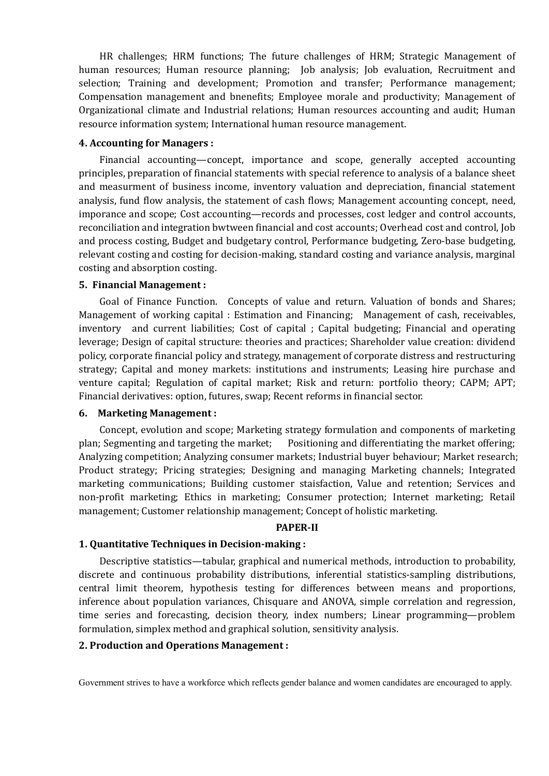HR challenges; HRM functions; The future challenges of HRM; Strategic Management of human resources; Human resource planning; Job analysis; Job evaluation, Recruitment and selection; Training and development; Promotion and transfer; Performance management; Compensation management and bnenefits; Employee morale and productivity; Management of Organizational climate and Industrial relations; Human resources accounting and audit; Human resource information system; International human resource management.

#### **4. Accounting for Managers :**

Financial accounting—concept, importance and scope, generally accepted accounting principles, preparation of financial statements with special reference to analysis of a balance sheet and measurment of business income, inventory valuation and depreciation, financial statement analysis, fund flow analysis, the statement of cash flows; Management accounting concept, need, imporance and scope; Cost accounting—records and processes, cost ledger and control accounts, reconciliation and integration bwtween financial and cost accounts; Overhead cost and control, Job and process costing, Budget and budgetary control, Performance budgeting, Zero-base budgeting, relevant costing and costing for decision-making, standard costing and variance analysis, marginal costing and absorption costing.

#### **5. Financial Management :**

Goal of Finance Function. Concepts of value and return. Valuation of bonds and Shares; Management of working capital : Estimation and Financing; Management of cash, receivables, inventory and current liabilities; Cost of capital ; Capital budgeting; Financial and operating leverage; Design of capital structure: theories and practices; Shareholder value creation: dividend policy, corporate financial policy and strategy, management of corporate distress and restructuring strategy; Capital and money markets: institutions and instruments; Leasing hire purchase and venture capital; Regulation of capital market; Risk and return: portfolio theory; CAPM; APT; Financial derivatives: option, futures, swap; Recent reforms in financial sector.

#### **6. Marketing Management :**

Concept, evolution and scope; Marketing strategy formulation and components of marketing plan; Segmenting and targeting the market; Positioning and differentiating the market offering; Analyzing competition; Analyzing consumer markets; Industrial buyer behaviour; Market research; Product strategy; Pricing strategies; Designing and managing Marketing channels; Integrated marketing communications; Building customer staisfaction, Value and retention; Services and non-profit marketing; Ethics in marketing; Consumer protection; Internet marketing; Retail management; Customer relationship management; Concept of holistic marketing.

#### **PAPER-II**

## **1. Quantitative Techniques in Decision-making :**

Descriptive statistics—tabular, graphical and numerical methods, introduction to probability, discrete and continuous probability distributions, inferential statistics-sampling distributions, central limit theorem, hypothesis testing for differences between means and proportions, inference about population variances, Chisquare and ANOVA, simple correlation and regression, time series and forecasting, decision theory, index numbers; Linear programming—problem formulation, simplex method and graphical solution, sensitivity analysis.

#### **2. Production and Operations Management :**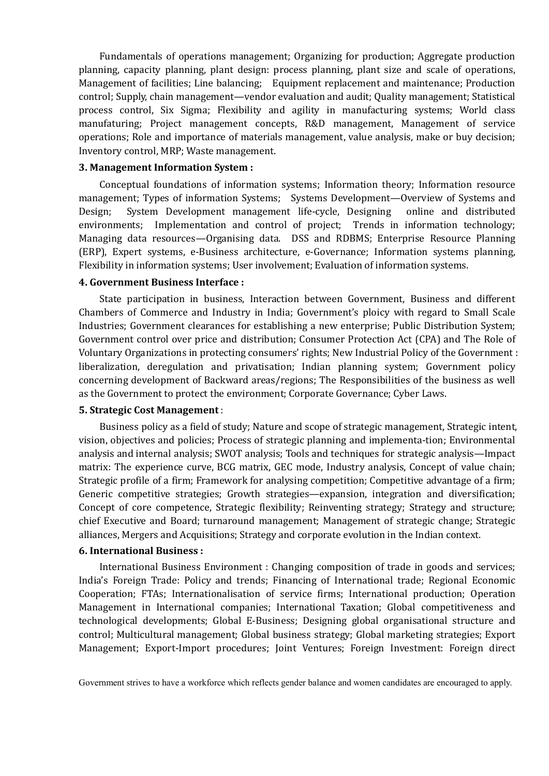Fundamentals of operations management; Organizing for production; Aggregate production planning, capacity planning, plant design: process planning, plant size and scale of operations, Management of facilities; Line balancing; Equipment replacement and maintenance; Production control; Supply, chain management—vendor evaluation and audit; Quality management; Statistical process control, Six Sigma; Flexibility and agility in manufacturing systems; World class manufaturing; Project management concepts, R&D management, Management of service operations; Role and importance of materials management, value analysis, make or buy decision; Inventory control, MRP; Waste management.

#### **3. Management Information System :**

Conceptual foundations of information systems; Information theory; Information resource management; Types of information Systems; Systems Development—Overview of Systems and Design; System Development management life-cycle, Designing online and distributed environments; Implementation and control of project; Trends in information technology; Managing data resources—Organising data. DSS and RDBMS; Enterprise Resource Planning (ERP), Expert systems, e-Business architecture, e-Governance; Information systems planning, Flexibility in information systems; User involvement; Evaluation of information systems.

#### **4. Government Business Interface :**

State participation in business, Interaction between Government, Business and different Chambers of Commerce and Industry in India; Government's ploicy with regard to Small Scale Industries; Government clearances for establishing a new enterprise; Public Distribution System; Government control over price and distribution; Consumer Protection Act (CPA) and The Role of Voluntary Organizations in protecting consumers' rights; New Industrial Policy of the Government : liberalization, deregulation and privatisation; Indian planning system; Government policy concerning development of Backward areas/regions; The Responsibilities of the business as well as the Government to protect the environment; Corporate Governance; Cyber Laws.

#### **5. Strategic Cost Management** :

Business policy as a field of study; Nature and scope of strategic management, Strategic intent, vision, objectives and policies; Process of strategic planning and implementa-tion; Environmental analysis and internal analysis; SWOT analysis; Tools and techniques for strategic analysis—Impact matrix: The experience curve, BCG matrix, GEC mode, Industry analysis, Concept of value chain; Strategic profile of a firm; Framework for analysing competition; Competitive advantage of a firm; Generic competitive strategies; Growth strategies—expansion, integration and diversification; Concept of core competence, Strategic flexibility; Reinventing strategy; Strategy and structure; chief Executive and Board; turnaround management; Management of strategic change; Strategic alliances, Mergers and Acquisitions; Strategy and corporate evolution in the Indian context.

## **6. International Business :**

International Business Environment : Changing composition of trade in goods and services; India's Foreign Trade: Policy and trends; Financing of International trade; Regional Economic Cooperation; FTAs; Internationalisation of service firms; International production; Operation Management in International companies; International Taxation; Global competitiveness and technological developments; Global E-Business; Designing global organisational structure and control; Multicultural management; Global business strategy; Global marketing strategies; Export Management; Export-Import procedures; Joint Ventures; Foreign Investment: Foreign direct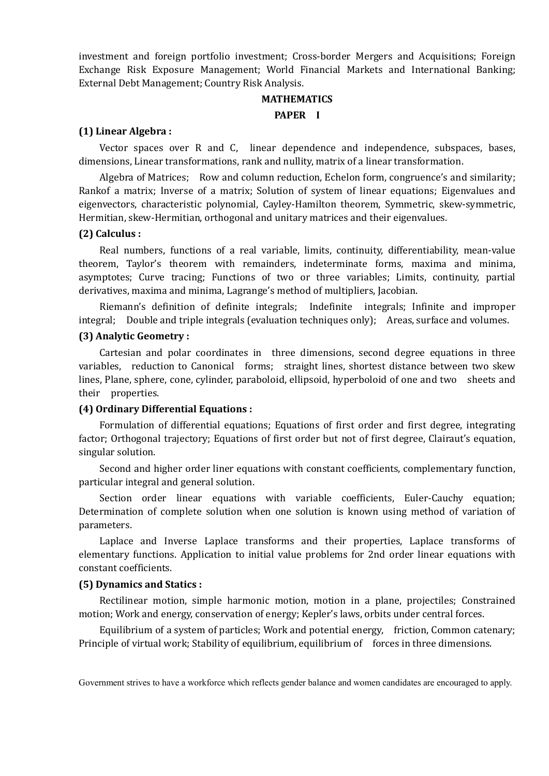investment and foreign portfolio investment; Cross-border Mergers and Acquisitions; Foreign Exchange Risk Exposure Management; World Financial Markets and International Banking; External Debt Management; Country Risk Analysis.

## **MATHEMATICS**

## **PAPER I**

## **(1) Linear Algebra :**

Vector spaces over R and C, linear dependence and independence, subspaces, bases, dimensions, Linear transformations, rank and nullity, matrix of a linear transformation.

Algebra of Matrices; Row and column reduction, Echelon form, congruence's and similarity; Rankof a matrix; Inverse of a matrix; Solution of system of linear equations; Eigenvalues and eigenvectors, characteristic polynomial, Cayley-Hamilton theorem, Symmetric, skew-symmetric, Hermitian, skew-Hermitian, orthogonal and unitary matrices and their eigenvalues.

#### **(2) Calculus :**

Real numbers, functions of a real variable, limits, continuity, differentiability, mean-value theorem, Taylor's theorem with remainders, indeterminate forms, maxima and minima, asymptotes; Curve tracing; Functions of two or three variables; Limits, continuity, partial derivatives, maxima and minima, Lagrange's method of multipliers, Jacobian.

Riemann's definition of definite integrals; Indefinite integrals; Infinite and improper integral; Double and triple integrals (evaluation techniques only); Areas, surface and volumes.

## **(3) Analytic Geometry :**

Cartesian and polar coordinates in three dimensions, second degree equations in three variables, reduction to Canonical forms; straight lines, shortest distance between two skew lines, Plane, sphere, cone, cylinder, paraboloid, ellipsoid, hyperboloid of one and two sheets and their properties.

## **(4) Ordinary Differential Equations :**

Formulation of differential equations; Equations of first order and first degree, integrating factor; Orthogonal trajectory; Equations of first order but not of first degree, Clairaut's equation, singular solution.

Second and higher order liner equations with constant coefficients, complementary function, particular integral and general solution.

Section order linear equations with variable coefficients, Euler-Cauchy equation; Determination of complete solution when one solution is known using method of variation of parameters.

Laplace and Inverse Laplace transforms and their properties, Laplace transforms of elementary functions. Application to initial value problems for 2nd order linear equations with constant coefficients.

#### **(5) Dynamics and Statics :**

Rectilinear motion, simple harmonic motion, motion in a plane, projectiles; Constrained motion; Work and energy, conservation of energy; Kepler's laws, orbits under central forces.

Equilibrium of a system of particles; Work and potential energy, friction, Common catenary; Principle of virtual work; Stability of equilibrium, equilibrium of forces in three dimensions.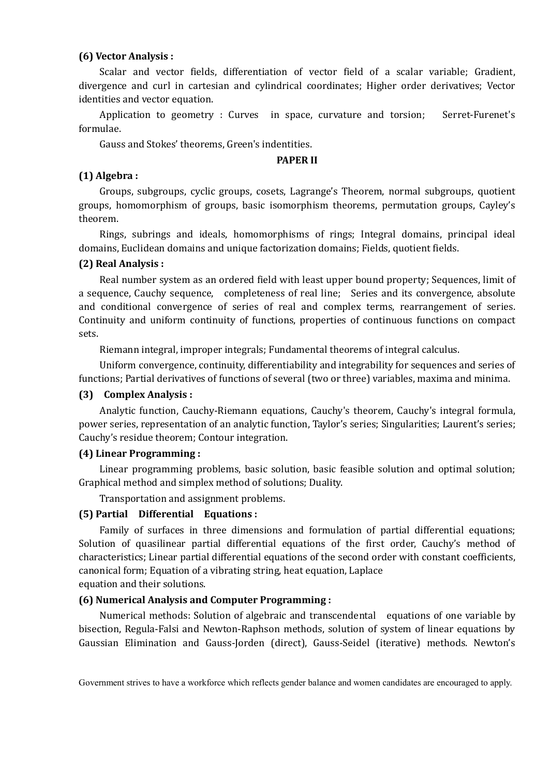#### **(6) Vector Analysis :**

Scalar and vector fields, differentiation of vector field of a scalar variable; Gradient, divergence and curl in cartesian and cylindrical coordinates; Higher order derivatives; Vector identities and vector equation.

Application to geometry : Curves in space, curvature and torsion; Serret-Furenet's formulae.

Gauss and Stokes' theorems, Green's indentities.

#### **PAPER II**

## **(1) Algebra :**

Groups, subgroups, cyclic groups, cosets, Lagrange's Theorem, normal subgroups, quotient groups, homomorphism of groups, basic isomorphism theorems, permutation groups, Cayley's theorem.

Rings, subrings and ideals, homomorphisms of rings; Integral domains, principal ideal domains, Euclidean domains and unique factorization domains; Fields, quotient fields.

#### **(2) Real Analysis :**

Real number system as an ordered field with least upper bound property; Sequences, limit of a sequence, Cauchy sequence, completeness of real line; Series and its convergence, absolute and conditional convergence of series of real and complex terms, rearrangement of series. Continuity and uniform continuity of functions, properties of continuous functions on compact sets.

Riemann integral, improper integrals; Fundamental theorems of integral calculus.

Uniform convergence, continuity, differentiability and integrability for sequences and series of functions; Partial derivatives of functions of several (two or three) variables, maxima and minima.

#### **(3) Complex Analysis :**

Analytic function, Cauchy-Riemann equations, Cauchy's theorem, Cauchy's integral formula, power series, representation of an analytic function, Taylor's series; Singularities; Laurent's series; Cauchy's residue theorem; Contour integration.

#### **(4) Linear Programming :**

Linear programming problems, basic solution, basic feasible solution and optimal solution; Graphical method and simplex method of solutions; Duality.

Transportation and assignment problems.

#### **(5) Partial Differential Equations :**

Family of surfaces in three dimensions and formulation of partial differential equations; Solution of quasilinear partial differential equations of the first order, Cauchy's method of characteristics; Linear partial differential equations of the second order with constant coefficients, canonical form; Equation of a vibrating string, heat equation, Laplace equation and their solutions.

#### **(6) Numerical Analysis and Computer Programming :**

Numerical methods: Solution of algebraic and transcendental equations of one variable by bisection, Regula-Falsi and Newton-Raphson methods, solution of system of linear equations by Gaussian Elimination and Gauss-Jorden (direct), Gauss-Seidel (iterative) methods. Newton's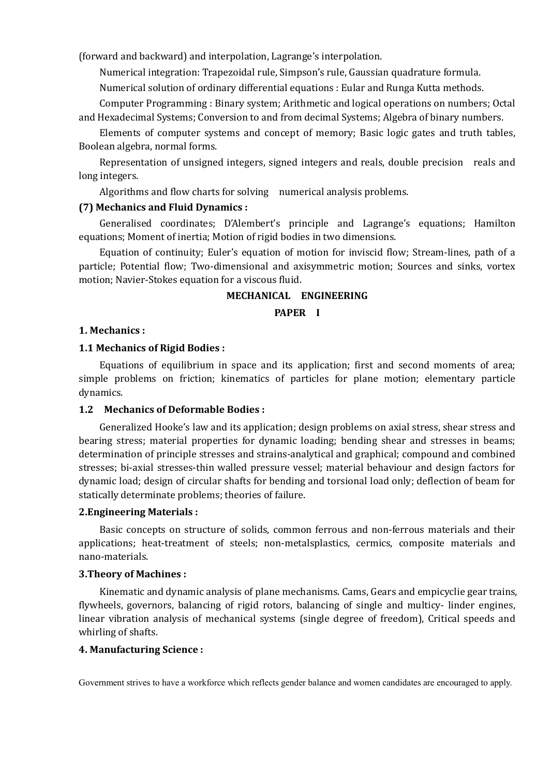(forward and backward) and interpolation, Lagrange's interpolation.

Numerical integration: Trapezoidal rule, Simpson's rule, Gaussian quadrature formula.

Numerical solution of ordinary differential equations : Eular and Runga Kutta methods.

Computer Programming : Binary system; Arithmetic and logical operations on numbers; Octal and Hexadecimal Systems; Conversion to and from decimal Systems; Algebra of binary numbers.

Elements of computer systems and concept of memory; Basic logic gates and truth tables, Boolean algebra, normal forms.

Representation of unsigned integers, signed integers and reals, double precision reals and long integers.

Algorithms and flow charts for solving numerical analysis problems.

## **(7) Mechanics and Fluid Dynamics :**

Generalised coordinates; D'Alembert's principle and Lagrange's equations; Hamilton equations; Moment of inertia; Motion of rigid bodies in two dimensions.

Equation of continuity; Euler's equation of motion for inviscid flow; Stream-lines, path of a particle; Potential flow; Two-dimensional and axisymmetric motion; Sources and sinks, vortex motion; Navier-Stokes equation for a viscous fluid.

#### **MECHANICAL ENGINEERING**

#### **PAPER I**

#### **1. Mechanics :**

#### **1.1 Mechanics of Rigid Bodies :**

Equations of equilibrium in space and its application; first and second moments of area; simple problems on friction; kinematics of particles for plane motion; elementary particle dynamics.

#### **1.2 Mechanics of Deformable Bodies :**

Generalized Hooke's law and its application; design problems on axial stress, shear stress and bearing stress; material properties for dynamic loading; bending shear and stresses in beams; determination of principle stresses and strains-analytical and graphical; compound and combined stresses; bi-axial stresses-thin walled pressure vessel; material behaviour and design factors for dynamic load; design of circular shafts for bending and torsional load only; deflection of beam for statically determinate problems; theories of failure.

#### **2.Engineering Materials :**

Basic concepts on structure of solids, common ferrous and non-ferrous materials and their applications; heat-treatment of steels; non-metalsplastics, cermics, composite materials and nano-materials.

#### **3.Theory of Machines :**

Kinematic and dynamic analysis of plane mechanisms. Cams, Gears and empicyclie gear trains, flywheels, governors, balancing of rigid rotors, balancing of single and multicy- linder engines, linear vibration analysis of mechanical systems (single degree of freedom), Critical speeds and whirling of shafts.

## **4. Manufacturing Science :**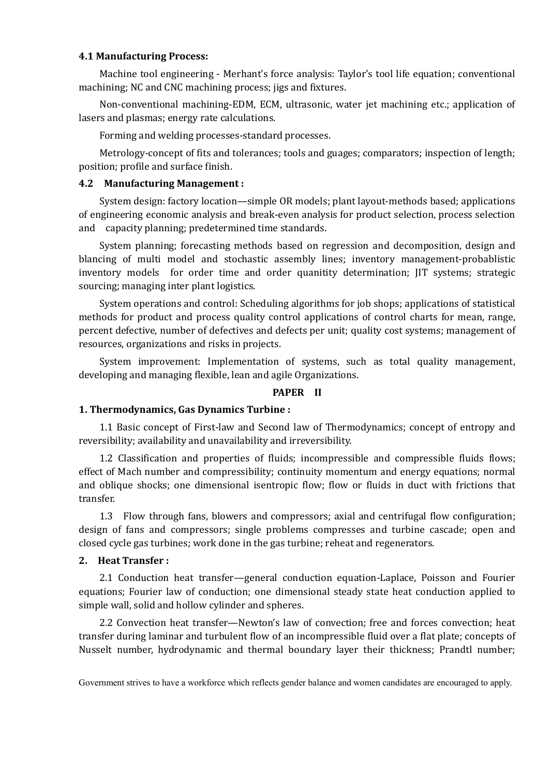#### **4.1 Manufacturing Process:**

Machine tool engineering - Merhant's force analysis: Taylor's tool life equation; conventional machining; NC and CNC machining process; jigs and fixtures.

Non-conventional machining-EDM, ECM, ultrasonic, water jet machining etc.; application of lasers and plasmas; energy rate calculations.

Forming and welding processes-standard processes.

Metrology-concept of fits and tolerances; tools and guages; comparators; inspection of length; position; profile and surface finish.

## **4.2 Manufacturing Management :**

System design: factory location—simple OR models; plant layout-methods based; applications of engineering economic analysis and break-even analysis for product selection, process selection and capacity planning; predetermined time standards.

System planning; forecasting methods based on regression and decomposition, design and blancing of multi model and stochastic assembly lines; inventory management-probablistic inventory models for order time and order quanitity determination; JIT systems; strategic sourcing; managing inter plant logistics.

System operations and control: Scheduling algorithms for job shops; applications of statistical methods for product and process quality control applications of control charts for mean, range, percent defective, number of defectives and defects per unit; quality cost systems; management of resources, organizations and risks in projects.

System improvement: Implementation of systems, such as total quality management, developing and managing flexible, lean and agile Organizations.

## **PAPER II**

## **1. Thermodynamics, Gas Dynamics Turbine :**

1.1 Basic concept of First-law and Second law of Thermodynamics; concept of entropy and reversibility; availability and unavailability and irreversibility.

1.2 Classification and properties of fluids; incompressible and compressible fluids flows; effect of Mach number and compressibility; continuity momentum and energy equations; normal and oblique shocks; one dimensional isentropic flow; flow or fluids in duct with frictions that transfer.

1.3 Flow through fans, blowers and compressors; axial and centrifugal flow configuration; design of fans and compressors; single problems compresses and turbine cascade; open and closed cycle gas turbines; work done in the gas turbine; reheat and regenerators.

#### **2. Heat Transfer :**

2.1 Conduction heat transfer—general conduction equation-Laplace, Poisson and Fourier equations; Fourier law of conduction; one dimensional steady state heat conduction applied to simple wall, solid and hollow cylinder and spheres.

2.2 Convection heat transfer—Newton's law of convection; free and forces convection; heat transfer during laminar and turbulent flow of an incompressible fluid over a flat plate; concepts of Nusselt number, hydrodynamic and thermal boundary layer their thickness; Prandtl number;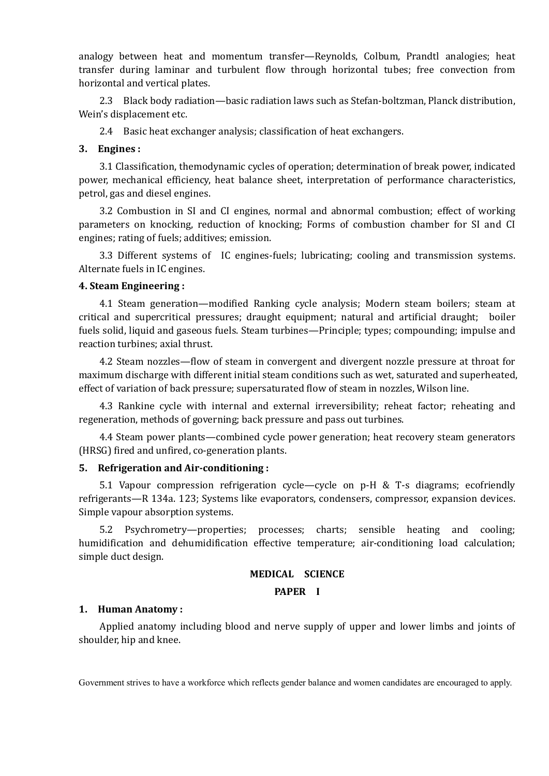analogy between heat and momentum transfer—Reynolds, Colbum, Prandtl analogies; heat transfer during laminar and turbulent flow through horizontal tubes; free convection from horizontal and vertical plates.

2.3 Black body radiation—basic radiation laws such as Stefan-boltzman, Planck distribution, Wein's displacement etc.

2.4 Basic heat exchanger analysis; classification of heat exchangers.

#### **3. Engines :**

3.1 Classification, themodynamic cycles of operation; determination of break power, indicated power, mechanical efficiency, heat balance sheet, interpretation of performance characteristics, petrol, gas and diesel engines.

3.2 Combustion in SI and CI engines, normal and abnormal combustion; effect of working parameters on knocking, reduction of knocking; Forms of combustion chamber for SI and CI engines; rating of fuels; additives; emission.

3.3 Different systems of IC engines-fuels; lubricating; cooling and transmission systems. Alternate fuels in IC engines.

#### **4. Steam Engineering :**

4.1 Steam generation—modified Ranking cycle analysis; Modern steam boilers; steam at critical and supercritical pressures; draught equipment; natural and artificial draught; boiler fuels solid, liquid and gaseous fuels. Steam turbines—Principle; types; compounding; impulse and reaction turbines; axial thrust.

4.2 Steam nozzles—flow of steam in convergent and divergent nozzle pressure at throat for maximum discharge with different initial steam conditions such as wet, saturated and superheated, effect of variation of back pressure; supersaturated flow of steam in nozzles, Wilson line.

4.3 Rankine cycle with internal and external irreversibility; reheat factor; reheating and regeneration, methods of governing; back pressure and pass out turbines.

4.4 Steam power plants—combined cycle power generation; heat recovery steam generators (HRSG) fired and unfired, co-generation plants.

## **5. Refrigeration and Air-conditioning :**

5.1 Vapour compression refrigeration cycle—cycle on p-H & T-s diagrams; ecofriendly refrigerants—R 134a. 123; Systems like evaporators, condensers, compressor, expansion devices. Simple vapour absorption systems.

5.2 Psychrometry—properties; processes; charts; sensible heating and cooling; humidification and dehumidification effective temperature; air-conditioning load calculation; simple duct design.

## **MEDICAL SCIENCE**

#### **PAPER I**

## **1. Human Anatomy :**

Applied anatomy including blood and nerve supply of upper and lower limbs and joints of shoulder, hip and knee.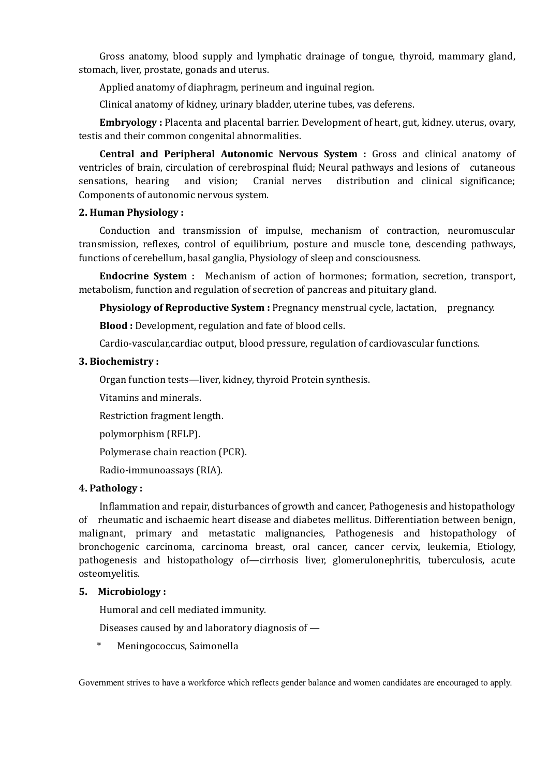Gross anatomy, blood supply and lymphatic drainage of tongue, thyroid, mammary gland, stomach, liver, prostate, gonads and uterus.

Applied anatomy of diaphragm, perineum and inguinal region.

Clinical anatomy of kidney, urinary bladder, uterine tubes, vas deferens.

**Embryology :** Placenta and placental barrier. Development of heart, gut, kidney. uterus, ovary, testis and their common congenital abnormalities.

**Central and Peripheral Autonomic Nervous System :** Gross and clinical anatomy of ventricles of brain, circulation of cerebrospinal fluid; Neural pathways and lesions of cutaneous sensations, hearing and vision; Cranial nerves distribution and clinical significance; Components of autonomic nervous system.

## **2. Human Physiology :**

Conduction and transmission of impulse, mechanism of contraction, neuromuscular transmission, reflexes, control of equilibrium, posture and muscle tone, descending pathways, functions of cerebellum, basal ganglia, Physiology of sleep and consciousness.

**Endocrine System :** Mechanism of action of hormones; formation, secretion, transport, metabolism, function and regulation of secretion of pancreas and pituitary gland.

**Physiology of Reproductive System : Pregnancy menstrual cycle, lactation, pregnancy.** 

**Blood :** Development, regulation and fate of blood cells.

Cardio-vascular,cardiac output, blood pressure, regulation of cardiovascular functions.

# **3. Biochemistry :**

Organ function tests—liver, kidney, thyroid Protein synthesis.

Vitamins and minerals.

Restriction fragment length.

polymorphism (RFLP).

Polymerase chain reaction (PCR).

Radio-immunoassays (RIA).

# **4. Pathology :**

Inflammation and repair, disturbances of growth and cancer, Pathogenesis and histopathology of rheumatic and ischaemic heart disease and diabetes mellitus. Differentiation between benign, malignant, primary and metastatic malignancies, Pathogenesis and histopathology of bronchogenic carcinoma, carcinoma breast, oral cancer, cancer cervix, leukemia, Etiology, pathogenesis and histopathology of—cirrhosis liver, glomerulonephritis, tuberculosis, acute osteomyelitis.

## **5. Microbiology :**

Humoral and cell mediated immunity.

Diseases caused by and laboratory diagnosis of —

\* Meningococcus, Saimonella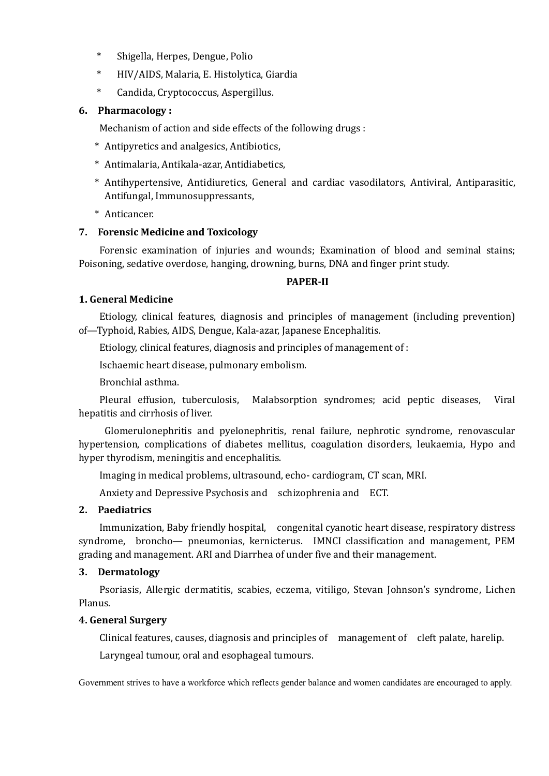- \* Shigella, Herpes, Dengue, Polio
- \* HIV/AIDS, Malaria, E. Histolytica, Giardia
- \* Candida, Cryptococcus, Aspergillus.

## **6. Pharmacology :**

Mechanism of action and side effects of the following drugs :

- \* Antipyretics and analgesics, Antibiotics,
- \* Antimalaria, Antikala-azar, Antidiabetics,
- \* Antihypertensive, Antidiuretics, General and cardiac vasodilators, Antiviral, Antiparasitic, Antifungal, Immunosuppressants,
- \* Anticancer.

# **7. Forensic Medicine and Toxicology**

Forensic examination of injuries and wounds; Examination of blood and seminal stains; Poisoning, sedative overdose, hanging, drowning, burns, DNA and finger print study.

## **PAPER-II**

# **1. General Medicine**

Etiology, clinical features, diagnosis and principles of management (including prevention) of—Typhoid, Rabies, AIDS, Dengue, Kala-azar, Japanese Encephalitis.

Etiology, clinical features, diagnosis and principles of management of :

Ischaemic heart disease, pulmonary embolism.

Bronchial asthma.

Pleural effusion, tuberculosis, Malabsorption syndromes; acid peptic diseases, Viral hepatitis and cirrhosis of liver.

Glomerulonephritis and pyelonephritis, renal failure, nephrotic syndrome, renovascular hypertension, complications of diabetes mellitus, coagulation disorders, leukaemia, Hypo and hyper thyrodism, meningitis and encephalitis.

Imaging in medical problems, ultrasound, echo- cardiogram, CT scan, MRI.

Anxiety and Depressive Psychosis and schizophrenia and ECT.

## **2. Paediatrics**

Immunization, Baby friendly hospital, congenital cyanotic heart disease, respiratory distress syndrome, broncho— pneumonias, kernicterus. IMNCI classification and management, PEM grading and management. ARI and Diarrhea of under five and their management.

## **3. Dermatology**

Psoriasis, Allergic dermatitis, scabies, eczema, vitiligo, Stevan Johnson's syndrome, Lichen Planus.

## **4. General Surgery**

Clinical features, causes, diagnosis and principles of management of cleft palate, harelip. Laryngeal tumour, oral and esophageal tumours.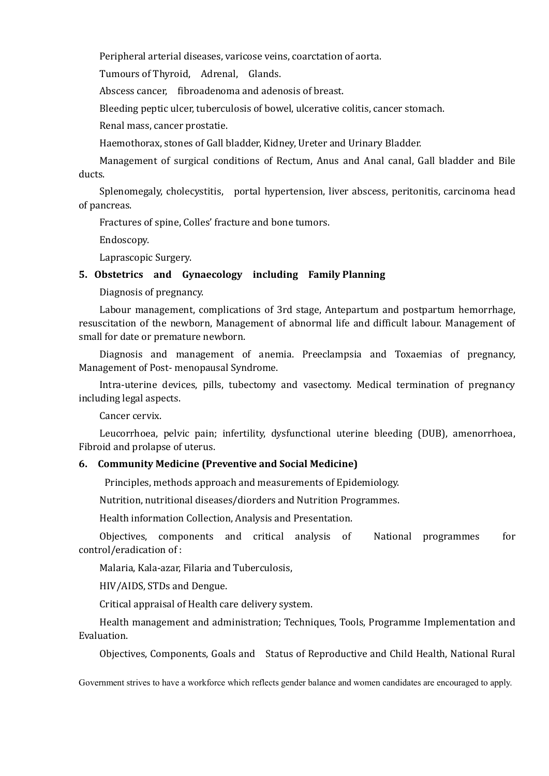Peripheral arterial diseases, varicose veins, coarctation of aorta.

Tumours of Thyroid, Adrenal, Glands.

Abscess cancer, fibroadenoma and adenosis of breast.

Bleeding peptic ulcer, tuberculosis of bowel, ulcerative colitis, cancer stomach.

Renal mass, cancer prostatie.

Haemothorax, stones of Gall bladder, Kidney, Ureter and Urinary Bladder.

Management of surgical conditions of Rectum, Anus and Anal canal, Gall bladder and Bile ducts.

Splenomegaly, cholecystitis, portal hypertension, liver abscess, peritonitis, carcinoma head of pancreas.

Fractures of spine, Colles' fracture and bone tumors.

Endoscopy.

Laprascopic Surgery.

## **5. Obstetrics and Gynaecology including Family Planning**

Diagnosis of pregnancy.

Labour management, complications of 3rd stage, Antepartum and postpartum hemorrhage, resuscitation of the newborn, Management of abnormal life and difficult labour. Management of small for date or premature newborn.

Diagnosis and management of anemia. Preeclampsia and Toxaemias of pregnancy, Management of Post- menopausal Syndrome.

Intra-uterine devices, pills, tubectomy and vasectomy. Medical termination of pregnancy including legal aspects.

Cancer cervix.

Leucorrhoea, pelvic pain; infertility, dysfunctional uterine bleeding (DUB), amenorrhoea, Fibroid and prolapse of uterus.

#### **6. Community Medicine (Preventive and Social Medicine)**

Principles, methods approach and measurements of Epidemiology.

Nutrition, nutritional diseases/diorders and Nutrition Programmes.

Health information Collection, Analysis and Presentation.

Objectives, components and critical analysis of National programmes for control/eradication of :

Malaria, Kala-azar, Filaria and Tuberculosis,

HIV/AIDS, STDs and Dengue.

Critical appraisal of Health care delivery system.

Health management and administration; Techniques, Tools, Programme Implementation and Evaluation.

Objectives, Components, Goals and Status of Reproductive and Child Health, National Rural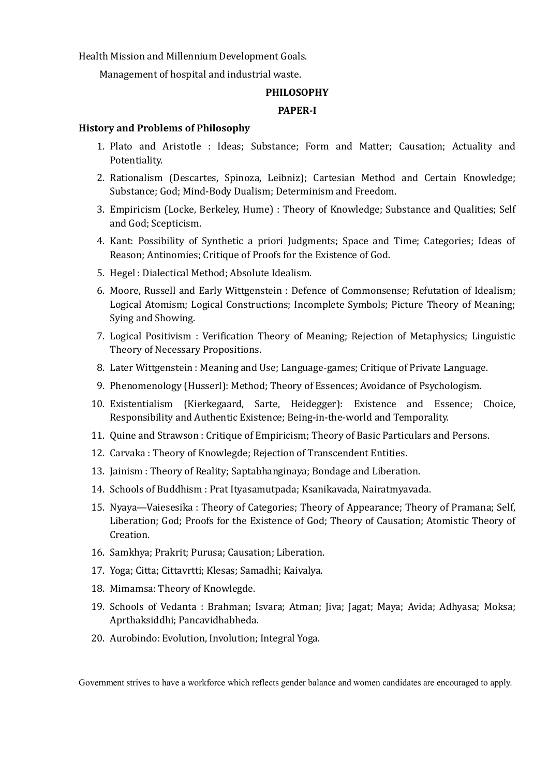Health Mission and Millennium Development Goals.

Management of hospital and industrial waste.

#### **PHILOSOPHY**

#### **PAPER-I**

#### **History and Problems of Philosophy**

- 1. Plato and Aristotle : Ideas; Substance; Form and Matter; Causation; Actuality and Potentiality.
- 2. Rationalism (Descartes, Spinoza, Leibniz); Cartesian Method and Certain Knowledge; Substance; God; Mind-Body Dualism; Determinism and Freedom.
- 3. Empiricism (Locke, Berkeley, Hume) : Theory of Knowledge; Substance and Qualities; Self and God; Scepticism.
- 4. Kant: Possibility of Synthetic a priori Judgments; Space and Time; Categories; Ideas of Reason; Antinomies; Critique of Proofs for the Existence of God.
- 5. Hegel : Dialectical Method; Absolute Idealism.
- 6. Moore, Russell and Early Wittgenstein : Defence of Commonsense; Refutation of Idealism; Logical Atomism; Logical Constructions; Incomplete Symbols; Picture Theory of Meaning; Sying and Showing.
- 7. Logical Positivism : Verification Theory of Meaning; Rejection of Metaphysics; Linguistic Theory of Necessary Propositions.
- 8. Later Wittgenstein : Meaning and Use; Language-games; Critique of Private Language.
- 9. Phenomenology (Husserl): Method; Theory of Essences; Avoidance of Psychologism.
- 10. Existentialism (Kierkegaard, Sarte, Heidegger): Existence and Essence; Choice, Responsibility and Authentic Existence; Being-in-the-world and Temporality.
- 11. Quine and Strawson : Critique of Empiricism; Theory of Basic Particulars and Persons.
- 12. Carvaka : Theory of Knowlegde; Rejection of Transcendent Entities.
- 13. Jainism : Theory of Reality; Saptabhanginaya; Bondage and Liberation.
- 14. Schools of Buddhism : Prat Ityasamutpada; Ksanikavada, Nairatmyavada.
- 15. Nyaya—Vaiesesika : Theory of Categories; Theory of Appearance; Theory of Pramana; Self, Liberation; God; Proofs for the Existence of God; Theory of Causation; Atomistic Theory of Creation.
- 16. Samkhya; Prakrit; Purusa; Causation; Liberation.
- 17. Yoga; Citta; Cittavrtti; Klesas; Samadhi; Kaivalya.
- 18. Mimamsa: Theory of Knowlegde.
- 19. Schools of Vedanta : Brahman; Isvara; Atman; Jiva; Jagat; Maya; Avida; Adhyasa; Moksa; Aprthaksiddhi; Pancavidhabheda.
- 20. Aurobindo: Evolution, Involution; Integral Yoga.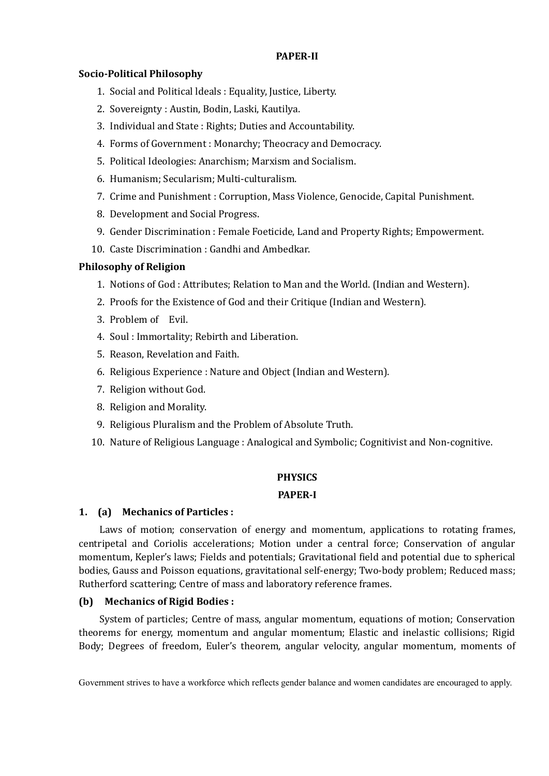## **PAPER-II**

## **Socio-Political Philosophy**

- 1. Social and Political ldeals : Equality, Justice, Liberty.
- 2. Sovereignty : Austin, Bodin, Laski, Kautilya.
- 3. Individual and State : Rights; Duties and Accountability.
- 4. Forms of Government : Monarchy; Theocracy and Democracy.
- 5. Political Ideologies: Anarchism; Marxism and Socialism.
- 6. Humanism; Secularism; Multi-culturalism.
- 7. Crime and Punishment : Corruption, Mass Violence, Genocide, Capital Punishment.
- 8. Development and Social Progress.
- 9. Gender Discrimination : Female Foeticide, Land and Property Rights; Empowerment.
- 10. Caste Discrimination : Gandhi and Ambedkar.

# **Philosophy of Religion**

- 1. Notions of God : Attributes; Relation to Man and the World. (Indian and Western).
- 2. Proofs for the Existence of God and their Critique (Indian and Western).
- 3. Problem of Evil.
- 4. Soul : Immortality; Rebirth and Liberation.
- 5. Reason, Revelation and Faith.
- 6. Religious Experience : Nature and Object (Indian and Western).
- 7. Religion without God.
- 8. Religion and Morality.
- 9. Religious Pluralism and the Problem of Absolute Truth.
- 10. Nature of Religious Language : Analogical and Symbolic; Cognitivist and Non-cognitive.

# **PHYSICS**

## **PAPER-I**

## **1. (a) Mechanics of Particles :**

Laws of motion; conservation of energy and momentum, applications to rotating frames, centripetal and Coriolis accelerations; Motion under a central force; Conservation of angular momentum, Kepler's laws; Fields and potentials; Gravitational field and potential due to spherical bodies, Gauss and Poisson equations, gravitational self-energy; Two-body problem; Reduced mass; Rutherford scattering; Centre of mass and laboratory reference frames.

## **(b) Mechanics of Rigid Bodies :**

System of particles; Centre of mass, angular momentum, equations of motion; Conservation theorems for energy, momentum and angular momentum; Elastic and inelastic collisions; Rigid Body; Degrees of freedom, Euler's theorem, angular velocity, angular momentum, moments of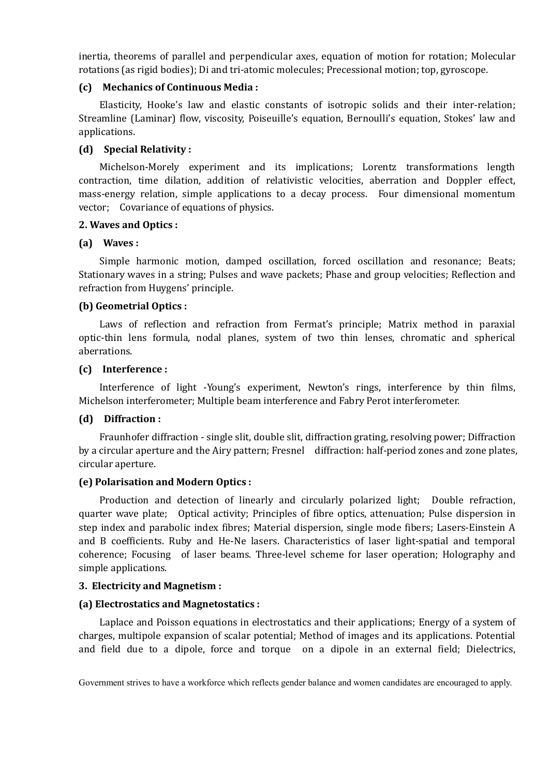inertia, theorems of parallel and perpendicular axes, equation of motion for rotation; Molecular rotations (as rigid bodies); Di and tri-atomic molecules; Precessional motion; top, gyroscope.

## **(c) Mechanics of Continuous Media :**

Elasticity, Hooke's law and elastic constants of isotropic solids and their inter-relation; Streamline (Laminar) flow, viscosity, Poiseuille's equation, Bernoulli's equation, Stokes' law and applications.

## **(d) Special Relativity :**

Michelson-Morely experiment and its implications; Lorentz transformations length contraction, time dilation, addition of relativistic velocities, aberration and Doppler effect, mass-energy relation, simple applications to a decay process. Four dimensional momentum vector; Covariance of equations of physics.

## **2. Waves and Optics :**

## **(a) Waves :**

Simple harmonic motion, damped oscillation, forced oscillation and resonance; Beats; Stationary waves in a string; Pulses and wave packets; Phase and group velocities; Reflection and refraction from Huygens' principle.

## **(b) Geometrial Optics :**

Laws of reflection and refraction from Fermat's principle; Matrix method in paraxial optic-thin lens formula, nodal planes, system of two thin lenses, chromatic and spherical aberrations.

## **(c) Interference :**

Interference of light -Young's experiment, Newton's rings, interference by thin films, Michelson interferometer; Multiple beam interference and Fabry Perot interferometer.

## **(d) Diffraction :**

Fraunhofer diffraction - single slit, double slit, diffraction grating, resolving power; Diffraction by a circular aperture and the Airy pattern; Fresnel diffraction: half-period zones and zone plates, circular aperture.

## **(e) Polarisation and Modern Optics :**

Production and detection of linearly and circularly polarized light; Double refraction, quarter wave plate; Optical activity; Principles of fibre optics, attenuation; Pulse dispersion in step index and parabolic index fibres; Material dispersion, single mode fibers; Lasers-Einstein A and B coefficients. Ruby and He-Ne lasers. Characteristics of laser light-spatial and temporal coherence; Focusing of laser beams. Three-level scheme for laser operation; Holography and simple applications.

## **3. Electricity and Magnetism :**

## **(a) Electrostatics and Magnetostatics :**

Laplace and Poisson equations in electrostatics and their applications; Energy of a system of charges, multipole expansion of scalar potential; Method of images and its applications. Potential and field due to a dipole, force and torque on a dipole in an external field; Dielectrics,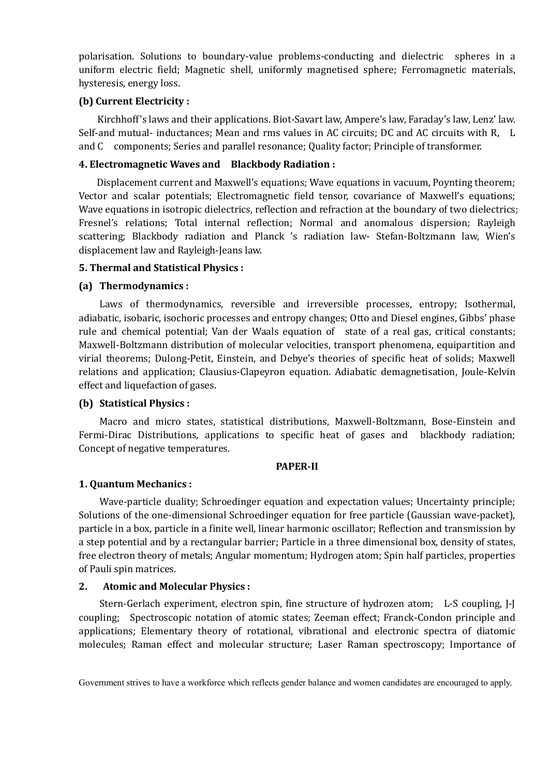polarisation. Solutions to boundary-value problems-conducting and dielectric spheres in a uniform electric field; Magnetic shell, uniformly magnetised sphere; Ferromagnetic materials, hysteresis, energy loss.

## **(b) Current Electricity :**

Kirchhoff's laws and their applications. Biot-Savart law, Ampere's law, Faraday's law, Lenz' law. Self-and mutual- inductances; Mean and rms values in AC circuits; DC and AC circuits with R, L and C components; Series and parallel resonance; Quality factor; Principle of transformer.

## **4. Electromagnetic Waves and Blackbody Radiation :**

Displacement current and Maxwell's equations; Wave equations in vacuum, Poynting theorem; Vector and scalar potentials; Electromagnetic field tensor, covariance of Maxwell's equations; Wave equations in isotropic dielectrics, reflection and refraction at the boundary of two dielectrics; Fresnel's relations; Total internal reflection; Normal and anomalous dispersion; Rayleigh scattering; Blackbody radiation and Planck 's radiation law- Stefan-Boltzmann law, Wien's displacement law and Rayleigh-Jeans law.

# **5. Thermal and Statistical Physics :**

# **(a) Thermodynamics :**

Laws of thermodynamics, reversible and irreversible processes, entropy; Isothermal, adiabatic, isobaric, isochoric processes and entropy changes; Otto and Diesel engines, Gibbs' phase rule and chemical potential; Van der Waals equation of state of a real gas, critical constants; Maxwell-Boltzmann distribution of molecular velocities, transport phenomena, equipartition and virial theorems; Dulong-Petit, Einstein, and Debye's theories of specific heat of solids; Maxwell relations and application; Clausius-Clapeyron equation. Adiabatic demagnetisation, Joule-Kelvin effect and liquefaction of gases.

# **(b) Statistical Physics :**

Macro and micro states, statistical distributions, Maxwell-Boltzmann, Bose-Einstein and Fermi-Dirac Distributions, applications to specific heat of gases and blackbody radiation; Concept of negative temperatures.

## **PAPER-II**

## **1. Quantum Mechanics :**

Wave-particle duality; Schroedinger equation and expectation values; Uncertainty principle; Solutions of the one-dimensional Schroedinger equation for free particle (Gaussian wave-packet), particle in a box, particle in a finite well, linear harmonic oscillator; Reflection and transmission by a step potential and by a rectangular barrier; Particle in a three dimensional box, density of states, free electron theory of metals; Angular momentum; Hydrogen atom; Spin half particles, properties of Pauli spin matrices.

## **2. Atomic and Molecular Physics :**

Stern-Gerlach experiment, electron spin, fine structure of hydrozen atom; L-S coupling, J-J coupling; Spectroscopic notation of atomic states; Zeeman effect; Franck-Condon principle and applications; Elementary theory of rotational, vibrational and electronic spectra of diatomic molecules; Raman effect and molecular structure; Laser Raman spectroscopy; Importance of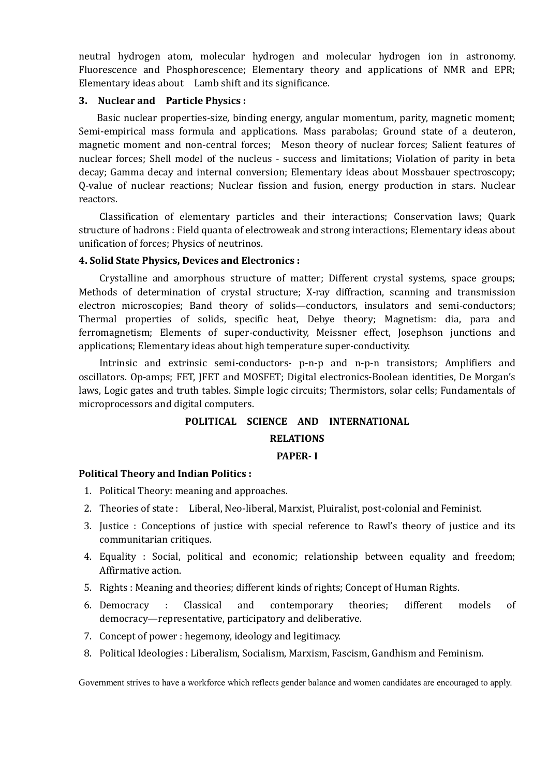neutral hydrogen atom, molecular hydrogen and molecular hydrogen ion in astronomy. Fluorescence and Phosphorescence; Elementary theory and applications of NMR and EPR; Elementary ideas about Lamb shift and its significance.

## **3. Nuclear and Particle Physics :**

Basic nuclear properties-size, binding energy, angular momentum, parity, magnetic moment; Semi-empirical mass formula and applications. Mass parabolas; Ground state of a deuteron, magnetic moment and non-central forces; Meson theory of nuclear forces; Salient features of nuclear forces; Shell model of the nucleus - success and limitations; Violation of parity in beta decay; Gamma decay and internal conversion; Elementary ideas about Mossbauer spectroscopy; Q-value of nuclear reactions; Nuclear fission and fusion, energy production in stars. Nuclear reactors.

Classification of elementary particles and their interactions; Conservation laws; Quark structure of hadrons : Field quanta of electroweak and strong interactions; Elementary ideas about unification of forces; Physics of neutrinos.

## **4. Solid State Physics, Devices and Electronics :**

Crystalline and amorphous structure of matter; Different crystal systems, space groups; Methods of determination of crystal structure; X-ray diffraction, scanning and transmission electron microscopies; Band theory of solids—conductors, insulators and semi-conductors; Thermal properties of solids, specific heat, Debye theory; Magnetism: dia, para and ferromagnetism; Elements of super-conductivity, Meissner effect, Josephson junctions and applications; Elementary ideas about high temperature super-conductivity.

Intrinsic and extrinsic semi-conductors- p-n-p and n-p-n transistors; Amplifiers and oscillators. Op-amps; FET, JFET and MOSFET; Digital electronics-Boolean identities, De Morgan's laws, Logic gates and truth tables. Simple logic circuits; Thermistors, solar cells; Fundamentals of microprocessors and digital computers.

# **POLITICAL SCIENCE AND INTERNATIONAL**

# **RELATIONS**

## **PAPER- I**

## **Political Theory and Indian Politics :**

- 1. Political Theory: meaning and approaches.
- 2. Theories of state : Liberal, Neo-liberal, Marxist, Pluiralist, post-colonial and Feminist.
- 3. Justice : Conceptions of justice with special reference to Rawl's theory of justice and its communitarian critiques.
- 4. Equality : Social, political and economic; relationship between equality and freedom; Affirmative action.
- 5. Rights : Meaning and theories; different kinds of rights; Concept of Human Rights.
- 6. Democracy : Classical and contemporary theories; different models of democracy—representative, participatory and deliberative.
- 7. Concept of power : hegemony, ideology and legitimacy.
- 8. Political Ideologies : Liberalism, Socialism, Marxism, Fascism, Gandhism and Feminism.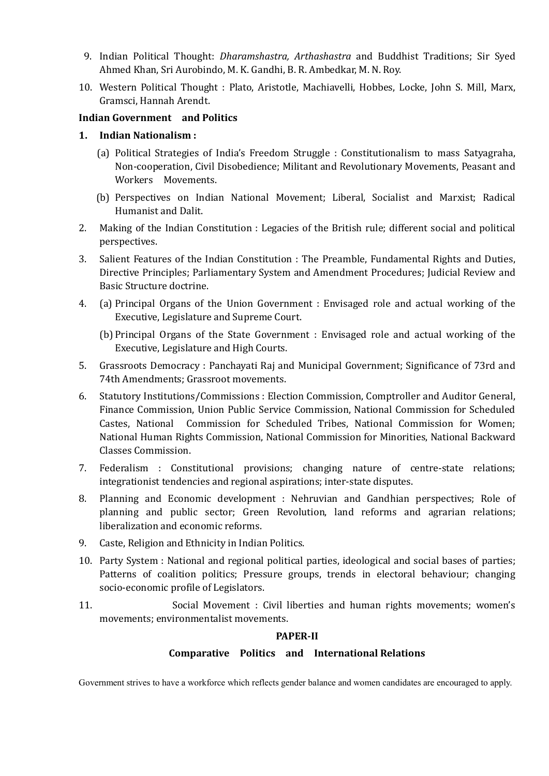- 9. Indian Political Thought: *Dharamshastra, Arthashastra* and Buddhist Traditions; Sir Syed Ahmed Khan, Sri Aurobindo, M. K. Gandhi, B. R. Ambedkar, M. N. Roy.
- 10. Western Political Thought : Plato, Aristotle, Machiavelli, Hobbes, Locke, John S. Mill, Marx, Gramsci, Hannah Arendt.

## **Indian Government and Politics**

## **1. Indian Nationalism :**

- (a) Political Strategies of India's Freedom Struggle : Constitutionalism to mass Satyagraha, Non-cooperation, Civil Disobedience; Militant and Revolutionary Movements, Peasant and Workers Movements.
- (b) Perspectives on Indian National Movement; Liberal, Socialist and Marxist; Radical Humanist and Dalit.
- 2. Making of the Indian Constitution : Legacies of the British rule; different social and political perspectives.
- 3. Salient Features of the Indian Constitution : The Preamble, Fundamental Rights and Duties, Directive Principles; Parliamentary System and Amendment Procedures; Judicial Review and Basic Structure doctrine.
- 4. (a) Principal Organs of the Union Government : Envisaged role and actual working of the Executive, Legislature and Supreme Court.
	- (b) Principal Organs of the State Government : Envisaged role and actual working of the Executive, Legislature and High Courts.
- 5. Grassroots Democracy : Panchayati Raj and Municipal Government; Significance of 73rd and 74th Amendments; Grassroot movements.
- 6. Statutory Institutions/Commissions : Election Commission, Comptroller and Auditor General, Finance Commission, Union Public Service Commission, National Commission for Scheduled Castes, National Commission for Scheduled Tribes, National Commission for Women; National Human Rights Commission, National Commission for Minorities, National Backward Classes Commission.
- 7. Federalism : Constitutional provisions; changing nature of centre-state relations; integrationist tendencies and regional aspirations; inter-state disputes.
- 8. Planning and Economic development : Nehruvian and Gandhian perspectives; Role of planning and public sector; Green Revolution, land reforms and agrarian relations; liberalization and economic reforms.
- 9. Caste, Religion and Ethnicity in Indian Politics.
- 10. Party System : National and regional political parties, ideological and social bases of parties; Patterns of coalition politics; Pressure groups, trends in electoral behaviour; changing socio-economic profile of Legislators.
- 11. Social Movement : Civil liberties and human rights movements; women's movements; environmentalist movements.

#### **PAPER-II**

## **Comparative Politics and International Relations**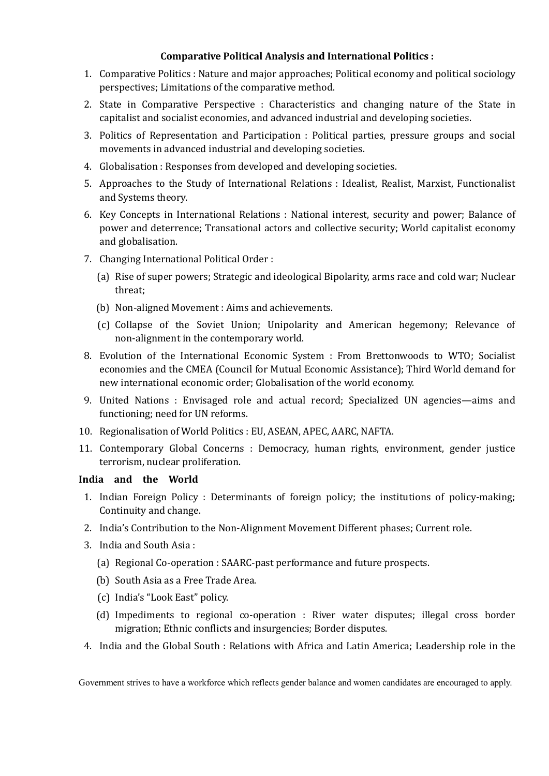## **Comparative Political Analysis and International Politics :**

- 1. Comparative Politics : Nature and major approaches; Political economy and political sociology perspectives; Limitations of the comparative method.
- 2. State in Comparative Perspective : Characteristics and changing nature of the State in capitalist and socialist economies, and advanced industrial and developing societies.
- 3. Politics of Representation and Participation : Political parties, pressure groups and social movements in advanced industrial and developing societies.
- 4. Globalisation : Responses from developed and developing societies.
- 5. Approaches to the Study of International Relations : Idealist, Realist, Marxist, Functionalist and Systems theory.
- 6. Key Concepts in International Relations : National interest, security and power; Balance of power and deterrence; Transational actors and collective security; World capitalist economy and globalisation.
- 7. Changing International Political Order :
	- (a) Rise of super powers; Strategic and ideological Bipolarity, arms race and cold war; Nuclear threat;
	- (b) Non-aligned Movement : Aims and achievements.
	- (c) Collapse of the Soviet Union; Unipolarity and American hegemony; Relevance of non-alignment in the contemporary world.
- 8. Evolution of the International Economic System : From Brettonwoods to WTO; Socialist economies and the CMEA (Council for Mutual Economic Assistance); Third World demand for new international economic order; Globalisation of the world economy.
- 9. United Nations : Envisaged role and actual record; Specialized UN agencies—aims and functioning; need for UN reforms.
- 10. Regionalisation of World Politics : EU, ASEAN, APEC, AARC, NAFTA.
- 11. Contemporary Global Concerns : Democracy, human rights, environment, gender justice terrorism, nuclear proliferation.

## **India and the World**

- 1. Indian Foreign Policy : Determinants of foreign policy; the institutions of policy-making; Continuity and change.
- 2. India's Contribution to the Non-Alignment Movement Different phases; Current role.
- 3. India and South Asia :
	- (a) Regional Co-operation : SAARC-past performance and future prospects.
	- (b) South Asia as a Free Trade Area.
	- (c) India's "Look East" policy.
	- (d) Impediments to regional co-operation : River water disputes; illegal cross border migration; Ethnic conflicts and insurgencies; Border disputes.
- 4. India and the Global South : Relations with Africa and Latin America; Leadership role in the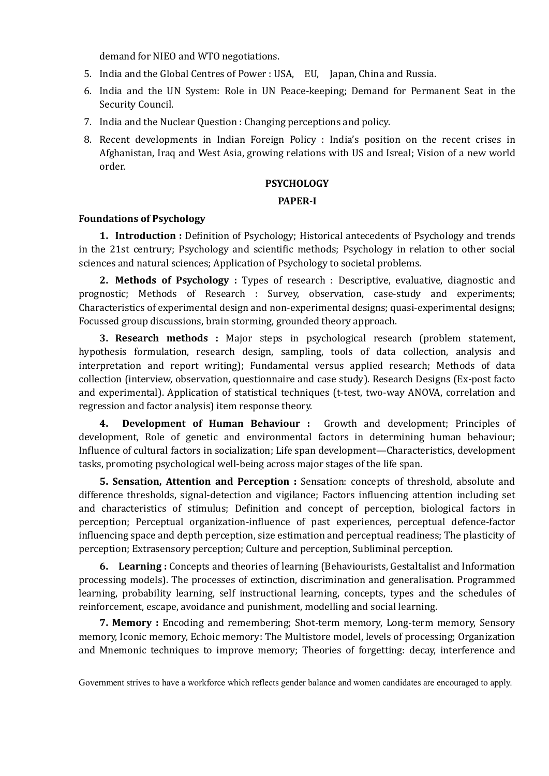demand for NIEO and WTO negotiations.

- 5. India and the Global Centres of Power : USA, EU, Japan, China and Russia.
- 6. India and the UN System: Role in UN Peace-keeping; Demand for Permanent Seat in the Security Council.
- 7. India and the Nuclear Question : Changing perceptions and policy.
- 8. Recent developments in Indian Foreign Policy : India's position on the recent crises in Afghanistan, Iraq and West Asia, growing relations with US and Isreal; Vision of a new world order.

#### **PSYCHOLOGY**

#### **PAPER-I**

#### **Foundations of Psychology**

**1. Introduction :** Definition of Psychology; Historical antecedents of Psychology and trends in the 21st centrury; Psychology and scientific methods; Psychology in relation to other social sciences and natural sciences; Application of Psychology to societal problems.

**2. Methods of Psychology :** Types of research : Descriptive, evaluative, diagnostic and prognostic; Methods of Research : Survey, observation, case-study and experiments; Characteristics of experimental design and non-experimental designs; quasi-experimental designs; Focussed group discussions, brain storming, grounded theory approach.

**3. Research methods :** Major steps in psychological research (problem statement, hypothesis formulation, research design, sampling, tools of data collection, analysis and interpretation and report writing); Fundamental versus applied research; Methods of data collection (interview, observation, questionnaire and case study). Research Designs (Ex-post facto and experimental). Application of statistical techniques (t-test, two-way ANOVA, correlation and regression and factor analysis) item response theory.

**4. Development of Human Behaviour :** Growth and development; Principles of development, Role of genetic and environmental factors in determining human behaviour; Influence of cultural factors in socialization; Life span development—Characteristics, development tasks, promoting psychological well-being across major stages of the life span.

**5. Sensation, Attention and Perception :** Sensation: concepts of threshold, absolute and difference thresholds, signal-detection and vigilance; Factors influencing attention including set and characteristics of stimulus; Definition and concept of perception, biological factors in perception; Perceptual organization-influence of past experiences, perceptual defence-factor influencing space and depth perception, size estimation and perceptual readiness; The plasticity of perception; Extrasensory perception; Culture and perception, Subliminal perception.

**6. Learning :** Concepts and theories of learning (Behaviourists, Gestaltalist and Information processing models). The processes of extinction, discrimination and generalisation. Programmed learning, probability learning, self instructional learning, concepts, types and the schedules of reinforcement, escape, avoidance and punishment, modelling and social learning.

**7. Memory :** Encoding and remembering; Shot-term memory, Long-term memory, Sensory memory, Iconic memory, Echoic memory: The Multistore model, levels of processing; Organization and Mnemonic techniques to improve memory; Theories of forgetting: decay, interference and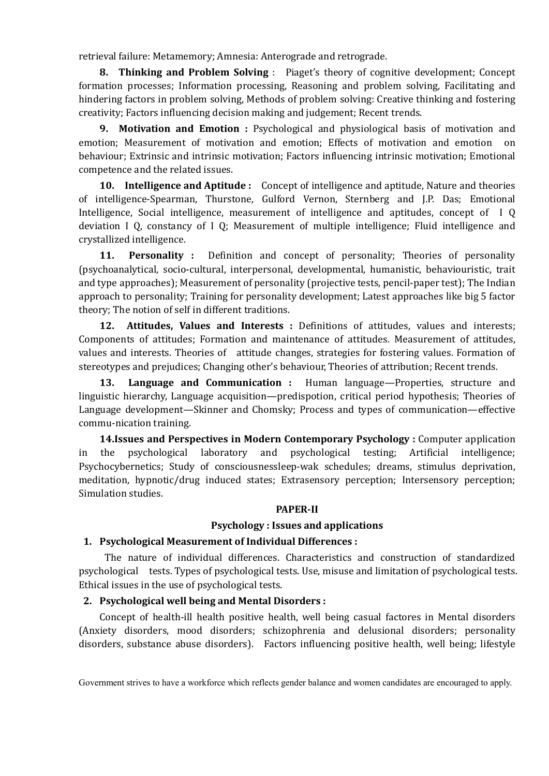retrieval failure: Metamemory; Amnesia: Anterograde and retrograde.

**8. Thinking and Problem Solving** : Piaget's theory of cognitive development; Concept formation processes; Information processing, Reasoning and problem solving, Facilitating and hindering factors in problem solving, Methods of problem solving: Creative thinking and fostering creativity; Factors influencing decision making and judgement; Recent trends.

**9. Motivation and Emotion :** Psychological and physiological basis of motivation and emotion; Measurement of motivation and emotion; Effects of motivation and emotion on behaviour; Extrinsic and intrinsic motivation; Factors influencing intrinsic motivation; Emotional competence and the related issues.

**10. Intelligence and Aptitude :** Concept of intelligence and aptitude, Nature and theories of intelligence-Spearman, Thurstone, Gulford Vernon, Sternberg and J.P. Das; Emotional Intelligence, Social intelligence, measurement of intelligence and aptitudes, concept of I Q deviation I Q, constancy of I Q; Measurement of multiple intelligence; Fluid intelligence and crystallized intelligence.

**11. Personality :** Definition and concept of personality; Theories of personality (psychoanalytical, socio-cultural, interpersonal, developmental, humanistic, behaviouristic, trait and type approaches); Measurement of personality (projective tests, pencil-paper test); The Indian approach to personality; Training for personality development; Latest approaches like big 5 factor theory; The notion of self in different traditions.

**12. Attitudes, Values and Interests :** Definitions of attitudes, values and interests; Components of attitudes; Formation and maintenance of attitudes. Measurement of attitudes, values and interests. Theories of attitude changes, strategies for fostering values. Formation of stereotypes and prejudices; Changing other's behaviour, Theories of attribution; Recent trends.

**13. Language and Communication :** Human language—Properties, structure and linguistic hierarchy, Language acquisition—predispotion, critical period hypothesis; Theories of Language development—Skinner and Chomsky; Process and types of communication—effective commu-nication training.

**14.Issues and Perspectives in Modern Contemporary Psychology :** Computer application in the psychological laboratory and psychological testing; Artificial intelligence; Psychocybernetics; Study of consciousnessleep-wak schedules; dreams, stimulus deprivation, meditation, hypnotic/drug induced states; Extrasensory perception; Intersensory perception; Simulation studies.

#### **PAPER-II**

#### **Psychology : Issues and applications**

#### **1. Psychological Measurement of Individual Differences :**

The nature of individual differences. Characteristics and construction of standardized psychological tests. Types of psychological tests. Use, misuse and limitation of psychological tests. Ethical issues in the use of psychological tests.

#### **2. Psychological well being and Mental Disorders :**

Concept of health-ill health positive health, well being casual factores in Mental disorders (Anxiety disorders, mood disorders; schizophrenia and delusional disorders; personality disorders, substance abuse disorders). Factors influencing positive health, well being; lifestyle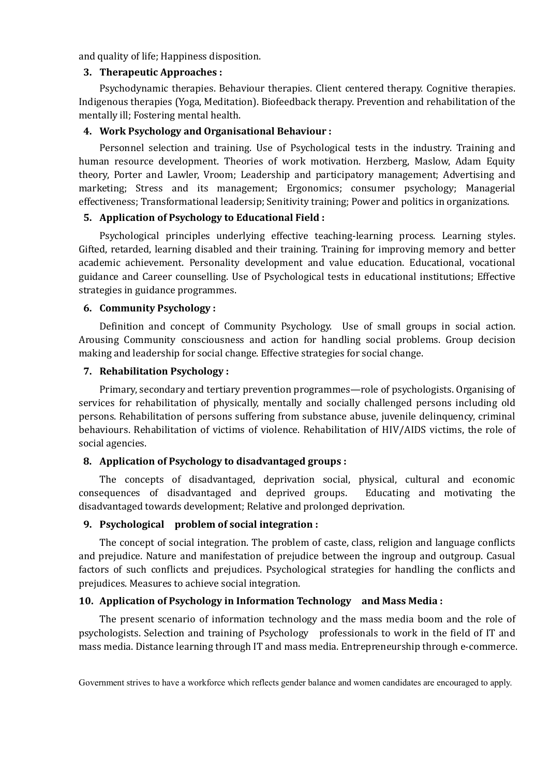and quality of life; Happiness disposition.

#### **3. Therapeutic Approaches :**

Psychodynamic therapies. Behaviour therapies. Client centered therapy. Cognitive therapies. Indigenous therapies (Yoga, Meditation). Biofeedback therapy. Prevention and rehabilitation of the mentally ill; Fostering mental health.

## **4. Work Psychology and Organisational Behaviour :**

Personnel selection and training. Use of Psychological tests in the industry. Training and human resource development. Theories of work motivation. Herzberg, Maslow, Adam Equity theory, Porter and Lawler, Vroom; Leadership and participatory management; Advertising and marketing; Stress and its management; Ergonomics; consumer psychology; Managerial effectiveness; Transformational leadersip; Senitivity training; Power and politics in organizations.

## **5. Application of Psychology to Educational Field :**

Psychological principles underlying effective teaching-learning process. Learning styles. Gifted, retarded, learning disabled and their training. Training for improving memory and better academic achievement. Personality development and value education. Educational, vocational guidance and Career counselling. Use of Psychological tests in educational institutions; Effective strategies in guidance programmes.

## **6. Community Psychology :**

Definition and concept of Community Psychology. Use of small groups in social action. Arousing Community consciousness and action for handling social problems. Group decision making and leadership for social change. Effective strategies for social change.

## **7. Rehabilitation Psychology :**

Primary, secondary and tertiary prevention programmes—role of psychologists. Organising of services for rehabilitation of physically, mentally and socially challenged persons including old persons. Rehabilitation of persons suffering from substance abuse, juvenile delinquency, criminal behaviours. Rehabilitation of victims of violence. Rehabilitation of HIV/AIDS victims, the role of social agencies.

## **8. Application of Psychology to disadvantaged groups :**

The concepts of disadvantaged, deprivation social, physical, cultural and economic consequences of disadvantaged and deprived groups. Educating and motivating the disadvantaged towards development; Relative and prolonged deprivation.

## **9. Psychological problem of social integration :**

The concept of social integration. The problem of caste, class, religion and language conflicts and prejudice. Nature and manifestation of prejudice between the ingroup and outgroup. Casual factors of such conflicts and prejudices. Psychological strategies for handling the conflicts and prejudices. Measures to achieve social integration.

# **10. Application of Psychology in Information Technology and Mass Media :**

The present scenario of information technology and the mass media boom and the role of psychologists. Selection and training of Psychology professionals to work in the field of IT and mass media. Distance learning through IT and mass media. Entrepreneurship through e-commerce.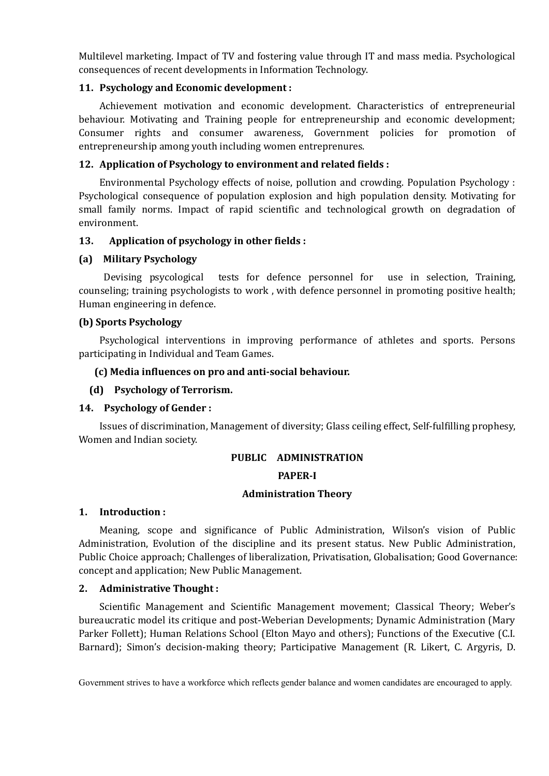Multilevel marketing. Impact of TV and fostering value through IT and mass media. Psychological consequences of recent developments in Information Technology.

## **11. Psychology and Economic development :**

Achievement motivation and economic development. Characteristics of entrepreneurial behaviour. Motivating and Training people for entrepreneurship and economic development; Consumer rights and consumer awareness, Government policies for promotion of entrepreneurship among youth including women entreprenures.

## **12. Application of Psychology to environment and related fields :**

Environmental Psychology effects of noise, pollution and crowding. Population Psychology : Psychological consequence of population explosion and high population density. Motivating for small family norms. Impact of rapid scientific and technological growth on degradation of environment.

## **13. Application of psychology in other fields :**

## **(a) Military Psychology**

Devising psycological tests for defence personnel for use in selection, Training, counseling; training psychologists to work , with defence personnel in promoting positive health; Human engineering in defence.

## **(b) Sports Psychology**

Psychological interventions in improving performance of athletes and sports. Persons participating in Individual and Team Games.

## **(c) Media influences on pro and anti-social behaviour.**

## **(d) Psychology of Terrorism.**

## **14. Psychology of Gender :**

Issues of discrimination, Management of diversity; Glass ceiling effect, Self-fulfilling prophesy, Women and Indian society.

## **PUBLIC ADMINISTRATION**

## **PAPER-I**

#### **Administration Theory**

## **1. Introduction :**

Meaning, scope and significance of Public Administration, Wilson's vision of Public Administration, Evolution of the discipline and its present status. New Public Administration, Public Choice approach; Challenges of liberalization, Privatisation, Globalisation; Good Governance: concept and application; New Public Management.

## **2. Administrative Thought :**

Scientific Management and Scientific Management movement; Classical Theory; Weber's bureaucratic model its critique and post-Weberian Developments; Dynamic Administration (Mary Parker Follett); Human Relations School (Elton Mayo and others); Functions of the Executive (C.I. Barnard); Simon's decision-making theory; Participative Management (R. Likert, C. Argyris, D.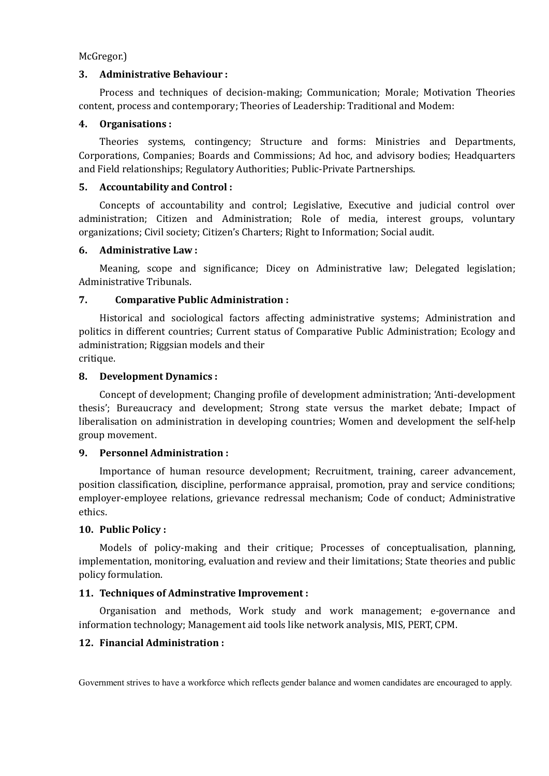McGregor.)

#### **3. Administrative Behaviour :**

Process and techniques of decision-making; Communication; Morale; Motivation Theories content, process and contemporary; Theories of Leadership: Traditional and Modem:

#### **4. Organisations :**

Theories systems, contingency; Structure and forms: Ministries and Departments, Corporations, Companies; Boards and Commissions; Ad hoc, and advisory bodies; Headquarters and Field relationships; Regulatory Authorities; Public-Private Partnerships.

#### **5. Accountability and Control :**

Concepts of accountability and control; Legislative, Executive and judicial control over administration; Citizen and Administration; Role of media, interest groups, voluntary organizations; Civil society; Citizen's Charters; Right to Information; Social audit.

#### **6. Administrative Law :**

Meaning, scope and significance; Dicey on Administrative law; Delegated legislation; Administrative Tribunals.

#### **7. Comparative Public Administration :**

Historical and sociological factors affecting administrative systems; Administration and politics in different countries; Current status of Comparative Public Administration; Ecology and administration; Riggsian models and their

critique.

#### **8. Development Dynamics :**

Concept of development; Changing profile of development administration; 'Anti-development thesis'; Bureaucracy and development; Strong state versus the market debate; Impact of liberalisation on administration in developing countries; Women and development the self-help group movement.

#### **9. Personnel Administration :**

Importance of human resource development; Recruitment, training, career advancement, position classification, discipline, performance appraisal, promotion, pray and service conditions; employer-employee relations, grievance redressal mechanism; Code of conduct; Administrative ethics.

#### **10. Public Policy :**

Models of policy-making and their critique; Processes of conceptualisation, planning, implementation, monitoring, evaluation and review and their limitations; State theories and public policy formulation.

## **11. Techniques of Adminstrative Improvement :**

Organisation and methods, Work study and work management; e-governance and information technology; Management aid tools like network analysis, MIS, PERT, CPM.

## **12. Financial Administration :**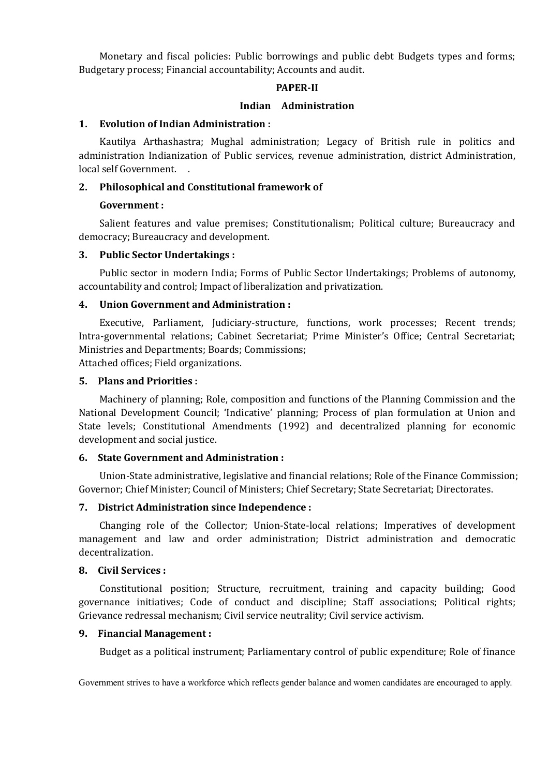Monetary and fiscal policies: Public borrowings and public debt Budgets types and forms; Budgetary process; Financial accountability; Accounts and audit.

#### **PAPER-II**

#### **Indian Administration**

#### **1. Evolution of Indian Administration :**

Kautilya Arthashastra; Mughal administration; Legacy of British rule in politics and administration Indianization of Public services, revenue administration, district Administration, local self Government. .

## **2. Philosophical and Constitutional framework of**

#### **Government :**

Salient features and value premises; Constitutionalism; Political culture; Bureaucracy and democracy; Bureaucracy and development.

#### **3. Public Sector Undertakings :**

Public sector in modern India; Forms of Public Sector Undertakings; Problems of autonomy, accountability and control; Impact of liberalization and privatization.

#### **4. Union Government and Administration :**

Executive, Parliament, Judiciary-structure, functions, work processes; Recent trends; Intra-governmental relations; Cabinet Secretariat; Prime Minister's Office; Central Secretariat; Ministries and Departments; Boards; Commissions;

Attached offices; Field organizations.

#### **5. Plans and Priorities :**

Machinery of planning; Role, composition and functions of the Planning Commission and the National Development Council; 'Indicative' planning; Process of plan formulation at Union and State levels; Constitutional Amendments (1992) and decentralized planning for economic development and social justice.

#### **6. State Government and Administration :**

Union-State administrative, legislative and financial relations; Role of the Finance Commission; Governor; Chief Minister; Council of Ministers; Chief Secretary; State Secretariat; Directorates.

## **7. District Administration since Independence :**

Changing role of the Collector; Union-State-local relations; Imperatives of development management and law and order administration; District administration and democratic decentralization.

#### **8. Civil Services :**

Constitutional position; Structure, recruitment, training and capacity building; Good governance initiatives; Code of conduct and discipline; Staff associations; Political rights; Grievance redressal mechanism; Civil service neutrality; Civil service activism.

#### **9. Financial Management :**

Budget as a political instrument; Parliamentary control of public expenditure; Role of finance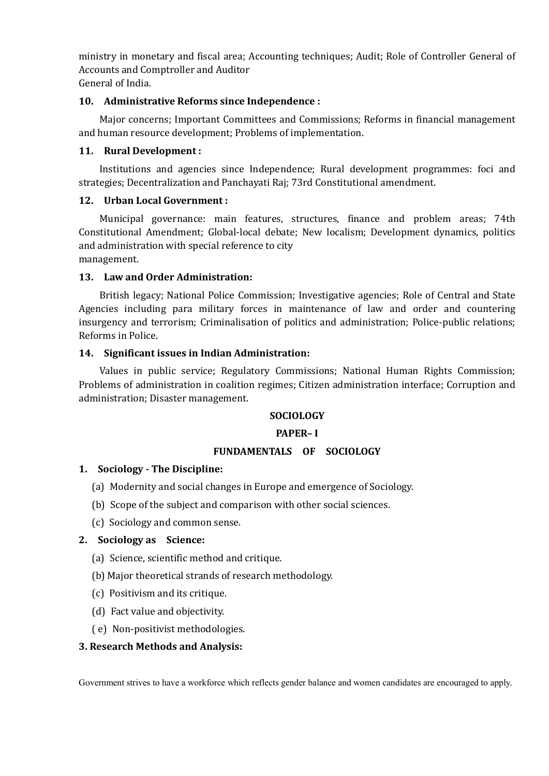ministry in monetary and fiscal area; Accounting techniques; Audit; Role of Controller General of Accounts and Comptroller and Auditor General of India.

## **10. Administrative Reforms since Independence :**

Major concerns; Important Committees and Commissions; Reforms in financial management and human resource development; Problems of implementation.

## **11. Rural Development :**

Institutions and agencies since Independence; Rural development programmes: foci and strategies; Decentralization and Panchayati Raj; 73rd Constitutional amendment.

## **12. Urban Local Government :**

Municipal governance: main features, structures, finance and problem areas; 74th Constitutional Amendment; Global-local debate; New localism; Development dynamics, politics and administration with special reference to city management.

## **13. Law and Order Administration:**

British legacy; National Police Commission; Investigative agencies; Role of Central and State Agencies including para military forces in maintenance of law and order and countering insurgency and terrorism; Criminalisation of politics and administration; Police-public relations; Reforms in Police.

#### **14. Significant issues in Indian Administration:**

Values in public service; Regulatory Commissions; National Human Rights Commission; Problems of administration in coalition regimes; Citizen administration interface; Corruption and administration; Disaster management.

## **SOCIOLOGY**

#### **PAPER– I**

## **FUNDAMENTALS OF SOCIOLOGY**

#### **1. Sociology - The Discipline:**

- (a) Modernity and social changes in Europe and emergence of Sociology.
- (b) Scope of the subject and comparison with other social sciences.
- (c) Sociology and common sense.

## **2. Sociology as Science:**

- (a) Science, scientific method and critique.
- (b) Major theoretical strands of research methodology.
- (c) Positivism and its critique.
- (d) Fact value and objectivity.
- ( e) Non-positivist methodologies.

#### **3. Research Methods and Analysis:**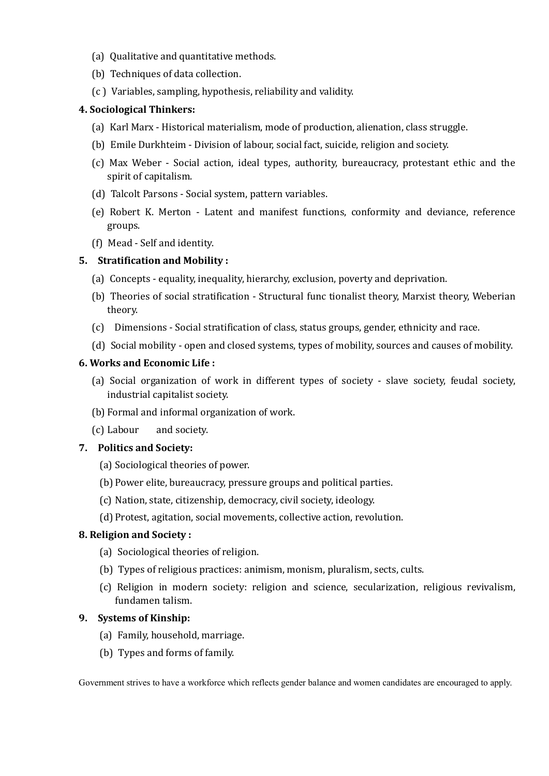- (a) Qualitative and quantitative methods.
- (b) Techniques of data collection.
- (c ) Variables, sampling, hypothesis, reliability and validity.

## **4. Sociological Thinkers:**

- (a) Karl Marx Historical materialism, mode of production, alienation, class struggle.
- (b) Emile Durkhteim Division of labour, social fact, suicide, religion and society.
- (c) Max Weber Social action, ideal types, authority, bureaucracy, protestant ethic and the spirit of capitalism.
- (d) Talcolt Parsons Social system, pattern variables.
- (e) Robert K. Merton Latent and manifest functions, conformity and deviance, reference groups.
- (f) Mead Self and identity.

## **5. Stratification and Mobility :**

- (a) Concepts equality, inequality, hierarchy, exclusion, poverty and deprivation.
- (b) Theories of social stratification Structural func tionalist theory, Marxist theory, Weberian theory.
- (c) Dimensions Social stratification of class, status groups, gender, ethnicity and race.
- (d) Social mobility open and closed systems, types of mobility, sources and causes of mobility.

## **6. Works and Economic Life :**

- (a) Social organization of work in different types of society slave society, feudal society, industrial capitalist society.
- (b) Formal and informal organization of work.
- (c) Labour and society.

## **7. Politics and Society:**

- (a) Sociological theories of power.
- (b) Power elite, bureaucracy, pressure groups and political parties.
- (c) Nation, state, citizenship, democracy, civil society, ideology.
- (d) Protest, agitation, social movements, collective action, revolution.

## **8. Religion and Society :**

- (a) Sociological theories of religion.
- (b) Types of religious practices: animism, monism, pluralism, sects, cults.
- (c) Religion in modern society: religion and science, secularization, religious revivalism, fundamen talism.

# **9. Systems of Kinship:**

- (a) Family, household, marriage.
- (b) Types and forms of family.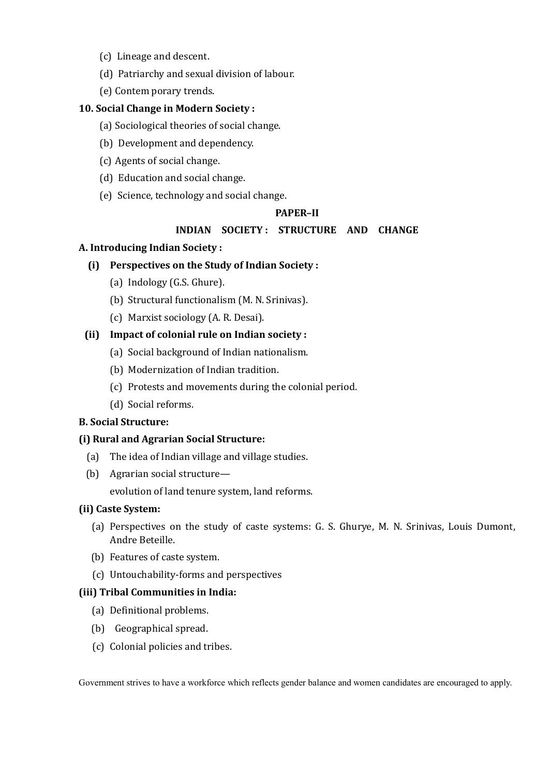- (c) Lineage and descent.
- (d) Patriarchy and sexual division of labour.
- (e) Contem porary trends.

## **10. Social Change in Modern Society :**

- (a) Sociological theories of social change.
- (b) Development and dependency.
- (c) Agents of social change.
- (d) Education and social change.
- (e) Science, technology and social change.

#### **PAPER–II**

#### **INDIAN SOCIETY : STRUCTURE AND CHANGE**

#### **A. Introducing Indian Society :**

#### **(i) Perspectives on the Study of Indian Society :**

- (a) Indology (G.S. Ghure).
- (b) Structural functionalism (M. N. Srinivas).
- (c) Marxist sociology (A. R. Desai).

## **(ii) Impact of colonial rule on Indian society :**

- (a) Social background of Indian nationalism.
- (b) Modernization of Indian tradition.
- (c) Protests and movements during the colonial period.
- (d) Social reforms.

#### **B. Social Structure:**

#### **(i) Rural and Agrarian Social Structure:**

- (a) The idea of Indian village and village studies.
- (b) Agrarian social structure—

evolution of land tenure system, land reforms.

#### **(ii) Caste System:**

- (a) Perspectives on the study of caste systems: G. S. Ghurye, M. N. Srinivas, Louis Dumont, Andre Beteille.
- (b) Features of caste system.
- (c) Untouchability-forms and perspectives

#### **(iii) Tribal Communities in India:**

- (a) Definitional problems.
- (b) Geographical spread.
- (c) Colonial policies and tribes.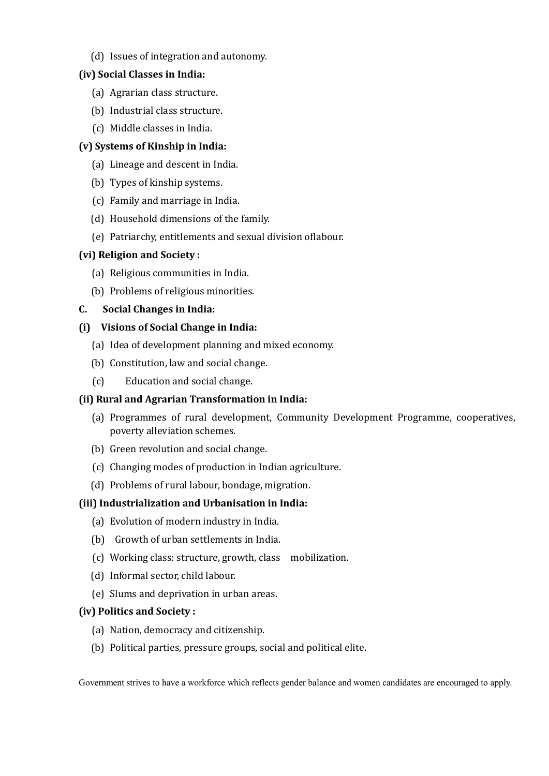(d) Issues of integration and autonomy.

# **(iv) Social Classes in India:**

- (a) Agrarian class structure.
- (b) Industrial class structure.
- (c) Middle classes in India.

# **(v) Systems of Kinship in India:**

- (a) Lineage and descent in India.
- (b) Types of kinship systems.
- (c) Family and marriage in India.
- (d) Household dimensions of the family.
- (e) Patriarchy, entitlements and sexual division oflabour.

## **(vi) Religion and Society :**

- (a) Religious communities in India.
- (b) Problems of religious minorities.

# **C. Social Changes in India:**

## **(i) Visions of Social Change in India:**

- (a) Idea of development planning and mixed economy.
- (b) Constitution, law and social change.
- (c) Education and social change.

# **(ii) Rural and Agrarian Transformation in India:**

- (a) Programmes of rural development, Community Development Programme, cooperatives, poverty alleviation schemes.
- (b) Green revolution and social change.
- (c) Changing modes of production in Indian agriculture.
- (d) Problems of rural labour, bondage, migration.

# **(iii) Industrialization and Urbanisation in India:**

- (a) Evolution of modern industry in India.
- (b) Growth of urban settlements in India.
- (c) Working class: structure, growth, class mobilization.
- (d) Informal sector, child labour.
- (e) Slums and deprivation in urban areas.

## **(iv) Politics and Society :**

- (a) Nation, democracy and citizenship.
- (b) Political parties, pressure groups, social and political elite.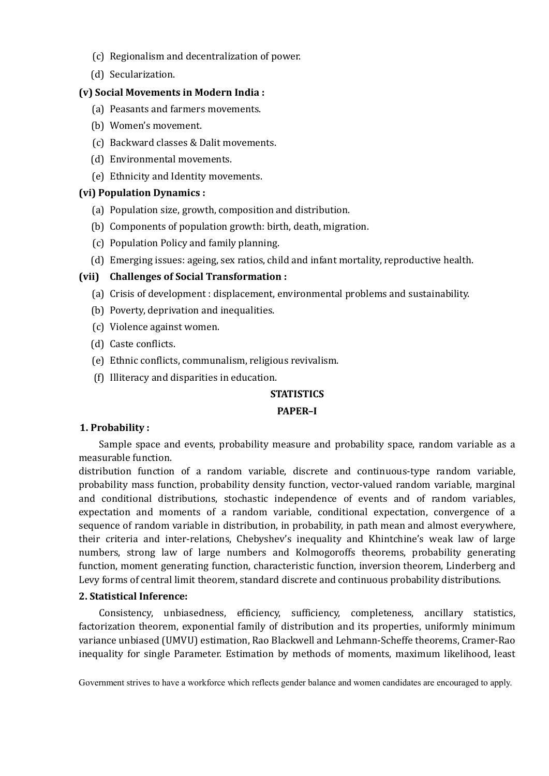- (c) Regionalism and decentralization of power.
- (d) Secularization.

## **(v) Social Movements in Modern India :**

- (a) Peasants and farmers movements.
- (b) Women's movement.
- (c) Backward classes & Dalit movements.
- (d) Environmental movements.
- (e) Ethnicity and Identity movements.

#### **(vi) Population Dynamics :**

- (a) Population size, growth, composition and distribution.
- (b) Components of population growth: birth, death, migration.
- (c) Population Policy and family planning.
- (d) Emerging issues: ageing, sex ratios, child and infant mortality, reproductive health.

## **(vii) Challenges of Social Transformation :**

- (a) Crisis of development : displacement, environmental problems and sustainability.
- (b) Poverty, deprivation and inequalities.
- (c) Violence against women.
- (d) Caste conflicts.
- (e) Ethnic conflicts, communalism, religious revivalism.
- (f) Illiteracy and disparities in education.

#### **STATISTICS**

#### **PAPER–I**

## **1. Probability :**

Sample space and events, probability measure and probability space, random variable as a measurable function.

distribution function of a random variable, discrete and continuous-type random variable, probability mass function, probability density function, vector-valued random variable, marginal and conditional distributions, stochastic independence of events and of random variables, expectation and moments of a random variable, conditional expectation, convergence of a sequence of random variable in distribution, in probability, in path mean and almost everywhere, their criteria and inter-relations, Chebyshev's inequality and Khintchine's weak law of large numbers, strong law of large numbers and Kolmogoroffs theorems, probability generating function, moment generating function, characteristic function, inversion theorem, Linderberg and Levy forms of central limit theorem, standard discrete and continuous probability distributions.

#### **2. Statistical Inference:**

Consistency, unbiasedness, efficiency, sufficiency, completeness, ancillary statistics, factorization theorem, exponential family of distribution and its properties, uniformly minimum variance unbiased (UMVU) estimation, Rao Blackwell and Lehmann-Scheffe theorems, Cramer-Rao inequality for single Parameter. Estimation by methods of moments, maximum likelihood, least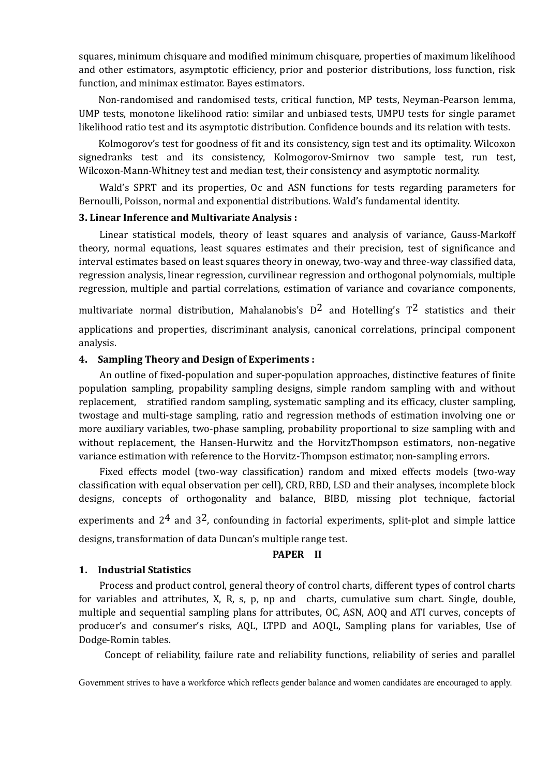squares, minimum chisquare and modified minimum chisquare, properties of maximum likelihood and other estimators, asymptotic efficiency, prior and posterior distributions, loss function, risk function, and minimax estimator. Bayes estimators.

Non-randomised and randomised tests, critical function, MP tests, Neyman-Pearson lemma, UMP tests, monotone likelihood ratio: similar and unbiased tests, UMPU tests for single paramet likelihood ratio test and its asymptotic distribution. Confidence bounds and its relation with tests.

Kolmogorov's test for goodness of fit and its consistency, sign test and its optimality. Wilcoxon signedranks test and its consistency, Kolmogorov-Smirnov two sample test, run test, Wilcoxon-Mann-Whitney test and median test, their consistency and asymptotic normality.

Wald's SPRT and its properties, Oc and ASN functions for tests regarding parameters for Bernoulli, Poisson, normal and exponential distributions. Wald's fundamental identity.

#### **3. Linear Inference and Multivariate Analysis :**

Linear statistical models, theory of least squares and analysis of variance, Gauss-Markoff theory, normal equations, least squares estimates and their precision, test of significance and interval estimates based on least squares theory in oneway, two-way and three-way classified data, regression analysis, linear regression, curvilinear regression and orthogonal polynomials, multiple regression, multiple and partial correlations, estimation of variance and covariance components,

multivariate normal distribution, Mahalanobis's  $D^2$  and Hotelling's  $T^2$  statistics and their applications and properties, discriminant analysis, canonical correlations, principal component analysis.

## **4. Sampling Theory and Design of Experiments :**

An outline of fixed-population and super-population approaches, distinctive features of finite population sampling, propability sampling designs, simple random sampling with and without replacement, stratified random sampling, systematic sampling and its efficacy, cluster sampling, twostage and multi-stage sampling, ratio and regression methods of estimation involving one or more auxiliary variables, two-phase sampling, probability proportional to size sampling with and without replacement, the Hansen-Hurwitz and the HorvitzThompson estimators, non-negative variance estimation with reference to the Horvitz-Thompson estimator, non-sampling errors.

Fixed effects model (two-way classification) random and mixed effects models (two-way classification with equal observation per cell), CRD, RBD, LSD and their analyses, incomplete block designs, concepts of orthogonality and balance, BIBD, missing plot technique, factorial

experiments and  $2<sup>4</sup>$  and  $3<sup>2</sup>$ , confounding in factorial experiments, split-plot and simple lattice designs, transformation of data Duncan's multiple range test.

#### **PAPER II**

## **1. Industrial Statistics**

Process and product control, general theory of control charts, different types of control charts for variables and attributes, X, R, s, p, np and charts, cumulative sum chart. Single, double, multiple and sequential sampling plans for attributes, OC, ASN, AOQ and ATI curves, concepts of producer's and consumer's risks, AQL, LTPD and AOQL, Sampling plans for variables, Use of Dodge-Romin tables.

Concept of reliability, failure rate and reliability functions, reliability of series and parallel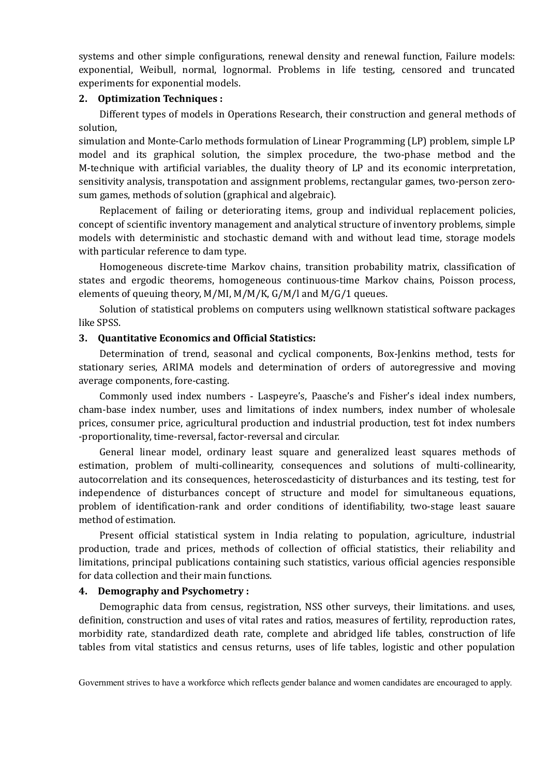systems and other simple configurations, renewal density and renewal function, Failure models: exponential, Weibull, normal, lognormal. Problems in life testing, censored and truncated experiments for exponential models.

#### **2. Optimization Techniques :**

Different types of models in Operations Research, their construction and general methods of solution,

simulation and Monte-Carlo methods formulation of Linear Programming (LP) problem, simple LP model and its graphical solution, the simplex procedure, the two-phase metbod and the M-technique with artificial variables, the duality theory of LP and its economic interpretation, sensitivity analysis, transpotation and assignment problems, rectangular games, two-person zerosum games, methods of solution (graphical and algebraic).

Replacement of failing or deteriorating items, group and individual replacement policies, concept of scientific inventory management and analytical structure of inventory problems, simple models with deterministic and stochastic demand with and without lead time, storage models with particular reference to dam type.

Homogeneous discrete-time Markov chains, transition probability matrix, classification of states and ergodic theorems, homogeneous continuous-time Markov chains, Poisson process, elements of queuing theory, M/MI, M/M/K, G/M/l and M/G/1 queues.

Solution of statistical problems on computers using wellknown statistical software packages like SPSS.

#### **3. Quantitative Economics and Official Statistics:**

Determination of trend, seasonal and cyclical components, Box-Jenkins method, tests for stationary series, ARIMA models and determination of orders of autoregressive and moving average components, fore-casting.

Commonly used index numbers - Laspeyre's, Paasche's and Fisher's ideal index numbers, cham-base index number, uses and limitations of index numbers, index number of wholesale prices, consumer price, agricultural production and industrial production, test fot index numbers -proportionality, time-reversal, factor-reversal and circular.

General linear model, ordinary least square and generalized least squares methods of estimation, problem of multi-collinearity, consequences and solutions of multi-collinearity, autocorrelation and its consequences, heteroscedasticity of disturbances and its testing, test for independence of disturbances concept of structure and model for simultaneous equations, problem of identification-rank and order conditions of identifiability, two-stage least sauare method of estimation.

Present official statistical system in India relating to population, agriculture, industrial production, trade and prices, methods of collection of official statistics, their reliability and limitations, principal publications containing such statistics, various official agencies responsible for data collection and their main functions.

#### **4. Demography and Psychometry :**

Demographic data from census, registration, NSS other surveys, their limitations. and uses, definition, construction and uses of vital rates and ratios, measures of fertility, reproduction rates, morbidity rate, standardized death rate, complete and abridged life tables, construction of life tables from vital statistics and census returns, uses of life tables, logistic and other population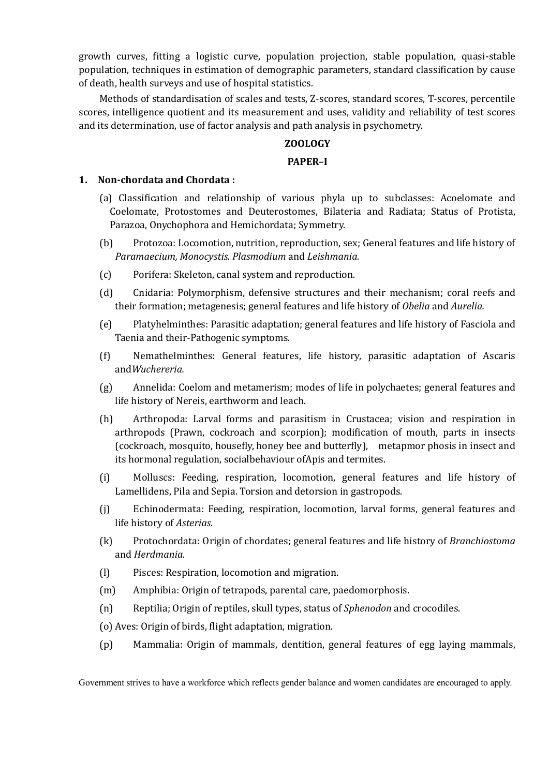growth curves, fitting a logistic curve, population projection, stable population, quasi-stable population, techniques in estimation of demographic parameters, standard classification by cause of death, health surveys and use of hospital statistics.

Methods of standardisation of scales and tests, Z-scores, standard scores, T-scores, percentile scores, intelligence quotient and its measurement and uses, validity and reliability of test scores and its determination, use of factor analysis and path analysis in psychometry.

# **ZOOLOGY**

## **PAPER–I**

#### **1. Non-chordata and Chordata :**

- (a) Classification and relationship of various phyla up to subclasses: Acoelomate and Coelomate, Protostomes and Deuterostomes, Bilateria and Radiata; Status of Protista, Parazoa, Onychophora and Hemichordata; Symmetry.
- (b) Protozoa: Locomotion, nutrition, reproduction, sex; General features and life history of *Paramaecium, Monocystis. Plasmodium* and *Leishmania.*
- (c) Porifera: Skeleton, canal system and reproduction.
- (d) Cnidaria: Polymorphism, defensive structures and their mechanism; coral reefs and their formation; metagenesis; general features and life history of *Obelia* and *Aurelia.*
- (e) Platyhelminthes: Parasitic adaptation; general features and life history of Fasciola and Taenia and their-Pathogenic symptoms.
- (f) Nemathelminthes: General features, life history, parasitic adaptation of Ascaris and*Wuchereria.*
- (g) Annelida: Coelom and metamerism; modes of life in polychaetes; general features and life history of Nereis, earthworm and leach.
- (h) Arthropoda: Larval forms and parasitism in Crustacea; vision and respiration in arthropods (Prawn, cockroach and scorpion); modification of mouth, parts in insects (cockroach, mosquito, housefly, honey bee and butterfly), metapmor phosis in insect and its hormonal regulation, socialbehaviour ofApis and termites.
- (i) Molluscs: Feeding, respiration, locomotion, general features and life history of Lamellidens, Pila and Sepia. Torsion and detorsion in gastropods.
- (j) Echinodermata: Feeding, respiration, locomotion, larval forms, general features and life history of *Asterias*.
- (k) Protochordata: Origin of chordates; general features and life history of *Branchiostoma* and *Herdmania.*
- (l) Pisces: Respiration, locomotion and migration.
- (m) Amphibia: Origin of tetrapods, parental care, paedomorphosis.
- (n) Reptilia; Origin of reptiles, skull types, status of *Sphenodon* and crocodiles.
- (o) Aves: Origin of birds, flight adaptation, migration.
- (p) Mammalia: Origin of mammals, dentition, general features of egg laying mammals,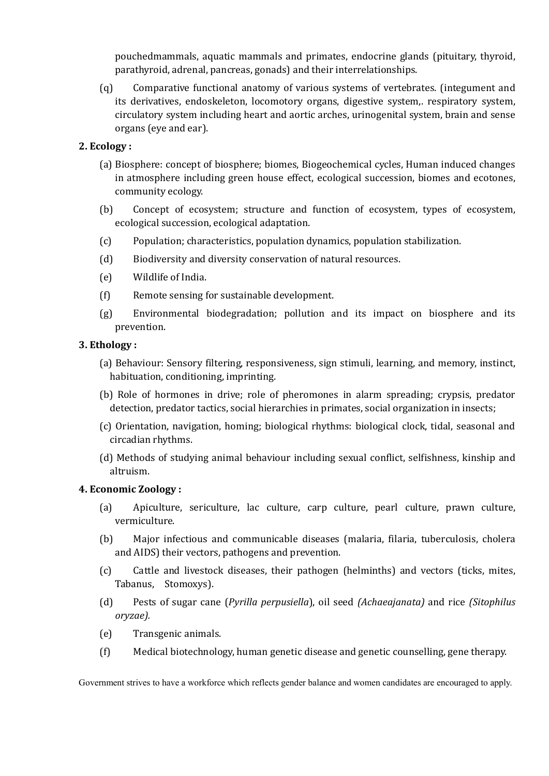pouchedmammals, aquatic mammals and primates, endocrine glands (pituitary, thyroid, parathyroid, adrenal, pancreas, gonads) and their interrelationships.

(q) Comparative functional anatomy of various systems of vertebrates. (integument and its derivatives, endoskeleton, locomotory organs, digestive system,. respiratory system, circulatory system including heart and aortic arches, urinogenital system, brain and sense organs (eye and ear).

## **2. Ecology :**

- (a) Biosphere: concept of biosphere; biomes, Biogeochemical cycles, Human induced changes in atmosphere including green house effect, ecological succession, biomes and ecotones, community ecology.
- (b) Concept of ecosystem; structure and function of ecosystem, types of ecosystem, ecological succession, ecological adaptation.
- (c) Population; characteristics, population dynamics, population stabilization.
- (d) Biodiversity and diversity conservation of natural resources.
- (e) Wildlife of India.
- (f) Remote sensing for sustainable development.
- (g) Environmental biodegradation; pollution and its impact on biosphere and its prevention.

## **3. Ethology :**

- (a) Behaviour: Sensory filtering, responsiveness, sign stimuli, learning, and memory, instinct, habituation, conditioning, imprinting.
- (b) Role of hormones in drive; role of pheromones in alarm spreading; crypsis, predator detection, predator tactics, social hierarchies in primates, social organization in insects;
- (c) Orientation, navigation, homing; biological rhythms: biological clock, tidal, seasonal and circadian rhythms.
- (d) Methods of studying animal behaviour including sexual conflict, selfishness, kinship and altruism.

## **4. Economic Zoology :**

- (a) Apiculture, sericulture, lac culture, carp culture, pearl culture, prawn culture, vermiculture.
- (b) Major infectious and communicable diseases (malaria, filaria, tuberculosis, cholera and AIDS) their vectors, pathogens and prevention.
- (c) Cattle and livestock diseases, their pathogen (helminths) and vectors (ticks, mites, Tabanus, Stomoxys).
- (d) Pests of sugar cane (*Pyrilla perpusiella*), oil seed *(Achaeajanata)* and rice *(Sitophilus oryzae).*
- (e) Transgenic animals.
- (f) Medical biotechnology, human genetic disease and genetic counselling, gene therapy.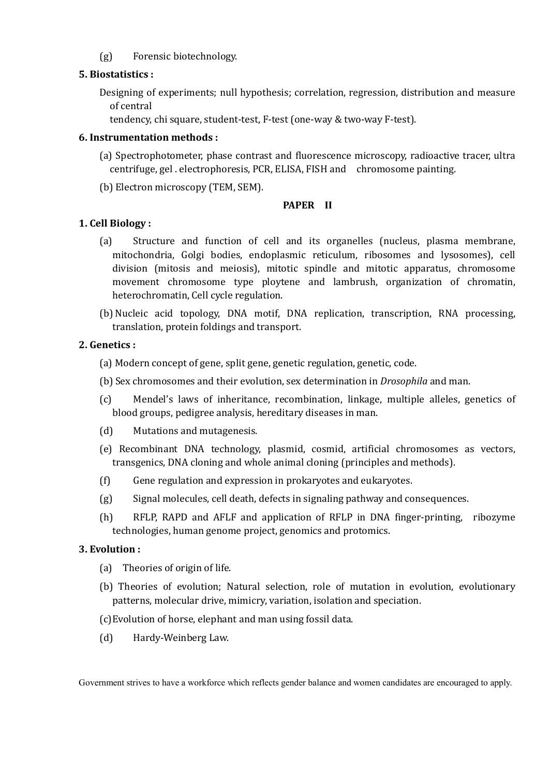(g) Forensic biotechnology.

# **5. Biostatistics :**

- Designing of experiments; null hypothesis; correlation, regression, distribution and measure of central
	- tendency, chi square, student-test, F-test (one-way & two-way F-test).

# **6. Instrumentation methods :**

- (a) Spectrophotometer, phase contrast and fluorescence microscopy, radioactive tracer, ultra centrifuge, gel . electrophoresis, PCR, ELISA, FISH and chromosome painting.
- (b) Electron microscopy (TEM, SEM).

# **PAPER II**

# **1. Cell Biology :**

- (a) Structure and function of cell and its organelles (nucleus, plasma membrane, mitochondria, Golgi bodies, endoplasmic reticulum, ribosomes and lysosomes), cell division (mitosis and meiosis), mitotic spindle and mitotic apparatus, chromosome movement chromosome type ploytene and lambrush, organization of chromatin, heterochromatin, Cell cycle regulation.
- (b) Nucleic acid topology, DNA motif, DNA replication, transcription, RNA processing, translation, protein foldings and transport.

# **2. Genetics :**

- (a) Modern concept of gene, split gene, genetic regulation, genetic, code.
- (b) Sex chromosomes and their evolution, sex determination in *Drosophila* and man.
- (c) Mendel's laws of inheritance, recombination, linkage, multiple alleles, genetics of blood groups, pedigree analysis, hereditary diseases in man.
- (d) Mutations and mutagenesis.
- (e) Recombinant DNA technology, plasmid, cosmid, artificial chromosomes as vectors, transgenics, DNA cloning and whole animal cloning (principles and methods).
- (f) Gene regulation and expression in prokaryotes and eukaryotes.
- (g) Signal molecules, cell death, defects in signaling pathway and consequences.
- (h) RFLP, RAPD and AFLF and application of RFLP in DNA finger-printing, ribozyme technologies, human genome project, genomics and protomics.

# **3. Evolution :**

- (a) Theories of origin of life.
- (b) Theories of evolution; Natural selection, role of mutation in evolution, evolutionary patterns, molecular drive, mimicry, variation, isolation and speciation.
- (c)Evolution of horse, elephant and man using fossil data.
- (d) Hardy-Weinberg Law.